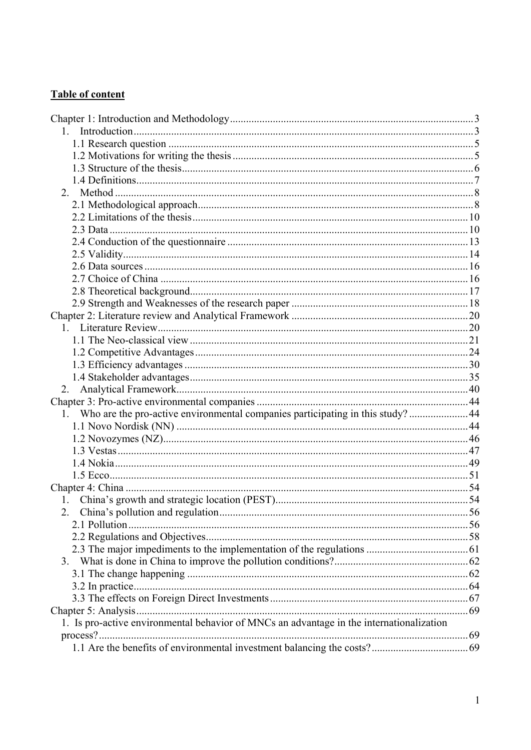## **Table of content**

| 1. Who are the pro-active environmental companies participating in this study? 44        |  |
|------------------------------------------------------------------------------------------|--|
|                                                                                          |  |
|                                                                                          |  |
|                                                                                          |  |
|                                                                                          |  |
|                                                                                          |  |
|                                                                                          |  |
|                                                                                          |  |
|                                                                                          |  |
|                                                                                          |  |
|                                                                                          |  |
|                                                                                          |  |
| 3.                                                                                       |  |
|                                                                                          |  |
|                                                                                          |  |
|                                                                                          |  |
|                                                                                          |  |
| 1. Is pro-active environmental behavior of MNCs an advantage in the internationalization |  |
|                                                                                          |  |
|                                                                                          |  |
|                                                                                          |  |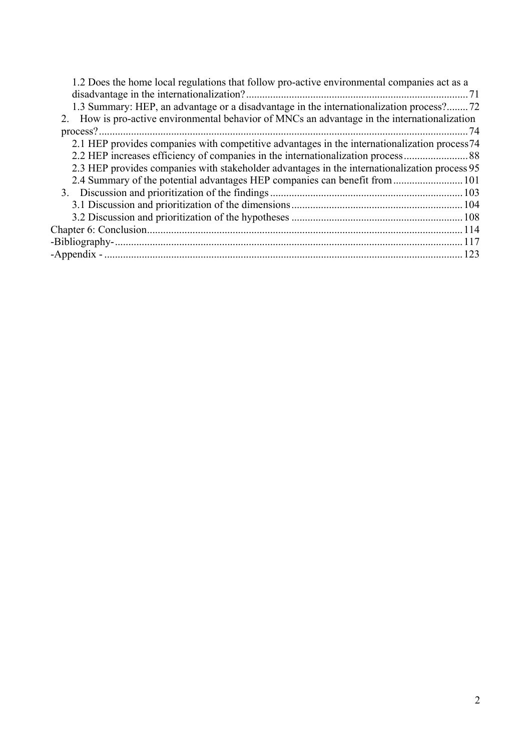| 1.2 Does the home local regulations that follow pro-active environmental companies act as a   |     |
|-----------------------------------------------------------------------------------------------|-----|
|                                                                                               |     |
| 1.3 Summary: HEP, an advantage or a disadvantage in the internationalization process?72       |     |
| 2. How is pro-active environmental behavior of MNCs an advantage in the internationalization  |     |
|                                                                                               | -74 |
| 2.1 HEP provides companies with competitive advantages in the internationalization process74  |     |
|                                                                                               |     |
| 2.3 HEP provides companies with stakeholder advantages in the internationalization process 95 |     |
|                                                                                               |     |
|                                                                                               |     |
|                                                                                               |     |
|                                                                                               |     |
|                                                                                               |     |
|                                                                                               |     |
|                                                                                               | 123 |
|                                                                                               |     |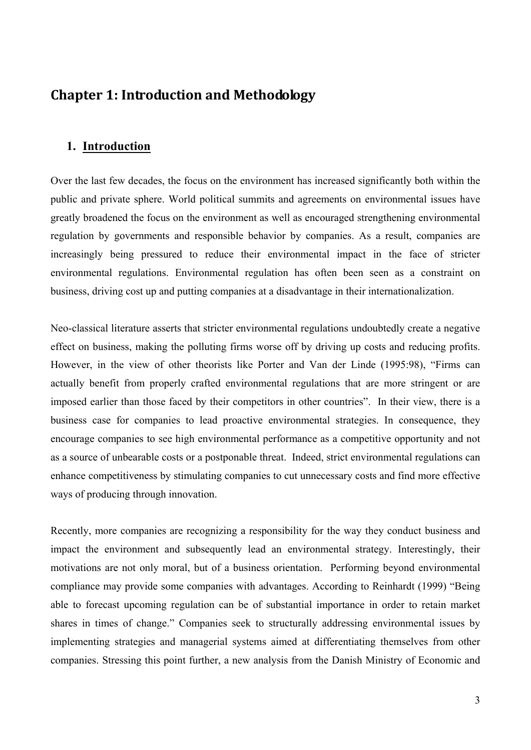# **Chapter 1: Introduction and Methodology**

## **1. Introduction**

Over the last few decades, the focus on the environment has increased significantly both within the public and private sphere. World political summits and agreements on environmental issues have greatly broadened the focus on the environment as well as encouraged strengthening environmental regulation by governments and responsible behavior by companies. As a result, companies are increasingly being pressured to reduce their environmental impact in the face of stricter environmental regulations. Environmental regulation has often been seen as a constraint on business, driving cost up and putting companies at a disadvantage in their internationalization.

Neo-classical literature asserts that stricter environmental regulations undoubtedly create a negative effect on business, making the polluting firms worse off by driving up costs and reducing profits. However, in the view of other theorists like Porter and Van der Linde (1995:98), "Firms can actually benefit from properly crafted environmental regulations that are more stringent or are imposed earlier than those faced by their competitors in other countries". In their view, there is a business case for companies to lead proactive environmental strategies. In consequence, they encourage companies to see high environmental performance as a competitive opportunity and not as a source of unbearable costs or a postponable threat. Indeed, strict environmental regulations can enhance competitiveness by stimulating companies to cut unnecessary costs and find more effective ways of producing through innovation.

Recently, more companies are recognizing a responsibility for the way they conduct business and impact the environment and subsequently lead an environmental strategy. Interestingly, their motivations are not only moral, but of a business orientation. Performing beyond environmental compliance may provide some companies with advantages. According to Reinhardt (1999) "Being able to forecast upcoming regulation can be of substantial importance in order to retain market shares in times of change." Companies seek to structurally addressing environmental issues by implementing strategies and managerial systems aimed at differentiating themselves from other companies. Stressing this point further, a new analysis from the Danish Ministry of Economic and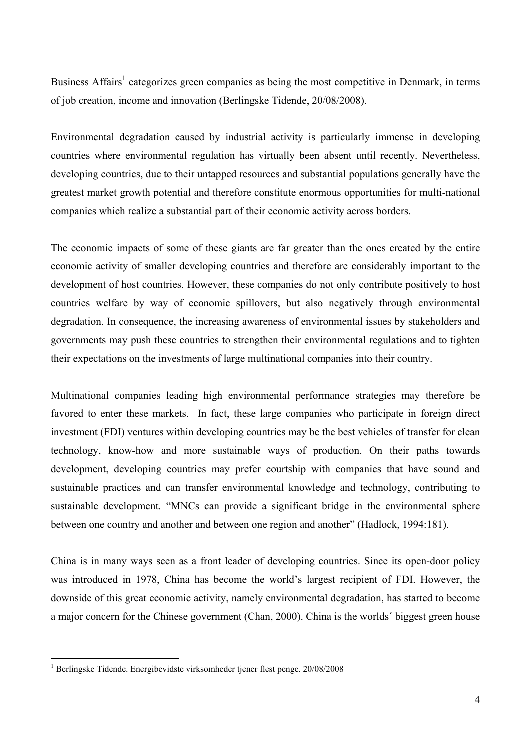Business Affairs<sup>1</sup> categorizes green companies as being the most competitive in Denmark, in terms of job creation, income and innovation (Berlingske Tidende, 20/08/2008).

Environmental degradation caused by industrial activity is particularly immense in developing countries where environmental regulation has virtually been absent until recently. Nevertheless, developing countries, due to their untapped resources and substantial populations generally have the greatest market growth potential and therefore constitute enormous opportunities for multi-national companies which realize a substantial part of their economic activity across borders.

The economic impacts of some of these giants are far greater than the ones created by the entire economic activity of smaller developing countries and therefore are considerably important to the development of host countries. However, these companies do not only contribute positively to host countries welfare by way of economic spillovers, but also negatively through environmental degradation. In consequence, the increasing awareness of environmental issues by stakeholders and governments may push these countries to strengthen their environmental regulations and to tighten their expectations on the investments of large multinational companies into their country.

Multinational companies leading high environmental performance strategies may therefore be favored to enter these markets. In fact, these large companies who participate in foreign direct investment (FDI) ventures within developing countries may be the best vehicles of transfer for clean technology, know-how and more sustainable ways of production. On their paths towards development, developing countries may prefer courtship with companies that have sound and sustainable practices and can transfer environmental knowledge and technology, contributing to sustainable development. "MNCs can provide a significant bridge in the environmental sphere between one country and another and between one region and another" (Hadlock, 1994:181).

China is in many ways seen as a front leader of developing countries. Since its open-door policy was introduced in 1978, China has become the world's largest recipient of FDI. However, the downside of this great economic activity, namely environmental degradation, has started to become a major concern for the Chinese government (Chan, 2000). China is the worlds´ biggest green house

 $\overline{a}$ 

<sup>&</sup>lt;sup>1</sup> Berlingske Tidende. Energibevidste virksomheder tjener flest penge. 20/08/2008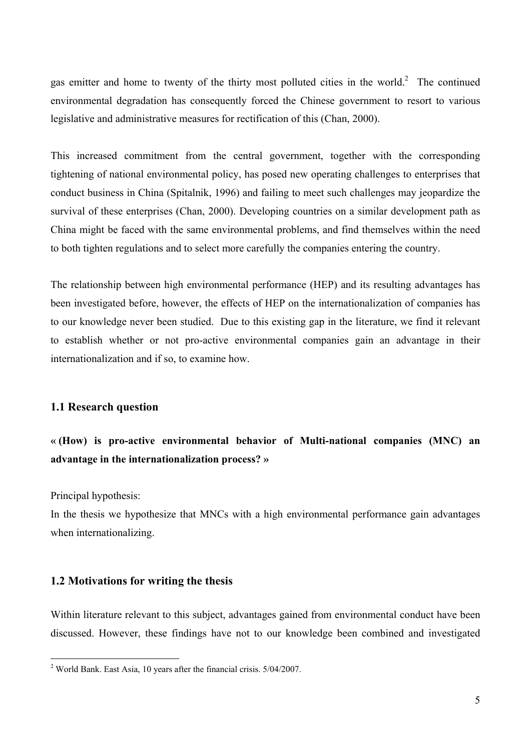gas emitter and home to twenty of the thirty most polluted cities in the world. $2$  The continued environmental degradation has consequently forced the Chinese government to resort to various legislative and administrative measures for rectification of this (Chan, 2000).

This increased commitment from the central government, together with the corresponding tightening of national environmental policy, has posed new operating challenges to enterprises that conduct business in China (Spitalnik, 1996) and failing to meet such challenges may jeopardize the survival of these enterprises (Chan, 2000). Developing countries on a similar development path as China might be faced with the same environmental problems, and find themselves within the need to both tighten regulations and to select more carefully the companies entering the country.

The relationship between high environmental performance (HEP) and its resulting advantages has been investigated before, however, the effects of HEP on the internationalization of companies has to our knowledge never been studied. Due to this existing gap in the literature, we find it relevant to establish whether or not pro-active environmental companies gain an advantage in their internationalization and if so, to examine how.

#### **1.1 Research question**

## **« (How) is pro-active environmental behavior of Multi-national companies (MNC) an advantage in the internationalization process? »**

Principal hypothesis:

 $\overline{a}$ 

In the thesis we hypothesize that MNCs with a high environmental performance gain advantages when internationalizing.

### **1.2 Motivations for writing the thesis**

Within literature relevant to this subject, advantages gained from environmental conduct have been discussed. However, these findings have not to our knowledge been combined and investigated

<sup>&</sup>lt;sup>2</sup> World Bank. East Asia, 10 years after the financial crisis.  $5/04/2007$ .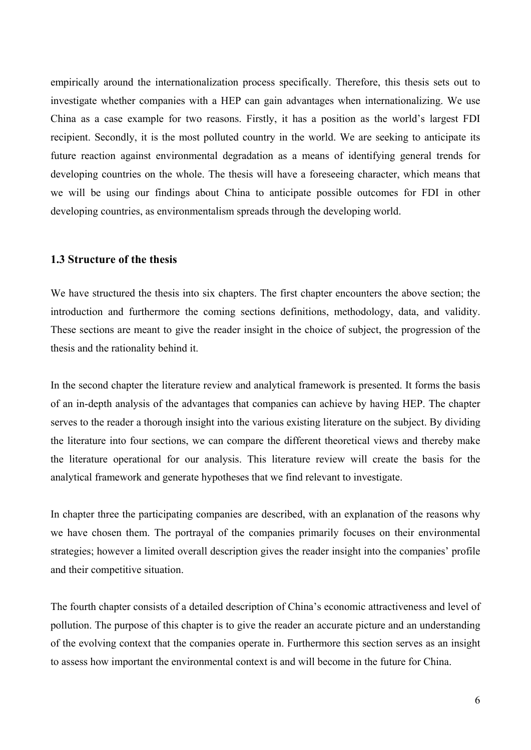empirically around the internationalization process specifically. Therefore, this thesis sets out to investigate whether companies with a HEP can gain advantages when internationalizing. We use China as a case example for two reasons. Firstly, it has a position as the world's largest FDI recipient. Secondly, it is the most polluted country in the world. We are seeking to anticipate its future reaction against environmental degradation as a means of identifying general trends for developing countries on the whole. The thesis will have a foreseeing character, which means that we will be using our findings about China to anticipate possible outcomes for FDI in other developing countries, as environmentalism spreads through the developing world.

#### **1.3 Structure of the thesis**

We have structured the thesis into six chapters. The first chapter encounters the above section; the introduction and furthermore the coming sections definitions, methodology, data, and validity. These sections are meant to give the reader insight in the choice of subject, the progression of the thesis and the rationality behind it.

In the second chapter the literature review and analytical framework is presented. It forms the basis of an in-depth analysis of the advantages that companies can achieve by having HEP. The chapter serves to the reader a thorough insight into the various existing literature on the subject. By dividing the literature into four sections, we can compare the different theoretical views and thereby make the literature operational for our analysis. This literature review will create the basis for the analytical framework and generate hypotheses that we find relevant to investigate.

In chapter three the participating companies are described, with an explanation of the reasons why we have chosen them. The portrayal of the companies primarily focuses on their environmental strategies; however a limited overall description gives the reader insight into the companies' profile and their competitive situation.

The fourth chapter consists of a detailed description of China's economic attractiveness and level of pollution. The purpose of this chapter is to give the reader an accurate picture and an understanding of the evolving context that the companies operate in. Furthermore this section serves as an insight to assess how important the environmental context is and will become in the future for China.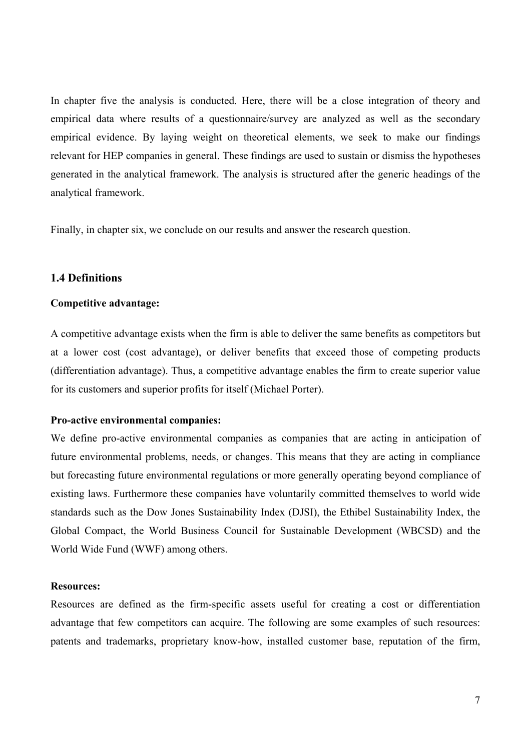In chapter five the analysis is conducted. Here, there will be a close integration of theory and empirical data where results of a questionnaire/survey are analyzed as well as the secondary empirical evidence. By laying weight on theoretical elements, we seek to make our findings relevant for HEP companies in general. These findings are used to sustain or dismiss the hypotheses generated in the analytical framework. The analysis is structured after the generic headings of the analytical framework.

Finally, in chapter six, we conclude on our results and answer the research question.

### **1.4 Definitions**

#### **Competitive advantage:**

A competitive advantage exists when the firm is able to deliver the same benefits as competitors but at a lower cost (cost advantage), or deliver benefits that exceed those of competing products (differentiation advantage). Thus, a competitive advantage enables the firm to create superior value for its customers and superior profits for itself (Michael Porter).

#### **Pro-active environmental companies:**

We define pro-active environmental companies as companies that are acting in anticipation of future environmental problems, needs, or changes. This means that they are acting in compliance but forecasting future environmental regulations or more generally operating beyond compliance of existing laws. Furthermore these companies have voluntarily committed themselves to world wide standards such as the Dow Jones Sustainability Index (DJSI), the Ethibel Sustainability Index, the Global Compact, the World Business Council for Sustainable Development (WBCSD) and the World Wide Fund (WWF) among others.

#### **Resources:**

Resources are defined as the firm-specific assets useful for creating a cost or differentiation advantage that few competitors can acquire. The following are some examples of such resources: patents and trademarks, proprietary know-how, installed customer base, reputation of the firm,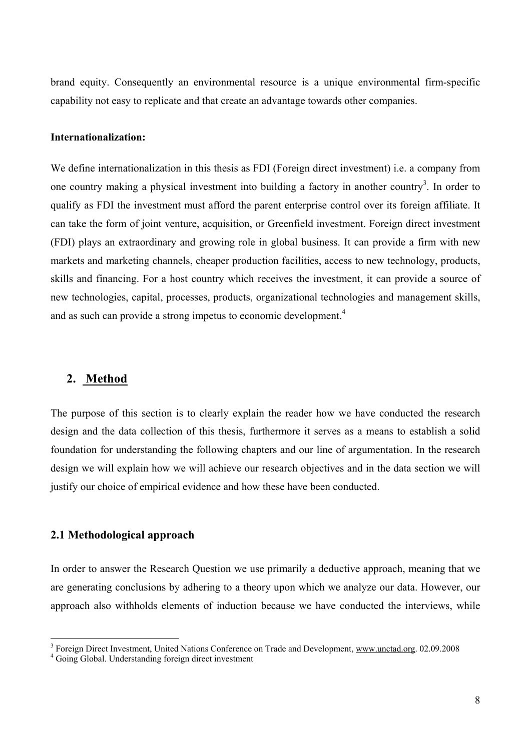brand equity. Consequently an environmental resource is a unique environmental firm-specific capability not easy to replicate and that create an advantage towards other companies.

#### **Internationalization:**

We define internationalization in this thesis as FDI (Foreign direct investment) i.e. a company from one country making a physical investment into building a factory in another country<sup>3</sup>. In order to qualify as FDI the investment must afford the parent enterprise control over its foreign affiliate. It can take the form of joint venture, acquisition, or Greenfield investment. Foreign direct investment (FDI) plays an extraordinary and growing role in global business. It can provide a firm with new markets and marketing channels, cheaper production facilities, access to new technology, products, skills and financing. For a host country which receives the investment, it can provide a source of new technologies, capital, processes, products, organizational technologies and management skills, and as such can provide a strong impetus to economic development.<sup>4</sup>

### **2. Method**

The purpose of this section is to clearly explain the reader how we have conducted the research design and the data collection of this thesis, furthermore it serves as a means to establish a solid foundation for understanding the following chapters and our line of argumentation. In the research design we will explain how we will achieve our research objectives and in the data section we will justify our choice of empirical evidence and how these have been conducted.

### **2.1 Methodological approach**

 $\overline{a}$ 

In order to answer the Research Question we use primarily a deductive approach, meaning that we are generating conclusions by adhering to a theory upon which we analyze our data. However, our approach also withholds elements of induction because we have conducted the interviews, while

<sup>&</sup>lt;sup>3</sup> Foreign Direct Investment, United Nations Conference on Trade and Development, www.unctad.org. 02.09.2008

<sup>&</sup>lt;sup>4</sup> Going Global. Understanding foreign direct investment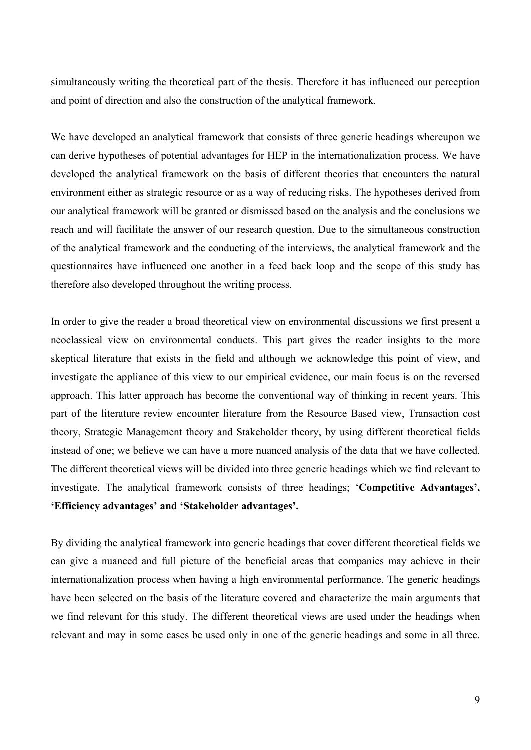simultaneously writing the theoretical part of the thesis. Therefore it has influenced our perception and point of direction and also the construction of the analytical framework.

We have developed an analytical framework that consists of three generic headings whereupon we can derive hypotheses of potential advantages for HEP in the internationalization process. We have developed the analytical framework on the basis of different theories that encounters the natural environment either as strategic resource or as a way of reducing risks. The hypotheses derived from our analytical framework will be granted or dismissed based on the analysis and the conclusions we reach and will facilitate the answer of our research question. Due to the simultaneous construction of the analytical framework and the conducting of the interviews, the analytical framework and the questionnaires have influenced one another in a feed back loop and the scope of this study has therefore also developed throughout the writing process.

In order to give the reader a broad theoretical view on environmental discussions we first present a neoclassical view on environmental conducts. This part gives the reader insights to the more skeptical literature that exists in the field and although we acknowledge this point of view, and investigate the appliance of this view to our empirical evidence, our main focus is on the reversed approach. This latter approach has become the conventional way of thinking in recent years. This part of the literature review encounter literature from the Resource Based view, Transaction cost theory, Strategic Management theory and Stakeholder theory, by using different theoretical fields instead of one; we believe we can have a more nuanced analysis of the data that we have collected. The different theoretical views will be divided into three generic headings which we find relevant to investigate. The analytical framework consists of three headings; '**Competitive Advantages', 'Efficiency advantages' and 'Stakeholder advantages'.** 

By dividing the analytical framework into generic headings that cover different theoretical fields we can give a nuanced and full picture of the beneficial areas that companies may achieve in their internationalization process when having a high environmental performance. The generic headings have been selected on the basis of the literature covered and characterize the main arguments that we find relevant for this study. The different theoretical views are used under the headings when relevant and may in some cases be used only in one of the generic headings and some in all three.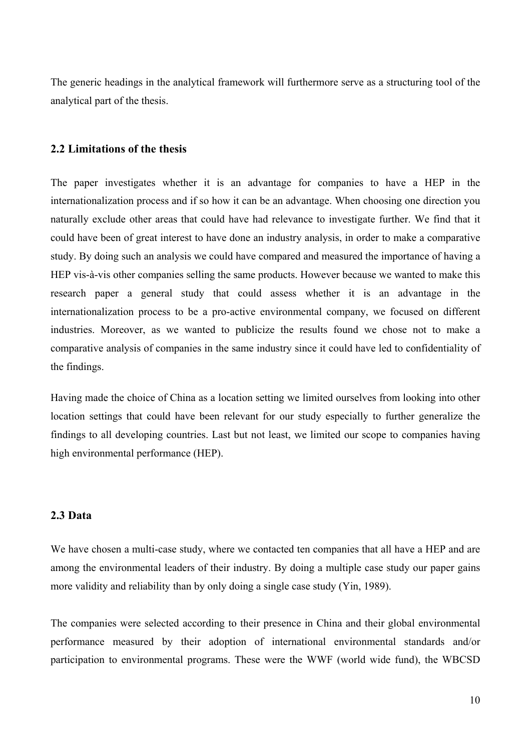The generic headings in the analytical framework will furthermore serve as a structuring tool of the analytical part of the thesis.

#### **2.2 Limitations of the thesis**

The paper investigates whether it is an advantage for companies to have a HEP in the internationalization process and if so how it can be an advantage. When choosing one direction you naturally exclude other areas that could have had relevance to investigate further. We find that it could have been of great interest to have done an industry analysis, in order to make a comparative study. By doing such an analysis we could have compared and measured the importance of having a HEP vis-à-vis other companies selling the same products. However because we wanted to make this research paper a general study that could assess whether it is an advantage in the internationalization process to be a pro-active environmental company, we focused on different industries. Moreover, as we wanted to publicize the results found we chose not to make a comparative analysis of companies in the same industry since it could have led to confidentiality of the findings.

Having made the choice of China as a location setting we limited ourselves from looking into other location settings that could have been relevant for our study especially to further generalize the findings to all developing countries. Last but not least, we limited our scope to companies having high environmental performance (HEP).

### **2.3 Data**

We have chosen a multi-case study, where we contacted ten companies that all have a HEP and are among the environmental leaders of their industry. By doing a multiple case study our paper gains more validity and reliability than by only doing a single case study (Yin, 1989).

The companies were selected according to their presence in China and their global environmental performance measured by their adoption of international environmental standards and/or participation to environmental programs. These were the WWF (world wide fund), the WBCSD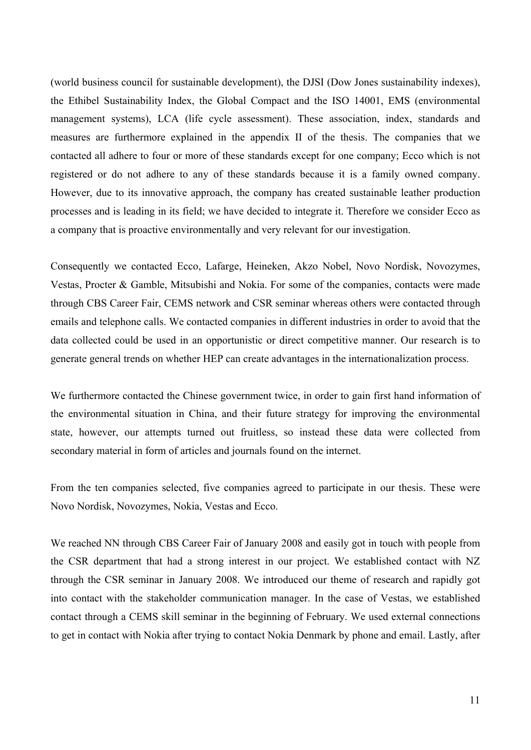(world business council for sustainable development), the DJSI (Dow Jones sustainability indexes), the Ethibel Sustainability Index, the Global Compact and the ISO 14001, EMS (environmental management systems), LCA (life cycle assessment). These association, index, standards and measures are furthermore explained in the appendix II of the thesis. The companies that we contacted all adhere to four or more of these standards except for one company; Ecco which is not registered or do not adhere to any of these standards because it is a family owned company. However, due to its innovative approach, the company has created sustainable leather production processes and is leading in its field; we have decided to integrate it. Therefore we consider Ecco as a company that is proactive environmentally and very relevant for our investigation.

Consequently we contacted Ecco, Lafarge, Heineken, Akzo Nobel, Novo Nordisk, Novozymes, Vestas, Procter & Gamble, Mitsubishi and Nokia. For some of the companies, contacts were made through CBS Career Fair, CEMS network and CSR seminar whereas others were contacted through emails and telephone calls. We contacted companies in different industries in order to avoid that the data collected could be used in an opportunistic or direct competitive manner. Our research is to generate general trends on whether HEP can create advantages in the internationalization process.

We furthermore contacted the Chinese government twice, in order to gain first hand information of the environmental situation in China, and their future strategy for improving the environmental state, however, our attempts turned out fruitless, so instead these data were collected from secondary material in form of articles and journals found on the internet.

From the ten companies selected, five companies agreed to participate in our thesis. These were Novo Nordisk, Novozymes, Nokia, Vestas and Ecco.

We reached NN through CBS Career Fair of January 2008 and easily got in touch with people from the CSR department that had a strong interest in our project. We established contact with NZ through the CSR seminar in January 2008. We introduced our theme of research and rapidly got into contact with the stakeholder communication manager. In the case of Vestas, we established contact through a CEMS skill seminar in the beginning of February. We used external connections to get in contact with Nokia after trying to contact Nokia Denmark by phone and email. Lastly, after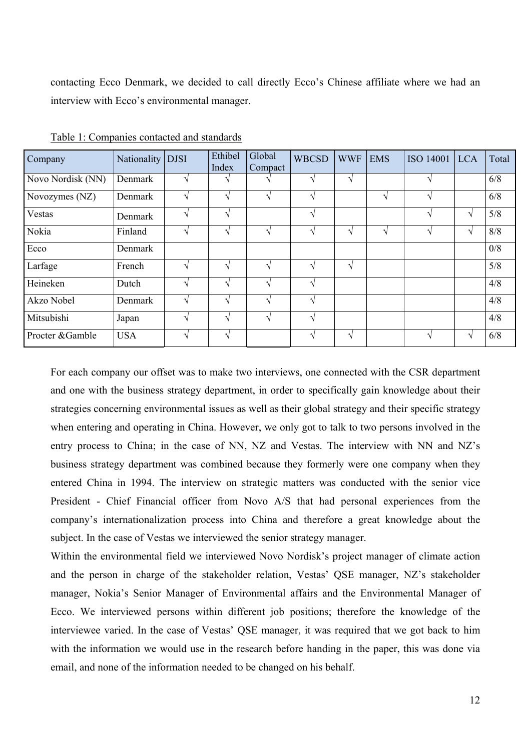contacting Ecco Denmark, we decided to call directly Ecco's Chinese affiliate where we had an interview with Ecco's environmental manager.

| Company           | Nationality | <b>DJSI</b>   | Ethibel<br>Index  | Global<br>Compact           | <b>WBCSD</b>  | <b>WWF</b>                 | <b>EMS</b> | <b>ISO 14001</b> | <b>LCA</b>    | Total |
|-------------------|-------------|---------------|-------------------|-----------------------------|---------------|----------------------------|------------|------------------|---------------|-------|
| Novo Nordisk (NN) | Denmark     | N             | $\mathcal{N}$     |                             | $\gamma$      | $\boldsymbol{\mathcal{A}}$ |            | $\lambda$        |               | 6/8   |
| Novozymes (NZ)    | Denmark     | $\mathcal{N}$ | $\sqrt{ }$        | V                           | $\sqrt{ }$    |                            | V          | $\mathcal{L}$    |               | 6/8   |
| Vestas            | Denmark     | $\mathcal{N}$ | $\mathcal{L}$     |                             | $\sqrt{ }$    |                            |            | $\mathcal{L}$    | V             | 5/8   |
| Nokia             | Finland     | $\Delta$      | $\mathbf \Lambda$ | $\mathcal{L}_{\mathcal{U}}$ | ٦Ι            | $\boldsymbol{\mathcal{A}}$ | N          |                  | V             | 8/8   |
| Ecco              | Denmark     |               |                   |                             |               |                            |            |                  |               | 0/8   |
| Larfage           | French      | $\mathcal{L}$ | $\mathcal{N}$     | $\sim$                      | $\gamma$      | $\gamma$                   |            |                  |               | 5/8   |
| Heineken          | Dutch       | $\mathcal{N}$ | $\mathcal{N}$     | $\sqrt{ }$                  | $\sqrt{ }$    |                            |            |                  |               | 4/8   |
| Akzo Nobel        | Denmark     | $\Delta$      | ٦Ι                | $\mathbf{\hat{}}$           | ٦             |                            |            |                  |               | 4/8   |
| Mitsubishi        | Japan       | $\mathcal{N}$ | ٦Ι                |                             | $\mathcal{N}$ |                            |            |                  |               | 4/8   |
| Procter &Gamble   | <b>USA</b>  | $\mathcal{N}$ | $\mathcal{N}$     |                             | $\sqrt{ }$    | $\sqrt{ }$                 |            | $\mathcal{L}$    | $\mathcal{N}$ | 6/8   |

Table 1: Companies contacted and standards

For each company our offset was to make two interviews, one connected with the CSR department and one with the business strategy department, in order to specifically gain knowledge about their strategies concerning environmental issues as well as their global strategy and their specific strategy when entering and operating in China. However, we only got to talk to two persons involved in the entry process to China; in the case of NN, NZ and Vestas. The interview with NN and NZ's business strategy department was combined because they formerly were one company when they entered China in 1994. The interview on strategic matters was conducted with the senior vice President - Chief Financial officer from Novo A/S that had personal experiences from the company's internationalization process into China and therefore a great knowledge about the subject. In the case of Vestas we interviewed the senior strategy manager.

Within the environmental field we interviewed Novo Nordisk's project manager of climate action and the person in charge of the stakeholder relation, Vestas' QSE manager, NZ's stakeholder manager, Nokia's Senior Manager of Environmental affairs and the Environmental Manager of Ecco. We interviewed persons within different job positions; therefore the knowledge of the interviewee varied. In the case of Vestas' QSE manager, it was required that we got back to him with the information we would use in the research before handing in the paper, this was done via email, and none of the information needed to be changed on his behalf.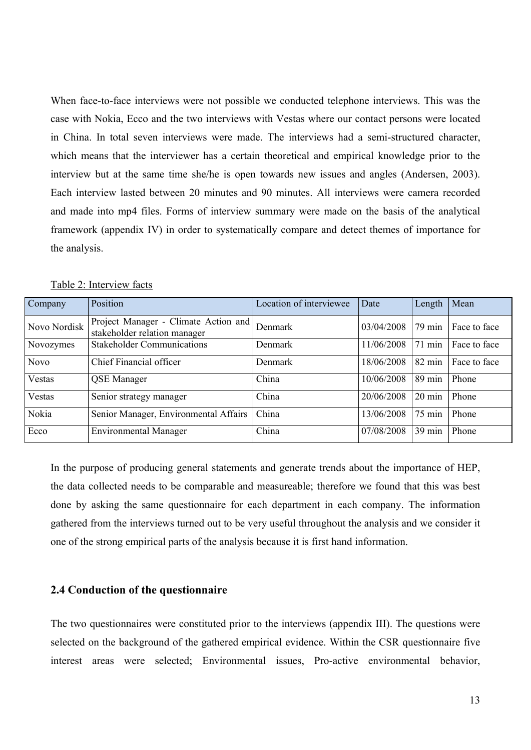When face-to-face interviews were not possible we conducted telephone interviews. This was the case with Nokia, Ecco and the two interviews with Vestas where our contact persons were located in China. In total seven interviews were made. The interviews had a semi-structured character, which means that the interviewer has a certain theoretical and empirical knowledge prior to the interview but at the same time she/he is open towards new issues and angles (Andersen, 2003). Each interview lasted between 20 minutes and 90 minutes. All interviews were camera recorded and made into mp4 files. Forms of interview summary were made on the basis of the analytical framework (appendix IV) in order to systematically compare and detect themes of importance for the analysis.

| Company      | Position                                                             | Location of interviewee | Date       | Length           | Mean         |
|--------------|----------------------------------------------------------------------|-------------------------|------------|------------------|--------------|
| Novo Nordisk | Project Manager - Climate Action and<br>stakeholder relation manager | Denmark                 | 03/04/2008 | 79 min           | Face to face |
| Novozymes    | <b>Stakeholder Communications</b>                                    | Denmark                 | 11/06/2008 | $71$ min         | Face to face |
| <b>Novo</b>  | Chief Financial officer                                              | <b>Denmark</b>          | 18/06/2008 | $82 \text{ min}$ | Face to face |
| Vestas       | <b>QSE</b> Manager                                                   | China                   | 10/06/2008 | $89 \text{ min}$ | Phone        |
| Vestas       | Senior strategy manager                                              | China                   | 20/06/2008 | $20 \text{ min}$ | Phone        |
| Nokia        | Senior Manager, Environmental Affairs                                | China                   | 13/06/2008 | 75 min           | Phone        |
| Ecco         | <b>Environmental Manager</b>                                         | China                   | 07/08/2008 | $39 \text{ min}$ | Phone        |

Table 2: Interview facts

In the purpose of producing general statements and generate trends about the importance of HEP, the data collected needs to be comparable and measureable; therefore we found that this was best done by asking the same questionnaire for each department in each company. The information gathered from the interviews turned out to be very useful throughout the analysis and we consider it one of the strong empirical parts of the analysis because it is first hand information.

### **2.4 Conduction of the questionnaire**

The two questionnaires were constituted prior to the interviews (appendix III). The questions were selected on the background of the gathered empirical evidence. Within the CSR questionnaire five interest areas were selected; Environmental issues, Pro-active environmental behavior,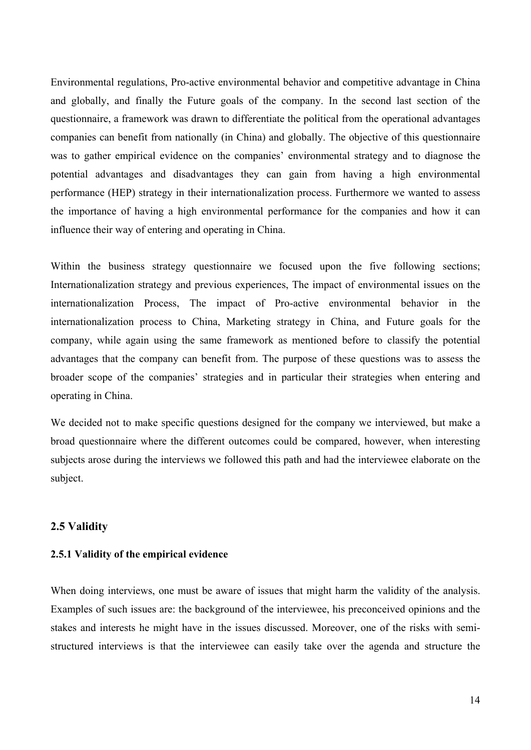Environmental regulations, Pro-active environmental behavior and competitive advantage in China and globally, and finally the Future goals of the company. In the second last section of the questionnaire, a framework was drawn to differentiate the political from the operational advantages companies can benefit from nationally (in China) and globally. The objective of this questionnaire was to gather empirical evidence on the companies' environmental strategy and to diagnose the potential advantages and disadvantages they can gain from having a high environmental performance (HEP) strategy in their internationalization process. Furthermore we wanted to assess the importance of having a high environmental performance for the companies and how it can influence their way of entering and operating in China.

Within the business strategy questionnaire we focused upon the five following sections; Internationalization strategy and previous experiences, The impact of environmental issues on the internationalization Process, The impact of Pro-active environmental behavior in the internationalization process to China, Marketing strategy in China, and Future goals for the company, while again using the same framework as mentioned before to classify the potential advantages that the company can benefit from. The purpose of these questions was to assess the broader scope of the companies' strategies and in particular their strategies when entering and operating in China.

We decided not to make specific questions designed for the company we interviewed, but make a broad questionnaire where the different outcomes could be compared, however, when interesting subjects arose during the interviews we followed this path and had the interviewee elaborate on the subject.

#### **2.5 Validity**

#### **2.5.1 Validity of the empirical evidence**

When doing interviews, one must be aware of issues that might harm the validity of the analysis. Examples of such issues are: the background of the interviewee, his preconceived opinions and the stakes and interests he might have in the issues discussed. Moreover, one of the risks with semistructured interviews is that the interviewee can easily take over the agenda and structure the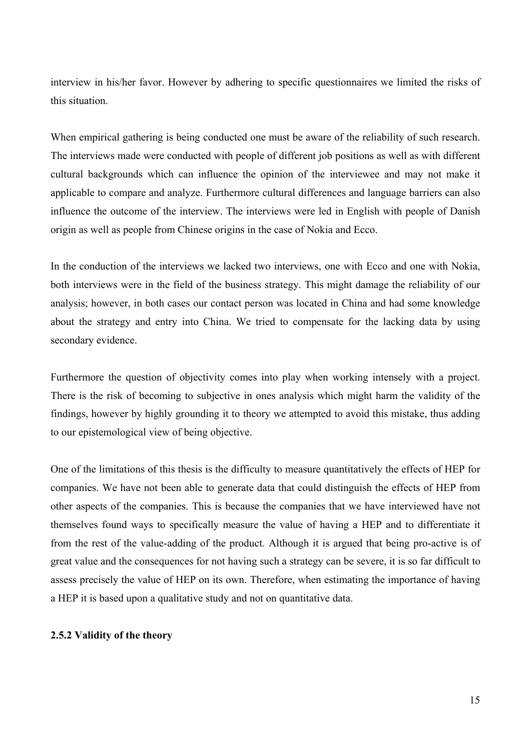interview in his/her favor. However by adhering to specific questionnaires we limited the risks of this situation.

When empirical gathering is being conducted one must be aware of the reliability of such research. The interviews made were conducted with people of different job positions as well as with different cultural backgrounds which can influence the opinion of the interviewee and may not make it applicable to compare and analyze. Furthermore cultural differences and language barriers can also influence the outcome of the interview. The interviews were led in English with people of Danish origin as well as people from Chinese origins in the case of Nokia and Ecco.

In the conduction of the interviews we lacked two interviews, one with Ecco and one with Nokia, both interviews were in the field of the business strategy. This might damage the reliability of our analysis; however, in both cases our contact person was located in China and had some knowledge about the strategy and entry into China. We tried to compensate for the lacking data by using secondary evidence.

Furthermore the question of objectivity comes into play when working intensely with a project. There is the risk of becoming to subjective in ones analysis which might harm the validity of the findings, however by highly grounding it to theory we attempted to avoid this mistake, thus adding to our epistemological view of being objective.

One of the limitations of this thesis is the difficulty to measure quantitatively the effects of HEP for companies. We have not been able to generate data that could distinguish the effects of HEP from other aspects of the companies. This is because the companies that we have interviewed have not themselves found ways to specifically measure the value of having a HEP and to differentiate it from the rest of the value-adding of the product. Although it is argued that being pro-active is of great value and the consequences for not having such a strategy can be severe, it is so far difficult to assess precisely the value of HEP on its own. Therefore, when estimating the importance of having a HEP it is based upon a qualitative study and not on quantitative data.

#### **2.5.2 Validity of the theory**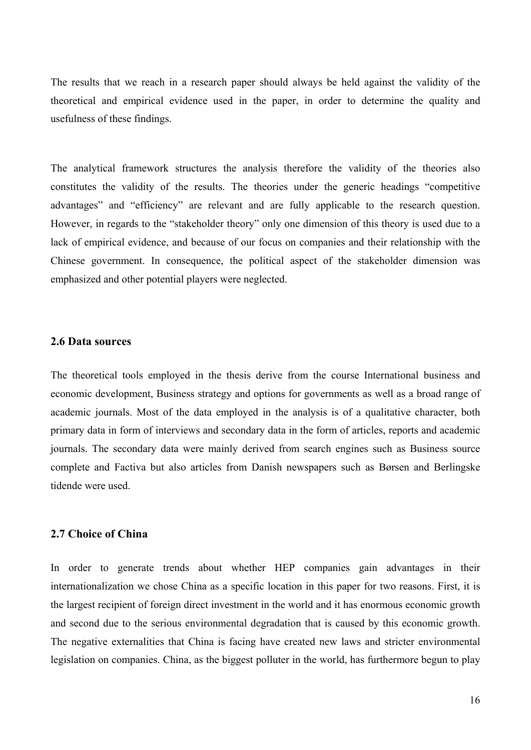The results that we reach in a research paper should always be held against the validity of the theoretical and empirical evidence used in the paper, in order to determine the quality and usefulness of these findings.

The analytical framework structures the analysis therefore the validity of the theories also constitutes the validity of the results. The theories under the generic headings "competitive advantages" and "efficiency" are relevant and are fully applicable to the research question. However, in regards to the "stakeholder theory" only one dimension of this theory is used due to a lack of empirical evidence, and because of our focus on companies and their relationship with the Chinese government. In consequence, the political aspect of the stakeholder dimension was emphasized and other potential players were neglected.

#### **2.6 Data sources**

The theoretical tools employed in the thesis derive from the course International business and economic development, Business strategy and options for governments as well as a broad range of academic journals. Most of the data employed in the analysis is of a qualitative character, both primary data in form of interviews and secondary data in the form of articles, reports and academic journals. The secondary data were mainly derived from search engines such as Business source complete and Factiva but also articles from Danish newspapers such as Børsen and Berlingske tidende were used.

#### **2.7 Choice of China**

In order to generate trends about whether HEP companies gain advantages in their internationalization we chose China as a specific location in this paper for two reasons. First, it is the largest recipient of foreign direct investment in the world and it has enormous economic growth and second due to the serious environmental degradation that is caused by this economic growth. The negative externalities that China is facing have created new laws and stricter environmental legislation on companies. China, as the biggest polluter in the world, has furthermore begun to play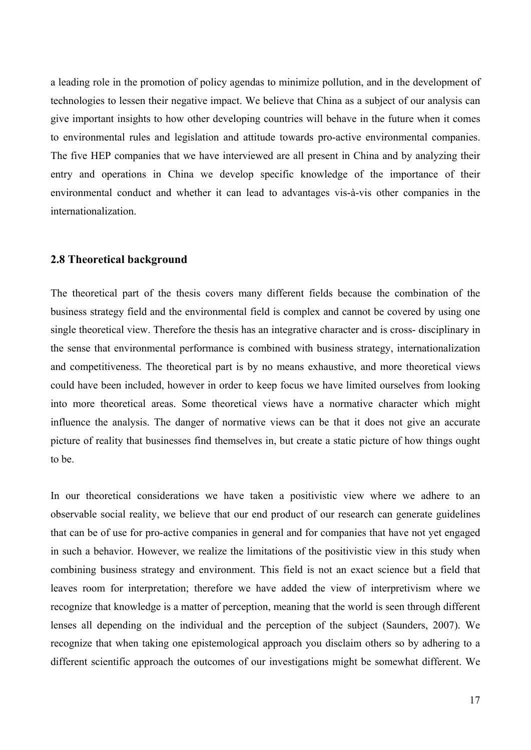a leading role in the promotion of policy agendas to minimize pollution, and in the development of technologies to lessen their negative impact. We believe that China as a subject of our analysis can give important insights to how other developing countries will behave in the future when it comes to environmental rules and legislation and attitude towards pro-active environmental companies. The five HEP companies that we have interviewed are all present in China and by analyzing their entry and operations in China we develop specific knowledge of the importance of their environmental conduct and whether it can lead to advantages vis-à-vis other companies in the internationalization.

### **2.8 Theoretical background**

The theoretical part of the thesis covers many different fields because the combination of the business strategy field and the environmental field is complex and cannot be covered by using one single theoretical view. Therefore the thesis has an integrative character and is cross- disciplinary in the sense that environmental performance is combined with business strategy, internationalization and competitiveness. The theoretical part is by no means exhaustive, and more theoretical views could have been included, however in order to keep focus we have limited ourselves from looking into more theoretical areas. Some theoretical views have a normative character which might influence the analysis. The danger of normative views can be that it does not give an accurate picture of reality that businesses find themselves in, but create a static picture of how things ought to be.

In our theoretical considerations we have taken a positivistic view where we adhere to an observable social reality, we believe that our end product of our research can generate guidelines that can be of use for pro-active companies in general and for companies that have not yet engaged in such a behavior. However, we realize the limitations of the positivistic view in this study when combining business strategy and environment. This field is not an exact science but a field that leaves room for interpretation; therefore we have added the view of interpretivism where we recognize that knowledge is a matter of perception, meaning that the world is seen through different lenses all depending on the individual and the perception of the subject (Saunders, 2007). We recognize that when taking one epistemological approach you disclaim others so by adhering to a different scientific approach the outcomes of our investigations might be somewhat different. We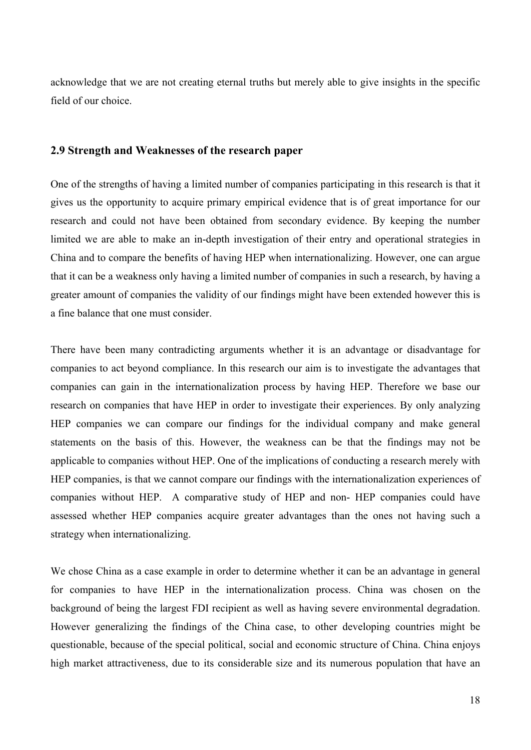acknowledge that we are not creating eternal truths but merely able to give insights in the specific field of our choice.

### **2.9 Strength and Weaknesses of the research paper**

One of the strengths of having a limited number of companies participating in this research is that it gives us the opportunity to acquire primary empirical evidence that is of great importance for our research and could not have been obtained from secondary evidence. By keeping the number limited we are able to make an in-depth investigation of their entry and operational strategies in China and to compare the benefits of having HEP when internationalizing. However, one can argue that it can be a weakness only having a limited number of companies in such a research, by having a greater amount of companies the validity of our findings might have been extended however this is a fine balance that one must consider.

There have been many contradicting arguments whether it is an advantage or disadvantage for companies to act beyond compliance. In this research our aim is to investigate the advantages that companies can gain in the internationalization process by having HEP. Therefore we base our research on companies that have HEP in order to investigate their experiences. By only analyzing HEP companies we can compare our findings for the individual company and make general statements on the basis of this. However, the weakness can be that the findings may not be applicable to companies without HEP. One of the implications of conducting a research merely with HEP companies, is that we cannot compare our findings with the internationalization experiences of companies without HEP. A comparative study of HEP and non- HEP companies could have assessed whether HEP companies acquire greater advantages than the ones not having such a strategy when internationalizing.

We chose China as a case example in order to determine whether it can be an advantage in general for companies to have HEP in the internationalization process. China was chosen on the background of being the largest FDI recipient as well as having severe environmental degradation. However generalizing the findings of the China case, to other developing countries might be questionable, because of the special political, social and economic structure of China. China enjoys high market attractiveness, due to its considerable size and its numerous population that have an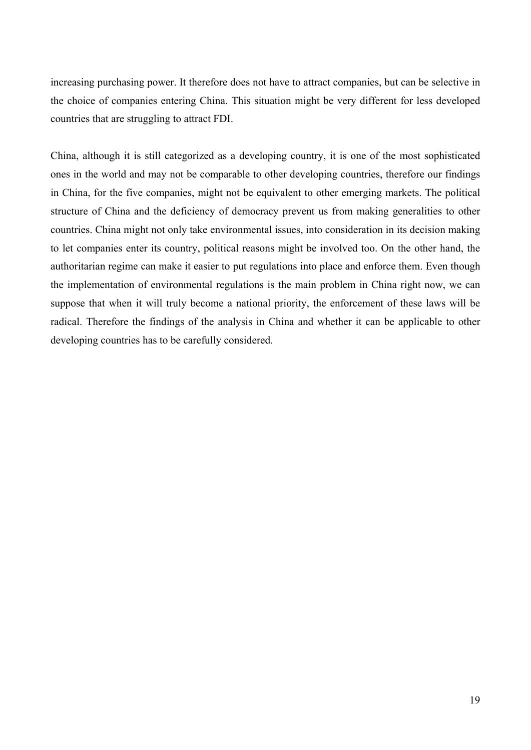increasing purchasing power. It therefore does not have to attract companies, but can be selective in the choice of companies entering China. This situation might be very different for less developed countries that are struggling to attract FDI.

China, although it is still categorized as a developing country, it is one of the most sophisticated ones in the world and may not be comparable to other developing countries, therefore our findings in China, for the five companies, might not be equivalent to other emerging markets. The political structure of China and the deficiency of democracy prevent us from making generalities to other countries. China might not only take environmental issues, into consideration in its decision making to let companies enter its country, political reasons might be involved too. On the other hand, the authoritarian regime can make it easier to put regulations into place and enforce them. Even though the implementation of environmental regulations is the main problem in China right now, we can suppose that when it will truly become a national priority, the enforcement of these laws will be radical. Therefore the findings of the analysis in China and whether it can be applicable to other developing countries has to be carefully considered.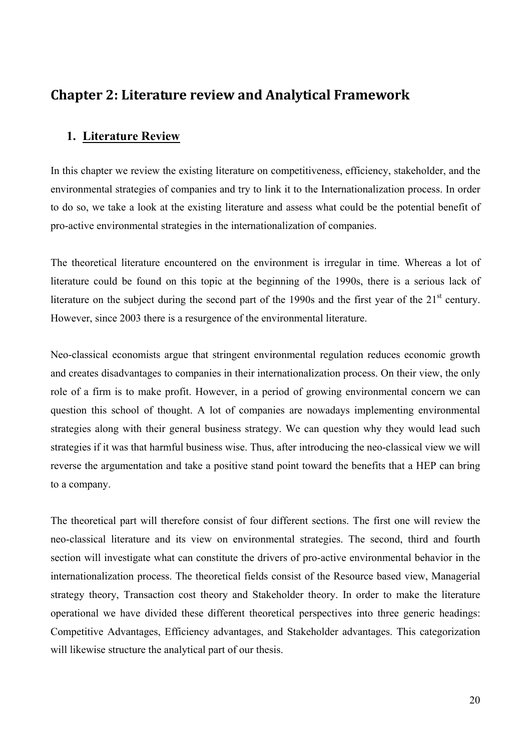# **Chapter 2: Literature review and Analytical Framework**

## **1. Literature Review**

In this chapter we review the existing literature on competitiveness, efficiency, stakeholder, and the environmental strategies of companies and try to link it to the Internationalization process. In order to do so, we take a look at the existing literature and assess what could be the potential benefit of pro-active environmental strategies in the internationalization of companies.

The theoretical literature encountered on the environment is irregular in time. Whereas a lot of literature could be found on this topic at the beginning of the 1990s, there is a serious lack of literature on the subject during the second part of the 1990s and the first year of the  $21<sup>st</sup>$  century. However, since 2003 there is a resurgence of the environmental literature.

Neo-classical economists argue that stringent environmental regulation reduces economic growth and creates disadvantages to companies in their internationalization process. On their view, the only role of a firm is to make profit. However, in a period of growing environmental concern we can question this school of thought. A lot of companies are nowadays implementing environmental strategies along with their general business strategy. We can question why they would lead such strategies if it was that harmful business wise. Thus, after introducing the neo-classical view we will reverse the argumentation and take a positive stand point toward the benefits that a HEP can bring to a company.

The theoretical part will therefore consist of four different sections. The first one will review the neo-classical literature and its view on environmental strategies. The second, third and fourth section will investigate what can constitute the drivers of pro-active environmental behavior in the internationalization process. The theoretical fields consist of the Resource based view, Managerial strategy theory, Transaction cost theory and Stakeholder theory. In order to make the literature operational we have divided these different theoretical perspectives into three generic headings: Competitive Advantages, Efficiency advantages, and Stakeholder advantages. This categorization will likewise structure the analytical part of our thesis.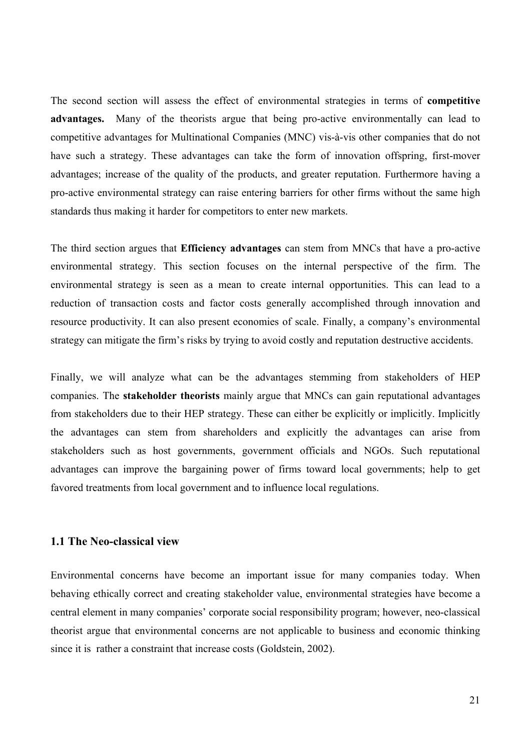The second section will assess the effect of environmental strategies in terms of **competitive advantages.** Many of the theorists argue that being pro-active environmentally can lead to competitive advantages for Multinational Companies (MNC) vis-à-vis other companies that do not have such a strategy. These advantages can take the form of innovation offspring, first-mover advantages; increase of the quality of the products, and greater reputation. Furthermore having a pro-active environmental strategy can raise entering barriers for other firms without the same high standards thus making it harder for competitors to enter new markets.

The third section argues that **Efficiency advantages** can stem from MNCs that have a pro-active environmental strategy. This section focuses on the internal perspective of the firm. The environmental strategy is seen as a mean to create internal opportunities. This can lead to a reduction of transaction costs and factor costs generally accomplished through innovation and resource productivity. It can also present economies of scale. Finally, a company's environmental strategy can mitigate the firm's risks by trying to avoid costly and reputation destructive accidents.

Finally, we will analyze what can be the advantages stemming from stakeholders of HEP companies. The **stakeholder theorists** mainly argue that MNCs can gain reputational advantages from stakeholders due to their HEP strategy. These can either be explicitly or implicitly. Implicitly the advantages can stem from shareholders and explicitly the advantages can arise from stakeholders such as host governments, government officials and NGOs. Such reputational advantages can improve the bargaining power of firms toward local governments; help to get favored treatments from local government and to influence local regulations.

### **1.1 The Neo-classical view**

Environmental concerns have become an important issue for many companies today. When behaving ethically correct and creating stakeholder value, environmental strategies have become a central element in many companies' corporate social responsibility program; however, neo-classical theorist argue that environmental concerns are not applicable to business and economic thinking since it is rather a constraint that increase costs (Goldstein, 2002).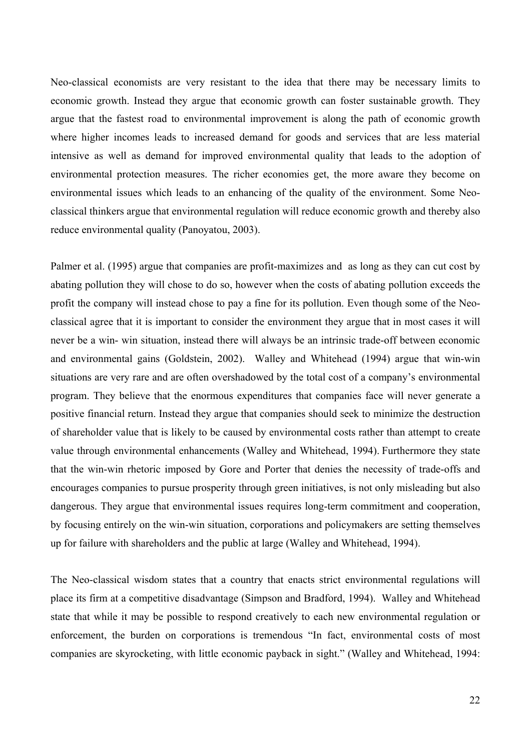Neo-classical economists are very resistant to the idea that there may be necessary limits to economic growth. Instead they argue that economic growth can foster sustainable growth. They argue that the fastest road to environmental improvement is along the path of economic growth where higher incomes leads to increased demand for goods and services that are less material intensive as well as demand for improved environmental quality that leads to the adoption of environmental protection measures. The richer economies get, the more aware they become on environmental issues which leads to an enhancing of the quality of the environment. Some Neoclassical thinkers argue that environmental regulation will reduce economic growth and thereby also reduce environmental quality (Panoyatou, 2003).

Palmer et al. (1995) argue that companies are profit-maximizes and as long as they can cut cost by abating pollution they will chose to do so, however when the costs of abating pollution exceeds the profit the company will instead chose to pay a fine for its pollution. Even though some of the Neoclassical agree that it is important to consider the environment they argue that in most cases it will never be a win- win situation, instead there will always be an intrinsic trade-off between economic and environmental gains (Goldstein, 2002). Walley and Whitehead (1994) argue that win-win situations are very rare and are often overshadowed by the total cost of a company's environmental program. They believe that the enormous expenditures that companies face will never generate a positive financial return. Instead they argue that companies should seek to minimize the destruction of shareholder value that is likely to be caused by environmental costs rather than attempt to create value through environmental enhancements (Walley and Whitehead, 1994). Furthermore they state that the win-win rhetoric imposed by Gore and Porter that denies the necessity of trade-offs and encourages companies to pursue prosperity through green initiatives, is not only misleading but also dangerous. They argue that environmental issues requires long-term commitment and cooperation, by focusing entirely on the win-win situation, corporations and policymakers are setting themselves up for failure with shareholders and the public at large (Walley and Whitehead, 1994).

The Neo-classical wisdom states that a country that enacts strict environmental regulations will place its firm at a competitive disadvantage (Simpson and Bradford, 1994). Walley and Whitehead state that while it may be possible to respond creatively to each new environmental regulation or enforcement, the burden on corporations is tremendous "In fact, environmental costs of most companies are skyrocketing, with little economic payback in sight." (Walley and Whitehead, 1994: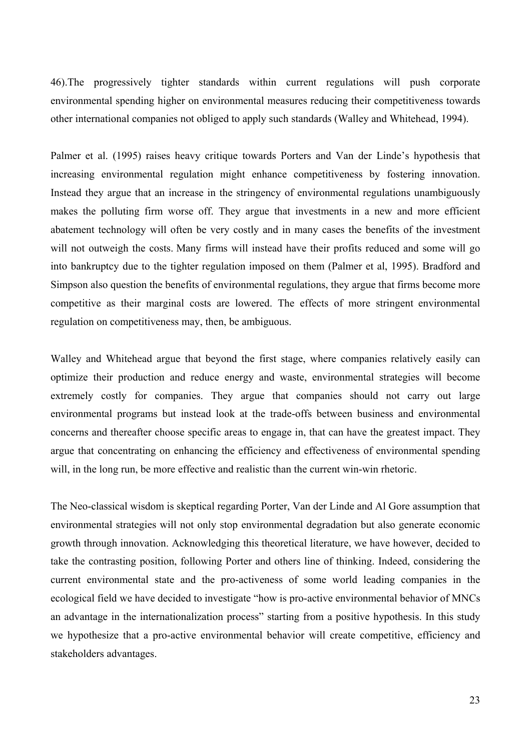46).The progressively tighter standards within current regulations will push corporate environmental spending higher on environmental measures reducing their competitiveness towards other international companies not obliged to apply such standards (Walley and Whitehead, 1994).

Palmer et al. (1995) raises heavy critique towards Porters and Van der Linde's hypothesis that increasing environmental regulation might enhance competitiveness by fostering innovation. Instead they argue that an increase in the stringency of environmental regulations unambiguously makes the polluting firm worse off. They argue that investments in a new and more efficient abatement technology will often be very costly and in many cases the benefits of the investment will not outweigh the costs. Many firms will instead have their profits reduced and some will go into bankruptcy due to the tighter regulation imposed on them (Palmer et al, 1995). Bradford and Simpson also question the benefits of environmental regulations, they argue that firms become more competitive as their marginal costs are lowered. The effects of more stringent environmental regulation on competitiveness may, then, be ambiguous.

Walley and Whitehead argue that beyond the first stage, where companies relatively easily can optimize their production and reduce energy and waste, environmental strategies will become extremely costly for companies. They argue that companies should not carry out large environmental programs but instead look at the trade-offs between business and environmental concerns and thereafter choose specific areas to engage in, that can have the greatest impact. They argue that concentrating on enhancing the efficiency and effectiveness of environmental spending will, in the long run, be more effective and realistic than the current win-win rhetoric.

The Neo-classical wisdom is skeptical regarding Porter, Van der Linde and Al Gore assumption that environmental strategies will not only stop environmental degradation but also generate economic growth through innovation. Acknowledging this theoretical literature, we have however, decided to take the contrasting position, following Porter and others line of thinking. Indeed, considering the current environmental state and the pro-activeness of some world leading companies in the ecological field we have decided to investigate "how is pro-active environmental behavior of MNCs an advantage in the internationalization process" starting from a positive hypothesis. In this study we hypothesize that a pro-active environmental behavior will create competitive, efficiency and stakeholders advantages.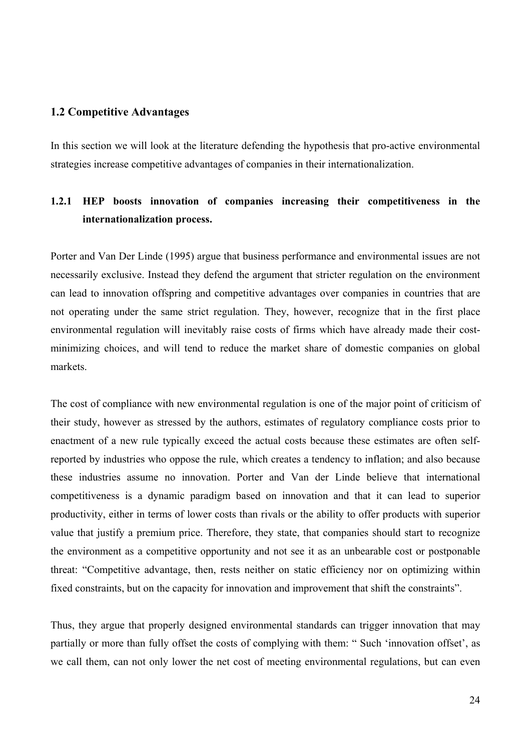### **1.2 Competitive Advantages**

In this section we will look at the literature defending the hypothesis that pro-active environmental strategies increase competitive advantages of companies in their internationalization.

# **1.2.1 HEP boosts innovation of companies increasing their competitiveness in the internationalization process.**

Porter and Van Der Linde (1995) argue that business performance and environmental issues are not necessarily exclusive. Instead they defend the argument that stricter regulation on the environment can lead to innovation offspring and competitive advantages over companies in countries that are not operating under the same strict regulation. They, however, recognize that in the first place environmental regulation will inevitably raise costs of firms which have already made their costminimizing choices, and will tend to reduce the market share of domestic companies on global markets.

The cost of compliance with new environmental regulation is one of the major point of criticism of their study, however as stressed by the authors, estimates of regulatory compliance costs prior to enactment of a new rule typically exceed the actual costs because these estimates are often selfreported by industries who oppose the rule, which creates a tendency to inflation; and also because these industries assume no innovation. Porter and Van der Linde believe that international competitiveness is a dynamic paradigm based on innovation and that it can lead to superior productivity, either in terms of lower costs than rivals or the ability to offer products with superior value that justify a premium price. Therefore, they state, that companies should start to recognize the environment as a competitive opportunity and not see it as an unbearable cost or postponable threat: "Competitive advantage, then, rests neither on static efficiency nor on optimizing within fixed constraints, but on the capacity for innovation and improvement that shift the constraints".

Thus, they argue that properly designed environmental standards can trigger innovation that may partially or more than fully offset the costs of complying with them: " Such 'innovation offset', as we call them, can not only lower the net cost of meeting environmental regulations, but can even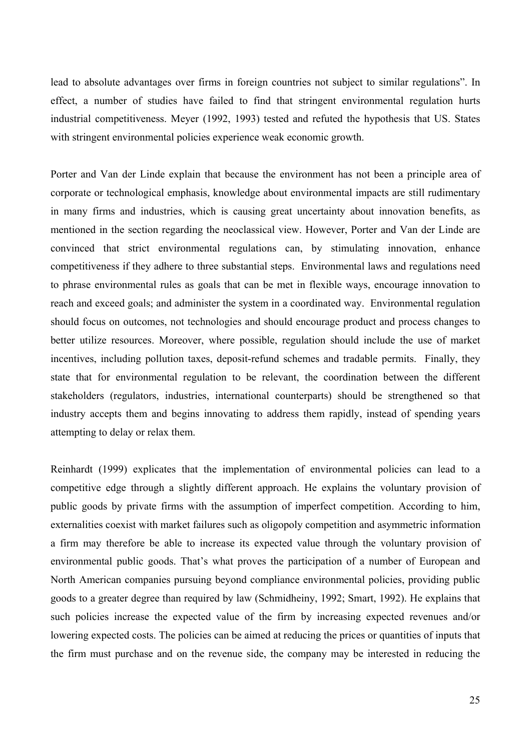lead to absolute advantages over firms in foreign countries not subject to similar regulations". In effect, a number of studies have failed to find that stringent environmental regulation hurts industrial competitiveness. Meyer (1992, 1993) tested and refuted the hypothesis that US. States with stringent environmental policies experience weak economic growth.

Porter and Van der Linde explain that because the environment has not been a principle area of corporate or technological emphasis, knowledge about environmental impacts are still rudimentary in many firms and industries, which is causing great uncertainty about innovation benefits, as mentioned in the section regarding the neoclassical view. However, Porter and Van der Linde are convinced that strict environmental regulations can, by stimulating innovation, enhance competitiveness if they adhere to three substantial steps. Environmental laws and regulations need to phrase environmental rules as goals that can be met in flexible ways, encourage innovation to reach and exceed goals; and administer the system in a coordinated way. Environmental regulation should focus on outcomes, not technologies and should encourage product and process changes to better utilize resources. Moreover, where possible, regulation should include the use of market incentives, including pollution taxes, deposit-refund schemes and tradable permits. Finally, they state that for environmental regulation to be relevant, the coordination between the different stakeholders (regulators, industries, international counterparts) should be strengthened so that industry accepts them and begins innovating to address them rapidly, instead of spending years attempting to delay or relax them.

Reinhardt (1999) explicates that the implementation of environmental policies can lead to a competitive edge through a slightly different approach. He explains the voluntary provision of public goods by private firms with the assumption of imperfect competition. According to him, externalities coexist with market failures such as oligopoly competition and asymmetric information a firm may therefore be able to increase its expected value through the voluntary provision of environmental public goods. That's what proves the participation of a number of European and North American companies pursuing beyond compliance environmental policies, providing public goods to a greater degree than required by law (Schmidheiny, 1992; Smart, 1992). He explains that such policies increase the expected value of the firm by increasing expected revenues and/or lowering expected costs. The policies can be aimed at reducing the prices or quantities of inputs that the firm must purchase and on the revenue side, the company may be interested in reducing the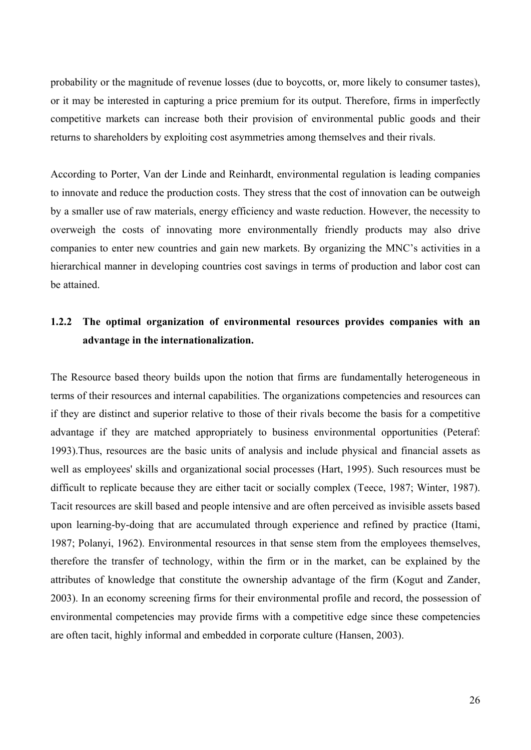probability or the magnitude of revenue losses (due to boycotts, or, more likely to consumer tastes), or it may be interested in capturing a price premium for its output. Therefore, firms in imperfectly competitive markets can increase both their provision of environmental public goods and their returns to shareholders by exploiting cost asymmetries among themselves and their rivals.

According to Porter, Van der Linde and Reinhardt, environmental regulation is leading companies to innovate and reduce the production costs. They stress that the cost of innovation can be outweigh by a smaller use of raw materials, energy efficiency and waste reduction. However, the necessity to overweigh the costs of innovating more environmentally friendly products may also drive companies to enter new countries and gain new markets. By organizing the MNC's activities in a hierarchical manner in developing countries cost savings in terms of production and labor cost can be attained.

# **1.2.2 The optimal organization of environmental resources provides companies with an advantage in the internationalization.**

The Resource based theory builds upon the notion that firms are fundamentally heterogeneous in terms of their resources and internal capabilities. The organizations competencies and resources can if they are distinct and superior relative to those of their rivals become the basis for a competitive advantage if they are matched appropriately to business environmental opportunities (Peteraf: 1993).Thus, resources are the basic units of analysis and include physical and financial assets as well as employees' skills and organizational social processes (Hart, 1995). Such resources must be difficult to replicate because they are either tacit or socially complex (Teece, 1987; Winter, 1987). Tacit resources are skill based and people intensive and are often perceived as invisible assets based upon learning-by-doing that are accumulated through experience and refined by practice (Itami, 1987; Polanyi, 1962). Environmental resources in that sense stem from the employees themselves, therefore the transfer of technology, within the firm or in the market, can be explained by the attributes of knowledge that constitute the ownership advantage of the firm (Kogut and Zander, 2003). In an economy screening firms for their environmental profile and record, the possession of environmental competencies may provide firms with a competitive edge since these competencies are often tacit, highly informal and embedded in corporate culture (Hansen, 2003).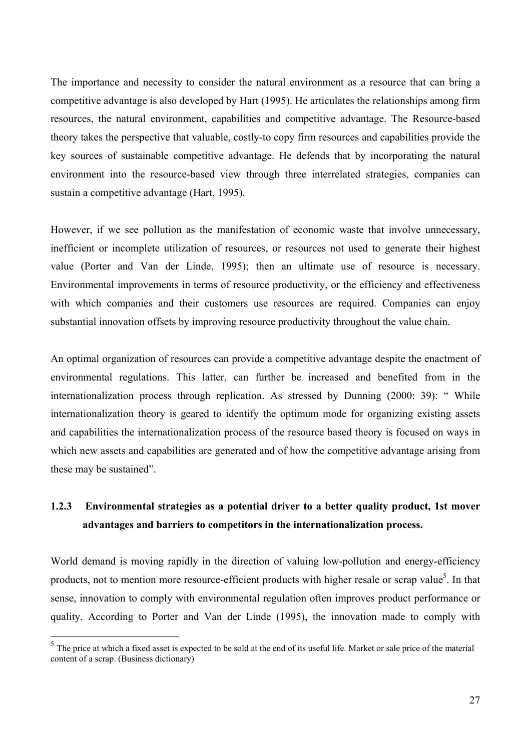The importance and necessity to consider the natural environment as a resource that can bring a competitive advantage is also developed by Hart (1995). He articulates the relationships among firm resources, the natural environment, capabilities and competitive advantage. The Resource-based theory takes the perspective that valuable, costly-to copy firm resources and capabilities provide the key sources of sustainable competitive advantage. He defends that by incorporating the natural environment into the resource-based view through three interrelated strategies, companies can sustain a competitive advantage (Hart, 1995).

However, if we see pollution as the manifestation of economic waste that involve unnecessary, inefficient or incomplete utilization of resources, or resources not used to generate their highest value (Porter and Van der Linde, 1995); then an ultimate use of resource is necessary. Environmental improvements in terms of resource productivity, or the efficiency and effectiveness with which companies and their customers use resources are required. Companies can enjoy substantial innovation offsets by improving resource productivity throughout the value chain.

An optimal organization of resources can provide a competitive advantage despite the enactment of environmental regulations. This latter, can further be increased and benefited from in the internationalization process through replication. As stressed by Dunning (2000: 39): " While internationalization theory is geared to identify the optimum mode for organizing existing assets and capabilities the internationalization process of the resource based theory is focused on ways in which new assets and capabilities are generated and of how the competitive advantage arising from these may be sustained".

# **1.2.3 Environmental strategies as a potential driver to a better quality product, 1st mover advantages and barriers to competitors in the internationalization process.**

World demand is moving rapidly in the direction of valuing low-pollution and energy-efficiency products, not to mention more resource-efficient products with higher resale or scrap value<sup>5</sup>. In that sense, innovation to comply with environmental regulation often improves product performance or quality. According to Porter and Van der Linde (1995), the innovation made to comply with

 $\overline{a}$ 

 $<sup>5</sup>$  The price at which a fixed asset is expected to be sold at the end of its useful life. Market or sale price of the material</sup> content of a scrap. (Business dictionary)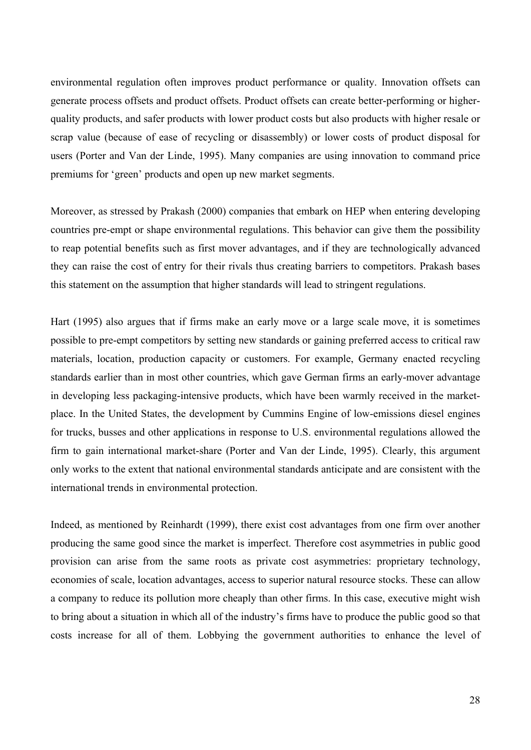environmental regulation often improves product performance or quality. Innovation offsets can generate process offsets and product offsets. Product offsets can create better-performing or higherquality products, and safer products with lower product costs but also products with higher resale or scrap value (because of ease of recycling or disassembly) or lower costs of product disposal for users (Porter and Van der Linde, 1995). Many companies are using innovation to command price premiums for 'green' products and open up new market segments.

Moreover, as stressed by Prakash (2000) companies that embark on HEP when entering developing countries pre-empt or shape environmental regulations. This behavior can give them the possibility to reap potential benefits such as first mover advantages, and if they are technologically advanced they can raise the cost of entry for their rivals thus creating barriers to competitors. Prakash bases this statement on the assumption that higher standards will lead to stringent regulations.

Hart (1995) also argues that if firms make an early move or a large scale move, it is sometimes possible to pre-empt competitors by setting new standards or gaining preferred access to critical raw materials, location, production capacity or customers. For example, Germany enacted recycling standards earlier than in most other countries, which gave German firms an early-mover advantage in developing less packaging-intensive products, which have been warmly received in the marketplace. In the United States, the development by Cummins Engine of low-emissions diesel engines for trucks, busses and other applications in response to U.S. environmental regulations allowed the firm to gain international market-share (Porter and Van der Linde, 1995). Clearly, this argument only works to the extent that national environmental standards anticipate and are consistent with the international trends in environmental protection.

Indeed, as mentioned by Reinhardt (1999), there exist cost advantages from one firm over another producing the same good since the market is imperfect. Therefore cost asymmetries in public good provision can arise from the same roots as private cost asymmetries: proprietary technology, economies of scale, location advantages, access to superior natural resource stocks. These can allow a company to reduce its pollution more cheaply than other firms. In this case, executive might wish to bring about a situation in which all of the industry's firms have to produce the public good so that costs increase for all of them. Lobbying the government authorities to enhance the level of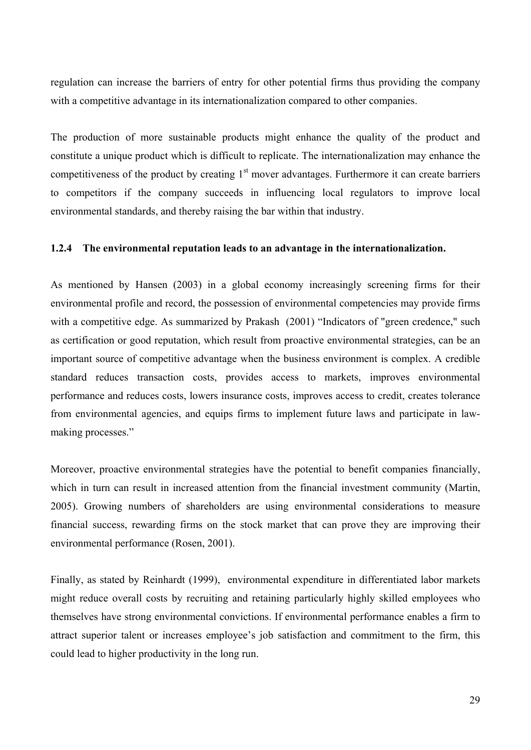regulation can increase the barriers of entry for other potential firms thus providing the company with a competitive advantage in its internationalization compared to other companies.

The production of more sustainable products might enhance the quality of the product and constitute a unique product which is difficult to replicate. The internationalization may enhance the competitiveness of the product by creating  $1<sup>st</sup>$  mover advantages. Furthermore it can create barriers to competitors if the company succeeds in influencing local regulators to improve local environmental standards, and thereby raising the bar within that industry.

### **1.2.4 The environmental reputation leads to an advantage in the internationalization.**

As mentioned by Hansen (2003) in a global economy increasingly screening firms for their environmental profile and record, the possession of environmental competencies may provide firms with a competitive edge. As summarized by Prakash (2001) "Indicators of "green credence," such as certification or good reputation, which result from proactive environmental strategies, can be an important source of competitive advantage when the business environment is complex. A credible standard reduces transaction costs, provides access to markets, improves environmental performance and reduces costs, lowers insurance costs, improves access to credit, creates tolerance from environmental agencies, and equips firms to implement future laws and participate in lawmaking processes."

Moreover, proactive environmental strategies have the potential to benefit companies financially, which in turn can result in increased attention from the financial investment community (Martin, 2005). Growing numbers of shareholders are using environmental considerations to measure financial success, rewarding firms on the stock market that can prove they are improving their environmental performance (Rosen, 2001).

Finally, as stated by Reinhardt (1999), environmental expenditure in differentiated labor markets might reduce overall costs by recruiting and retaining particularly highly skilled employees who themselves have strong environmental convictions. If environmental performance enables a firm to attract superior talent or increases employee's job satisfaction and commitment to the firm, this could lead to higher productivity in the long run.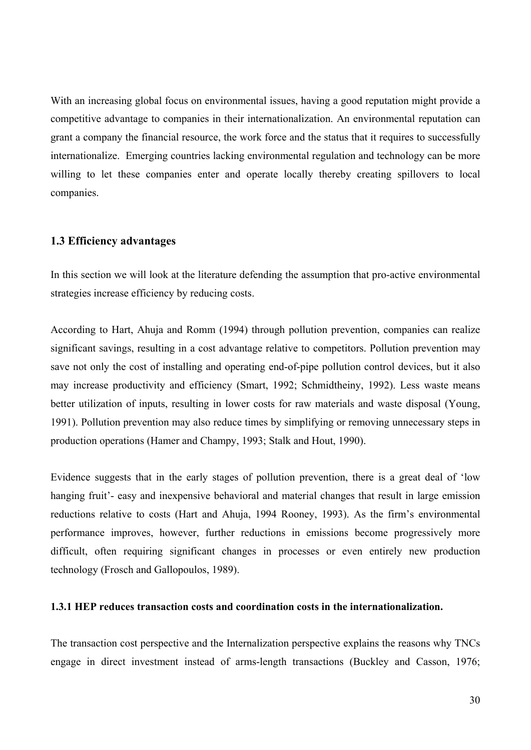With an increasing global focus on environmental issues, having a good reputation might provide a competitive advantage to companies in their internationalization. An environmental reputation can grant a company the financial resource, the work force and the status that it requires to successfully internationalize. Emerging countries lacking environmental regulation and technology can be more willing to let these companies enter and operate locally thereby creating spillovers to local companies.

### **1.3 Efficiency advantages**

In this section we will look at the literature defending the assumption that pro-active environmental strategies increase efficiency by reducing costs.

According to Hart, Ahuja and Romm (1994) through pollution prevention, companies can realize significant savings, resulting in a cost advantage relative to competitors. Pollution prevention may save not only the cost of installing and operating end-of-pipe pollution control devices, but it also may increase productivity and efficiency (Smart, 1992; Schmidtheiny, 1992). Less waste means better utilization of inputs, resulting in lower costs for raw materials and waste disposal (Young, 1991). Pollution prevention may also reduce times by simplifying or removing unnecessary steps in production operations (Hamer and Champy, 1993; Stalk and Hout, 1990).

Evidence suggests that in the early stages of pollution prevention, there is a great deal of 'low hanging fruit'- easy and inexpensive behavioral and material changes that result in large emission reductions relative to costs (Hart and Ahuja, 1994 Rooney, 1993). As the firm's environmental performance improves, however, further reductions in emissions become progressively more difficult, often requiring significant changes in processes or even entirely new production technology (Frosch and Gallopoulos, 1989).

#### **1.3.1 HEP reduces transaction costs and coordination costs in the internationalization.**

The transaction cost perspective and the Internalization perspective explains the reasons why TNCs engage in direct investment instead of arms-length transactions (Buckley and Casson, 1976;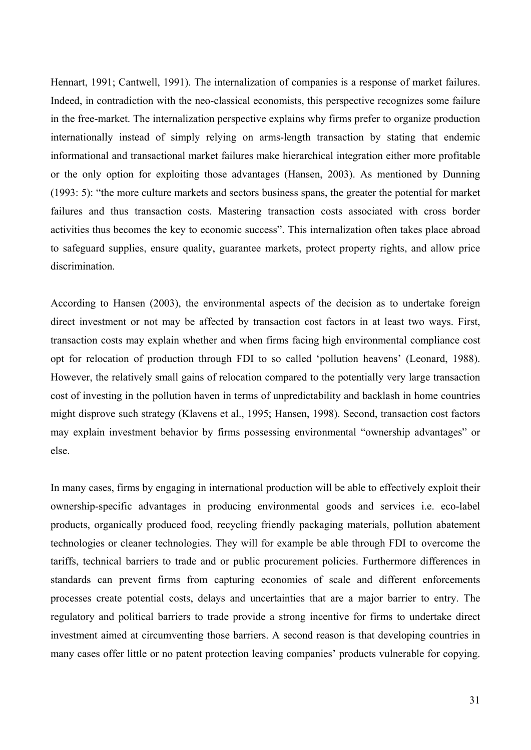Hennart, 1991; Cantwell, 1991). The internalization of companies is a response of market failures. Indeed, in contradiction with the neo-classical economists, this perspective recognizes some failure in the free-market. The internalization perspective explains why firms prefer to organize production internationally instead of simply relying on arms-length transaction by stating that endemic informational and transactional market failures make hierarchical integration either more profitable or the only option for exploiting those advantages (Hansen, 2003). As mentioned by Dunning (1993: 5): "the more culture markets and sectors business spans, the greater the potential for market failures and thus transaction costs. Mastering transaction costs associated with cross border activities thus becomes the key to economic success". This internalization often takes place abroad to safeguard supplies, ensure quality, guarantee markets, protect property rights, and allow price discrimination.

According to Hansen (2003), the environmental aspects of the decision as to undertake foreign direct investment or not may be affected by transaction cost factors in at least two ways. First, transaction costs may explain whether and when firms facing high environmental compliance cost opt for relocation of production through FDI to so called 'pollution heavens' (Leonard, 1988). However, the relatively small gains of relocation compared to the potentially very large transaction cost of investing in the pollution haven in terms of unpredictability and backlash in home countries might disprove such strategy (Klavens et al., 1995; Hansen, 1998). Second, transaction cost factors may explain investment behavior by firms possessing environmental "ownership advantages" or else.

In many cases, firms by engaging in international production will be able to effectively exploit their ownership-specific advantages in producing environmental goods and services i.e. eco-label products, organically produced food, recycling friendly packaging materials, pollution abatement technologies or cleaner technologies. They will for example be able through FDI to overcome the tariffs, technical barriers to trade and or public procurement policies. Furthermore differences in standards can prevent firms from capturing economies of scale and different enforcements processes create potential costs, delays and uncertainties that are a major barrier to entry. The regulatory and political barriers to trade provide a strong incentive for firms to undertake direct investment aimed at circumventing those barriers. A second reason is that developing countries in many cases offer little or no patent protection leaving companies' products vulnerable for copying.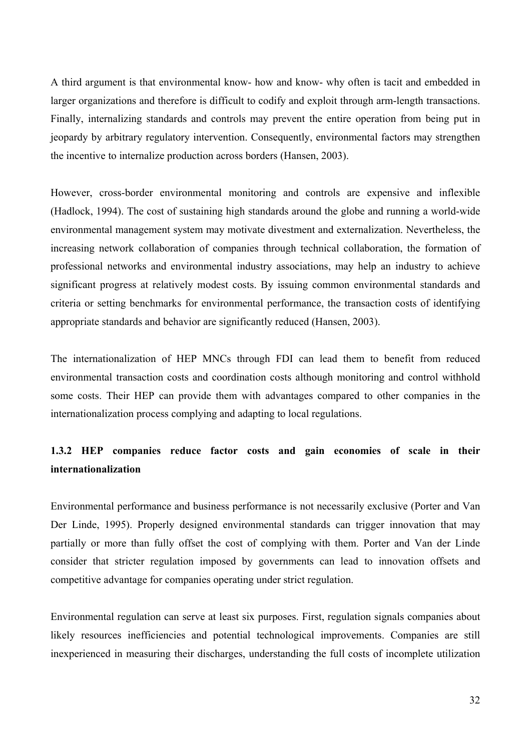A third argument is that environmental know- how and know- why often is tacit and embedded in larger organizations and therefore is difficult to codify and exploit through arm-length transactions. Finally, internalizing standards and controls may prevent the entire operation from being put in jeopardy by arbitrary regulatory intervention. Consequently, environmental factors may strengthen the incentive to internalize production across borders (Hansen, 2003).

However, cross-border environmental monitoring and controls are expensive and inflexible (Hadlock, 1994). The cost of sustaining high standards around the globe and running a world-wide environmental management system may motivate divestment and externalization. Nevertheless, the increasing network collaboration of companies through technical collaboration, the formation of professional networks and environmental industry associations, may help an industry to achieve significant progress at relatively modest costs. By issuing common environmental standards and criteria or setting benchmarks for environmental performance, the transaction costs of identifying appropriate standards and behavior are significantly reduced (Hansen, 2003).

The internationalization of HEP MNCs through FDI can lead them to benefit from reduced environmental transaction costs and coordination costs although monitoring and control withhold some costs. Their HEP can provide them with advantages compared to other companies in the internationalization process complying and adapting to local regulations.

## **1.3.2 HEP companies reduce factor costs and gain economies of scale in their internationalization**

Environmental performance and business performance is not necessarily exclusive (Porter and Van Der Linde, 1995). Properly designed environmental standards can trigger innovation that may partially or more than fully offset the cost of complying with them. Porter and Van der Linde consider that stricter regulation imposed by governments can lead to innovation offsets and competitive advantage for companies operating under strict regulation.

Environmental regulation can serve at least six purposes. First, regulation signals companies about likely resources inefficiencies and potential technological improvements. Companies are still inexperienced in measuring their discharges, understanding the full costs of incomplete utilization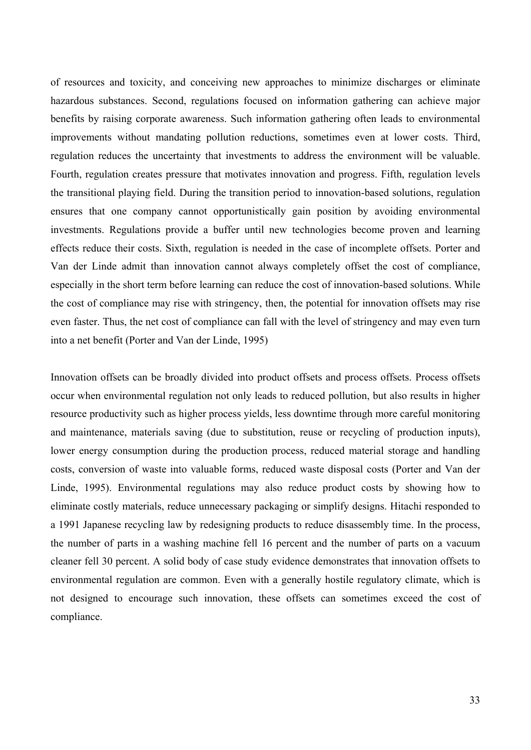of resources and toxicity, and conceiving new approaches to minimize discharges or eliminate hazardous substances. Second, regulations focused on information gathering can achieve major benefits by raising corporate awareness. Such information gathering often leads to environmental improvements without mandating pollution reductions, sometimes even at lower costs. Third, regulation reduces the uncertainty that investments to address the environment will be valuable. Fourth, regulation creates pressure that motivates innovation and progress. Fifth, regulation levels the transitional playing field. During the transition period to innovation-based solutions, regulation ensures that one company cannot opportunistically gain position by avoiding environmental investments. Regulations provide a buffer until new technologies become proven and learning effects reduce their costs. Sixth, regulation is needed in the case of incomplete offsets. Porter and Van der Linde admit than innovation cannot always completely offset the cost of compliance, especially in the short term before learning can reduce the cost of innovation-based solutions. While the cost of compliance may rise with stringency, then, the potential for innovation offsets may rise even faster. Thus, the net cost of compliance can fall with the level of stringency and may even turn into a net benefit (Porter and Van der Linde, 1995)

Innovation offsets can be broadly divided into product offsets and process offsets. Process offsets occur when environmental regulation not only leads to reduced pollution, but also results in higher resource productivity such as higher process yields, less downtime through more careful monitoring and maintenance, materials saving (due to substitution, reuse or recycling of production inputs), lower energy consumption during the production process, reduced material storage and handling costs, conversion of waste into valuable forms, reduced waste disposal costs (Porter and Van der Linde, 1995). Environmental regulations may also reduce product costs by showing how to eliminate costly materials, reduce unnecessary packaging or simplify designs. Hitachi responded to a 1991 Japanese recycling law by redesigning products to reduce disassembly time. In the process, the number of parts in a washing machine fell 16 percent and the number of parts on a vacuum cleaner fell 30 percent. A solid body of case study evidence demonstrates that innovation offsets to environmental regulation are common. Even with a generally hostile regulatory climate, which is not designed to encourage such innovation, these offsets can sometimes exceed the cost of compliance.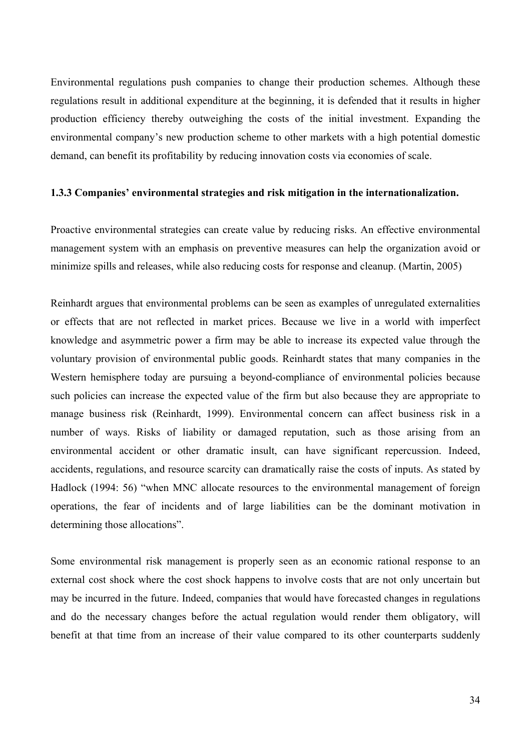Environmental regulations push companies to change their production schemes. Although these regulations result in additional expenditure at the beginning, it is defended that it results in higher production efficiency thereby outweighing the costs of the initial investment. Expanding the environmental company's new production scheme to other markets with a high potential domestic demand, can benefit its profitability by reducing innovation costs via economies of scale.

#### **1.3.3 Companies' environmental strategies and risk mitigation in the internationalization.**

Proactive environmental strategies can create value by reducing risks. An effective environmental management system with an emphasis on preventive measures can help the organization avoid or minimize spills and releases, while also reducing costs for response and cleanup. (Martin, 2005)

Reinhardt argues that environmental problems can be seen as examples of unregulated externalities or effects that are not reflected in market prices. Because we live in a world with imperfect knowledge and asymmetric power a firm may be able to increase its expected value through the voluntary provision of environmental public goods. Reinhardt states that many companies in the Western hemisphere today are pursuing a beyond-compliance of environmental policies because such policies can increase the expected value of the firm but also because they are appropriate to manage business risk (Reinhardt, 1999). Environmental concern can affect business risk in a number of ways. Risks of liability or damaged reputation, such as those arising from an environmental accident or other dramatic insult, can have significant repercussion. Indeed, accidents, regulations, and resource scarcity can dramatically raise the costs of inputs. As stated by Hadlock (1994: 56) "when MNC allocate resources to the environmental management of foreign operations, the fear of incidents and of large liabilities can be the dominant motivation in determining those allocations".

Some environmental risk management is properly seen as an economic rational response to an external cost shock where the cost shock happens to involve costs that are not only uncertain but may be incurred in the future. Indeed, companies that would have forecasted changes in regulations and do the necessary changes before the actual regulation would render them obligatory, will benefit at that time from an increase of their value compared to its other counterparts suddenly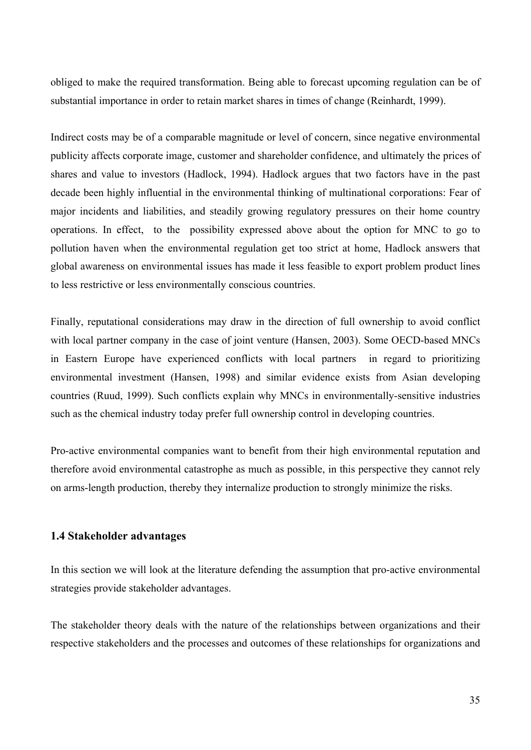obliged to make the required transformation. Being able to forecast upcoming regulation can be of substantial importance in order to retain market shares in times of change (Reinhardt, 1999).

Indirect costs may be of a comparable magnitude or level of concern, since negative environmental publicity affects corporate image, customer and shareholder confidence, and ultimately the prices of shares and value to investors (Hadlock, 1994). Hadlock argues that two factors have in the past decade been highly influential in the environmental thinking of multinational corporations: Fear of major incidents and liabilities, and steadily growing regulatory pressures on their home country operations. In effect, to the possibility expressed above about the option for MNC to go to pollution haven when the environmental regulation get too strict at home, Hadlock answers that global awareness on environmental issues has made it less feasible to export problem product lines to less restrictive or less environmentally conscious countries.

Finally, reputational considerations may draw in the direction of full ownership to avoid conflict with local partner company in the case of joint venture (Hansen, 2003). Some OECD-based MNCs in Eastern Europe have experienced conflicts with local partners in regard to prioritizing environmental investment (Hansen, 1998) and similar evidence exists from Asian developing countries (Ruud, 1999). Such conflicts explain why MNCs in environmentally-sensitive industries such as the chemical industry today prefer full ownership control in developing countries.

Pro-active environmental companies want to benefit from their high environmental reputation and therefore avoid environmental catastrophe as much as possible, in this perspective they cannot rely on arms-length production, thereby they internalize production to strongly minimize the risks.

### **1.4 Stakeholder advantages**

In this section we will look at the literature defending the assumption that pro-active environmental strategies provide stakeholder advantages.

The stakeholder theory deals with the nature of the relationships between organizations and their respective stakeholders and the processes and outcomes of these relationships for organizations and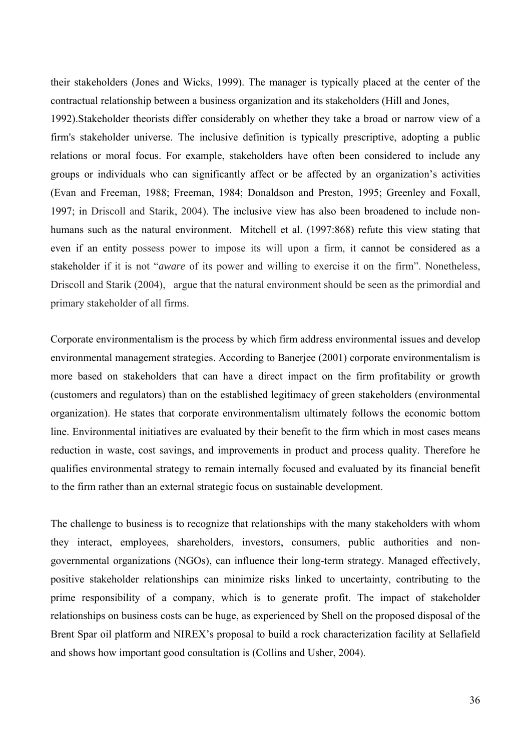their stakeholders (Jones and Wicks, 1999). The manager is typically placed at the center of the contractual relationship between a business organization and its stakeholders (Hill and Jones,

1992).Stakeholder theorists differ considerably on whether they take a broad or narrow view of a firm's stakeholder universe. The inclusive definition is typically prescriptive, adopting a public relations or moral focus. For example, stakeholders have often been considered to include any groups or individuals who can significantly affect or be affected by an organization's activities (Evan and Freeman, 1988; Freeman, 1984; Donaldson and Preston, 1995; Greenley and Foxall, 1997; in Driscoll and Starik, 2004). The inclusive view has also been broadened to include nonhumans such as the natural environment. Mitchell et al. (1997:868) refute this view stating that even if an entity possess power to impose its will upon a firm, it cannot be considered as a stakeholder if it is not "*aware* of its power and willing to exercise it on the firm". Nonetheless, Driscoll and Starik (2004), argue that the natural environment should be seen as the primordial and primary stakeholder of all firms.

Corporate environmentalism is the process by which firm address environmental issues and develop environmental management strategies. According to Banerjee (2001) corporate environmentalism is more based on stakeholders that can have a direct impact on the firm profitability or growth (customers and regulators) than on the established legitimacy of green stakeholders (environmental organization). He states that corporate environmentalism ultimately follows the economic bottom line. Environmental initiatives are evaluated by their benefit to the firm which in most cases means reduction in waste, cost savings, and improvements in product and process quality. Therefore he qualifies environmental strategy to remain internally focused and evaluated by its financial benefit to the firm rather than an external strategic focus on sustainable development.

The challenge to business is to recognize that relationships with the many stakeholders with whom they interact, employees, shareholders, investors, consumers, public authorities and nongovernmental organizations (NGOs), can influence their long-term strategy. Managed effectively, positive stakeholder relationships can minimize risks linked to uncertainty, contributing to the prime responsibility of a company, which is to generate profit. The impact of stakeholder relationships on business costs can be huge, as experienced by Shell on the proposed disposal of the Brent Spar oil platform and NIREX's proposal to build a rock characterization facility at Sellafield and shows how important good consultation is (Collins and Usher, 2004).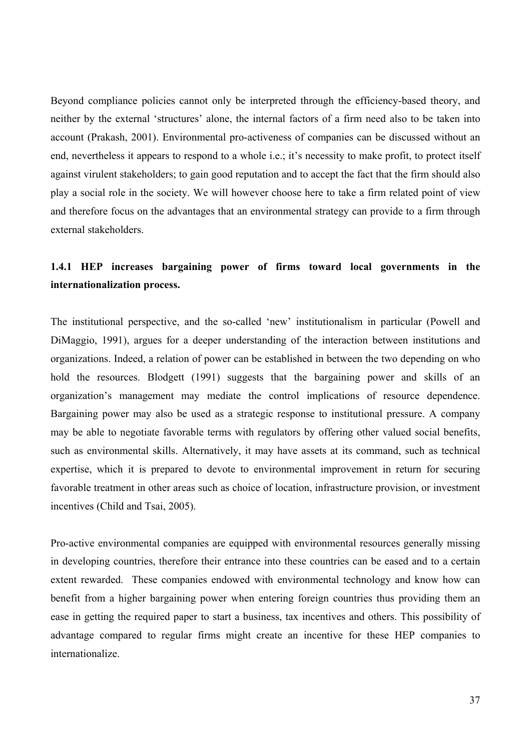Beyond compliance policies cannot only be interpreted through the efficiency-based theory, and neither by the external 'structures' alone, the internal factors of a firm need also to be taken into account (Prakash, 2001). Environmental pro-activeness of companies can be discussed without an end, nevertheless it appears to respond to a whole i.e.; it's necessity to make profit, to protect itself against virulent stakeholders; to gain good reputation and to accept the fact that the firm should also play a social role in the society. We will however choose here to take a firm related point of view and therefore focus on the advantages that an environmental strategy can provide to a firm through external stakeholders.

# **1.4.1 HEP increases bargaining power of firms toward local governments in the internationalization process.**

The institutional perspective, and the so-called 'new' institutionalism in particular (Powell and DiMaggio, 1991), argues for a deeper understanding of the interaction between institutions and organizations. Indeed, a relation of power can be established in between the two depending on who hold the resources. Blodgett (1991) suggests that the bargaining power and skills of an organization's management may mediate the control implications of resource dependence. Bargaining power may also be used as a strategic response to institutional pressure. A company may be able to negotiate favorable terms with regulators by offering other valued social benefits, such as environmental skills. Alternatively, it may have assets at its command, such as technical expertise, which it is prepared to devote to environmental improvement in return for securing favorable treatment in other areas such as choice of location, infrastructure provision, or investment incentives (Child and Tsai, 2005).

Pro-active environmental companies are equipped with environmental resources generally missing in developing countries, therefore their entrance into these countries can be eased and to a certain extent rewarded. These companies endowed with environmental technology and know how can benefit from a higher bargaining power when entering foreign countries thus providing them an ease in getting the required paper to start a business, tax incentives and others. This possibility of advantage compared to regular firms might create an incentive for these HEP companies to internationalize.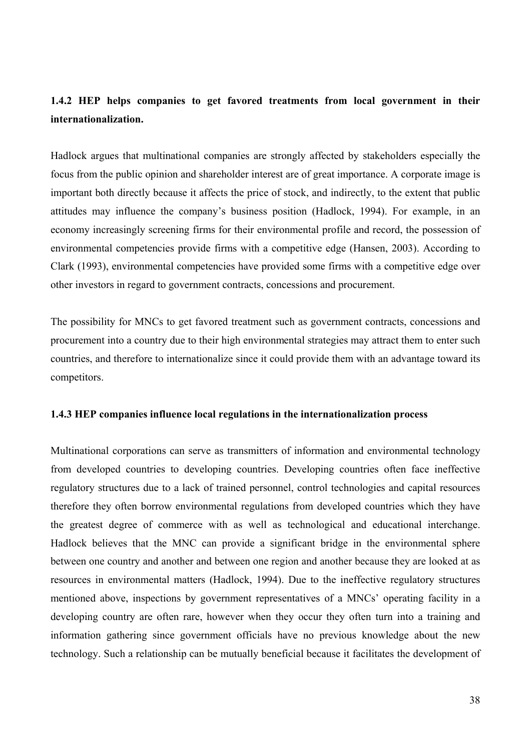# **1.4.2 HEP helps companies to get favored treatments from local government in their internationalization.**

Hadlock argues that multinational companies are strongly affected by stakeholders especially the focus from the public opinion and shareholder interest are of great importance. A corporate image is important both directly because it affects the price of stock, and indirectly, to the extent that public attitudes may influence the company's business position (Hadlock, 1994). For example, in an economy increasingly screening firms for their environmental profile and record, the possession of environmental competencies provide firms with a competitive edge (Hansen, 2003). According to Clark (1993), environmental competencies have provided some firms with a competitive edge over other investors in regard to government contracts, concessions and procurement.

The possibility for MNCs to get favored treatment such as government contracts, concessions and procurement into a country due to their high environmental strategies may attract them to enter such countries, and therefore to internationalize since it could provide them with an advantage toward its competitors.

#### **1.4.3 HEP companies influence local regulations in the internationalization process**

Multinational corporations can serve as transmitters of information and environmental technology from developed countries to developing countries. Developing countries often face ineffective regulatory structures due to a lack of trained personnel, control technologies and capital resources therefore they often borrow environmental regulations from developed countries which they have the greatest degree of commerce with as well as technological and educational interchange. Hadlock believes that the MNC can provide a significant bridge in the environmental sphere between one country and another and between one region and another because they are looked at as resources in environmental matters (Hadlock, 1994). Due to the ineffective regulatory structures mentioned above, inspections by government representatives of a MNCs' operating facility in a developing country are often rare, however when they occur they often turn into a training and information gathering since government officials have no previous knowledge about the new technology. Such a relationship can be mutually beneficial because it facilitates the development of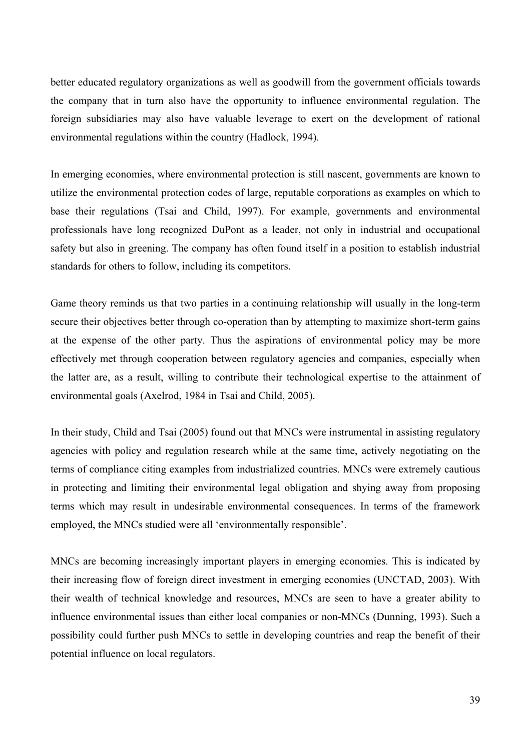better educated regulatory organizations as well as goodwill from the government officials towards the company that in turn also have the opportunity to influence environmental regulation. The foreign subsidiaries may also have valuable leverage to exert on the development of rational environmental regulations within the country (Hadlock, 1994).

In emerging economies, where environmental protection is still nascent, governments are known to utilize the environmental protection codes of large, reputable corporations as examples on which to base their regulations (Tsai and Child, 1997). For example, governments and environmental professionals have long recognized DuPont as a leader, not only in industrial and occupational safety but also in greening. The company has often found itself in a position to establish industrial standards for others to follow, including its competitors.

Game theory reminds us that two parties in a continuing relationship will usually in the long-term secure their objectives better through co-operation than by attempting to maximize short-term gains at the expense of the other party. Thus the aspirations of environmental policy may be more effectively met through cooperation between regulatory agencies and companies, especially when the latter are, as a result, willing to contribute their technological expertise to the attainment of environmental goals (Axelrod, 1984 in Tsai and Child, 2005).

In their study, Child and Tsai (2005) found out that MNCs were instrumental in assisting regulatory agencies with policy and regulation research while at the same time, actively negotiating on the terms of compliance citing examples from industrialized countries. MNCs were extremely cautious in protecting and limiting their environmental legal obligation and shying away from proposing terms which may result in undesirable environmental consequences. In terms of the framework employed, the MNCs studied were all 'environmentally responsible'.

MNCs are becoming increasingly important players in emerging economies. This is indicated by their increasing flow of foreign direct investment in emerging economies (UNCTAD, 2003). With their wealth of technical knowledge and resources, MNCs are seen to have a greater ability to influence environmental issues than either local companies or non-MNCs (Dunning, 1993). Such a possibility could further push MNCs to settle in developing countries and reap the benefit of their potential influence on local regulators.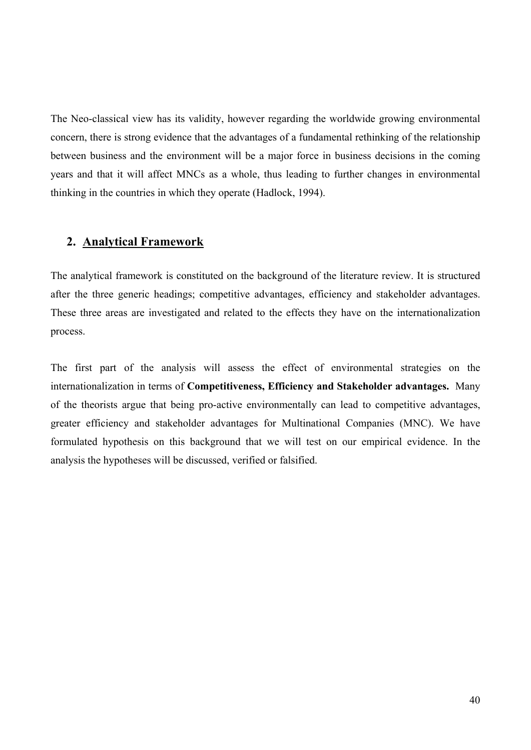The Neo-classical view has its validity, however regarding the worldwide growing environmental concern, there is strong evidence that the advantages of a fundamental rethinking of the relationship between business and the environment will be a major force in business decisions in the coming years and that it will affect MNCs as a whole, thus leading to further changes in environmental thinking in the countries in which they operate (Hadlock, 1994).

# **2. Analytical Framework**

The analytical framework is constituted on the background of the literature review. It is structured after the three generic headings; competitive advantages, efficiency and stakeholder advantages. These three areas are investigated and related to the effects they have on the internationalization process.

The first part of the analysis will assess the effect of environmental strategies on the internationalization in terms of **Competitiveness, Efficiency and Stakeholder advantages.** Many of the theorists argue that being pro-active environmentally can lead to competitive advantages, greater efficiency and stakeholder advantages for Multinational Companies (MNC). We have formulated hypothesis on this background that we will test on our empirical evidence. In the analysis the hypotheses will be discussed, verified or falsified.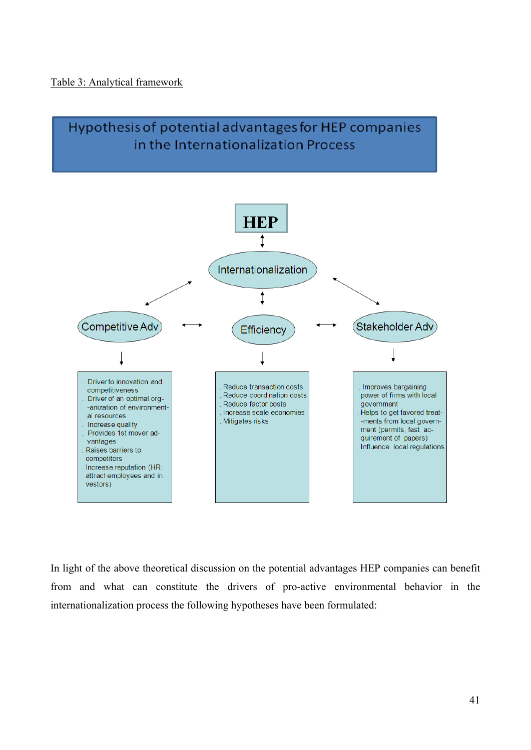### Table 3: Analytical framework



In light of the above theoretical discussion on the potential advantages HEP companies can benefit from and what can constitute the drivers of pro-active environmental behavior in the internationalization process the following hypotheses have been formulated: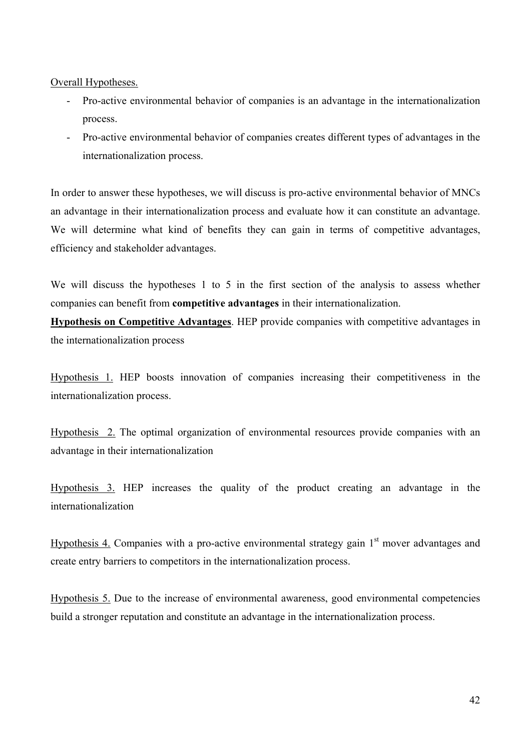### Overall Hypotheses.

- Pro-active environmental behavior of companies is an advantage in the internationalization process.
- Pro-active environmental behavior of companies creates different types of advantages in the internationalization process.

In order to answer these hypotheses, we will discuss is pro-active environmental behavior of MNCs an advantage in their internationalization process and evaluate how it can constitute an advantage. We will determine what kind of benefits they can gain in terms of competitive advantages, efficiency and stakeholder advantages.

We will discuss the hypotheses 1 to 5 in the first section of the analysis to assess whether companies can benefit from **competitive advantages** in their internationalization.

**Hypothesis on Competitive Advantages**. HEP provide companies with competitive advantages in the internationalization process

Hypothesis 1. HEP boosts innovation of companies increasing their competitiveness in the internationalization process.

Hypothesis 2. The optimal organization of environmental resources provide companies with an advantage in their internationalization

Hypothesis 3. HEP increases the quality of the product creating an advantage in the internationalization

Hypothesis 4. Companies with a pro-active environmental strategy gain  $1<sup>st</sup>$  mover advantages and create entry barriers to competitors in the internationalization process.

Hypothesis 5. Due to the increase of environmental awareness, good environmental competencies build a stronger reputation and constitute an advantage in the internationalization process.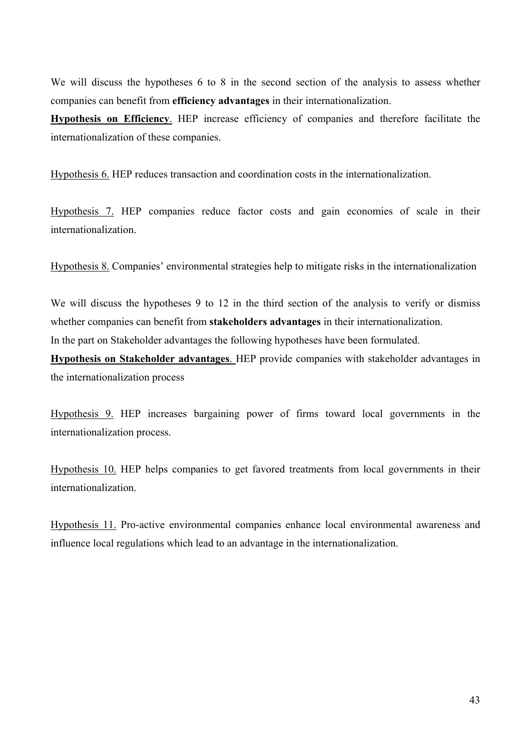We will discuss the hypotheses 6 to 8 in the second section of the analysis to assess whether companies can benefit from **efficiency advantages** in their internationalization.

**Hypothesis on Efficiency**. HEP increase efficiency of companies and therefore facilitate the internationalization of these companies.

Hypothesis 6. HEP reduces transaction and coordination costs in the internationalization.

Hypothesis 7. HEP companies reduce factor costs and gain economies of scale in their internationalization.

Hypothesis 8. Companies' environmental strategies help to mitigate risks in the internationalization

We will discuss the hypotheses 9 to 12 in the third section of the analysis to verify or dismiss whether companies can benefit from **stakeholders advantages** in their internationalization.

In the part on Stakeholder advantages the following hypotheses have been formulated.

**Hypothesis on Stakeholder advantages**. HEP provide companies with stakeholder advantages in the internationalization process

Hypothesis 9. HEP increases bargaining power of firms toward local governments in the internationalization process.

Hypothesis 10. HEP helps companies to get favored treatments from local governments in their internationalization.

Hypothesis 11. Pro-active environmental companies enhance local environmental awareness and influence local regulations which lead to an advantage in the internationalization.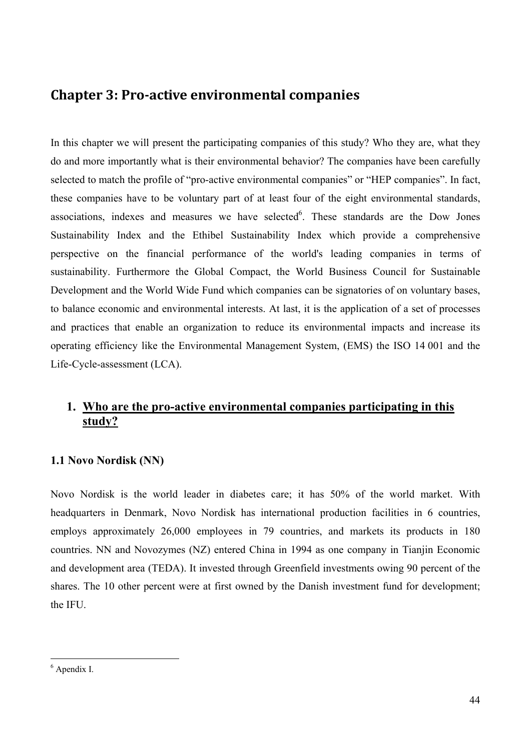# **Chapter 3: Proactive environmental companies**

In this chapter we will present the participating companies of this study? Who they are, what they do and more importantly what is their environmental behavior? The companies have been carefully selected to match the profile of "pro-active environmental companies" or "HEP companies". In fact, these companies have to be voluntary part of at least four of the eight environmental standards, associations, indexes and measures we have selected<sup>6</sup>. These standards are the Dow Jones Sustainability Index and the Ethibel Sustainability Index which provide a comprehensive perspective on the financial performance of the world's leading companies in terms of sustainability. Furthermore the Global Compact, the World Business Council for Sustainable Development and the World Wide Fund which companies can be signatories of on voluntary bases, to balance economic and environmental interests. At last, it is the application of a set of processes and practices that enable an organization to reduce its environmental impacts and increase its operating efficiency like the Environmental Management System, (EMS) the ISO 14 001 and the Life-Cycle-assessment (LCA).

# **1. Who are the pro-active environmental companies participating in this study?**

## **1.1 Novo Nordisk (NN)**

Novo Nordisk is the world leader in diabetes care; it has 50% of the world market. With headquarters in Denmark, Novo Nordisk has international production facilities in 6 countries, employs approximately 26,000 employees in 79 countries, and markets its products in 180 countries. NN and Novozymes (NZ) entered China in 1994 as one company in Tianjin Economic and development area (TEDA). It invested through Greenfield investments owing 90 percent of the shares. The 10 other percent were at first owned by the Danish investment fund for development; the IFU.

<sup>6</sup> Apendix I.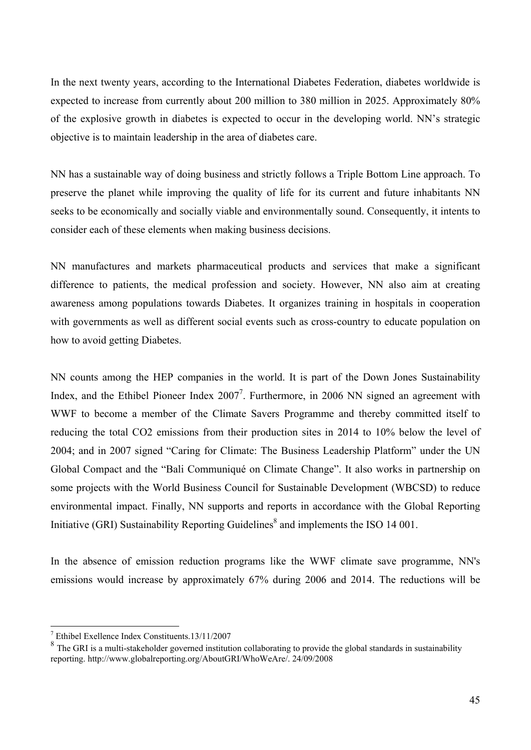In the next twenty years, according to the International Diabetes Federation, diabetes worldwide is expected to increase from currently about 200 million to 380 million in 2025. Approximately 80% of the explosive growth in diabetes is expected to occur in the developing world. NN's strategic objective is to maintain leadership in the area of diabetes care.

NN has a sustainable way of doing business and strictly follows a Triple Bottom Line approach. To preserve the planet while improving the quality of life for its current and future inhabitants NN seeks to be economically and socially viable and environmentally sound. Consequently, it intents to consider each of these elements when making business decisions.

NN manufactures and markets pharmaceutical products and services that make a significant difference to patients, the medical profession and society. However, NN also aim at creating awareness among populations towards Diabetes. It organizes training in hospitals in cooperation with governments as well as different social events such as cross-country to educate population on how to avoid getting Diabetes.

NN counts among the HEP companies in the world. It is part of the Down Jones Sustainability Index, and the Ethibel Pioneer Index  $2007^7$ . Furthermore, in 2006 NN signed an agreement with WWF to become a member of the Climate Savers Programme and thereby committed itself to reducing the total CO2 emissions from their production sites in 2014 to 10% below the level of 2004; and in 2007 signed "Caring for Climate: The Business Leadership Platform" under the UN Global Compact and the "Bali Communiqué on Climate Change". It also works in partnership on some projects with the World Business Council for Sustainable Development (WBCSD) to reduce environmental impact. Finally, NN supports and reports in accordance with the Global Reporting Initiative (GRI) Sustainability Reporting Guidelines $\delta$  and implements the ISO 14 001.

In the absence of emission reduction programs like the WWF climate save programme, NN's emissions would increase by approximately 67% during 2006 and 2014. The reductions will be

<sup>7</sup> Ethibel Exellence Index Constituents.13/11/2007

<sup>&</sup>lt;sup>8</sup> The GRI is a multi-stakeholder governed institution collaborating to provide the global standards in sustainability reporting. http://www.globalreporting.org/AboutGRI/WhoWeAre/. 24/09/2008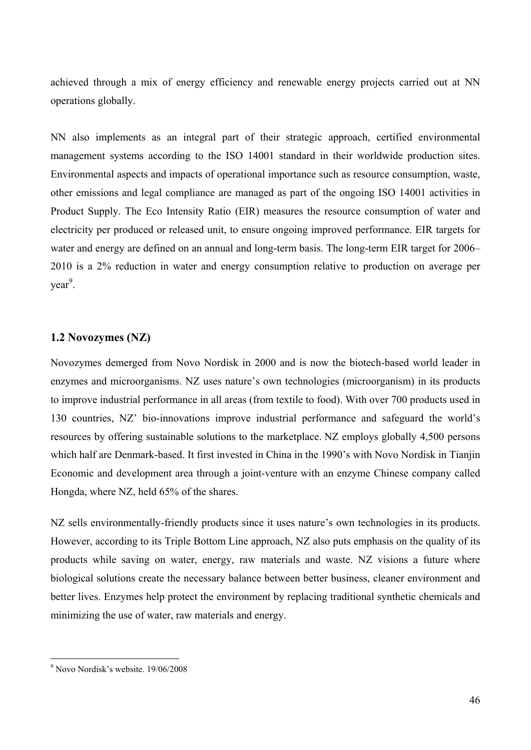achieved through a mix of energy efficiency and renewable energy projects carried out at NN operations globally.

NN also implements as an integral part of their strategic approach, certified environmental management systems according to the ISO 14001 standard in their worldwide production sites. Environmental aspects and impacts of operational importance such as resource consumption, waste, other emissions and legal compliance are managed as part of the ongoing ISO 14001 activities in Product Supply. The Eco Intensity Ratio (EIR) measures the resource consumption of water and electricity per produced or released unit, to ensure ongoing improved performance. EIR targets for water and energy are defined on an annual and long-term basis. The long-term EIR target for 2006– 2010 is a 2% reduction in water and energy consumption relative to production on average per year<sup>9</sup>.

### **1.2 Novozymes (NZ)**

Novozymes demerged from Novo Nordisk in 2000 and is now the biotech-based world leader in enzymes and microorganisms. NZ uses nature's own technologies (microorganism) in its products to improve industrial performance in all areas (from textile to food). With over 700 products used in 130 countries, NZ' bio-innovations improve industrial performance and safeguard the world's resources by offering sustainable solutions to the marketplace. NZ employs globally 4,500 persons which half are Denmark-based. It first invested in China in the 1990's with Novo Nordisk in Tianjin Economic and development area through a joint-venture with an enzyme Chinese company called Hongda, where NZ, held 65% of the shares.

NZ sells environmentally-friendly products since it uses nature's own technologies in its products. However, according to its Triple Bottom Line approach, NZ also puts emphasis on the quality of its products while saving on water, energy, raw materials and waste. NZ visions a future where biological solutions create the necessary balance between better business, cleaner environment and better lives. Enzymes help protect the environment by replacing traditional synthetic chemicals and minimizing the use of water, raw materials and energy.

 9 Novo Nordisk's website. 19/06/2008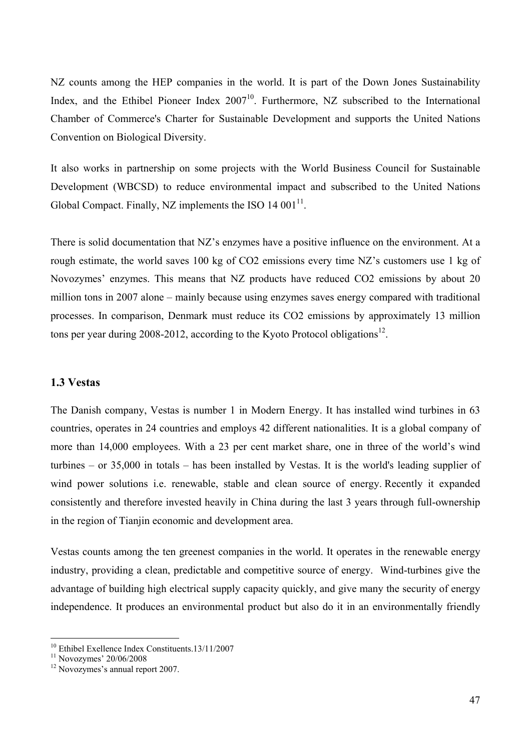NZ counts among the HEP companies in the world. It is part of the Down Jones Sustainability Index, and the Ethibel Pioneer Index  $2007<sup>10</sup>$ . Furthermore, NZ subscribed to the International Chamber of Commerce's Charter for Sustainable Development and supports the United Nations Convention on Biological Diversity.

It also works in partnership on some projects with the World Business Council for Sustainable Development (WBCSD) to reduce environmental impact and subscribed to the United Nations Global Compact. Finally, NZ implements the ISO  $14\,001^{11}$ .

There is solid documentation that NZ's enzymes have a positive influence on the environment. At a rough estimate, the world saves 100 kg of CO2 emissions every time NZ's customers use 1 kg of Novozymes' enzymes. This means that NZ products have reduced CO2 emissions by about 20 million tons in 2007 alone – mainly because using enzymes saves energy compared with traditional processes. In comparison, Denmark must reduce its CO2 emissions by approximately 13 million tons per year during 2008-2012, according to the Kyoto Protocol obligations<sup>12</sup>.

#### **1.3 Vestas**

The Danish company, Vestas is number 1 in Modern Energy. It has installed wind turbines in 63 countries, operates in 24 countries and employs 42 different nationalities. It is a global company of more than 14,000 employees. With a 23 per cent market share, one in three of the world's wind turbines – or 35,000 in totals – has been installed by Vestas. It is the world's leading supplier of wind power solutions i.e. renewable, stable and clean source of energy. Recently it expanded consistently and therefore invested heavily in China during the last 3 years through full-ownership in the region of Tianjin economic and development area.

Vestas counts among the ten greenest companies in the world. It operates in the renewable energy industry, providing a clean, predictable and competitive source of energy. Wind-turbines give the advantage of building high electrical supply capacity quickly, and give many the security of energy independence. It produces an environmental product but also do it in an environmentally friendly

<sup>&</sup>lt;sup>10</sup> Ethibel Exellence Index Constituents.13/11/2007

 $11$  Novozymes' 20/06/2008

<sup>&</sup>lt;sup>12</sup> Novozymes's annual report 2007.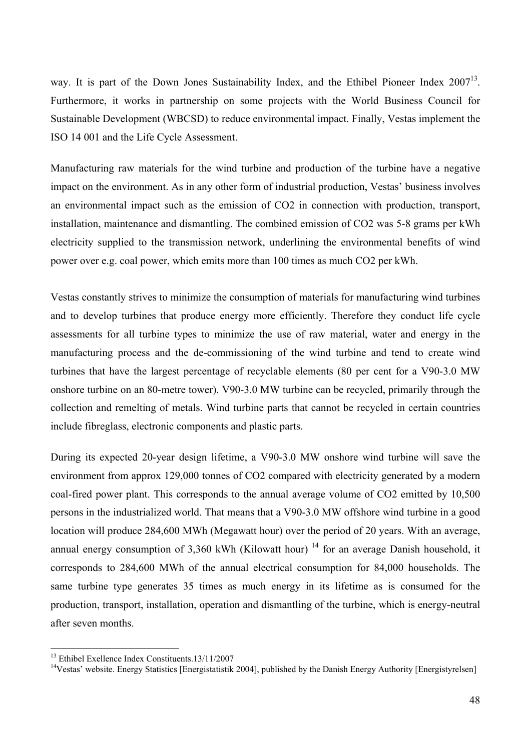way. It is part of the Down Jones Sustainability Index, and the Ethibel Pioneer Index 2007<sup>13</sup>. Furthermore, it works in partnership on some projects with the World Business Council for Sustainable Development (WBCSD) to reduce environmental impact. Finally, Vestas implement the ISO 14 001 and the Life Cycle Assessment.

Manufacturing raw materials for the wind turbine and production of the turbine have a negative impact on the environment. As in any other form of industrial production, Vestas' business involves an environmental impact such as the emission of CO2 in connection with production, transport, installation, maintenance and dismantling. The combined emission of CO2 was 5-8 grams per kWh electricity supplied to the transmission network, underlining the environmental benefits of wind power over e.g. coal power, which emits more than 100 times as much CO2 per kWh.

Vestas constantly strives to minimize the consumption of materials for manufacturing wind turbines and to develop turbines that produce energy more efficiently. Therefore they conduct life cycle assessments for all turbine types to minimize the use of raw material, water and energy in the manufacturing process and the de-commissioning of the wind turbine and tend to create wind turbines that have the largest percentage of recyclable elements (80 per cent for a V90-3.0 MW onshore turbine on an 80-metre tower). V90-3.0 MW turbine can be recycled, primarily through the collection and remelting of metals. Wind turbine parts that cannot be recycled in certain countries include fibreglass, electronic components and plastic parts.

During its expected 20-year design lifetime, a V90-3.0 MW onshore wind turbine will save the environment from approx 129,000 tonnes of CO2 compared with electricity generated by a modern coal-fired power plant. This corresponds to the annual average volume of CO2 emitted by 10,500 persons in the industrialized world. That means that a V90-3.0 MW offshore wind turbine in a good location will produce 284,600 MWh (Megawatt hour) over the period of 20 years. With an average, annual energy consumption of 3,360 kWh (Kilowatt hour)<sup>14</sup> for an average Danish household, it corresponds to 284,600 MWh of the annual electrical consumption for 84,000 households. The same turbine type generates 35 times as much energy in its lifetime as is consumed for the production, transport, installation, operation and dismantling of the turbine, which is energy-neutral after seven months.

<sup>13</sup> Ethibel Exellence Index Constituents.13/11/2007

<sup>&</sup>lt;sup>14</sup>Vestas' website. Energy Statistics [Energistatistik 2004], published by the Danish Energy Authority [Energistyrelsen]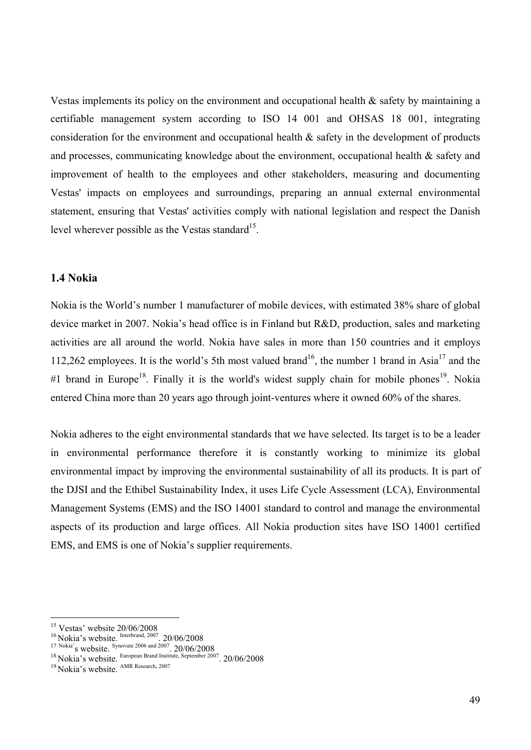Vestas implements its policy on the environment and occupational health  $\&$  safety by maintaining a certifiable management system according to ISO 14 001 and OHSAS 18 001, integrating consideration for the environment and occupational health & safety in the development of products and processes, communicating knowledge about the environment, occupational health & safety and improvement of health to the employees and other stakeholders, measuring and documenting Vestas' impacts on employees and surroundings, preparing an annual external environmental statement, ensuring that Vestas' activities comply with national legislation and respect the Danish level wherever possible as the Vestas standard<sup>15</sup>.

#### **1.4 Nokia**

Nokia is the World's number 1 manufacturer of mobile devices, with estimated 38% share of global device market in 2007. Nokia's head office is in Finland but R&D, production, sales and marketing activities are all around the world. Nokia have sales in more than 150 countries and it employs 112,262 employees. It is the world's 5th most valued brand<sup>16</sup>, the number 1 brand in Asia<sup>17</sup> and the #1 brand in Europe<sup>18</sup>. Finally it is the world's widest supply chain for mobile phones<sup>19</sup>. Nokia entered China more than 20 years ago through joint-ventures where it owned 60% of the shares.

Nokia adheres to the eight environmental standards that we have selected. Its target is to be a leader in environmental performance therefore it is constantly working to minimize its global environmental impact by improving the environmental sustainability of all its products. It is part of the DJSI and the Ethibel Sustainability Index, it uses Life Cycle Assessment (LCA), Environmental Management Systems (EMS) and the ISO 14001 standard to control and manage the environmental aspects of its production and large offices. All Nokia production sites have ISO 14001 certified EMS, and EMS is one of Nokia's supplier requirements.

<sup>&</sup>lt;sup>15</sup> Vestas' website 20/06/2008

<sup>&</sup>lt;sup>16</sup> Nokia's website. <sup>Interbrand, 2007</sup>. 20/06/2008<br>
<sup>17 Nokia'<sub>s</sub> website. <sup>Synovate 2006 and 2007. 20/06/2008<br>
<sup>18</sup> Nokia's website. European Brand Institute, September 2007. 20/06/2008<br>
<sup>19</sup> Nokia's website. <sup>AMR Resea</sup></sup></sup>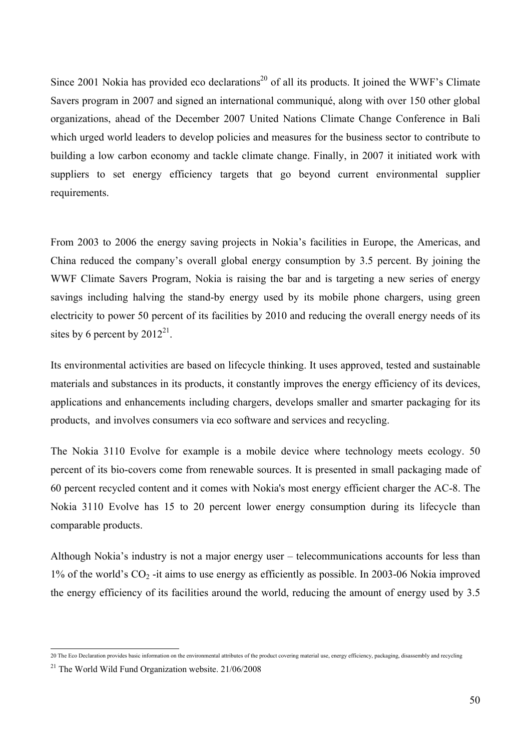Since 2001 Nokia has provided eco declarations<sup>20</sup> of all its products. It joined the WWF's Climate Savers program in 2007 and signed an international communiqué, along with over 150 other global organizations, ahead of the December 2007 United Nations Climate Change Conference in Bali which urged world leaders to develop policies and measures for the business sector to contribute to building a low carbon economy and tackle climate change. Finally, in 2007 it initiated work with suppliers to set energy efficiency targets that go beyond current environmental supplier requirements.

From 2003 to 2006 the energy saving projects in Nokia's facilities in Europe, the Americas, and China reduced the company's overall global energy consumption by 3.5 percent. By joining the WWF Climate Savers Program, Nokia is raising the bar and is targeting a new series of energy savings including halving the stand-by energy used by its mobile phone chargers, using green electricity to power 50 percent of its facilities by 2010 and reducing the overall energy needs of its sites by 6 percent by  $2012^{21}$ .

Its environmental activities are based on lifecycle thinking. It uses approved, tested and sustainable materials and substances in its products, it constantly improves the energy efficiency of its devices, applications and enhancements including chargers, develops smaller and smarter packaging for its products, and involves consumers via eco software and services and recycling.

The Nokia 3110 Evolve for example is a mobile device where technology meets ecology. 50 percent of its bio-covers come from renewable sources. It is presented in small packaging made of 60 percent recycled content and it comes with Nokia's most energy efficient charger the AC-8. The Nokia 3110 Evolve has 15 to 20 percent lower energy consumption during its lifecycle than comparable products.

Although Nokia's industry is not a major energy user – telecommunications accounts for less than  $1\%$  of the world's  $CO<sub>2</sub>$ -it aims to use energy as efficiently as possible. In 2003-06 Nokia improved the energy efficiency of its facilities around the world, reducing the amount of energy used by 3.5

 20 The Eco Declaration provides basic information on the environmental attributes of the product covering material use, energy efficiency, packaging, disassembly and recycling

 $21$  The World Wild Fund Organization website.  $21/06/2008$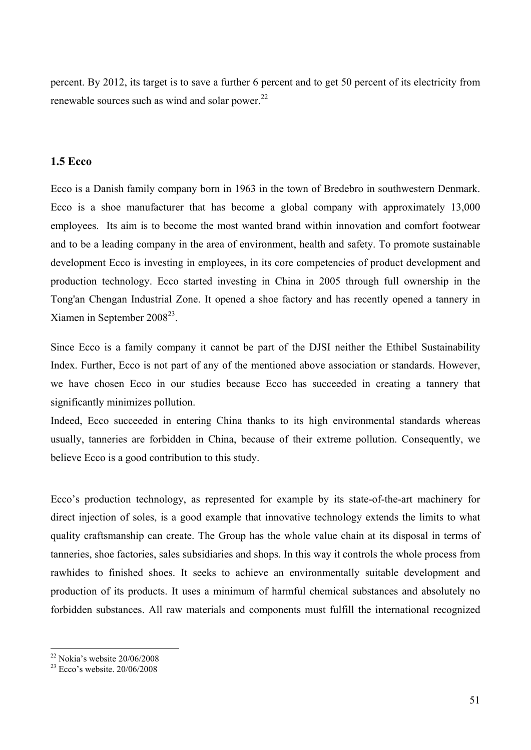percent. By 2012, its target is to save a further 6 percent and to get 50 percent of its electricity from renewable sources such as wind and solar power.<sup>22</sup>

## **1.5 Ecco**

Ecco is a Danish family company born in 1963 in the town of Bredebro in southwestern Denmark. Ecco is a shoe manufacturer that has become a global company with approximately 13,000 employees. Its aim is to become the most wanted brand within innovation and comfort footwear and to be a leading company in the area of environment, health and safety. To promote sustainable development Ecco is investing in employees, in its core competencies of product development and production technology. Ecco started investing in China in 2005 through full ownership in the Tong'an Chengan Industrial Zone. It opened a shoe factory and has recently opened a tannery in Xiamen in September  $2008^{23}$ .

Since Ecco is a family company it cannot be part of the DJSI neither the Ethibel Sustainability Index. Further, Ecco is not part of any of the mentioned above association or standards. However, we have chosen Ecco in our studies because Ecco has succeeded in creating a tannery that significantly minimizes pollution.

Indeed, Ecco succeeded in entering China thanks to its high environmental standards whereas usually, tanneries are forbidden in China, because of their extreme pollution. Consequently, we believe Ecco is a good contribution to this study.

Ecco's production technology, as represented for example by its state-of-the-art machinery for direct injection of soles, is a good example that innovative technology extends the limits to what quality craftsmanship can create. The Group has the whole value chain at its disposal in terms of tanneries, shoe factories, sales subsidiaries and shops. In this way it controls the whole process from rawhides to finished shoes. It seeks to achieve an environmentally suitable development and production of its products. It uses a minimum of harmful chemical substances and absolutely no forbidden substances. All raw materials and components must fulfill the international recognized

 $22$  Nokia's website  $20/06/2008$ 

 $23$  Ecco's website.  $20/06/2008$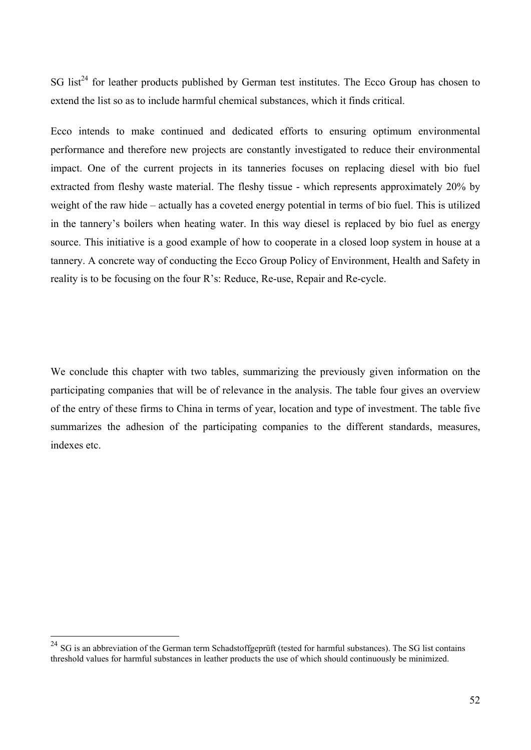SG list<sup>24</sup> for leather products published by German test institutes. The Ecco Group has chosen to extend the list so as to include harmful chemical substances, which it finds critical.

Ecco intends to make continued and dedicated efforts to ensuring optimum environmental performance and therefore new projects are constantly investigated to reduce their environmental impact. One of the current projects in its tanneries focuses on replacing diesel with bio fuel extracted from fleshy waste material. The fleshy tissue - which represents approximately 20% by weight of the raw hide – actually has a coveted energy potential in terms of bio fuel. This is utilized in the tannery's boilers when heating water. In this way diesel is replaced by bio fuel as energy source. This initiative is a good example of how to cooperate in a closed loop system in house at a tannery. A concrete way of conducting the Ecco Group Policy of Environment, Health and Safety in reality is to be focusing on the four R's: Reduce, Re-use, Repair and Re-cycle.

We conclude this chapter with two tables, summarizing the previously given information on the participating companies that will be of relevance in the analysis. The table four gives an overview of the entry of these firms to China in terms of year, location and type of investment. The table five summarizes the adhesion of the participating companies to the different standards, measures, indexes etc.

 $^{24}$  SG is an abbreviation of the German term Schadstoffgeprüft (tested for harmful substances). The SG list contains threshold values for harmful substances in leather products the use of which should continuously be minimized.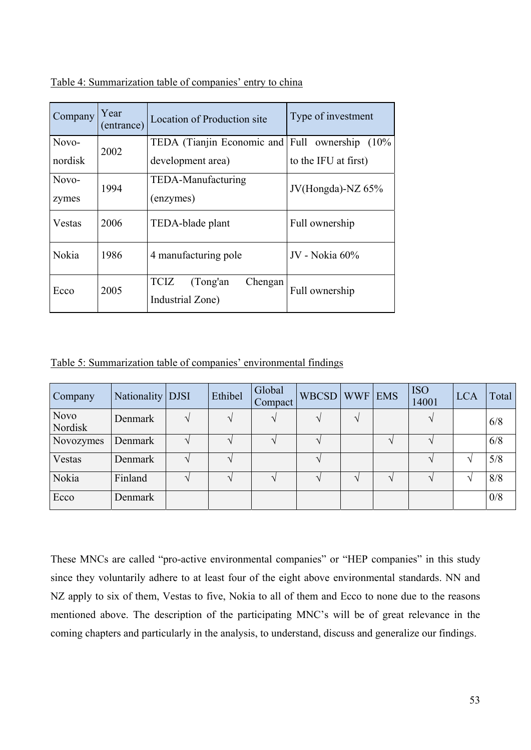| Company | Year<br>(entrance) | Location of Production site                            | Type of investment   |  |  |
|---------|--------------------|--------------------------------------------------------|----------------------|--|--|
| Novo-   | 2002               | TEDA (Tianjin Economic and Full ownership)             | $(10\%$              |  |  |
| nordisk |                    | development area)                                      | to the IFU at first) |  |  |
| Novo-   | 1994               | TEDA-Manufacturing                                     | JV(Hongda)-NZ $65\%$ |  |  |
| zymes   |                    | (enzymes)                                              |                      |  |  |
| Vestas  | 2006               | TEDA-blade plant                                       | Full ownership       |  |  |
| Nokia   | 1986               | 4 manufacturing pole                                   | JV - Nokia 60%       |  |  |
| Ecco    | 2005               | <b>TCIZ</b><br>(Tong'an<br>Chengan<br>Industrial Zone) | Full ownership       |  |  |

Table 4: Summarization table of companies' entry to china

Table 5: Summarization table of companies' environmental findings

| Company                | Nationality   DJSI | Ethibel | Global<br>Compact | WBCSD   WWF |        | <b>EMS</b> | <b>ISO</b><br>14001 | <b>LCA</b> | Total |
|------------------------|--------------------|---------|-------------------|-------------|--------|------------|---------------------|------------|-------|
| <b>Novo</b><br>Nordisk | Denmark            |         |                   |             | $\sim$ |            |                     |            | 6/8   |
| Novozymes              | Denmark            |         |                   |             |        |            |                     |            | 6/8   |
| Vestas                 | Denmark            |         |                   |             |        |            |                     |            | 5/8   |
| Nokia                  | Finland            |         |                   |             |        |            |                     |            | 8/8   |
| Ecco                   | Denmark            |         |                   |             |        |            |                     |            | 0/8   |

These MNCs are called "pro-active environmental companies" or "HEP companies" in this study since they voluntarily adhere to at least four of the eight above environmental standards. NN and NZ apply to six of them, Vestas to five, Nokia to all of them and Ecco to none due to the reasons mentioned above. The description of the participating MNC's will be of great relevance in the coming chapters and particularly in the analysis, to understand, discuss and generalize our findings.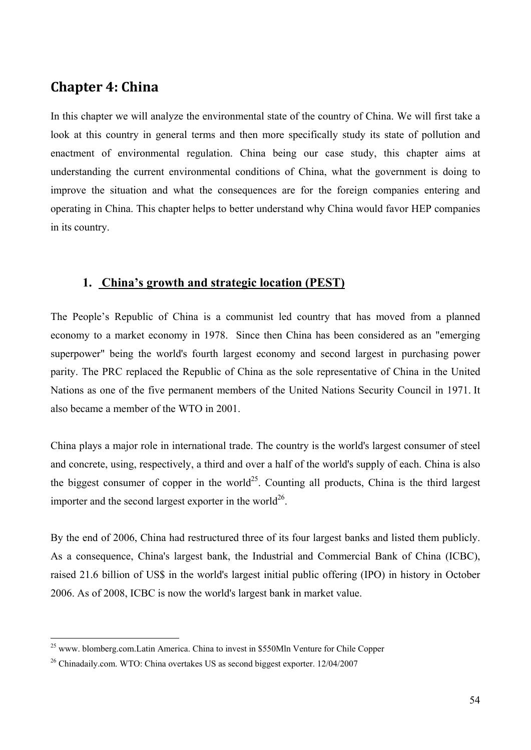# **Chapter 4: China**

In this chapter we will analyze the environmental state of the country of China. We will first take a look at this country in general terms and then more specifically study its state of pollution and enactment of environmental regulation. China being our case study, this chapter aims at understanding the current environmental conditions of China, what the government is doing to improve the situation and what the consequences are for the foreign companies entering and operating in China. This chapter helps to better understand why China would favor HEP companies in its country.

## **1. China's growth and strategic location (PEST)**

The People's Republic of China is a communist led country that has moved from a planned economy to a market economy in 1978. Since then China has been considered as an "emerging superpower" being the world's fourth largest economy and second largest in purchasing power parity. The PRC replaced the Republic of China as the sole representative of China in the United Nations as one of the five permanent members of the United Nations Security Council in 1971. It also became a member of the WTO in 2001.

China plays a major role in international trade. The country is the world's largest consumer of steel and concrete, using, respectively, a third and over a half of the world's supply of each. China is also the biggest consumer of copper in the world<sup>25</sup>. Counting all products, China is the third largest importer and the second largest exporter in the world<sup>26</sup>.

By the end of 2006, China had restructured three of its four largest banks and listed them publicly. As a consequence, China's largest bank, the Industrial and Commercial Bank of China (ICBC), raised 21.6 billion of US\$ in the world's largest initial public offering (IPO) in history in October 2006. As of 2008, ICBC is now the world's largest bank in market value.

 $25$  www. blomberg.com.Latin America. China to invest in \$550Mln Venture for Chile Copper

<sup>&</sup>lt;sup>26</sup> Chinadaily.com. WTO: China overtakes US as second biggest exporter. 12/04/2007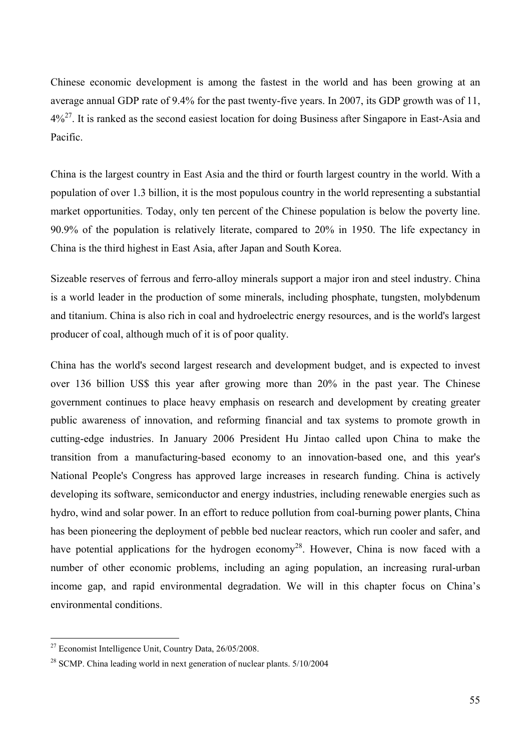Chinese economic development is among the fastest in the world and has been growing at an average annual GDP rate of 9.4% for the past twenty-five years. In 2007, its GDP growth was of 11,  $4\%^{27}$ . It is ranked as the second easiest location for doing Business after Singapore in East-Asia and Pacific.

China is the largest country in East Asia and the third or fourth largest country in the world. With a population of over 1.3 billion, it is the most populous country in the world representing a substantial market opportunities. Today, only ten percent of the Chinese population is below the poverty line. 90.9% of the population is relatively literate, compared to 20% in 1950. The life expectancy in China is the third highest in East Asia, after Japan and South Korea.

Sizeable reserves of ferrous and ferro-alloy minerals support a major iron and steel industry. China is a world leader in the production of some minerals, including phosphate, tungsten, molybdenum and titanium. China is also rich in coal and hydroelectric energy resources, and is the world's largest producer of coal, although much of it is of poor quality.

China has the world's second largest research and development budget, and is expected to invest over 136 billion US\$ this year after growing more than 20% in the past year. The Chinese government continues to place heavy emphasis on research and development by creating greater public awareness of innovation, and reforming financial and tax systems to promote growth in cutting-edge industries. In January 2006 President Hu Jintao called upon China to make the transition from a manufacturing-based economy to an innovation-based one, and this year's National People's Congress has approved large increases in research funding. China is actively developing its software, semiconductor and energy industries, including renewable energies such as hydro, wind and solar power. In an effort to reduce pollution from coal-burning power plants, China has been pioneering the deployment of pebble bed nuclear reactors, which run cooler and safer, and have potential applications for the hydrogen economy<sup>28</sup>. However, China is now faced with a number of other economic problems, including an aging population, an increasing rural-urban income gap, and rapid environmental degradation. We will in this chapter focus on China's environmental conditions.

<sup>27</sup> Economist Intelligence Unit, Country Data, 26/05/2008.

<sup>&</sup>lt;sup>28</sup> SCMP. China leading world in next generation of nuclear plants. 5/10/2004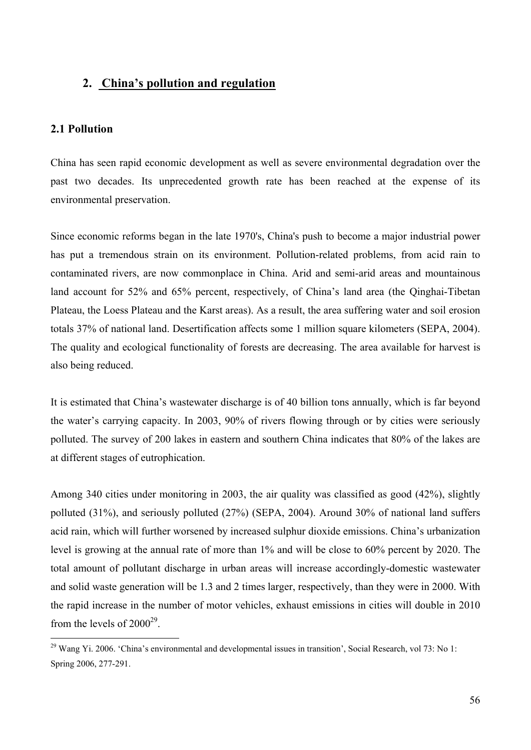## **2. China's pollution and regulation**

#### **2.1 Pollution**

 $\overline{a}$ 

China has seen rapid economic development as well as severe environmental degradation over the past two decades. Its unprecedented growth rate has been reached at the expense of its environmental preservation.

Since economic reforms began in the late 1970's, China's push to become a major industrial power has put a tremendous strain on its environment. Pollution-related problems, from acid rain to contaminated rivers, are now commonplace in China. Arid and semi-arid areas and mountainous land account for 52% and 65% percent, respectively, of China's land area (the Qinghai-Tibetan Plateau, the Loess Plateau and the Karst areas). As a result, the area suffering water and soil erosion totals 37% of national land. Desertification affects some 1 million square kilometers (SEPA, 2004). The quality and ecological functionality of forests are decreasing. The area available for harvest is also being reduced.

It is estimated that China's wastewater discharge is of 40 billion tons annually, which is far beyond the water's carrying capacity. In 2003, 90% of rivers flowing through or by cities were seriously polluted. The survey of 200 lakes in eastern and southern China indicates that 80% of the lakes are at different stages of eutrophication.

Among 340 cities under monitoring in 2003, the air quality was classified as good (42%), slightly polluted (31%), and seriously polluted (27%) (SEPA, 2004). Around 30% of national land suffers acid rain, which will further worsened by increased sulphur dioxide emissions. China's urbanization level is growing at the annual rate of more than 1% and will be close to 60% percent by 2020. The total amount of pollutant discharge in urban areas will increase accordingly-domestic wastewater and solid waste generation will be 1.3 and 2 times larger, respectively, than they were in 2000. With the rapid increase in the number of motor vehicles, exhaust emissions in cities will double in 2010 from the levels of  $2000^{29}$ .

 $^{29}$  Wang Yi. 2006. 'China's environmental and developmental issues in transition', Social Research, vol 73: No 1: Spring 2006, 277-291.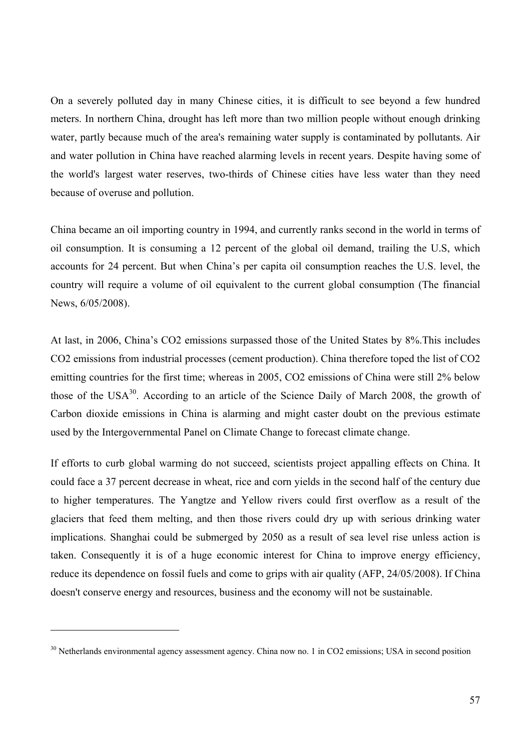On a severely polluted day in many Chinese cities, it is difficult to see beyond a few hundred meters. In northern China, drought has left more than two million people without enough drinking water, partly because much of the area's remaining water supply is contaminated by pollutants. Air and water pollution in China have reached alarming levels in recent years. Despite having some of the world's largest water reserves, two-thirds of Chinese cities have less water than they need because of overuse and pollution.

China became an oil importing country in 1994, and currently ranks second in the world in terms of oil consumption. It is consuming a 12 percent of the global oil demand, trailing the U.S, which accounts for 24 percent. But when China's per capita oil consumption reaches the U.S. level, the country will require a volume of oil equivalent to the current global consumption (The financial News, 6/05/2008).

At last, in 2006, China's CO2 emissions surpassed those of the United States by 8%.This includes CO2 emissions from industrial processes (cement production). China therefore toped the list of CO2 emitting countries for the first time; whereas in 2005, CO2 emissions of China were still 2% below those of the USA<sup>30</sup>. According to an article of the Science Daily of March 2008, the growth of Carbon dioxide emissions in China is alarming and might caster doubt on the previous estimate used by the Intergovernmental Panel on Climate Change to forecast climate change.

If efforts to curb global warming do not succeed, scientists project appalling effects on China. It could face a 37 percent decrease in wheat, rice and corn yields in the second half of the century due to higher temperatures. The Yangtze and Yellow rivers could first overflow as a result of the glaciers that feed them melting, and then those rivers could dry up with serious drinking water implications. Shanghai could be submerged by 2050 as a result of sea level rise unless action is taken. Consequently it is of a huge economic interest for China to improve energy efficiency, reduce its dependence on fossil fuels and come to grips with air quality (AFP, 24/05/2008). If China doesn't conserve energy and resources, business and the economy will not be sustainable.

<sup>&</sup>lt;sup>30</sup> Netherlands environmental agency assessment agency. China now no. 1 in CO2 emissions; USA in second position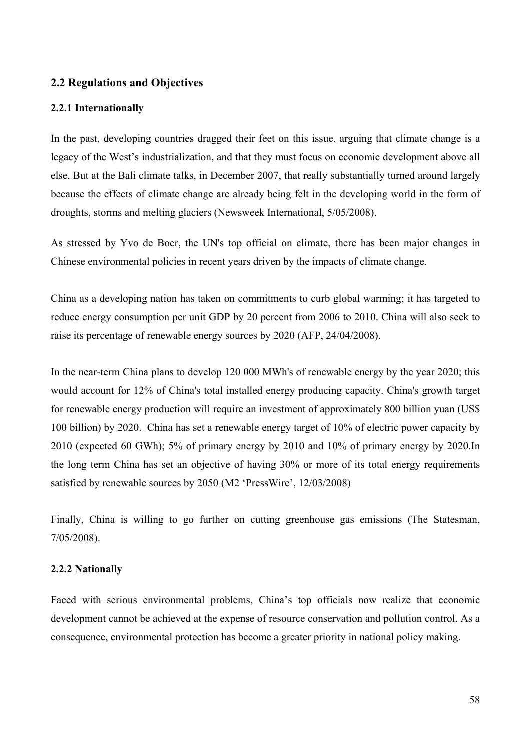## **2.2 Regulations and Objectives**

#### **2.2.1 Internationally**

In the past, developing countries dragged their feet on this issue, arguing that climate change is a legacy of the West's industrialization, and that they must focus on economic development above all else. But at the Bali climate talks, in December 2007, that really substantially turned around largely because the effects of climate change are already being felt in the developing world in the form of droughts, storms and melting glaciers (Newsweek International, 5/05/2008).

As stressed by Yvo de Boer, the UN's top official on climate, there has been major changes in Chinese environmental policies in recent years driven by the impacts of climate change.

China as a developing nation has taken on commitments to curb global warming; it has targeted to reduce energy consumption per unit GDP by 20 percent from 2006 to 2010. China will also seek to raise its percentage of renewable energy sources by 2020 (AFP, 24/04/2008).

In the near-term China plans to develop 120 000 MWh's of renewable energy by the year 2020; this would account for 12% of China's total installed energy producing capacity. China's growth target for renewable energy production will require an investment of approximately 800 billion yuan (US\$ 100 billion) by 2020. China has set a renewable energy target of 10% of electric power capacity by 2010 (expected 60 GWh); 5% of primary energy by 2010 and 10% of primary energy by 2020.In the long term China has set an objective of having 30% or more of its total energy requirements satisfied by renewable sources by 2050 (M2 'PressWire', 12/03/2008)

Finally, China is willing to go further on cutting greenhouse gas emissions (The Statesman, 7/05/2008).

#### **2.2.2 Nationally**

Faced with serious environmental problems, China's top officials now realize that economic development cannot be achieved at the expense of resource conservation and pollution control. As a consequence, environmental protection has become a greater priority in national policy making.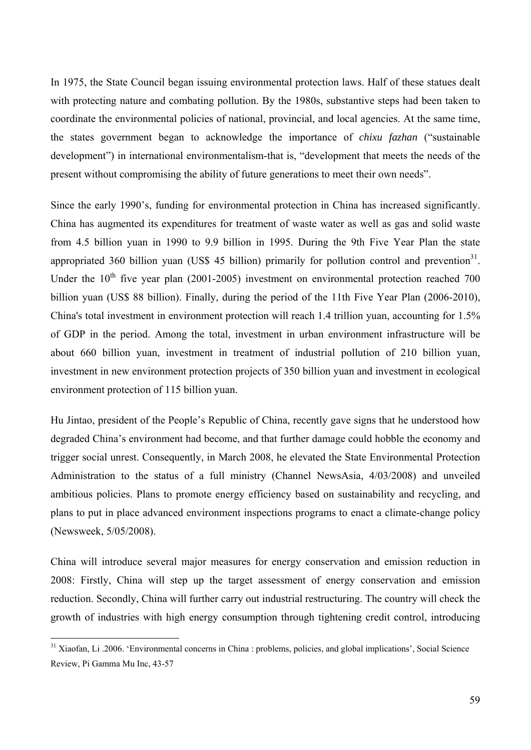In 1975, the State Council began issuing environmental protection laws. Half of these statues dealt with protecting nature and combating pollution. By the 1980s, substantive steps had been taken to coordinate the environmental policies of national, provincial, and local agencies. At the same time, the states government began to acknowledge the importance of *chixu fazhan* ("sustainable development") in international environmentalism-that is, "development that meets the needs of the present without compromising the ability of future generations to meet their own needs".

Since the early 1990's, funding for environmental protection in China has increased significantly. China has augmented its expenditures for treatment of waste water as well as gas and solid waste from 4.5 billion yuan in 1990 to 9.9 billion in 1995. During the 9th Five Year Plan the state appropriated 360 billion yuan (US\$ 45 billion) primarily for pollution control and prevention<sup>31</sup>. Under the  $10^{th}$  five year plan (2001-2005) investment on environmental protection reached 700 billion yuan (US\$ 88 billion). Finally, during the period of the 11th Five Year Plan (2006-2010), China's total investment in environment protection will reach 1.4 trillion yuan, accounting for 1.5% of GDP in the period. Among the total, investment in urban environment infrastructure will be about 660 billion yuan, investment in treatment of industrial pollution of 210 billion yuan, investment in new environment protection projects of 350 billion yuan and investment in ecological environment protection of 115 billion yuan.

Hu Jintao, president of the People's Republic of China, recently gave signs that he understood how degraded China's environment had become, and that further damage could hobble the economy and trigger social unrest. Consequently, in March 2008, he elevated the State Environmental Protection Administration to the status of a full ministry (Channel NewsAsia, 4/03/2008) and unveiled ambitious policies. Plans to promote energy efficiency based on sustainability and recycling, and plans to put in place advanced environment inspections programs to enact a climate-change policy (Newsweek, 5/05/2008).

China will introduce several major measures for energy conservation and emission reduction in 2008: Firstly, China will step up the target assessment of energy conservation and emission reduction. Secondly, China will further carry out industrial restructuring. The country will check the growth of industries with high energy consumption through tightening credit control, introducing

<sup>&</sup>lt;sup>31</sup> Xiaofan, Li .2006. 'Environmental concerns in China : problems, policies, and global implications', Social Science Review, Pi Gamma Mu Inc, 43-57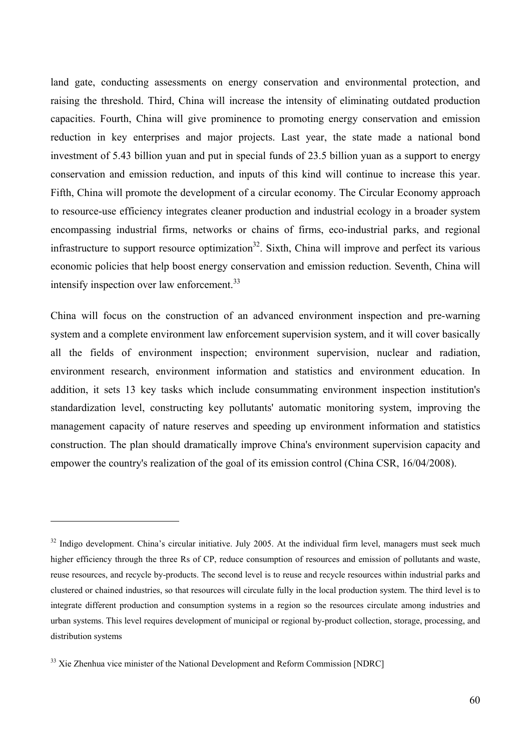land gate, conducting assessments on energy conservation and environmental protection, and raising the threshold. Third, China will increase the intensity of eliminating outdated production capacities. Fourth, China will give prominence to promoting energy conservation and emission reduction in key enterprises and major projects. Last year, the state made a national bond investment of 5.43 billion yuan and put in special funds of 23.5 billion yuan as a support to energy conservation and emission reduction, and inputs of this kind will continue to increase this year. Fifth, China will promote the development of a circular economy. The Circular Economy approach to resource-use efficiency integrates cleaner production and industrial ecology in a broader system encompassing industrial firms, networks or chains of firms, eco-industrial parks, and regional infrastructure to support resource optimization<sup>32</sup>. Sixth, China will improve and perfect its various economic policies that help boost energy conservation and emission reduction. Seventh, China will intensify inspection over law enforcement.<sup>33</sup>

China will focus on the construction of an advanced environment inspection and pre-warning system and a complete environment law enforcement supervision system, and it will cover basically all the fields of environment inspection; environment supervision, nuclear and radiation, environment research, environment information and statistics and environment education. In addition, it sets 13 key tasks which include consummating environment inspection institution's standardization level, constructing key pollutants' automatic monitoring system, improving the management capacity of nature reserves and speeding up environment information and statistics construction. The plan should dramatically improve China's environment supervision capacity and empower the country's realization of the goal of its emission control (China CSR, 16/04/2008).

<sup>&</sup>lt;sup>32</sup> Indigo development. China's circular initiative. July 2005. At the individual firm level, managers must seek much higher efficiency through the three Rs of CP, reduce consumption of resources and emission of pollutants and waste, reuse resources, and recycle by-products. The second level is to reuse and recycle resources within industrial parks and clustered or chained industries, so that resources will circulate fully in the local production system. The third level is to integrate different production and consumption systems in a region so the resources circulate among industries and urban systems. This level requires development of municipal or regional by-product collection, storage, processing, and distribution systems

<sup>&</sup>lt;sup>33</sup> Xie Zhenhua vice minister of the National Development and Reform Commission [NDRC]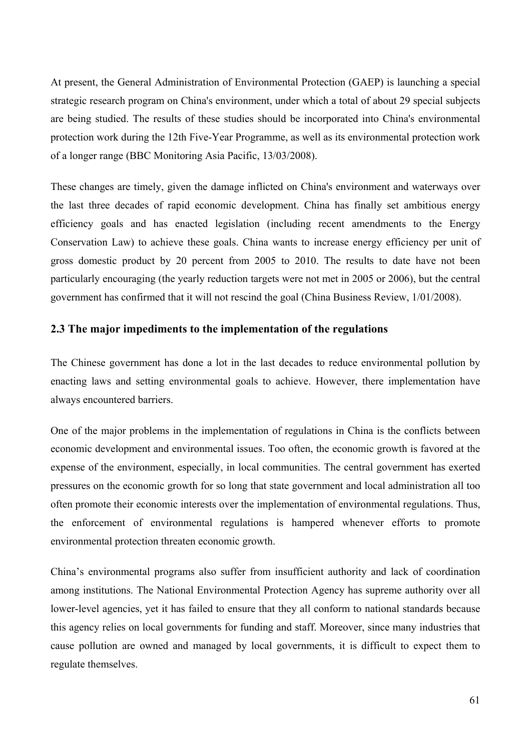At present, the General Administration of Environmental Protection (GAEP) is launching a special strategic research program on China's environment, under which a total of about 29 special subjects are being studied. The results of these studies should be incorporated into China's environmental protection work during the 12th Five-Year Programme, as well as its environmental protection work of a longer range (BBC Monitoring Asia Pacific, 13/03/2008).

These changes are timely, given the damage inflicted on China's environment and waterways over the last three decades of rapid economic development. China has finally set ambitious energy efficiency goals and has enacted legislation (including recent amendments to the Energy Conservation Law) to achieve these goals. China wants to increase energy efficiency per unit of gross domestic product by 20 percent from 2005 to 2010. The results to date have not been particularly encouraging (the yearly reduction targets were not met in 2005 or 2006), but the central government has confirmed that it will not rescind the goal (China Business Review, 1/01/2008).

## **2.3 The major impediments to the implementation of the regulations**

The Chinese government has done a lot in the last decades to reduce environmental pollution by enacting laws and setting environmental goals to achieve. However, there implementation have always encountered barriers.

One of the major problems in the implementation of regulations in China is the conflicts between economic development and environmental issues. Too often, the economic growth is favored at the expense of the environment, especially, in local communities. The central government has exerted pressures on the economic growth for so long that state government and local administration all too often promote their economic interests over the implementation of environmental regulations. Thus, the enforcement of environmental regulations is hampered whenever efforts to promote environmental protection threaten economic growth.

China's environmental programs also suffer from insufficient authority and lack of coordination among institutions. The National Environmental Protection Agency has supreme authority over all lower-level agencies, yet it has failed to ensure that they all conform to national standards because this agency relies on local governments for funding and staff. Moreover, since many industries that cause pollution are owned and managed by local governments, it is difficult to expect them to regulate themselves.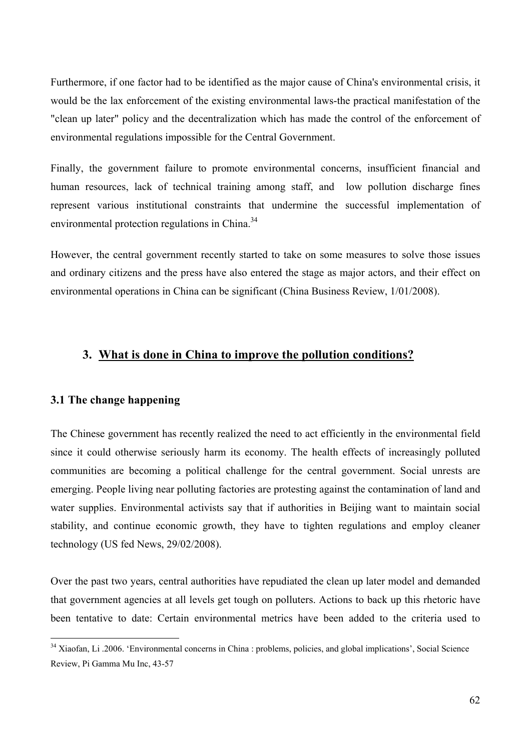Furthermore, if one factor had to be identified as the major cause of China's environmental crisis, it would be the lax enforcement of the existing environmental laws-the practical manifestation of the "clean up later" policy and the decentralization which has made the control of the enforcement of environmental regulations impossible for the Central Government.

Finally, the government failure to promote environmental concerns, insufficient financial and human resources, lack of technical training among staff, and low pollution discharge fines represent various institutional constraints that undermine the successful implementation of environmental protection regulations in China.<sup>34</sup>

However, the central government recently started to take on some measures to solve those issues and ordinary citizens and the press have also entered the stage as major actors, and their effect on environmental operations in China can be significant (China Business Review, 1/01/2008).

### **3. What is done in China to improve the pollution conditions?**

### **3.1 The change happening**

 $\overline{a}$ 

The Chinese government has recently realized the need to act efficiently in the environmental field since it could otherwise seriously harm its economy. The health effects of increasingly polluted communities are becoming a political challenge for the central government. Social unrests are emerging. People living near polluting factories are protesting against the contamination of land and water supplies. Environmental activists say that if authorities in Beijing want to maintain social stability, and continue economic growth, they have to tighten regulations and employ cleaner technology (US fed News, 29/02/2008).

Over the past two years, central authorities have repudiated the clean up later model and demanded that government agencies at all levels get tough on polluters. Actions to back up this rhetoric have been tentative to date: Certain environmental metrics have been added to the criteria used to

<sup>&</sup>lt;sup>34</sup> Xiaofan, Li .2006. 'Environmental concerns in China : problems, policies, and global implications', Social Science Review, Pi Gamma Mu Inc, 43-57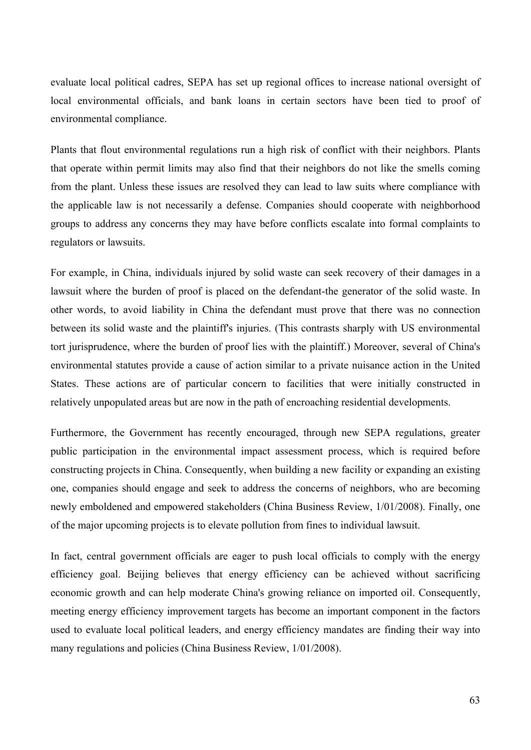evaluate local political cadres, SEPA has set up regional offices to increase national oversight of local environmental officials, and bank loans in certain sectors have been tied to proof of environmental compliance.

Plants that flout environmental regulations run a high risk of conflict with their neighbors. Plants that operate within permit limits may also find that their neighbors do not like the smells coming from the plant. Unless these issues are resolved they can lead to law suits where compliance with the applicable law is not necessarily a defense. Companies should cooperate with neighborhood groups to address any concerns they may have before conflicts escalate into formal complaints to regulators or lawsuits.

For example, in China, individuals injured by solid waste can seek recovery of their damages in a lawsuit where the burden of proof is placed on the defendant-the generator of the solid waste. In other words, to avoid liability in China the defendant must prove that there was no connection between its solid waste and the plaintiff's injuries. (This contrasts sharply with US environmental tort jurisprudence, where the burden of proof lies with the plaintiff.) Moreover, several of China's environmental statutes provide a cause of action similar to a private nuisance action in the United States. These actions are of particular concern to facilities that were initially constructed in relatively unpopulated areas but are now in the path of encroaching residential developments.

Furthermore, the Government has recently encouraged, through new SEPA regulations, greater public participation in the environmental impact assessment process, which is required before constructing projects in China. Consequently, when building a new facility or expanding an existing one, companies should engage and seek to address the concerns of neighbors, who are becoming newly emboldened and empowered stakeholders (China Business Review, 1/01/2008). Finally, one of the major upcoming projects is to elevate pollution from fines to individual lawsuit.

In fact, central government officials are eager to push local officials to comply with the energy efficiency goal. Beijing believes that energy efficiency can be achieved without sacrificing economic growth and can help moderate China's growing reliance on imported oil. Consequently, meeting energy efficiency improvement targets has become an important component in the factors used to evaluate local political leaders, and energy efficiency mandates are finding their way into many regulations and policies (China Business Review, 1/01/2008).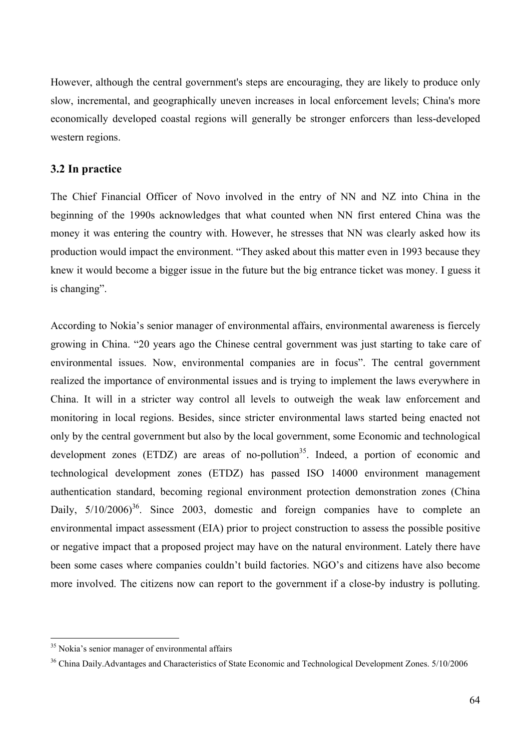However, although the central government's steps are encouraging, they are likely to produce only slow, incremental, and geographically uneven increases in local enforcement levels; China's more economically developed coastal regions will generally be stronger enforcers than less-developed western regions.

#### **3.2 In practice**

The Chief Financial Officer of Novo involved in the entry of NN and NZ into China in the beginning of the 1990s acknowledges that what counted when NN first entered China was the money it was entering the country with. However, he stresses that NN was clearly asked how its production would impact the environment. "They asked about this matter even in 1993 because they knew it would become a bigger issue in the future but the big entrance ticket was money. I guess it is changing".

According to Nokia's senior manager of environmental affairs, environmental awareness is fiercely growing in China. "20 years ago the Chinese central government was just starting to take care of environmental issues. Now, environmental companies are in focus". The central government realized the importance of environmental issues and is trying to implement the laws everywhere in China. It will in a stricter way control all levels to outweigh the weak law enforcement and monitoring in local regions. Besides, since stricter environmental laws started being enacted not only by the central government but also by the local government, some Economic and technological development zones  $(ETDZ)$  are areas of no-pollution<sup>35</sup>. Indeed, a portion of economic and technological development zones (ETDZ) has passed ISO 14000 environment management authentication standard, becoming regional environment protection demonstration zones (China Daily,  $5/10/2006$ <sup>36</sup>. Since 2003, domestic and foreign companies have to complete an environmental impact assessment (EIA) prior to project construction to assess the possible positive or negative impact that a proposed project may have on the natural environment. Lately there have been some cases where companies couldn't build factories. NGO's and citizens have also become more involved. The citizens now can report to the government if a close-by industry is polluting.

<sup>&</sup>lt;sup>35</sup> Nokia's senior manager of environmental affairs

<sup>36</sup> China Daily.Advantages and Characteristics of State Economic and Technological Development Zones. 5/10/2006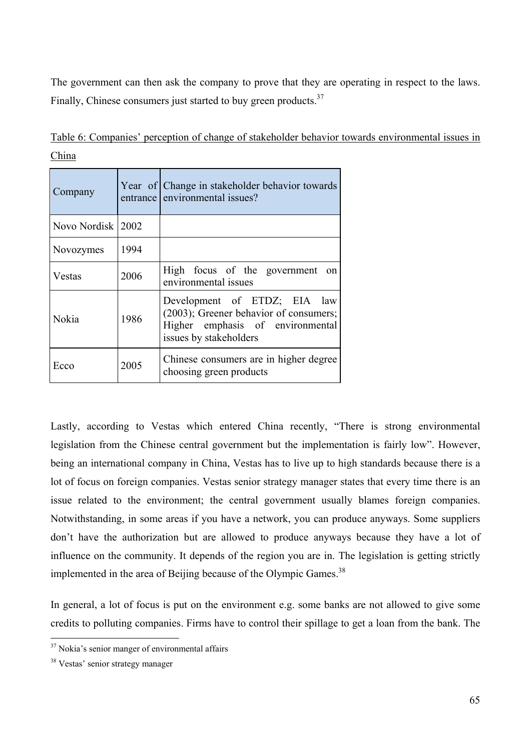The government can then ask the company to prove that they are operating in respect to the laws. Finally, Chinese consumers just started to buy green products.<sup>37</sup>

| Company           |      | Year of Change in stakeholder behavior towards<br>entrance environmental issues?                                                     |
|-------------------|------|--------------------------------------------------------------------------------------------------------------------------------------|
| Novo Nordisk 2002 |      |                                                                                                                                      |
| Novozymes         | 1994 |                                                                                                                                      |
| Vestas            | 2006 | High focus of the government on<br>environmental issues                                                                              |
| Nokia             | 1986 | Development of ETDZ; EIA law<br>(2003); Greener behavior of consumers;<br>Higher emphasis of environmental<br>issues by stakeholders |
| Ecco              | 2005 | Chinese consumers are in higher degree<br>choosing green products                                                                    |

Table 6: Companies' perception of change of stakeholder behavior towards environmental issues in China

Lastly, according to Vestas which entered China recently, "There is strong environmental legislation from the Chinese central government but the implementation is fairly low". However, being an international company in China, Vestas has to live up to high standards because there is a lot of focus on foreign companies. Vestas senior strategy manager states that every time there is an issue related to the environment; the central government usually blames foreign companies. Notwithstanding, in some areas if you have a network, you can produce anyways. Some suppliers don't have the authorization but are allowed to produce anyways because they have a lot of influence on the community. It depends of the region you are in. The legislation is getting strictly implemented in the area of Beijing because of the Olympic Games.<sup>38</sup>

In general, a lot of focus is put on the environment e.g. some banks are not allowed to give some credits to polluting companies. Firms have to control their spillage to get a loan from the bank. The

<sup>&</sup>lt;sup>37</sup> Nokia's senior manger of environmental affairs

<sup>&</sup>lt;sup>38</sup> Vestas' senior strategy manager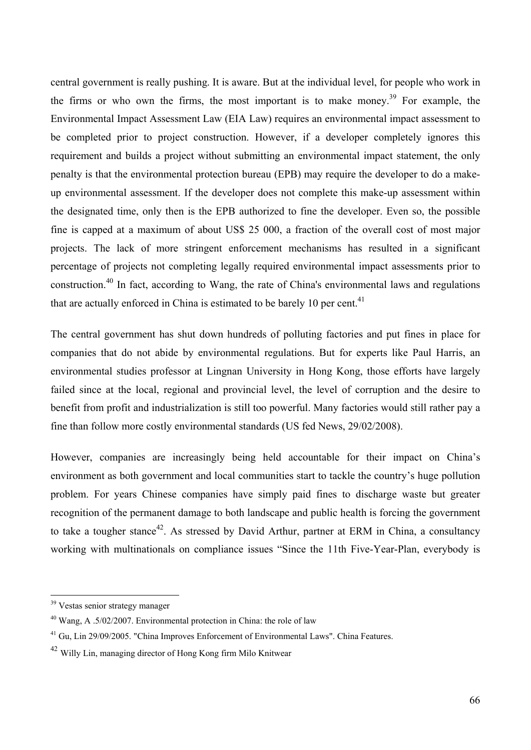central government is really pushing. It is aware. But at the individual level, for people who work in the firms or who own the firms, the most important is to make money.<sup>39</sup> For example, the Environmental Impact Assessment Law (EIA Law) requires an environmental impact assessment to be completed prior to project construction. However, if a developer completely ignores this requirement and builds a project without submitting an environmental impact statement, the only penalty is that the environmental protection bureau (EPB) may require the developer to do a makeup environmental assessment. If the developer does not complete this make-up assessment within the designated time, only then is the EPB authorized to fine the developer. Even so, the possible fine is capped at a maximum of about US\$ 25 000, a fraction of the overall cost of most major projects. The lack of more stringent enforcement mechanisms has resulted in a significant percentage of projects not completing legally required environmental impact assessments prior to construction.40 In fact, according to Wang, the rate of China's environmental laws and regulations that are actually enforced in China is estimated to be barely 10 per cent. $41$ 

The central government has shut down hundreds of polluting factories and put fines in place for companies that do not abide by environmental regulations. But for experts like Paul Harris, an environmental studies professor at Lingnan University in Hong Kong, those efforts have largely failed since at the local, regional and provincial level, the level of corruption and the desire to benefit from profit and industrialization is still too powerful. Many factories would still rather pay a fine than follow more costly environmental standards (US fed News, 29/02/2008).

However, companies are increasingly being held accountable for their impact on China's environment as both government and local communities start to tackle the country's huge pollution problem. For years Chinese companies have simply paid fines to discharge waste but greater recognition of the permanent damage to both landscape and public health is forcing the government to take a tougher stance<sup>42</sup>. As stressed by David Arthur, partner at ERM in China, a consultancy working with multinationals on compliance issues "Since the 11th Five-Year-Plan, everybody is

<sup>&</sup>lt;sup>39</sup> Vestas senior strategy manager

<sup>40</sup> Wang, A .5/02/2007. Environmental protection in China: the role of law

<sup>&</sup>lt;sup>41</sup> Gu, Lin 29/09/2005. "China Improves Enforcement of Environmental Laws". China Features.

<sup>42</sup> Willy Lin, managing director of Hong Kong firm Milo Knitwear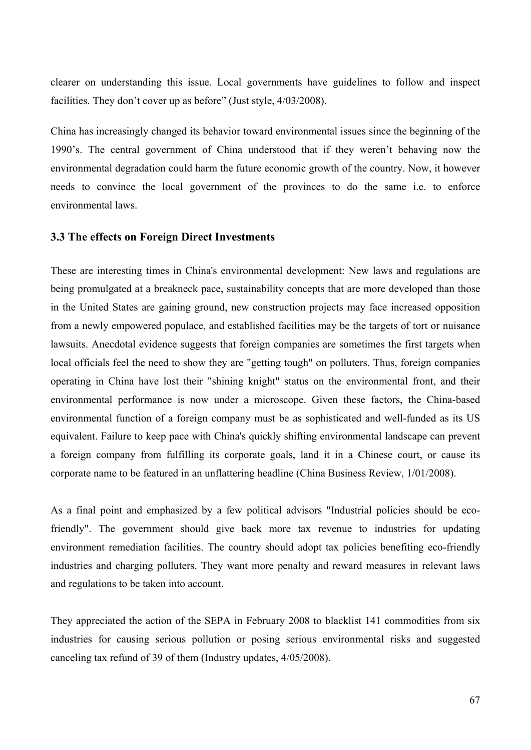clearer on understanding this issue. Local governments have guidelines to follow and inspect facilities. They don't cover up as before" (Just style,  $4/03/2008$ ).

China has increasingly changed its behavior toward environmental issues since the beginning of the 1990's. The central government of China understood that if they weren't behaving now the environmental degradation could harm the future economic growth of the country. Now, it however needs to convince the local government of the provinces to do the same i.e. to enforce environmental laws.

#### **3.3 The effects on Foreign Direct Investments**

These are interesting times in China's environmental development: New laws and regulations are being promulgated at a breakneck pace, sustainability concepts that are more developed than those in the United States are gaining ground, new construction projects may face increased opposition from a newly empowered populace, and established facilities may be the targets of tort or nuisance lawsuits. Anecdotal evidence suggests that foreign companies are sometimes the first targets when local officials feel the need to show they are "getting tough" on polluters. Thus, foreign companies operating in China have lost their "shining knight" status on the environmental front, and their environmental performance is now under a microscope. Given these factors, the China-based environmental function of a foreign company must be as sophisticated and well-funded as its US equivalent. Failure to keep pace with China's quickly shifting environmental landscape can prevent a foreign company from fulfilling its corporate goals, land it in a Chinese court, or cause its corporate name to be featured in an unflattering headline (China Business Review, 1/01/2008).

As a final point and emphasized by a few political advisors "Industrial policies should be ecofriendly". The government should give back more tax revenue to industries for updating environment remediation facilities. The country should adopt tax policies benefiting eco-friendly industries and charging polluters. They want more penalty and reward measures in relevant laws and regulations to be taken into account.

They appreciated the action of the SEPA in February 2008 to blacklist 141 commodities from six industries for causing serious pollution or posing serious environmental risks and suggested canceling tax refund of 39 of them (Industry updates, 4/05/2008).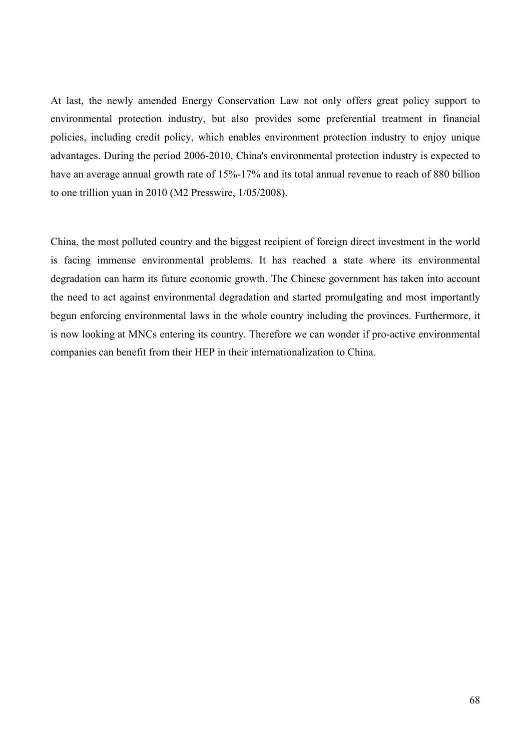At last, the newly amended Energy Conservation Law not only offers great policy support to environmental protection industry, but also provides some preferential treatment in financial policies, including credit policy, which enables environment protection industry to enjoy unique advantages. During the period 2006-2010, China's environmental protection industry is expected to have an average annual growth rate of 15%-17% and its total annual revenue to reach of 880 billion to one trillion yuan in 2010 (M2 Presswire, 1/05/2008).

China, the most polluted country and the biggest recipient of foreign direct investment in the world is facing immense environmental problems. It has reached a state where its environmental degradation can harm its future economic growth. The Chinese government has taken into account the need to act against environmental degradation and started promulgating and most importantly begun enforcing environmental laws in the whole country including the provinces. Furthermore, it is now looking at MNCs entering its country. Therefore we can wonder if pro-active environmental companies can benefit from their HEP in their internationalization to China.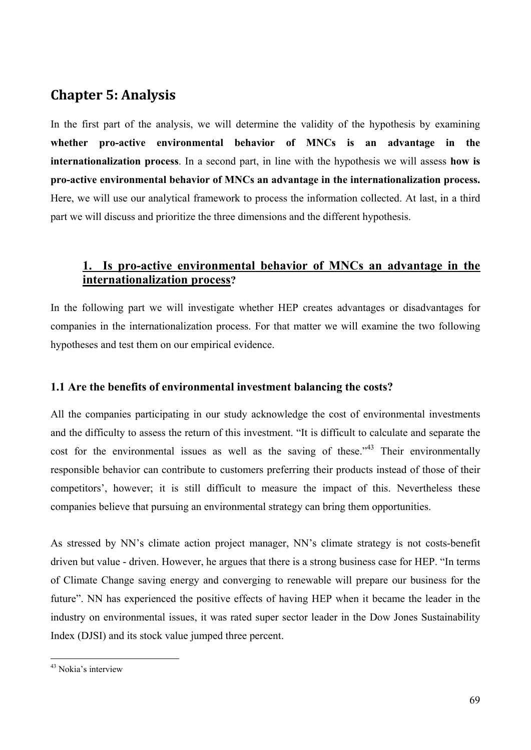# **Chapter 5: Analysis**

In the first part of the analysis, we will determine the validity of the hypothesis by examining **whether pro-active environmental behavior of MNCs is an advantage in the internationalization process**. In a second part, in line with the hypothesis we will assess **how is pro-active environmental behavior of MNCs an advantage in the internationalization process.**  Here, we will use our analytical framework to process the information collected. At last, in a third part we will discuss and prioritize the three dimensions and the different hypothesis.

## **1. Is pro-active environmental behavior of MNCs an advantage in the internationalization process?**

In the following part we will investigate whether HEP creates advantages or disadvantages for companies in the internationalization process. For that matter we will examine the two following hypotheses and test them on our empirical evidence.

## **1.1 Are the benefits of environmental investment balancing the costs?**

All the companies participating in our study acknowledge the cost of environmental investments and the difficulty to assess the return of this investment. "It is difficult to calculate and separate the cost for the environmental issues as well as the saving of these.<sup> $34$ </sup> Their environmentally responsible behavior can contribute to customers preferring their products instead of those of their competitors', however; it is still difficult to measure the impact of this. Nevertheless these companies believe that pursuing an environmental strategy can bring them opportunities.

As stressed by NN's climate action project manager, NN's climate strategy is not costs-benefit driven but value - driven. However, he argues that there is a strong business case for HEP. "In terms of Climate Change saving energy and converging to renewable will prepare our business for the future". NN has experienced the positive effects of having HEP when it became the leader in the industry on environmental issues, it was rated super sector leader in the Dow Jones Sustainability Index (DJSI) and its stock value jumped three percent.

<sup>43</sup> Nokia's interview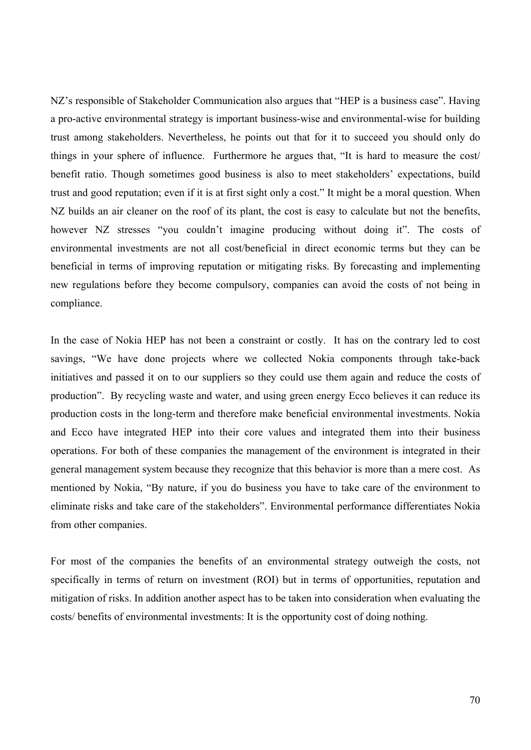NZ's responsible of Stakeholder Communication also argues that "HEP is a business case". Having a pro-active environmental strategy is important business-wise and environmental-wise for building trust among stakeholders. Nevertheless, he points out that for it to succeed you should only do things in your sphere of influence. Furthermore he argues that, "It is hard to measure the cost/ benefit ratio. Though sometimes good business is also to meet stakeholders' expectations, build trust and good reputation; even if it is at first sight only a cost." It might be a moral question. When NZ builds an air cleaner on the roof of its plant, the cost is easy to calculate but not the benefits, however NZ stresses "you couldn't imagine producing without doing it". The costs of environmental investments are not all cost/beneficial in direct economic terms but they can be beneficial in terms of improving reputation or mitigating risks. By forecasting and implementing new regulations before they become compulsory, companies can avoid the costs of not being in compliance.

In the case of Nokia HEP has not been a constraint or costly. It has on the contrary led to cost savings, "We have done projects where we collected Nokia components through take-back initiatives and passed it on to our suppliers so they could use them again and reduce the costs of production". By recycling waste and water, and using green energy Ecco believes it can reduce its production costs in the long-term and therefore make beneficial environmental investments. Nokia and Ecco have integrated HEP into their core values and integrated them into their business operations. For both of these companies the management of the environment is integrated in their general management system because they recognize that this behavior is more than a mere cost. As mentioned by Nokia, "By nature, if you do business you have to take care of the environment to eliminate risks and take care of the stakeholders". Environmental performance differentiates Nokia from other companies.

For most of the companies the benefits of an environmental strategy outweigh the costs, not specifically in terms of return on investment (ROI) but in terms of opportunities, reputation and mitigation of risks. In addition another aspect has to be taken into consideration when evaluating the costs/ benefits of environmental investments: It is the opportunity cost of doing nothing.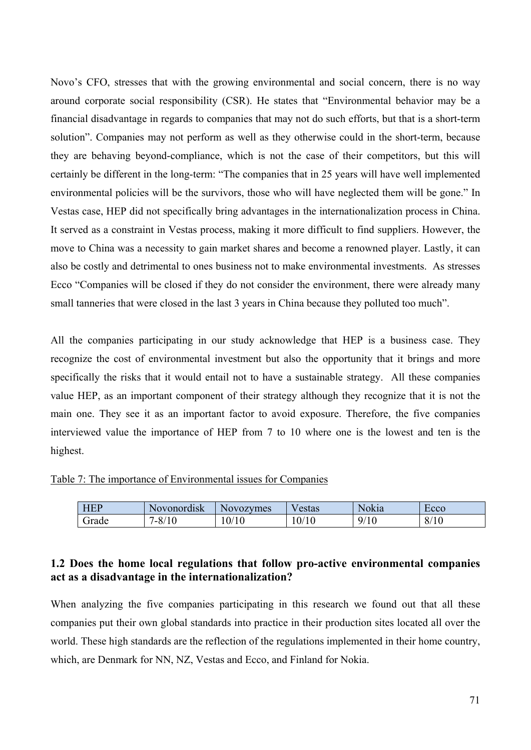Novo's CFO, stresses that with the growing environmental and social concern, there is no way around corporate social responsibility (CSR). He states that "Environmental behavior may be a financial disadvantage in regards to companies that may not do such efforts, but that is a short-term solution". Companies may not perform as well as they otherwise could in the short-term, because they are behaving beyond-compliance, which is not the case of their competitors, but this will certainly be different in the long-term: "The companies that in 25 years will have well implemented environmental policies will be the survivors, those who will have neglected them will be gone." In Vestas case, HEP did not specifically bring advantages in the internationalization process in China. It served as a constraint in Vestas process, making it more difficult to find suppliers. However, the move to China was a necessity to gain market shares and become a renowned player. Lastly, it can also be costly and detrimental to ones business not to make environmental investments. As stresses Ecco "Companies will be closed if they do not consider the environment, there were already many small tanneries that were closed in the last 3 years in China because they polluted too much".

All the companies participating in our study acknowledge that HEP is a business case. They recognize the cost of environmental investment but also the opportunity that it brings and more specifically the risks that it would entail not to have a sustainable strategy. All these companies value HEP, as an important component of their strategy although they recognize that it is not the main one. They see it as an important factor to avoid exposure. Therefore, the five companies interviewed value the importance of HEP from 7 to 10 where one is the lowest and ten is the highest.

Table 7: The importance of Environmental issues for Companies

| <b>HEP</b> | Novonordisk                           | <b>Novozymes</b> | estas | Nokia | <b>ECCO</b> |
|------------|---------------------------------------|------------------|-------|-------|-------------|
| Grade      | $\Omega$<br>'10<br>$^{\prime}$ - 0/ . | 0/10             | 0/10  | 9/10  | 8/10        |

## **1.2 Does the home local regulations that follow pro-active environmental companies act as a disadvantage in the internationalization?**

When analyzing the five companies participating in this research we found out that all these companies put their own global standards into practice in their production sites located all over the world. These high standards are the reflection of the regulations implemented in their home country, which, are Denmark for NN, NZ, Vestas and Ecco, and Finland for Nokia.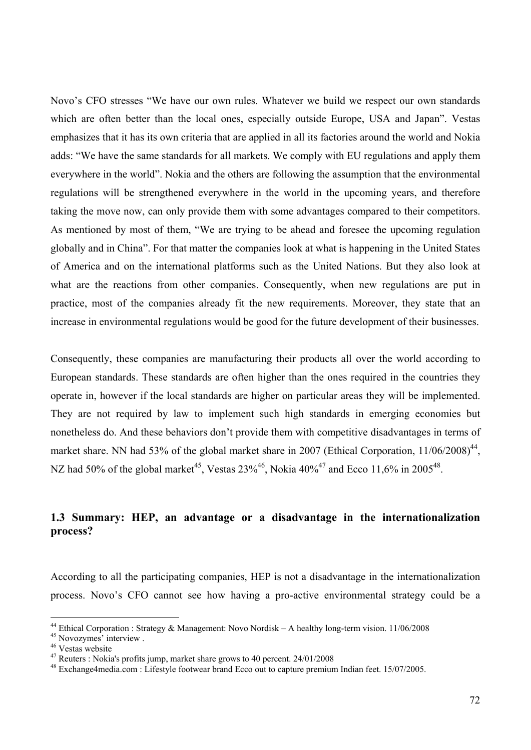Novo's CFO stresses "We have our own rules. Whatever we build we respect our own standards which are often better than the local ones, especially outside Europe, USA and Japan". Vestas emphasizes that it has its own criteria that are applied in all its factories around the world and Nokia adds: "We have the same standards for all markets. We comply with EU regulations and apply them everywhere in the world". Nokia and the others are following the assumption that the environmental regulations will be strengthened everywhere in the world in the upcoming years, and therefore taking the move now, can only provide them with some advantages compared to their competitors. As mentioned by most of them, "We are trying to be ahead and foresee the upcoming regulation globally and in China". For that matter the companies look at what is happening in the United States of America and on the international platforms such as the United Nations. But they also look at what are the reactions from other companies. Consequently, when new regulations are put in practice, most of the companies already fit the new requirements. Moreover, they state that an increase in environmental regulations would be good for the future development of their businesses.

Consequently, these companies are manufacturing their products all over the world according to European standards. These standards are often higher than the ones required in the countries they operate in, however if the local standards are higher on particular areas they will be implemented. They are not required by law to implement such high standards in emerging economies but nonetheless do. And these behaviors don't provide them with competitive disadvantages in terms of market share. NN had 53% of the global market share in 2007 (Ethical Corporation,  $11/06/2008$ )<sup>44</sup>, NZ had 50% of the global market<sup>45</sup>, Vestas  $23\%^{46}$ , Nokia  $40\%^{47}$  and Ecco 11,6% in 2005<sup>48</sup>.

## **1.3 Summary: HEP, an advantage or a disadvantage in the internationalization process?**

According to all the participating companies, HEP is not a disadvantage in the internationalization process. Novo's CFO cannot see how having a pro-active environmental strategy could be a

<sup>44</sup> Ethical Corporation : Strategy & Management: Novo Nordisk – A healthy long-term vision. 11/06/2008

<sup>45</sup> Novozymes' interview .

<sup>46</sup> Vestas website

 $47$  Reuters : Nokia's profits jump, market share grows to 40 percent.  $24/01/2008$ 

<sup>48</sup> Exchange4media.com : Lifestyle footwear brand Ecco out to capture premium Indian feet. 15/07/2005.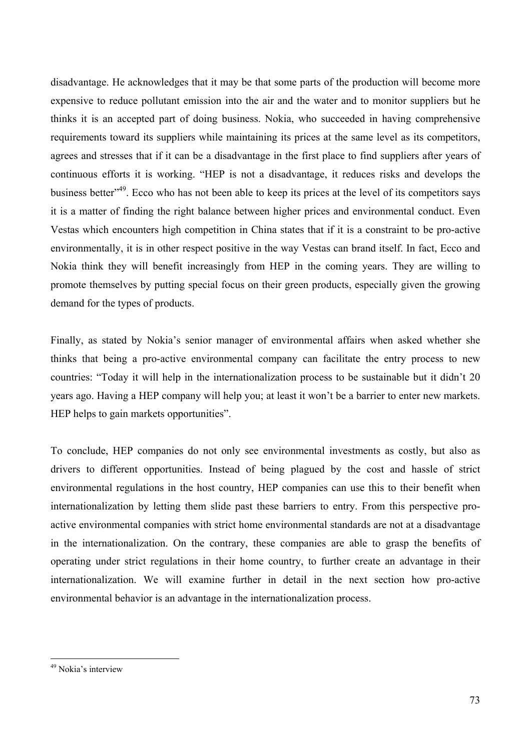disadvantage. He acknowledges that it may be that some parts of the production will become more expensive to reduce pollutant emission into the air and the water and to monitor suppliers but he thinks it is an accepted part of doing business. Nokia, who succeeded in having comprehensive requirements toward its suppliers while maintaining its prices at the same level as its competitors, agrees and stresses that if it can be a disadvantage in the first place to find suppliers after years of continuous efforts it is working. "HEP is not a disadvantage, it reduces risks and develops the business better"49. Ecco who has not been able to keep its prices at the level of its competitors says it is a matter of finding the right balance between higher prices and environmental conduct. Even Vestas which encounters high competition in China states that if it is a constraint to be pro-active environmentally, it is in other respect positive in the way Vestas can brand itself. In fact, Ecco and Nokia think they will benefit increasingly from HEP in the coming years. They are willing to promote themselves by putting special focus on their green products, especially given the growing demand for the types of products.

Finally, as stated by Nokia's senior manager of environmental affairs when asked whether she thinks that being a pro-active environmental company can facilitate the entry process to new countries: "Today it will help in the internationalization process to be sustainable but it didn't 20 years ago. Having a HEP company will help you; at least it won't be a barrier to enter new markets. HEP helps to gain markets opportunities".

To conclude, HEP companies do not only see environmental investments as costly, but also as drivers to different opportunities. Instead of being plagued by the cost and hassle of strict environmental regulations in the host country, HEP companies can use this to their benefit when internationalization by letting them slide past these barriers to entry. From this perspective proactive environmental companies with strict home environmental standards are not at a disadvantage in the internationalization. On the contrary, these companies are able to grasp the benefits of operating under strict regulations in their home country, to further create an advantage in their internationalization. We will examine further in detail in the next section how pro-active environmental behavior is an advantage in the internationalization process.

 $\overline{a}$ 

<sup>49</sup> Nokia's interview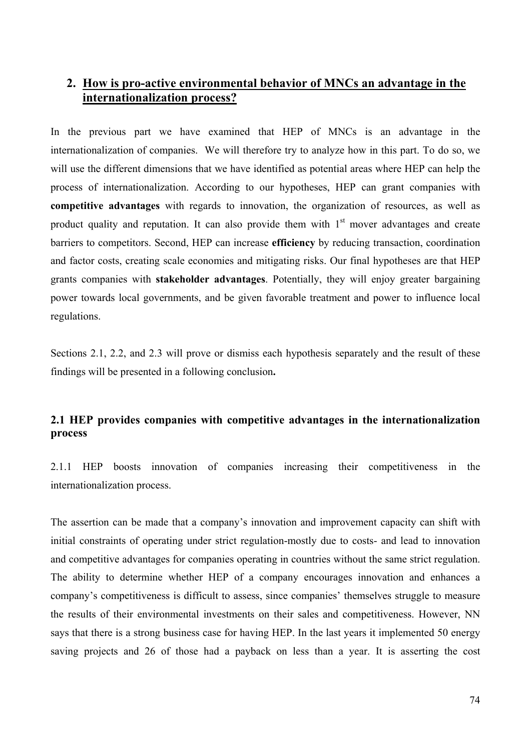### **2. How is pro-active environmental behavior of MNCs an advantage in the internationalization process?**

In the previous part we have examined that HEP of MNCs is an advantage in the internationalization of companies. We will therefore try to analyze how in this part. To do so, we will use the different dimensions that we have identified as potential areas where HEP can help the process of internationalization. According to our hypotheses, HEP can grant companies with **competitive advantages** with regards to innovation, the organization of resources, as well as product quality and reputation. It can also provide them with  $1<sup>st</sup>$  mover advantages and create barriers to competitors. Second, HEP can increase **efficiency** by reducing transaction, coordination and factor costs, creating scale economies and mitigating risks. Our final hypotheses are that HEP grants companies with **stakeholder advantages**. Potentially, they will enjoy greater bargaining power towards local governments, and be given favorable treatment and power to influence local regulations.

Sections 2.1, 2.2, and 2.3 will prove or dismiss each hypothesis separately and the result of these findings will be presented in a following conclusion**.** 

### **2.1 HEP provides companies with competitive advantages in the internationalization process**

2.1.1 HEP boosts innovation of companies increasing their competitiveness in the internationalization process.

The assertion can be made that a company's innovation and improvement capacity can shift with initial constraints of operating under strict regulation-mostly due to costs- and lead to innovation and competitive advantages for companies operating in countries without the same strict regulation. The ability to determine whether HEP of a company encourages innovation and enhances a company's competitiveness is difficult to assess, since companies' themselves struggle to measure the results of their environmental investments on their sales and competitiveness. However, NN says that there is a strong business case for having HEP. In the last years it implemented 50 energy saving projects and 26 of those had a payback on less than a year. It is asserting the cost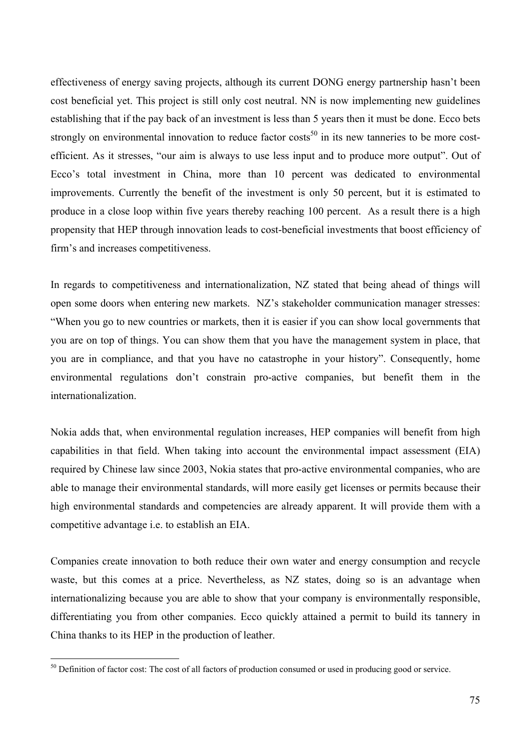effectiveness of energy saving projects, although its current DONG energy partnership hasn't been cost beneficial yet. This project is still only cost neutral. NN is now implementing new guidelines establishing that if the pay back of an investment is less than 5 years then it must be done. Ecco bets strongly on environmental innovation to reduce factor  $\cos(s^{50})$  in its new tanneries to be more costefficient. As it stresses, "our aim is always to use less input and to produce more output". Out of Ecco's total investment in China, more than 10 percent was dedicated to environmental improvements. Currently the benefit of the investment is only 50 percent, but it is estimated to produce in a close loop within five years thereby reaching 100 percent. As a result there is a high propensity that HEP through innovation leads to cost-beneficial investments that boost efficiency of firm's and increases competitiveness.

In regards to competitiveness and internationalization, NZ stated that being ahead of things will open some doors when entering new markets. NZ's stakeholder communication manager stresses: "When you go to new countries or markets, then it is easier if you can show local governments that you are on top of things. You can show them that you have the management system in place, that you are in compliance, and that you have no catastrophe in your history". Consequently, home environmental regulations don't constrain pro-active companies, but benefit them in the internationalization.

Nokia adds that, when environmental regulation increases, HEP companies will benefit from high capabilities in that field. When taking into account the environmental impact assessment (EIA) required by Chinese law since 2003, Nokia states that pro-active environmental companies, who are able to manage their environmental standards, will more easily get licenses or permits because their high environmental standards and competencies are already apparent. It will provide them with a competitive advantage i.e. to establish an EIA.

Companies create innovation to both reduce their own water and energy consumption and recycle waste, but this comes at a price. Nevertheless, as NZ states, doing so is an advantage when internationalizing because you are able to show that your company is environmentally responsible, differentiating you from other companies. Ecco quickly attained a permit to build its tannery in China thanks to its HEP in the production of leather.

 $\overline{a}$ 

 $50$  Definition of factor cost: The cost of all factors of production consumed or used in producing good or service.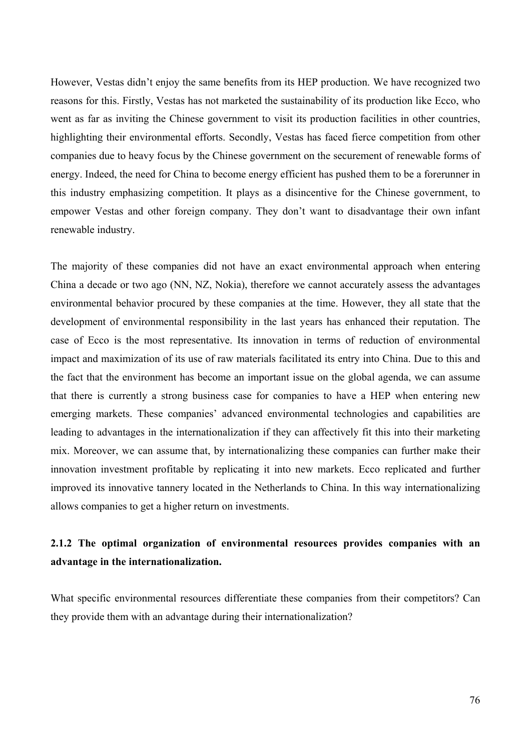However, Vestas didn't enjoy the same benefits from its HEP production. We have recognized two reasons for this. Firstly, Vestas has not marketed the sustainability of its production like Ecco, who went as far as inviting the Chinese government to visit its production facilities in other countries, highlighting their environmental efforts. Secondly, Vestas has faced fierce competition from other companies due to heavy focus by the Chinese government on the securement of renewable forms of energy. Indeed, the need for China to become energy efficient has pushed them to be a forerunner in this industry emphasizing competition. It plays as a disincentive for the Chinese government, to empower Vestas and other foreign company. They don't want to disadvantage their own infant renewable industry.

The majority of these companies did not have an exact environmental approach when entering China a decade or two ago (NN, NZ, Nokia), therefore we cannot accurately assess the advantages environmental behavior procured by these companies at the time. However, they all state that the development of environmental responsibility in the last years has enhanced their reputation. The case of Ecco is the most representative. Its innovation in terms of reduction of environmental impact and maximization of its use of raw materials facilitated its entry into China. Due to this and the fact that the environment has become an important issue on the global agenda, we can assume that there is currently a strong business case for companies to have a HEP when entering new emerging markets. These companies' advanced environmental technologies and capabilities are leading to advantages in the internationalization if they can affectively fit this into their marketing mix. Moreover, we can assume that, by internationalizing these companies can further make their innovation investment profitable by replicating it into new markets. Ecco replicated and further improved its innovative tannery located in the Netherlands to China. In this way internationalizing allows companies to get a higher return on investments.

# **2.1.2 The optimal organization of environmental resources provides companies with an advantage in the internationalization.**

What specific environmental resources differentiate these companies from their competitors? Can they provide them with an advantage during their internationalization?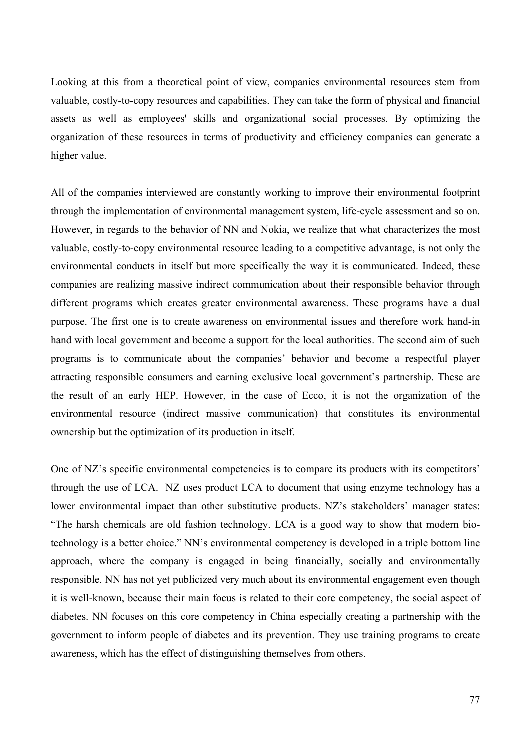Looking at this from a theoretical point of view, companies environmental resources stem from valuable, costly-to-copy resources and capabilities. They can take the form of physical and financial assets as well as employees' skills and organizational social processes. By optimizing the organization of these resources in terms of productivity and efficiency companies can generate a higher value.

All of the companies interviewed are constantly working to improve their environmental footprint through the implementation of environmental management system, life-cycle assessment and so on. However, in regards to the behavior of NN and Nokia, we realize that what characterizes the most valuable, costly-to-copy environmental resource leading to a competitive advantage, is not only the environmental conducts in itself but more specifically the way it is communicated. Indeed, these companies are realizing massive indirect communication about their responsible behavior through different programs which creates greater environmental awareness. These programs have a dual purpose. The first one is to create awareness on environmental issues and therefore work hand-in hand with local government and become a support for the local authorities. The second aim of such programs is to communicate about the companies' behavior and become a respectful player attracting responsible consumers and earning exclusive local government's partnership. These are the result of an early HEP. However, in the case of Ecco, it is not the organization of the environmental resource (indirect massive communication) that constitutes its environmental ownership but the optimization of its production in itself.

One of NZ's specific environmental competencies is to compare its products with its competitors' through the use of LCA. NZ uses product LCA to document that using enzyme technology has a lower environmental impact than other substitutive products. NZ's stakeholders' manager states: "The harsh chemicals are old fashion technology. LCA is a good way to show that modern biotechnology is a better choice." NN's environmental competency is developed in a triple bottom line approach, where the company is engaged in being financially, socially and environmentally responsible. NN has not yet publicized very much about its environmental engagement even though it is well-known, because their main focus is related to their core competency, the social aspect of diabetes. NN focuses on this core competency in China especially creating a partnership with the government to inform people of diabetes and its prevention. They use training programs to create awareness, which has the effect of distinguishing themselves from others.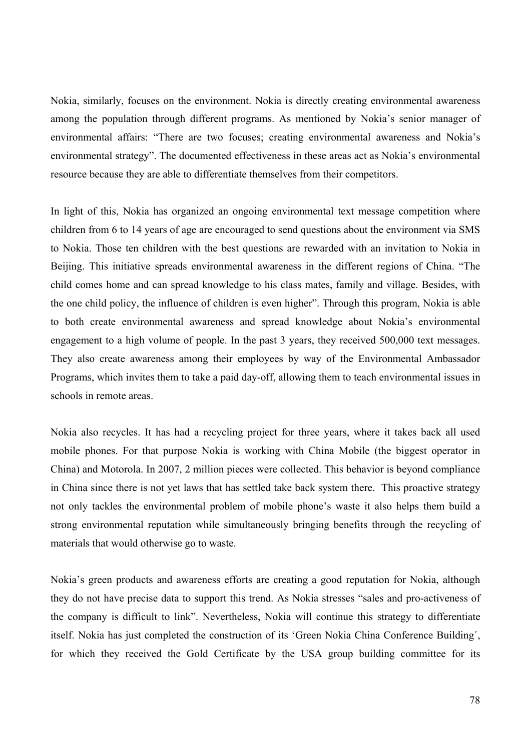Nokia, similarly, focuses on the environment. Nokia is directly creating environmental awareness among the population through different programs. As mentioned by Nokia's senior manager of environmental affairs: "There are two focuses; creating environmental awareness and Nokia's environmental strategy". The documented effectiveness in these areas act as Nokia's environmental resource because they are able to differentiate themselves from their competitors.

In light of this, Nokia has organized an ongoing environmental text message competition where children from 6 to 14 years of age are encouraged to send questions about the environment via SMS to Nokia. Those ten children with the best questions are rewarded with an invitation to Nokia in Beijing. This initiative spreads environmental awareness in the different regions of China. "The child comes home and can spread knowledge to his class mates, family and village. Besides, with the one child policy, the influence of children is even higher". Through this program, Nokia is able to both create environmental awareness and spread knowledge about Nokia's environmental engagement to a high volume of people. In the past 3 years, they received 500,000 text messages. They also create awareness among their employees by way of the Environmental Ambassador Programs, which invites them to take a paid day-off, allowing them to teach environmental issues in schools in remote areas.

Nokia also recycles. It has had a recycling project for three years, where it takes back all used mobile phones. For that purpose Nokia is working with China Mobile (the biggest operator in China) and Motorola. In 2007, 2 million pieces were collected. This behavior is beyond compliance in China since there is not yet laws that has settled take back system there. This proactive strategy not only tackles the environmental problem of mobile phone's waste it also helps them build a strong environmental reputation while simultaneously bringing benefits through the recycling of materials that would otherwise go to waste.

Nokia's green products and awareness efforts are creating a good reputation for Nokia, although they do not have precise data to support this trend. As Nokia stresses "sales and pro-activeness of the company is difficult to link". Nevertheless, Nokia will continue this strategy to differentiate itself. Nokia has just completed the construction of its 'Green Nokia China Conference Building´, for which they received the Gold Certificate by the USA group building committee for its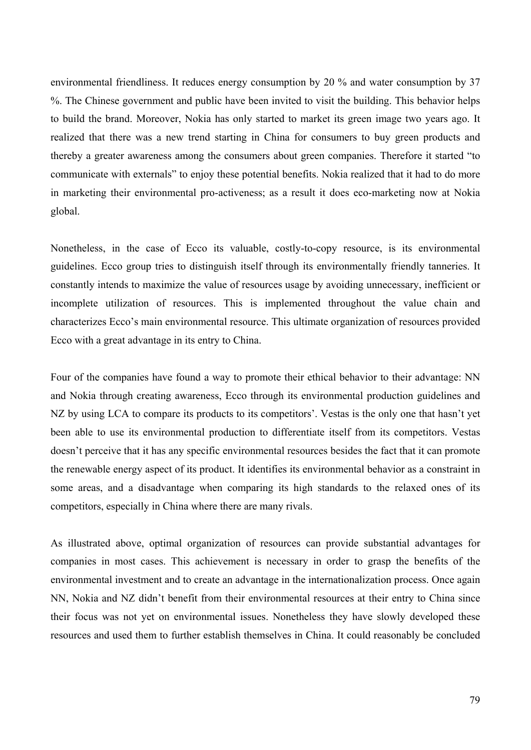environmental friendliness. It reduces energy consumption by 20 % and water consumption by 37 %. The Chinese government and public have been invited to visit the building. This behavior helps to build the brand. Moreover, Nokia has only started to market its green image two years ago. It realized that there was a new trend starting in China for consumers to buy green products and thereby a greater awareness among the consumers about green companies. Therefore it started "to communicate with externals" to enjoy these potential benefits. Nokia realized that it had to do more in marketing their environmental pro-activeness; as a result it does eco-marketing now at Nokia global.

Nonetheless, in the case of Ecco its valuable, costly-to-copy resource, is its environmental guidelines. Ecco group tries to distinguish itself through its environmentally friendly tanneries. It constantly intends to maximize the value of resources usage by avoiding unnecessary, inefficient or incomplete utilization of resources. This is implemented throughout the value chain and characterizes Ecco's main environmental resource. This ultimate organization of resources provided Ecco with a great advantage in its entry to China.

Four of the companies have found a way to promote their ethical behavior to their advantage: NN and Nokia through creating awareness, Ecco through its environmental production guidelines and NZ by using LCA to compare its products to its competitors'. Vestas is the only one that hasn't yet been able to use its environmental production to differentiate itself from its competitors. Vestas doesn't perceive that it has any specific environmental resources besides the fact that it can promote the renewable energy aspect of its product. It identifies its environmental behavior as a constraint in some areas, and a disadvantage when comparing its high standards to the relaxed ones of its competitors, especially in China where there are many rivals.

As illustrated above, optimal organization of resources can provide substantial advantages for companies in most cases. This achievement is necessary in order to grasp the benefits of the environmental investment and to create an advantage in the internationalization process. Once again NN, Nokia and NZ didn't benefit from their environmental resources at their entry to China since their focus was not yet on environmental issues. Nonetheless they have slowly developed these resources and used them to further establish themselves in China. It could reasonably be concluded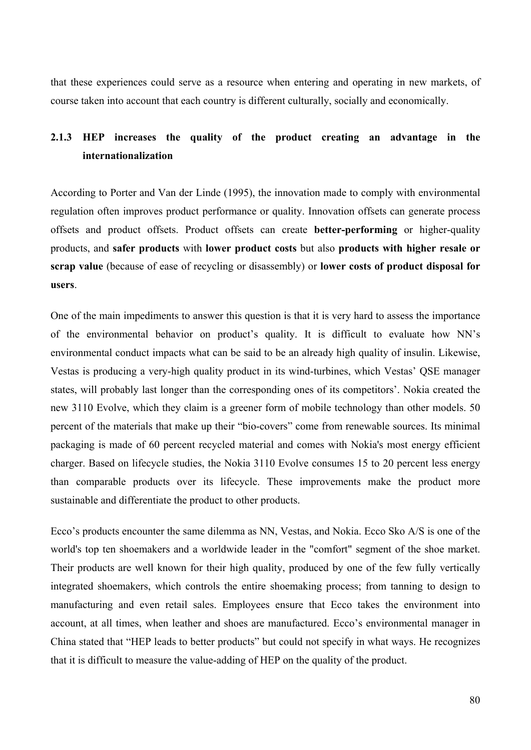that these experiences could serve as a resource when entering and operating in new markets, of course taken into account that each country is different culturally, socially and economically.

# **2.1.3 HEP increases the quality of the product creating an advantage in the internationalization**

According to Porter and Van der Linde (1995), the innovation made to comply with environmental regulation often improves product performance or quality. Innovation offsets can generate process offsets and product offsets. Product offsets can create **better-performing** or higher-quality products, and **safer products** with **lower product costs** but also **products with higher resale or scrap value** (because of ease of recycling or disassembly) or **lower costs of product disposal for users**.

One of the main impediments to answer this question is that it is very hard to assess the importance of the environmental behavior on product's quality. It is difficult to evaluate how NN's environmental conduct impacts what can be said to be an already high quality of insulin. Likewise, Vestas is producing a very-high quality product in its wind-turbines, which Vestas' QSE manager states, will probably last longer than the corresponding ones of its competitors'. Nokia created the new 3110 Evolve, which they claim is a greener form of mobile technology than other models. 50 percent of the materials that make up their "bio-covers" come from renewable sources. Its minimal packaging is made of 60 percent recycled material and comes with Nokia's most energy efficient charger. Based on lifecycle studies, the Nokia 3110 Evolve consumes 15 to 20 percent less energy than comparable products over its lifecycle. These improvements make the product more sustainable and differentiate the product to other products.

Ecco's products encounter the same dilemma as NN, Vestas, and Nokia. Ecco Sko A/S is one of the world's top ten shoemakers and a worldwide leader in the "comfort" segment of the shoe market. Their products are well known for their high quality, produced by one of the few fully vertically integrated shoemakers, which controls the entire shoemaking process; from tanning to design to manufacturing and even retail sales. Employees ensure that Ecco takes the environment into account, at all times, when leather and shoes are manufactured. Ecco's environmental manager in China stated that "HEP leads to better products" but could not specify in what ways. He recognizes that it is difficult to measure the value-adding of HEP on the quality of the product.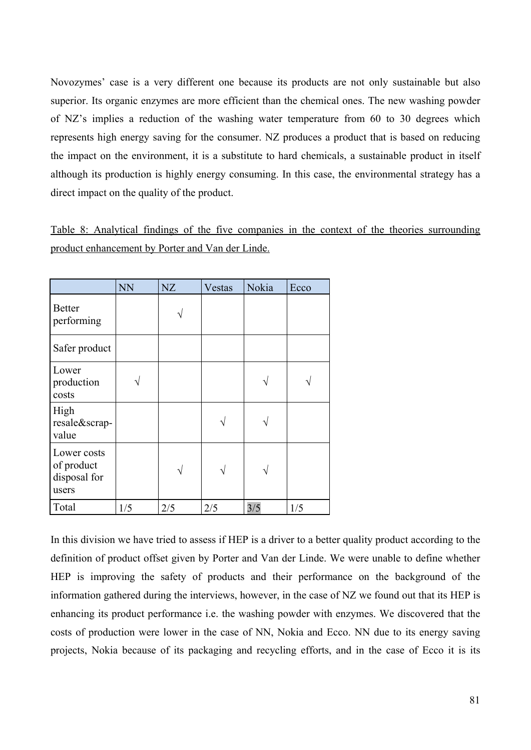Novozymes' case is a very different one because its products are not only sustainable but also superior. Its organic enzymes are more efficient than the chemical ones. The new washing powder of NZ's implies a reduction of the washing water temperature from 60 to 30 degrees which represents high energy saving for the consumer. NZ produces a product that is based on reducing the impact on the environment, it is a substitute to hard chemicals, a sustainable product in itself although its production is highly energy consuming. In this case, the environmental strategy has a direct impact on the quality of the product.

Table 8: Analytical findings of the five companies in the context of the theories surrounding product enhancement by Porter and Van der Linde.

|                                                    | <b>NN</b> | <b>NZ</b> | Vestas | Nokia | Ecco |
|----------------------------------------------------|-----------|-----------|--------|-------|------|
| <b>Better</b><br>performing                        |           |           |        |       |      |
| Safer product                                      |           |           |        |       |      |
| Lower<br>production<br>costs                       |           |           |        |       |      |
| High<br>resale&scrap-<br>value                     |           |           |        |       |      |
| Lower costs<br>of product<br>disposal for<br>users |           |           |        |       |      |
| Total                                              | 1/5       | 2/5       | 2/5    | 3/5   | 1/5  |

In this division we have tried to assess if HEP is a driver to a better quality product according to the definition of product offset given by Porter and Van der Linde. We were unable to define whether HEP is improving the safety of products and their performance on the background of the information gathered during the interviews, however, in the case of NZ we found out that its HEP is enhancing its product performance i.e. the washing powder with enzymes. We discovered that the costs of production were lower in the case of NN, Nokia and Ecco. NN due to its energy saving projects, Nokia because of its packaging and recycling efforts, and in the case of Ecco it is its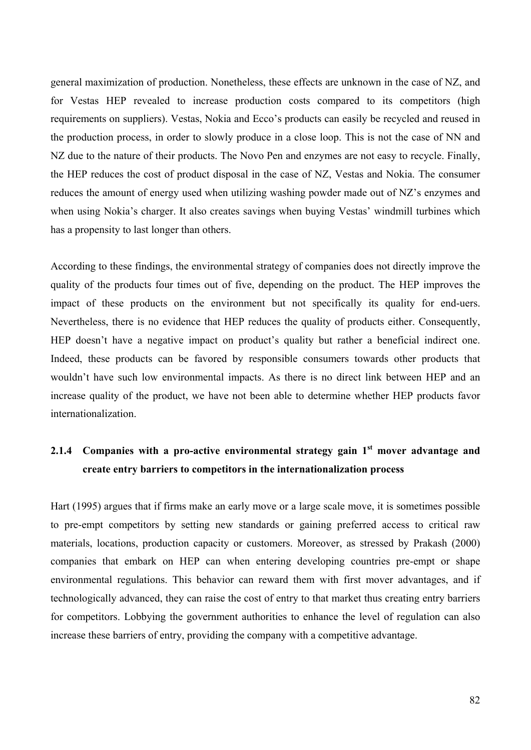general maximization of production. Nonetheless, these effects are unknown in the case of NZ, and for Vestas HEP revealed to increase production costs compared to its competitors (high requirements on suppliers). Vestas, Nokia and Ecco's products can easily be recycled and reused in the production process, in order to slowly produce in a close loop. This is not the case of NN and NZ due to the nature of their products. The Novo Pen and enzymes are not easy to recycle. Finally, the HEP reduces the cost of product disposal in the case of NZ, Vestas and Nokia. The consumer reduces the amount of energy used when utilizing washing powder made out of NZ's enzymes and when using Nokia's charger. It also creates savings when buying Vestas' windmill turbines which has a propensity to last longer than others.

According to these findings, the environmental strategy of companies does not directly improve the quality of the products four times out of five, depending on the product. The HEP improves the impact of these products on the environment but not specifically its quality for end-uers. Nevertheless, there is no evidence that HEP reduces the quality of products either. Consequently, HEP doesn't have a negative impact on product's quality but rather a beneficial indirect one. Indeed, these products can be favored by responsible consumers towards other products that wouldn't have such low environmental impacts. As there is no direct link between HEP and an increase quality of the product, we have not been able to determine whether HEP products favor internationalization.

# **2.1.4** Companies with a pro-active environmental strategy gain 1<sup>st</sup> mover advantage and **create entry barriers to competitors in the internationalization process**

Hart (1995) argues that if firms make an early move or a large scale move, it is sometimes possible to pre-empt competitors by setting new standards or gaining preferred access to critical raw materials, locations, production capacity or customers. Moreover, as stressed by Prakash (2000) companies that embark on HEP can when entering developing countries pre-empt or shape environmental regulations. This behavior can reward them with first mover advantages, and if technologically advanced, they can raise the cost of entry to that market thus creating entry barriers for competitors. Lobbying the government authorities to enhance the level of regulation can also increase these barriers of entry, providing the company with a competitive advantage.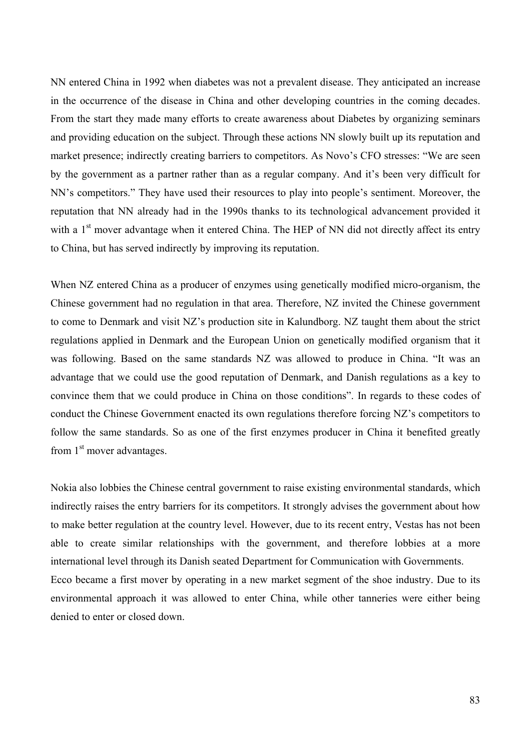NN entered China in 1992 when diabetes was not a prevalent disease. They anticipated an increase in the occurrence of the disease in China and other developing countries in the coming decades. From the start they made many efforts to create awareness about Diabetes by organizing seminars and providing education on the subject. Through these actions NN slowly built up its reputation and market presence; indirectly creating barriers to competitors. As Novo's CFO stresses: "We are seen by the government as a partner rather than as a regular company. And it's been very difficult for NN's competitors." They have used their resources to play into people's sentiment. Moreover, the reputation that NN already had in the 1990s thanks to its technological advancement provided it with a 1<sup>st</sup> mover advantage when it entered China. The HEP of NN did not directly affect its entry to China, but has served indirectly by improving its reputation.

When NZ entered China as a producer of enzymes using genetically modified micro-organism, the Chinese government had no regulation in that area. Therefore, NZ invited the Chinese government to come to Denmark and visit NZ's production site in Kalundborg. NZ taught them about the strict regulations applied in Denmark and the European Union on genetically modified organism that it was following. Based on the same standards NZ was allowed to produce in China. "It was an advantage that we could use the good reputation of Denmark, and Danish regulations as a key to convince them that we could produce in China on those conditions". In regards to these codes of conduct the Chinese Government enacted its own regulations therefore forcing NZ's competitors to follow the same standards. So as one of the first enzymes producer in China it benefited greatly from  $1<sup>st</sup>$  mover advantages.

Nokia also lobbies the Chinese central government to raise existing environmental standards, which indirectly raises the entry barriers for its competitors. It strongly advises the government about how to make better regulation at the country level. However, due to its recent entry, Vestas has not been able to create similar relationships with the government, and therefore lobbies at a more international level through its Danish seated Department for Communication with Governments. Ecco became a first mover by operating in a new market segment of the shoe industry. Due to its environmental approach it was allowed to enter China, while other tanneries were either being

denied to enter or closed down.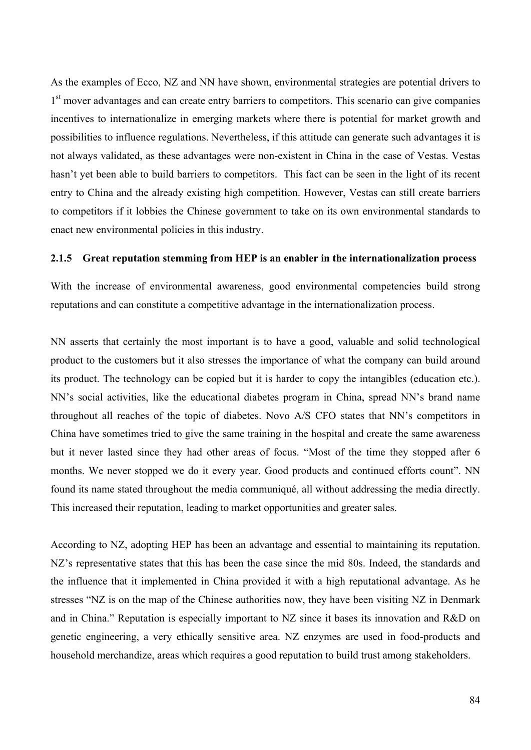As the examples of Ecco, NZ and NN have shown, environmental strategies are potential drivers to 1<sup>st</sup> mover advantages and can create entry barriers to competitors. This scenario can give companies incentives to internationalize in emerging markets where there is potential for market growth and possibilities to influence regulations. Nevertheless, if this attitude can generate such advantages it is not always validated, as these advantages were non-existent in China in the case of Vestas. Vestas hasn't yet been able to build barriers to competitors. This fact can be seen in the light of its recent entry to China and the already existing high competition. However, Vestas can still create barriers to competitors if it lobbies the Chinese government to take on its own environmental standards to enact new environmental policies in this industry.

#### **2.1.5 Great reputation stemming from HEP is an enabler in the internationalization process**

With the increase of environmental awareness, good environmental competencies build strong reputations and can constitute a competitive advantage in the internationalization process.

NN asserts that certainly the most important is to have a good, valuable and solid technological product to the customers but it also stresses the importance of what the company can build around its product. The technology can be copied but it is harder to copy the intangibles (education etc.). NN's social activities, like the educational diabetes program in China, spread NN's brand name throughout all reaches of the topic of diabetes. Novo A/S CFO states that NN's competitors in China have sometimes tried to give the same training in the hospital and create the same awareness but it never lasted since they had other areas of focus. "Most of the time they stopped after 6 months. We never stopped we do it every year. Good products and continued efforts count". NN found its name stated throughout the media communiqué, all without addressing the media directly. This increased their reputation, leading to market opportunities and greater sales.

According to NZ, adopting HEP has been an advantage and essential to maintaining its reputation. NZ's representative states that this has been the case since the mid 80s. Indeed, the standards and the influence that it implemented in China provided it with a high reputational advantage. As he stresses "NZ is on the map of the Chinese authorities now, they have been visiting NZ in Denmark and in China." Reputation is especially important to NZ since it bases its innovation and R&D on genetic engineering, a very ethically sensitive area. NZ enzymes are used in food-products and household merchandize, areas which requires a good reputation to build trust among stakeholders.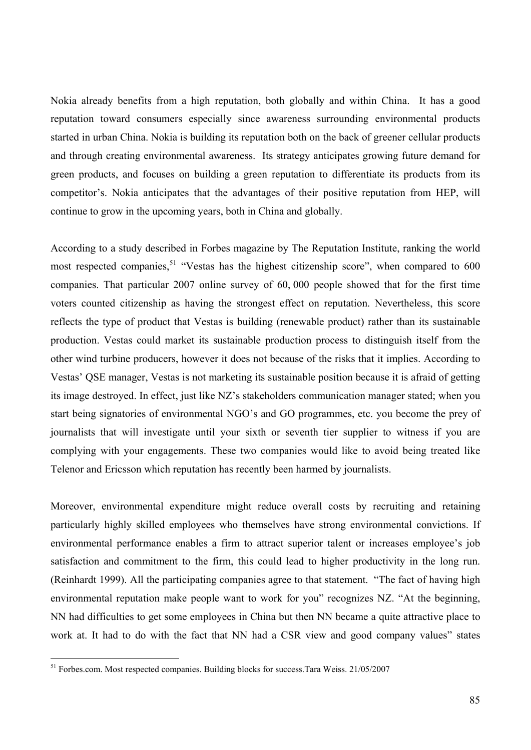Nokia already benefits from a high reputation, both globally and within China. It has a good reputation toward consumers especially since awareness surrounding environmental products started in urban China. Nokia is building its reputation both on the back of greener cellular products and through creating environmental awareness. Its strategy anticipates growing future demand for green products, and focuses on building a green reputation to differentiate its products from its competitor's. Nokia anticipates that the advantages of their positive reputation from HEP, will continue to grow in the upcoming years, both in China and globally.

According to a study described in Forbes magazine by The Reputation Institute, ranking the world most respected companies,  $51$  "Vestas has the highest citizenship score", when compared to 600 companies. That particular 2007 online survey of 60, 000 people showed that for the first time voters counted citizenship as having the strongest effect on reputation. Nevertheless, this score reflects the type of product that Vestas is building (renewable product) rather than its sustainable production. Vestas could market its sustainable production process to distinguish itself from the other wind turbine producers, however it does not because of the risks that it implies. According to Vestas' QSE manager, Vestas is not marketing its sustainable position because it is afraid of getting its image destroyed. In effect, just like NZ's stakeholders communication manager stated; when you start being signatories of environmental NGO's and GO programmes, etc. you become the prey of journalists that will investigate until your sixth or seventh tier supplier to witness if you are complying with your engagements. These two companies would like to avoid being treated like Telenor and Ericsson which reputation has recently been harmed by journalists.

Moreover, environmental expenditure might reduce overall costs by recruiting and retaining particularly highly skilled employees who themselves have strong environmental convictions. If environmental performance enables a firm to attract superior talent or increases employee's job satisfaction and commitment to the firm, this could lead to higher productivity in the long run. (Reinhardt 1999). All the participating companies agree to that statement. "The fact of having high environmental reputation make people want to work for you" recognizes NZ. "At the beginning, NN had difficulties to get some employees in China but then NN became a quite attractive place to work at. It had to do with the fact that NN had a CSR view and good company values" states

 $\overline{a}$ 

<sup>&</sup>lt;sup>51</sup> Forbes.com. Most respected companies. Building blocks for success.Tara Weiss. 21/05/2007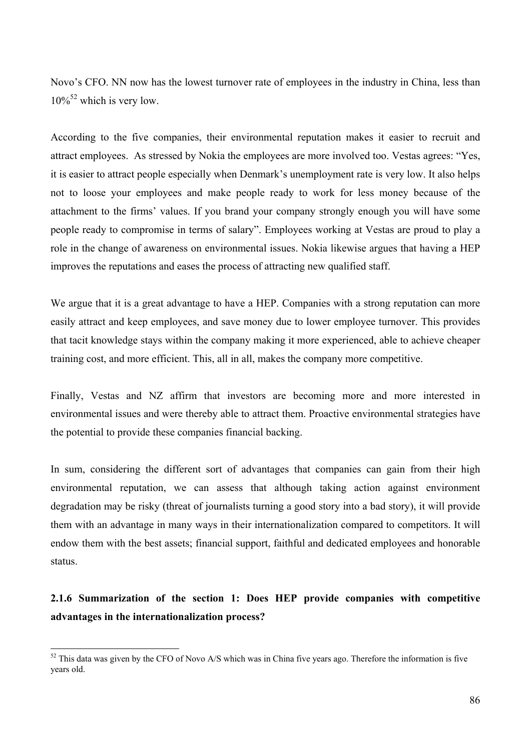Novo's CFO. NN now has the lowest turnover rate of employees in the industry in China, less than  $10\%^{52}$  which is very low.

According to the five companies, their environmental reputation makes it easier to recruit and attract employees. As stressed by Nokia the employees are more involved too. Vestas agrees: "Yes, it is easier to attract people especially when Denmark's unemployment rate is very low. It also helps not to loose your employees and make people ready to work for less money because of the attachment to the firms' values. If you brand your company strongly enough you will have some people ready to compromise in terms of salary". Employees working at Vestas are proud to play a role in the change of awareness on environmental issues. Nokia likewise argues that having a HEP improves the reputations and eases the process of attracting new qualified staff.

We argue that it is a great advantage to have a HEP. Companies with a strong reputation can more easily attract and keep employees, and save money due to lower employee turnover. This provides that tacit knowledge stays within the company making it more experienced, able to achieve cheaper training cost, and more efficient. This, all in all, makes the company more competitive.

Finally, Vestas and NZ affirm that investors are becoming more and more interested in environmental issues and were thereby able to attract them. Proactive environmental strategies have the potential to provide these companies financial backing.

In sum, considering the different sort of advantages that companies can gain from their high environmental reputation, we can assess that although taking action against environment degradation may be risky (threat of journalists turning a good story into a bad story), it will provide them with an advantage in many ways in their internationalization compared to competitors. It will endow them with the best assets; financial support, faithful and dedicated employees and honorable status.

# **2.1.6 Summarization of the section 1: Does HEP provide companies with competitive advantages in the internationalization process?**

 $\overline{a}$ 

 $52$  This data was given by the CFO of Novo A/S which was in China five years ago. Therefore the information is five years old.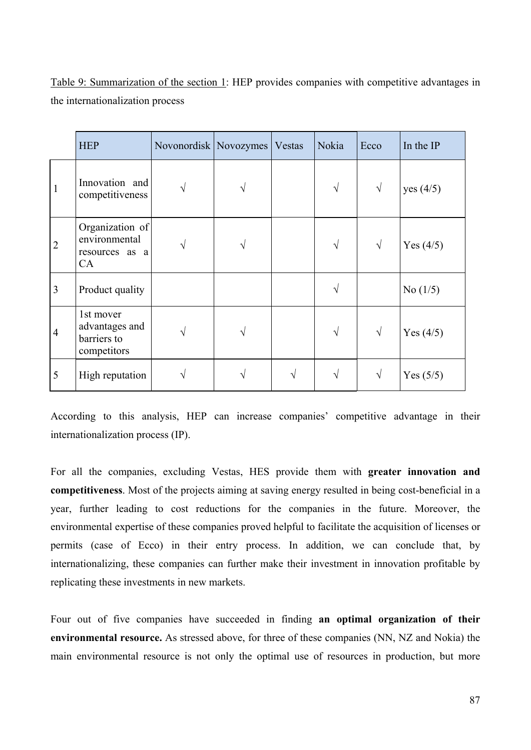|                | <b>HEP</b>                                                | Novonordisk   Novozymes   Vestas |   | Nokia     | Ecco | In the IP   |
|----------------|-----------------------------------------------------------|----------------------------------|---|-----------|------|-------------|
| $\mathbf{1}$   | Innovation and<br>competitiveness                         |                                  | N | $\sqrt{}$ | V    | yes (4/5)   |
| $\overline{2}$ | Organization of<br>environmental<br>resources as a<br>CA  |                                  |   | V         | V    | Yes $(4/5)$ |
| 3              | Product quality                                           |                                  |   |           |      | No $(1/5)$  |
| $\overline{4}$ | 1st mover<br>advantages and<br>barriers to<br>competitors |                                  |   | V         | V    | Yes $(4/5)$ |
| 5              | High reputation                                           |                                  |   | V         | ٦    | Yes $(5/5)$ |

Table 9: Summarization of the section 1: HEP provides companies with competitive advantages in the internationalization process

According to this analysis, HEP can increase companies' competitive advantage in their internationalization process (IP).

For all the companies, excluding Vestas, HES provide them with **greater innovation and competitiveness**. Most of the projects aiming at saving energy resulted in being cost-beneficial in a year, further leading to cost reductions for the companies in the future. Moreover, the environmental expertise of these companies proved helpful to facilitate the acquisition of licenses or permits (case of Ecco) in their entry process. In addition, we can conclude that, by internationalizing, these companies can further make their investment in innovation profitable by replicating these investments in new markets.

Four out of five companies have succeeded in finding **an optimal organization of their environmental resource.** As stressed above, for three of these companies (NN, NZ and Nokia) the main environmental resource is not only the optimal use of resources in production, but more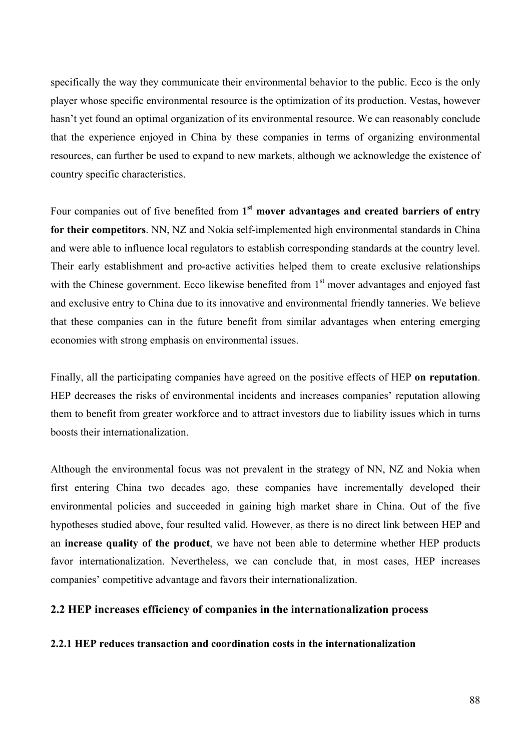specifically the way they communicate their environmental behavior to the public. Ecco is the only player whose specific environmental resource is the optimization of its production. Vestas, however hasn't yet found an optimal organization of its environmental resource. We can reasonably conclude that the experience enjoyed in China by these companies in terms of organizing environmental resources, can further be used to expand to new markets, although we acknowledge the existence of country specific characteristics.

Four companies out of five benefited from 1<sup>st</sup> mover advantages and created barriers of entry **for their competitors**. NN, NZ and Nokia self-implemented high environmental standards in China and were able to influence local regulators to establish corresponding standards at the country level. Their early establishment and pro-active activities helped them to create exclusive relationships with the Chinese government. Ecco likewise benefited from 1<sup>st</sup> mover advantages and enjoyed fast and exclusive entry to China due to its innovative and environmental friendly tanneries. We believe that these companies can in the future benefit from similar advantages when entering emerging economies with strong emphasis on environmental issues.

Finally, all the participating companies have agreed on the positive effects of HEP **on reputation**. HEP decreases the risks of environmental incidents and increases companies' reputation allowing them to benefit from greater workforce and to attract investors due to liability issues which in turns boosts their internationalization.

Although the environmental focus was not prevalent in the strategy of NN, NZ and Nokia when first entering China two decades ago, these companies have incrementally developed their environmental policies and succeeded in gaining high market share in China. Out of the five hypotheses studied above, four resulted valid. However, as there is no direct link between HEP and an **increase quality of the product**, we have not been able to determine whether HEP products favor internationalization. Nevertheless, we can conclude that, in most cases, HEP increases companies' competitive advantage and favors their internationalization.

### **2.2 HEP increases efficiency of companies in the internationalization process**

### **2.2.1 HEP reduces transaction and coordination costs in the internationalization**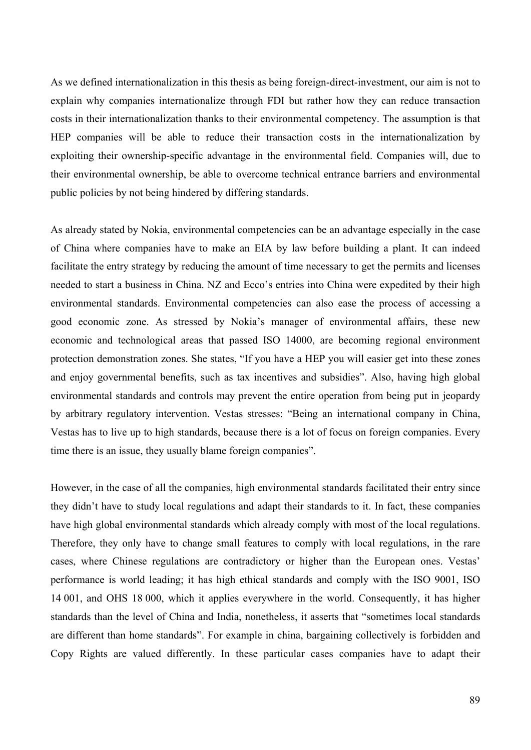As we defined internationalization in this thesis as being foreign-direct-investment, our aim is not to explain why companies internationalize through FDI but rather how they can reduce transaction costs in their internationalization thanks to their environmental competency. The assumption is that HEP companies will be able to reduce their transaction costs in the internationalization by exploiting their ownership-specific advantage in the environmental field. Companies will, due to their environmental ownership, be able to overcome technical entrance barriers and environmental public policies by not being hindered by differing standards.

As already stated by Nokia, environmental competencies can be an advantage especially in the case of China where companies have to make an EIA by law before building a plant. It can indeed facilitate the entry strategy by reducing the amount of time necessary to get the permits and licenses needed to start a business in China. NZ and Ecco's entries into China were expedited by their high environmental standards. Environmental competencies can also ease the process of accessing a good economic zone. As stressed by Nokia's manager of environmental affairs, these new economic and technological areas that passed ISO 14000, are becoming regional environment protection demonstration zones. She states, "If you have a HEP you will easier get into these zones and enjoy governmental benefits, such as tax incentives and subsidies". Also, having high global environmental standards and controls may prevent the entire operation from being put in jeopardy by arbitrary regulatory intervention. Vestas stresses: "Being an international company in China, Vestas has to live up to high standards, because there is a lot of focus on foreign companies. Every time there is an issue, they usually blame foreign companies".

However, in the case of all the companies, high environmental standards facilitated their entry since they didn't have to study local regulations and adapt their standards to it. In fact, these companies have high global environmental standards which already comply with most of the local regulations. Therefore, they only have to change small features to comply with local regulations, in the rare cases, where Chinese regulations are contradictory or higher than the European ones. Vestas' performance is world leading; it has high ethical standards and comply with the ISO 9001, ISO 14 001, and OHS 18 000, which it applies everywhere in the world. Consequently, it has higher standards than the level of China and India, nonetheless, it asserts that "sometimes local standards are different than home standards". For example in china, bargaining collectively is forbidden and Copy Rights are valued differently. In these particular cases companies have to adapt their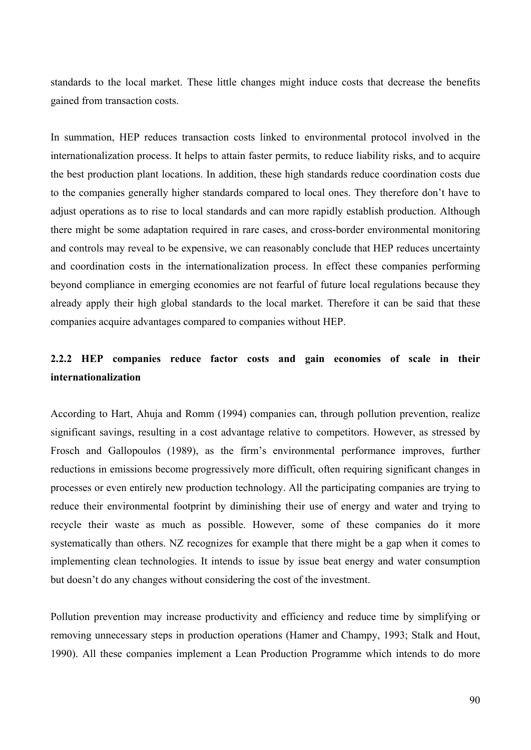standards to the local market. These little changes might induce costs that decrease the benefits gained from transaction costs.

In summation, HEP reduces transaction costs linked to environmental protocol involved in the internationalization process. It helps to attain faster permits, to reduce liability risks, and to acquire the best production plant locations. In addition, these high standards reduce coordination costs due to the companies generally higher standards compared to local ones. They therefore don't have to adjust operations as to rise to local standards and can more rapidly establish production. Although there might be some adaptation required in rare cases, and cross-border environmental monitoring and controls may reveal to be expensive, we can reasonably conclude that HEP reduces uncertainty and coordination costs in the internationalization process. In effect these companies performing beyond compliance in emerging economies are not fearful of future local regulations because they already apply their high global standards to the local market. Therefore it can be said that these companies acquire advantages compared to companies without HEP.

# **2.2.2 HEP companies reduce factor costs and gain economies of scale in their internationalization**

According to Hart, Ahuja and Romm (1994) companies can, through pollution prevention, realize significant savings, resulting in a cost advantage relative to competitors. However, as stressed by Frosch and Gallopoulos (1989), as the firm's environmental performance improves, further reductions in emissions become progressively more difficult, often requiring significant changes in processes or even entirely new production technology. All the participating companies are trying to reduce their environmental footprint by diminishing their use of energy and water and trying to recycle their waste as much as possible. However, some of these companies do it more systematically than others. NZ recognizes for example that there might be a gap when it comes to implementing clean technologies. It intends to issue by issue beat energy and water consumption but doesn't do any changes without considering the cost of the investment.

Pollution prevention may increase productivity and efficiency and reduce time by simplifying or removing unnecessary steps in production operations (Hamer and Champy, 1993; Stalk and Hout, 1990). All these companies implement a Lean Production Programme which intends to do more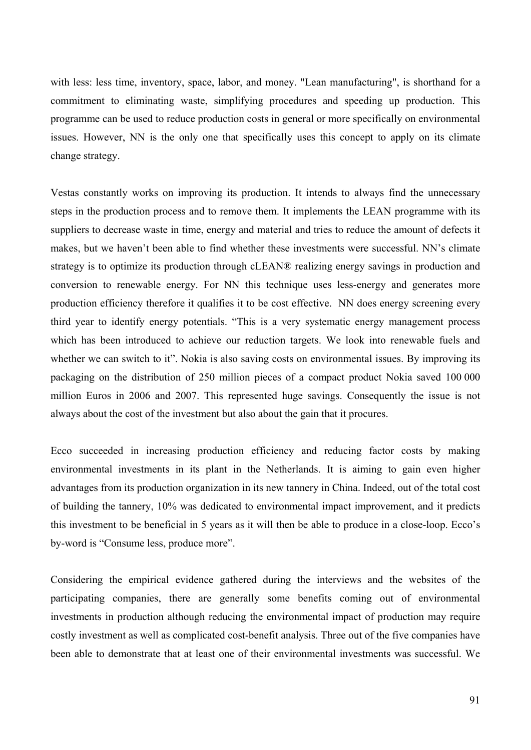with less: less time, inventory, space, labor, and money. "Lean manufacturing", is shorthand for a commitment to eliminating waste, simplifying procedures and speeding up production. This programme can be used to reduce production costs in general or more specifically on environmental issues. However, NN is the only one that specifically uses this concept to apply on its climate change strategy.

Vestas constantly works on improving its production. It intends to always find the unnecessary steps in the production process and to remove them. It implements the LEAN programme with its suppliers to decrease waste in time, energy and material and tries to reduce the amount of defects it makes, but we haven't been able to find whether these investments were successful. NN's climate strategy is to optimize its production through cLEAN® realizing energy savings in production and conversion to renewable energy. For NN this technique uses less-energy and generates more production efficiency therefore it qualifies it to be cost effective. NN does energy screening every third year to identify energy potentials. "This is a very systematic energy management process which has been introduced to achieve our reduction targets. We look into renewable fuels and whether we can switch to it". Nokia is also saving costs on environmental issues. By improving its packaging on the distribution of 250 million pieces of a compact product Nokia saved 100 000 million Euros in 2006 and 2007. This represented huge savings. Consequently the issue is not always about the cost of the investment but also about the gain that it procures.

Ecco succeeded in increasing production efficiency and reducing factor costs by making environmental investments in its plant in the Netherlands. It is aiming to gain even higher advantages from its production organization in its new tannery in China. Indeed, out of the total cost of building the tannery, 10% was dedicated to environmental impact improvement, and it predicts this investment to be beneficial in 5 years as it will then be able to produce in a close-loop. Ecco's by-word is "Consume less, produce more".

Considering the empirical evidence gathered during the interviews and the websites of the participating companies, there are generally some benefits coming out of environmental investments in production although reducing the environmental impact of production may require costly investment as well as complicated cost-benefit analysis. Three out of the five companies have been able to demonstrate that at least one of their environmental investments was successful. We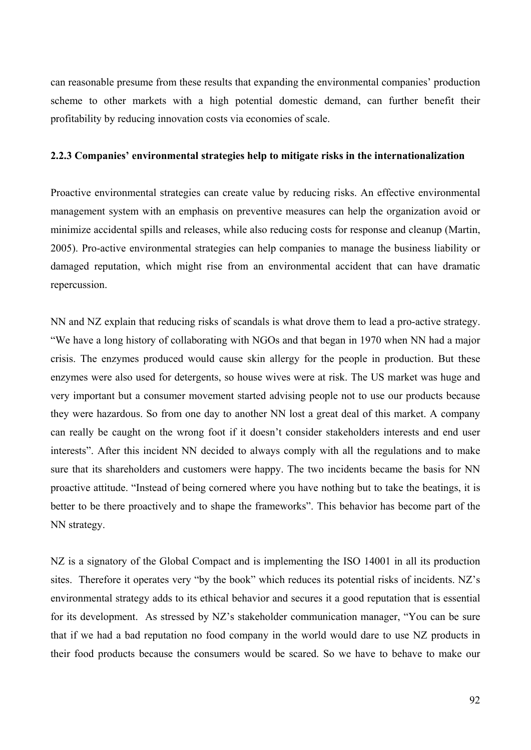can reasonable presume from these results that expanding the environmental companies' production scheme to other markets with a high potential domestic demand, can further benefit their profitability by reducing innovation costs via economies of scale.

#### **2.2.3 Companies' environmental strategies help to mitigate risks in the internationalization**

Proactive environmental strategies can create value by reducing risks. An effective environmental management system with an emphasis on preventive measures can help the organization avoid or minimize accidental spills and releases, while also reducing costs for response and cleanup (Martin, 2005). Pro-active environmental strategies can help companies to manage the business liability or damaged reputation, which might rise from an environmental accident that can have dramatic repercussion.

NN and NZ explain that reducing risks of scandals is what drove them to lead a pro-active strategy. "We have a long history of collaborating with NGOs and that began in 1970 when NN had a major crisis. The enzymes produced would cause skin allergy for the people in production. But these enzymes were also used for detergents, so house wives were at risk. The US market was huge and very important but a consumer movement started advising people not to use our products because they were hazardous. So from one day to another NN lost a great deal of this market. A company can really be caught on the wrong foot if it doesn't consider stakeholders interests and end user interests". After this incident NN decided to always comply with all the regulations and to make sure that its shareholders and customers were happy. The two incidents became the basis for NN proactive attitude. "Instead of being cornered where you have nothing but to take the beatings, it is better to be there proactively and to shape the frameworks". This behavior has become part of the NN strategy.

NZ is a signatory of the Global Compact and is implementing the ISO 14001 in all its production sites. Therefore it operates very "by the book" which reduces its potential risks of incidents. NZ's environmental strategy adds to its ethical behavior and secures it a good reputation that is essential for its development. As stressed by NZ's stakeholder communication manager, "You can be sure that if we had a bad reputation no food company in the world would dare to use NZ products in their food products because the consumers would be scared. So we have to behave to make our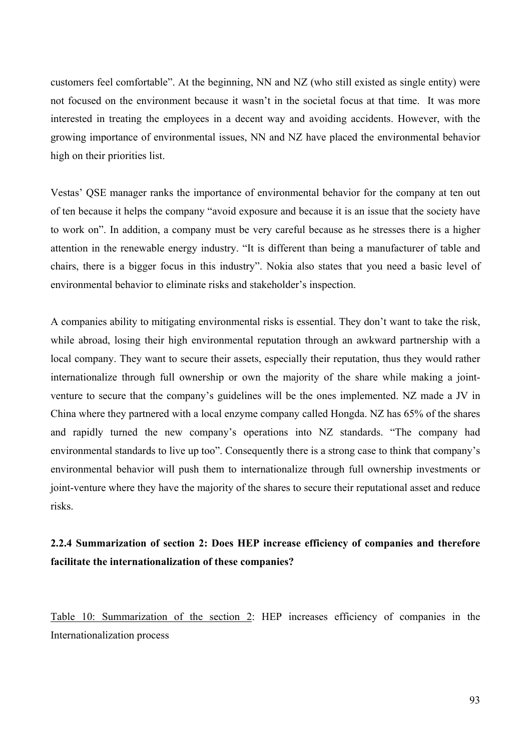customers feel comfortable". At the beginning, NN and NZ (who still existed as single entity) were not focused on the environment because it wasn't in the societal focus at that time. It was more interested in treating the employees in a decent way and avoiding accidents. However, with the growing importance of environmental issues, NN and NZ have placed the environmental behavior high on their priorities list.

Vestas' QSE manager ranks the importance of environmental behavior for the company at ten out of ten because it helps the company "avoid exposure and because it is an issue that the society have to work on". In addition, a company must be very careful because as he stresses there is a higher attention in the renewable energy industry. "It is different than being a manufacturer of table and chairs, there is a bigger focus in this industry". Nokia also states that you need a basic level of environmental behavior to eliminate risks and stakeholder's inspection.

A companies ability to mitigating environmental risks is essential. They don't want to take the risk, while abroad, losing their high environmental reputation through an awkward partnership with a local company. They want to secure their assets, especially their reputation, thus they would rather internationalize through full ownership or own the majority of the share while making a jointventure to secure that the company's guidelines will be the ones implemented. NZ made a JV in China where they partnered with a local enzyme company called Hongda. NZ has 65% of the shares and rapidly turned the new company's operations into NZ standards. "The company had environmental standards to live up too". Consequently there is a strong case to think that company's environmental behavior will push them to internationalize through full ownership investments or joint-venture where they have the majority of the shares to secure their reputational asset and reduce risks.

## **2.2.4 Summarization of section 2: Does HEP increase efficiency of companies and therefore facilitate the internationalization of these companies?**

Table 10: Summarization of the section 2: HEP increases efficiency of companies in the Internationalization process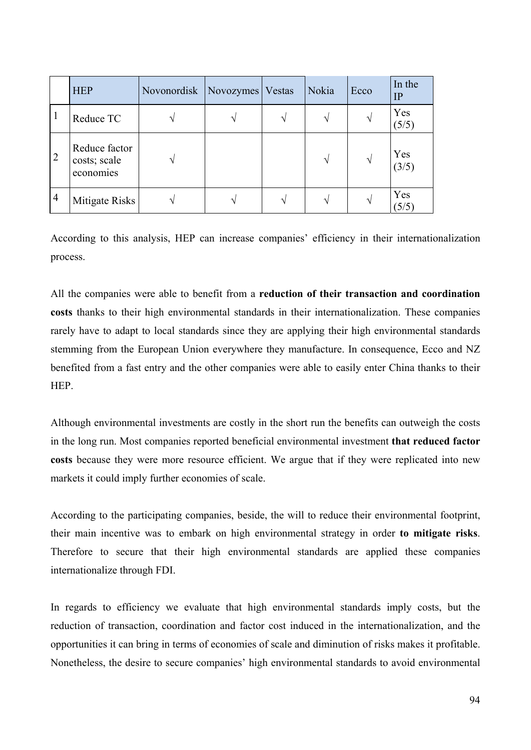|                | <b>HEP</b>                                 | Novonordisk | Novozymes | Vestas | Nokia         | Ecco | In the<br>IP |
|----------------|--------------------------------------------|-------------|-----------|--------|---------------|------|--------------|
| -1             | Reduce TC                                  |             |           | ٦      |               |      | Yes<br>(5/5) |
| $\overline{2}$ | Reduce factor<br>costs; scale<br>economies |             |           |        | $\mathcal{N}$ | V    | Yes<br>(3/5) |
| $\overline{4}$ | Mitigate Risks                             |             |           |        |               | ٦    | Yes<br>(5/5) |

According to this analysis, HEP can increase companies' efficiency in their internationalization process.

All the companies were able to benefit from a **reduction of their transaction and coordination costs** thanks to their high environmental standards in their internationalization. These companies rarely have to adapt to local standards since they are applying their high environmental standards stemming from the European Union everywhere they manufacture. In consequence, Ecco and NZ benefited from a fast entry and the other companies were able to easily enter China thanks to their HEP.

Although environmental investments are costly in the short run the benefits can outweigh the costs in the long run. Most companies reported beneficial environmental investment **that reduced factor costs** because they were more resource efficient. We argue that if they were replicated into new markets it could imply further economies of scale.

According to the participating companies, beside, the will to reduce their environmental footprint, their main incentive was to embark on high environmental strategy in order **to mitigate risks**. Therefore to secure that their high environmental standards are applied these companies internationalize through FDI.

In regards to efficiency we evaluate that high environmental standards imply costs, but the reduction of transaction, coordination and factor cost induced in the internationalization, and the opportunities it can bring in terms of economies of scale and diminution of risks makes it profitable. Nonetheless, the desire to secure companies' high environmental standards to avoid environmental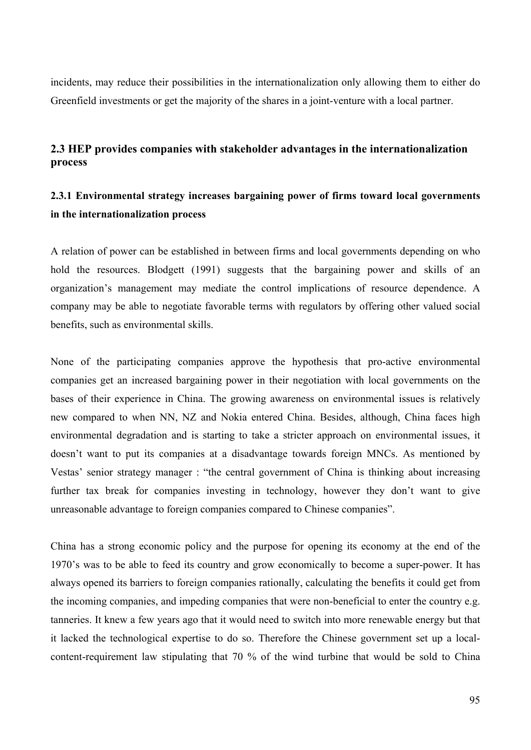incidents, may reduce their possibilities in the internationalization only allowing them to either do Greenfield investments or get the majority of the shares in a joint-venture with a local partner.

### **2.3 HEP provides companies with stakeholder advantages in the internationalization process**

## **2.3.1 Environmental strategy increases bargaining power of firms toward local governments in the internationalization process**

A relation of power can be established in between firms and local governments depending on who hold the resources. Blodgett (1991) suggests that the bargaining power and skills of an organization's management may mediate the control implications of resource dependence. A company may be able to negotiate favorable terms with regulators by offering other valued social benefits, such as environmental skills.

None of the participating companies approve the hypothesis that pro-active environmental companies get an increased bargaining power in their negotiation with local governments on the bases of their experience in China. The growing awareness on environmental issues is relatively new compared to when NN, NZ and Nokia entered China. Besides, although, China faces high environmental degradation and is starting to take a stricter approach on environmental issues, it doesn't want to put its companies at a disadvantage towards foreign MNCs. As mentioned by Vestas' senior strategy manager : "the central government of China is thinking about increasing further tax break for companies investing in technology, however they don't want to give unreasonable advantage to foreign companies compared to Chinese companies".

China has a strong economic policy and the purpose for opening its economy at the end of the 1970's was to be able to feed its country and grow economically to become a super-power. It has always opened its barriers to foreign companies rationally, calculating the benefits it could get from the incoming companies, and impeding companies that were non-beneficial to enter the country e.g. tanneries. It knew a few years ago that it would need to switch into more renewable energy but that it lacked the technological expertise to do so. Therefore the Chinese government set up a localcontent-requirement law stipulating that 70 % of the wind turbine that would be sold to China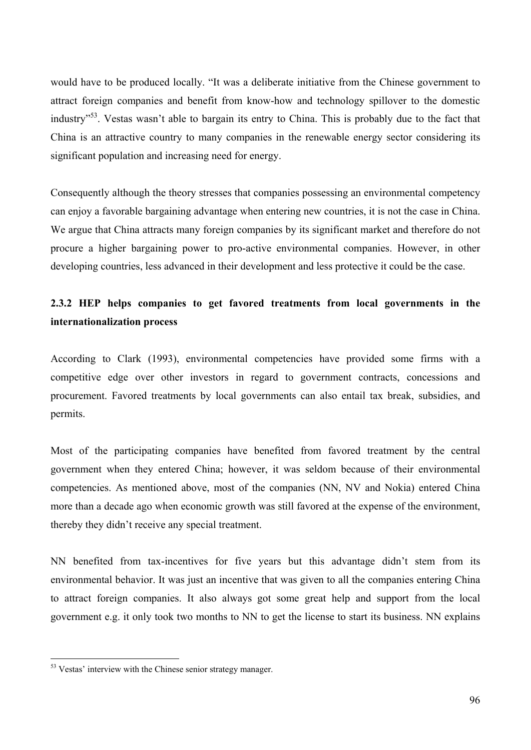would have to be produced locally. "It was a deliberate initiative from the Chinese government to attract foreign companies and benefit from know-how and technology spillover to the domestic industry"53. Vestas wasn't able to bargain its entry to China. This is probably due to the fact that China is an attractive country to many companies in the renewable energy sector considering its significant population and increasing need for energy.

Consequently although the theory stresses that companies possessing an environmental competency can enjoy a favorable bargaining advantage when entering new countries, it is not the case in China. We argue that China attracts many foreign companies by its significant market and therefore do not procure a higher bargaining power to pro-active environmental companies. However, in other developing countries, less advanced in their development and less protective it could be the case.

## **2.3.2 HEP helps companies to get favored treatments from local governments in the internationalization process**

According to Clark (1993), environmental competencies have provided some firms with a competitive edge over other investors in regard to government contracts, concessions and procurement. Favored treatments by local governments can also entail tax break, subsidies, and permits.

Most of the participating companies have benefited from favored treatment by the central government when they entered China; however, it was seldom because of their environmental competencies. As mentioned above, most of the companies (NN, NV and Nokia) entered China more than a decade ago when economic growth was still favored at the expense of the environment, thereby they didn't receive any special treatment.

NN benefited from tax-incentives for five years but this advantage didn't stem from its environmental behavior. It was just an incentive that was given to all the companies entering China to attract foreign companies. It also always got some great help and support from the local government e.g. it only took two months to NN to get the license to start its business. NN explains

 $\overline{a}$ 

<sup>&</sup>lt;sup>53</sup> Vestas' interview with the Chinese senior strategy manager.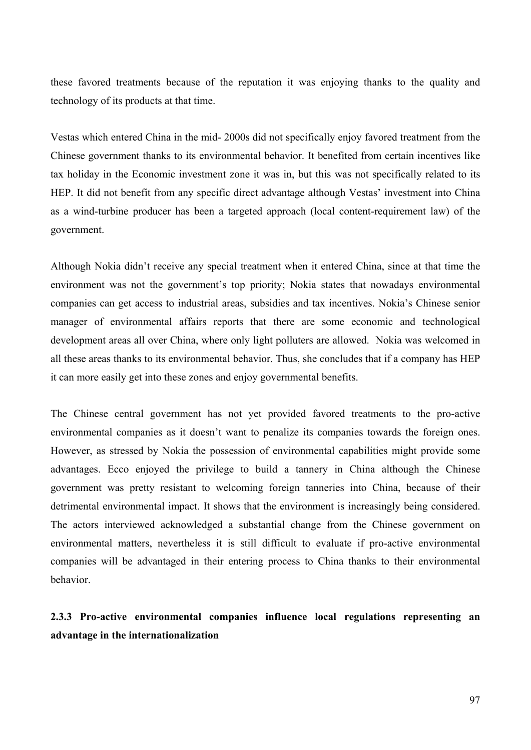these favored treatments because of the reputation it was enjoying thanks to the quality and technology of its products at that time.

Vestas which entered China in the mid- 2000s did not specifically enjoy favored treatment from the Chinese government thanks to its environmental behavior. It benefited from certain incentives like tax holiday in the Economic investment zone it was in, but this was not specifically related to its HEP. It did not benefit from any specific direct advantage although Vestas' investment into China as a wind-turbine producer has been a targeted approach (local content-requirement law) of the government.

Although Nokia didn't receive any special treatment when it entered China, since at that time the environment was not the government's top priority; Nokia states that nowadays environmental companies can get access to industrial areas, subsidies and tax incentives. Nokia's Chinese senior manager of environmental affairs reports that there are some economic and technological development areas all over China, where only light polluters are allowed. Nokia was welcomed in all these areas thanks to its environmental behavior. Thus, she concludes that if a company has HEP it can more easily get into these zones and enjoy governmental benefits.

The Chinese central government has not yet provided favored treatments to the pro-active environmental companies as it doesn't want to penalize its companies towards the foreign ones. However, as stressed by Nokia the possession of environmental capabilities might provide some advantages. Ecco enjoyed the privilege to build a tannery in China although the Chinese government was pretty resistant to welcoming foreign tanneries into China, because of their detrimental environmental impact. It shows that the environment is increasingly being considered. The actors interviewed acknowledged a substantial change from the Chinese government on environmental matters, nevertheless it is still difficult to evaluate if pro-active environmental companies will be advantaged in their entering process to China thanks to their environmental behavior.

# **2.3.3 Pro-active environmental companies influence local regulations representing an advantage in the internationalization**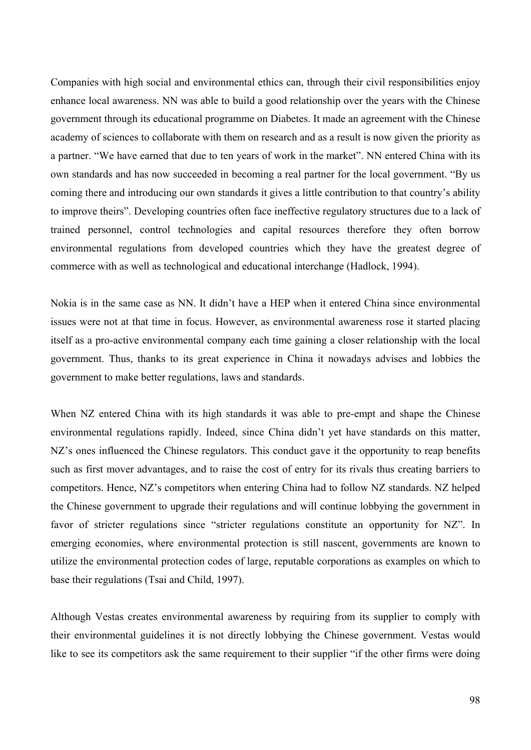Companies with high social and environmental ethics can, through their civil responsibilities enjoy enhance local awareness. NN was able to build a good relationship over the years with the Chinese government through its educational programme on Diabetes. It made an agreement with the Chinese academy of sciences to collaborate with them on research and as a result is now given the priority as a partner. "We have earned that due to ten years of work in the market". NN entered China with its own standards and has now succeeded in becoming a real partner for the local government. "By us coming there and introducing our own standards it gives a little contribution to that country's ability to improve theirs". Developing countries often face ineffective regulatory structures due to a lack of trained personnel, control technologies and capital resources therefore they often borrow environmental regulations from developed countries which they have the greatest degree of commerce with as well as technological and educational interchange (Hadlock, 1994).

Nokia is in the same case as NN. It didn't have a HEP when it entered China since environmental issues were not at that time in focus. However, as environmental awareness rose it started placing itself as a pro-active environmental company each time gaining a closer relationship with the local government. Thus, thanks to its great experience in China it nowadays advises and lobbies the government to make better regulations, laws and standards.

When NZ entered China with its high standards it was able to pre-empt and shape the Chinese environmental regulations rapidly. Indeed, since China didn't yet have standards on this matter, NZ's ones influenced the Chinese regulators. This conduct gave it the opportunity to reap benefits such as first mover advantages, and to raise the cost of entry for its rivals thus creating barriers to competitors. Hence, NZ's competitors when entering China had to follow NZ standards. NZ helped the Chinese government to upgrade their regulations and will continue lobbying the government in favor of stricter regulations since "stricter regulations constitute an opportunity for NZ". In emerging economies, where environmental protection is still nascent, governments are known to utilize the environmental protection codes of large, reputable corporations as examples on which to base their regulations (Tsai and Child, 1997).

Although Vestas creates environmental awareness by requiring from its supplier to comply with their environmental guidelines it is not directly lobbying the Chinese government. Vestas would like to see its competitors ask the same requirement to their supplier "if the other firms were doing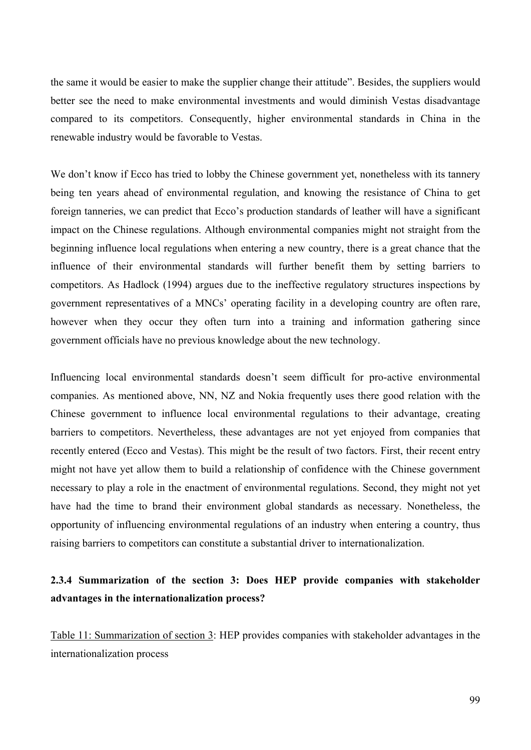the same it would be easier to make the supplier change their attitude". Besides, the suppliers would better see the need to make environmental investments and would diminish Vestas disadvantage compared to its competitors. Consequently, higher environmental standards in China in the renewable industry would be favorable to Vestas.

We don't know if Ecco has tried to lobby the Chinese government yet, nonetheless with its tannery being ten years ahead of environmental regulation, and knowing the resistance of China to get foreign tanneries, we can predict that Ecco's production standards of leather will have a significant impact on the Chinese regulations. Although environmental companies might not straight from the beginning influence local regulations when entering a new country, there is a great chance that the influence of their environmental standards will further benefit them by setting barriers to competitors. As Hadlock (1994) argues due to the ineffective regulatory structures inspections by government representatives of a MNCs' operating facility in a developing country are often rare, however when they occur they often turn into a training and information gathering since government officials have no previous knowledge about the new technology.

Influencing local environmental standards doesn't seem difficult for pro-active environmental companies. As mentioned above, NN, NZ and Nokia frequently uses there good relation with the Chinese government to influence local environmental regulations to their advantage, creating barriers to competitors. Nevertheless, these advantages are not yet enjoyed from companies that recently entered (Ecco and Vestas). This might be the result of two factors. First, their recent entry might not have yet allow them to build a relationship of confidence with the Chinese government necessary to play a role in the enactment of environmental regulations. Second, they might not yet have had the time to brand their environment global standards as necessary. Nonetheless, the opportunity of influencing environmental regulations of an industry when entering a country, thus raising barriers to competitors can constitute a substantial driver to internationalization.

## **2.3.4 Summarization of the section 3: Does HEP provide companies with stakeholder advantages in the internationalization process?**

Table 11: Summarization of section 3: HEP provides companies with stakeholder advantages in the internationalization process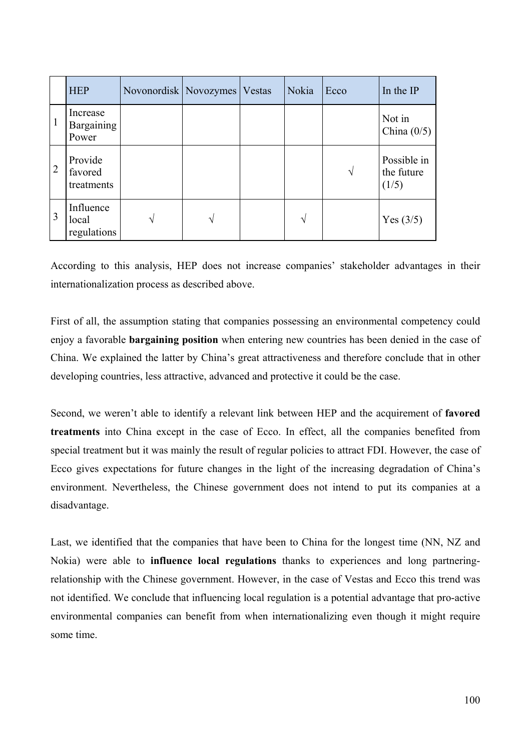|                | <b>HEP</b>                             | Novonordisk   Novozymes   Vestas |   | Nokia         | Ecco | In the IP                          |
|----------------|----------------------------------------|----------------------------------|---|---------------|------|------------------------------------|
| $\mathbf{1}$   | Increase<br><b>Bargaining</b><br>Power |                                  |   |               |      | Not in<br>China $(0/5)$            |
| $\overline{2}$ | Provide<br>favored<br>treatments       |                                  |   |               | V    | Possible in<br>the future<br>(1/5) |
| 3              | Influence<br>local<br>regulations      | $\sqrt{ }$                       | N | $\mathcal{N}$ |      | Yes $(3/5)$                        |

According to this analysis, HEP does not increase companies' stakeholder advantages in their internationalization process as described above.

First of all, the assumption stating that companies possessing an environmental competency could enjoy a favorable **bargaining position** when entering new countries has been denied in the case of China. We explained the latter by China's great attractiveness and therefore conclude that in other developing countries, less attractive, advanced and protective it could be the case.

Second, we weren't able to identify a relevant link between HEP and the acquirement of **favored treatments** into China except in the case of Ecco. In effect, all the companies benefited from special treatment but it was mainly the result of regular policies to attract FDI. However, the case of Ecco gives expectations for future changes in the light of the increasing degradation of China's environment. Nevertheless, the Chinese government does not intend to put its companies at a disadvantage.

Last, we identified that the companies that have been to China for the longest time (NN, NZ and Nokia) were able to **influence local regulations** thanks to experiences and long partneringrelationship with the Chinese government. However, in the case of Vestas and Ecco this trend was not identified. We conclude that influencing local regulation is a potential advantage that pro-active environmental companies can benefit from when internationalizing even though it might require some time.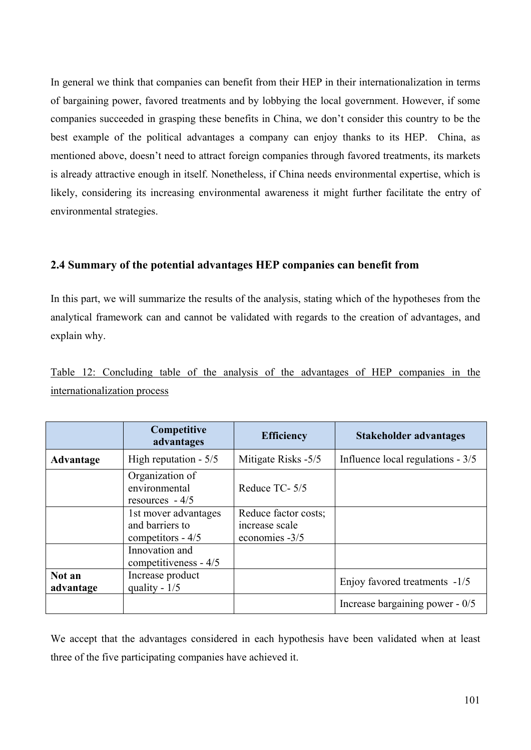In general we think that companies can benefit from their HEP in their internationalization in terms of bargaining power, favored treatments and by lobbying the local government. However, if some companies succeeded in grasping these benefits in China, we don't consider this country to be the best example of the political advantages a company can enjoy thanks to its HEP. China, as mentioned above, doesn't need to attract foreign companies through favored treatments, its markets is already attractive enough in itself. Nonetheless, if China needs environmental expertise, which is likely, considering its increasing environmental awareness it might further facilitate the entry of environmental strategies.

### **2.4 Summary of the potential advantages HEP companies can benefit from**

In this part, we will summarize the results of the analysis, stating which of the hypotheses from the analytical framework can and cannot be validated with regards to the creation of advantages, and explain why.

|  | Table 12: Concluding table of the analysis of the advantages of HEP companies in the |  |  |  |  |  |  |
|--|--------------------------------------------------------------------------------------|--|--|--|--|--|--|
|  | internationalization process                                                         |  |  |  |  |  |  |

|                     | Competitive<br>advantages                                      | <b>Efficiency</b>                                        | Stakeholder advantages            |
|---------------------|----------------------------------------------------------------|----------------------------------------------------------|-----------------------------------|
| Advantage           | High reputation $-5/5$                                         | Mitigate Risks -5/5                                      | Influence local regulations - 3/5 |
|                     | Organization of<br>environmental<br>resources $-4/5$           | Reduce TC-5/5                                            |                                   |
|                     | 1st mover advantages<br>and barriers to<br>competitors - $4/5$ | Reduce factor costs;<br>increase scale<br>economies -3/5 |                                   |
|                     | Innovation and<br>competitiveness - 4/5                        |                                                          |                                   |
| Not an<br>advantage | Increase product<br>quality - $1/5$                            |                                                          | Enjoy favored treatments -1/5     |
|                     |                                                                |                                                          | Increase bargaining power - 0/5   |

We accept that the advantages considered in each hypothesis have been validated when at least three of the five participating companies have achieved it.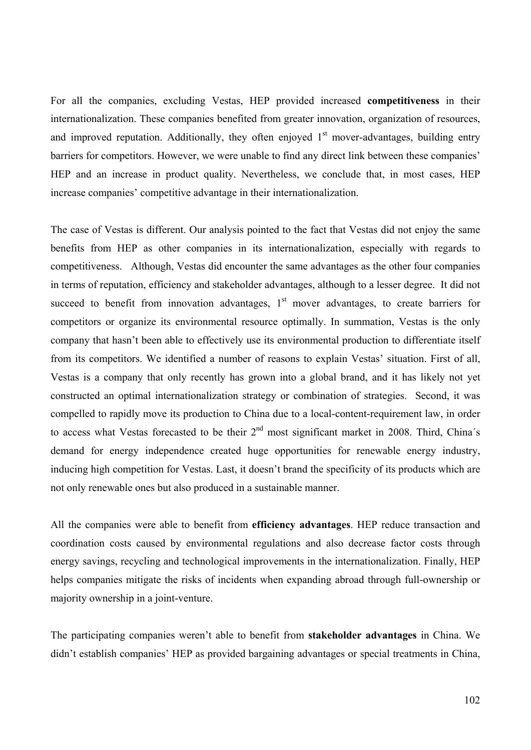For all the companies, excluding Vestas, HEP provided increased **competitiveness** in their internationalization. These companies benefited from greater innovation, organization of resources, and improved reputation. Additionally, they often enjoyed  $1<sup>st</sup>$  mover-advantages, building entry barriers for competitors. However, we were unable to find any direct link between these companies' HEP and an increase in product quality. Nevertheless, we conclude that, in most cases, HEP increase companies' competitive advantage in their internationalization.

The case of Vestas is different. Our analysis pointed to the fact that Vestas did not enjoy the same benefits from HEP as other companies in its internationalization, especially with regards to competitiveness. Although, Vestas did encounter the same advantages as the other four companies in terms of reputation, efficiency and stakeholder advantages, although to a lesser degree. It did not succeed to benefit from innovation advantages,  $1<sup>st</sup>$  mover advantages, to create barriers for competitors or organize its environmental resource optimally. In summation, Vestas is the only company that hasn't been able to effectively use its environmental production to differentiate itself from its competitors. We identified a number of reasons to explain Vestas' situation. First of all, Vestas is a company that only recently has grown into a global brand, and it has likely not yet constructed an optimal internationalization strategy or combination of strategies. Second, it was compelled to rapidly move its production to China due to a local-content-requirement law, in order to access what Vestas forecasted to be their  $2<sup>nd</sup>$  most significant market in 2008. Third, China's demand for energy independence created huge opportunities for renewable energy industry, inducing high competition for Vestas. Last, it doesn't brand the specificity of its products which are not only renewable ones but also produced in a sustainable manner.

All the companies were able to benefit from **efficiency advantages**. HEP reduce transaction and coordination costs caused by environmental regulations and also decrease factor costs through energy savings, recycling and technological improvements in the internationalization. Finally, HEP helps companies mitigate the risks of incidents when expanding abroad through full-ownership or majority ownership in a joint-venture.

The participating companies weren't able to benefit from **stakeholder advantages** in China. We didn't establish companies' HEP as provided bargaining advantages or special treatments in China,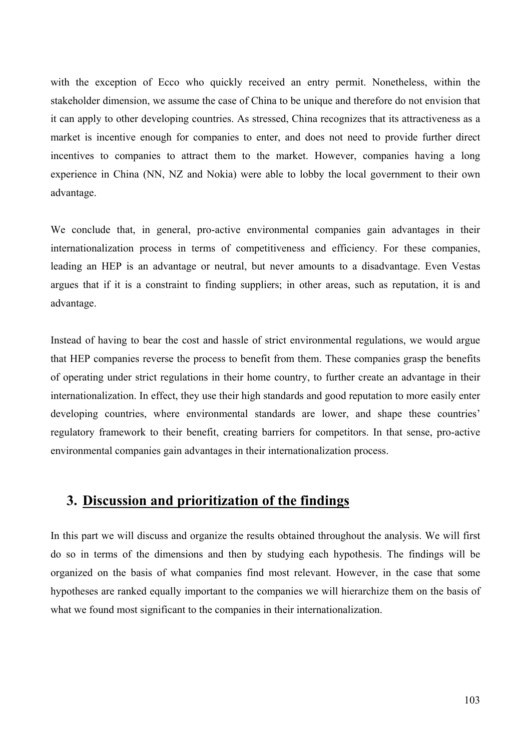with the exception of Ecco who quickly received an entry permit. Nonetheless, within the stakeholder dimension, we assume the case of China to be unique and therefore do not envision that it can apply to other developing countries. As stressed, China recognizes that its attractiveness as a market is incentive enough for companies to enter, and does not need to provide further direct incentives to companies to attract them to the market. However, companies having a long experience in China (NN, NZ and Nokia) were able to lobby the local government to their own advantage.

We conclude that, in general, pro-active environmental companies gain advantages in their internationalization process in terms of competitiveness and efficiency. For these companies, leading an HEP is an advantage or neutral, but never amounts to a disadvantage. Even Vestas argues that if it is a constraint to finding suppliers; in other areas, such as reputation, it is and advantage.

Instead of having to bear the cost and hassle of strict environmental regulations, we would argue that HEP companies reverse the process to benefit from them. These companies grasp the benefits of operating under strict regulations in their home country, to further create an advantage in their internationalization. In effect, they use their high standards and good reputation to more easily enter developing countries, where environmental standards are lower, and shape these countries' regulatory framework to their benefit, creating barriers for competitors. In that sense, pro-active environmental companies gain advantages in their internationalization process.

# **3. Discussion and prioritization of the findings**

In this part we will discuss and organize the results obtained throughout the analysis. We will first do so in terms of the dimensions and then by studying each hypothesis. The findings will be organized on the basis of what companies find most relevant. However, in the case that some hypotheses are ranked equally important to the companies we will hierarchize them on the basis of what we found most significant to the companies in their internationalization.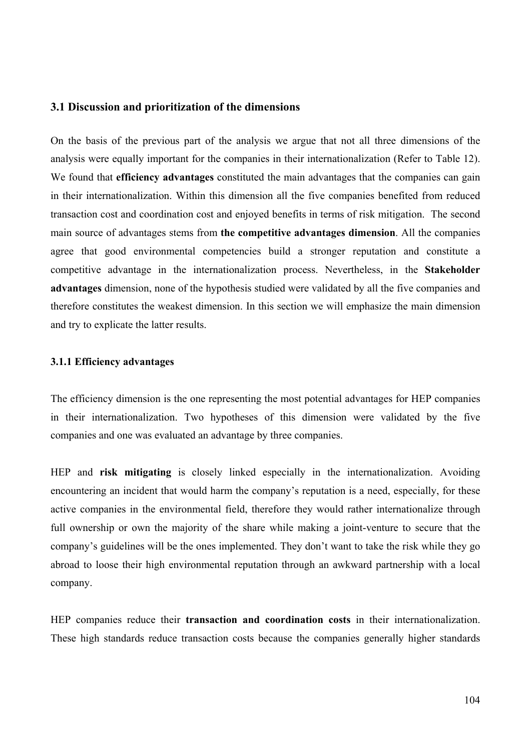#### **3.1 Discussion and prioritization of the dimensions**

On the basis of the previous part of the analysis we argue that not all three dimensions of the analysis were equally important for the companies in their internationalization (Refer to Table 12). We found that **efficiency advantages** constituted the main advantages that the companies can gain in their internationalization. Within this dimension all the five companies benefited from reduced transaction cost and coordination cost and enjoyed benefits in terms of risk mitigation. The second main source of advantages stems from **the competitive advantages dimension**. All the companies agree that good environmental competencies build a stronger reputation and constitute a competitive advantage in the internationalization process. Nevertheless, in the **Stakeholder advantages** dimension, none of the hypothesis studied were validated by all the five companies and therefore constitutes the weakest dimension. In this section we will emphasize the main dimension and try to explicate the latter results.

#### **3.1.1 Efficiency advantages**

The efficiency dimension is the one representing the most potential advantages for HEP companies in their internationalization. Two hypotheses of this dimension were validated by the five companies and one was evaluated an advantage by three companies.

HEP and **risk mitigating** is closely linked especially in the internationalization. Avoiding encountering an incident that would harm the company's reputation is a need, especially, for these active companies in the environmental field, therefore they would rather internationalize through full ownership or own the majority of the share while making a joint-venture to secure that the company's guidelines will be the ones implemented. They don't want to take the risk while they go abroad to loose their high environmental reputation through an awkward partnership with a local company.

HEP companies reduce their **transaction and coordination costs** in their internationalization. These high standards reduce transaction costs because the companies generally higher standards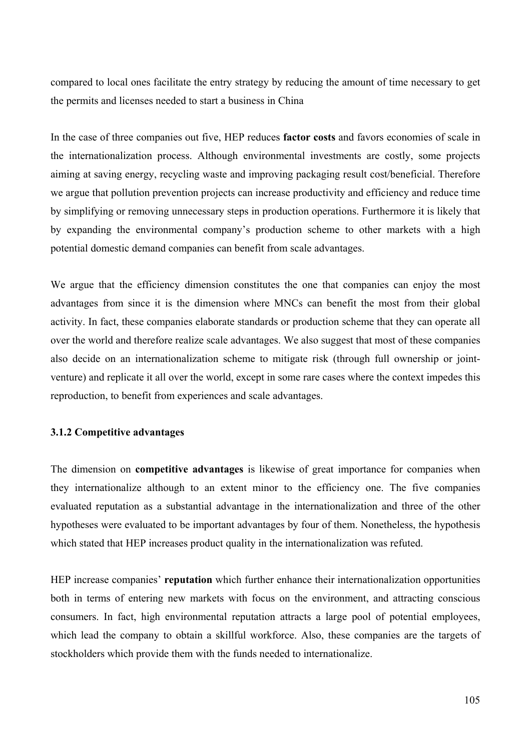compared to local ones facilitate the entry strategy by reducing the amount of time necessary to get the permits and licenses needed to start a business in China

In the case of three companies out five, HEP reduces **factor costs** and favors economies of scale in the internationalization process. Although environmental investments are costly, some projects aiming at saving energy, recycling waste and improving packaging result cost/beneficial. Therefore we argue that pollution prevention projects can increase productivity and efficiency and reduce time by simplifying or removing unnecessary steps in production operations. Furthermore it is likely that by expanding the environmental company's production scheme to other markets with a high potential domestic demand companies can benefit from scale advantages.

We argue that the efficiency dimension constitutes the one that companies can enjoy the most advantages from since it is the dimension where MNCs can benefit the most from their global activity. In fact, these companies elaborate standards or production scheme that they can operate all over the world and therefore realize scale advantages. We also suggest that most of these companies also decide on an internationalization scheme to mitigate risk (through full ownership or jointventure) and replicate it all over the world, except in some rare cases where the context impedes this reproduction, to benefit from experiences and scale advantages.

#### **3.1.2 Competitive advantages**

The dimension on **competitive advantages** is likewise of great importance for companies when they internationalize although to an extent minor to the efficiency one. The five companies evaluated reputation as a substantial advantage in the internationalization and three of the other hypotheses were evaluated to be important advantages by four of them. Nonetheless, the hypothesis which stated that HEP increases product quality in the internationalization was refuted.

HEP increase companies' **reputation** which further enhance their internationalization opportunities both in terms of entering new markets with focus on the environment, and attracting conscious consumers. In fact, high environmental reputation attracts a large pool of potential employees, which lead the company to obtain a skillful workforce. Also, these companies are the targets of stockholders which provide them with the funds needed to internationalize.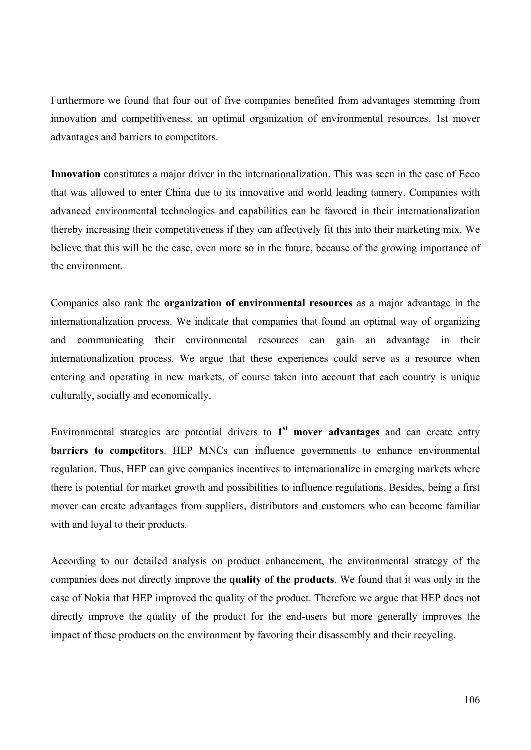Furthermore we found that four out of five companies benefited from advantages stemming from innovation and competitiveness, an optimal organization of environmental resources, 1st mover advantages and barriers to competitors.

**Innovation** constitutes a major driver in the internationalization. This was seen in the case of Ecco that was allowed to enter China due to its innovative and world leading tannery. Companies with advanced environmental technologies and capabilities can be favored in their internationalization thereby increasing their competitiveness if they can affectively fit this into their marketing mix. We believe that this will be the case, even more so in the future, because of the growing importance of the environment.

Companies also rank the **organization of environmental resources** as a major advantage in the internationalization process. We indicate that companies that found an optimal way of organizing and communicating their environmental resources can gain an advantage in their internationalization process. We argue that these experiences could serve as a resource when entering and operating in new markets, of course taken into account that each country is unique culturally, socially and economically.

Environmental strategies are potential drivers to **1st mover advantages** and can create entry **barriers to competitors**. HEP MNCs can influence governments to enhance environmental regulation. Thus, HEP can give companies incentives to internationalize in emerging markets where there is potential for market growth and possibilities to influence regulations. Besides, being a first mover can create advantages from suppliers, distributors and customers who can become familiar with and loyal to their products.

According to our detailed analysis on product enhancement, the environmental strategy of the companies does not directly improve the **quality of the products**. We found that it was only in the case of Nokia that HEP improved the quality of the product. Therefore we argue that HEP does not directly improve the quality of the product for the end-users but more generally improves the impact of these products on the environment by favoring their disassembly and their recycling.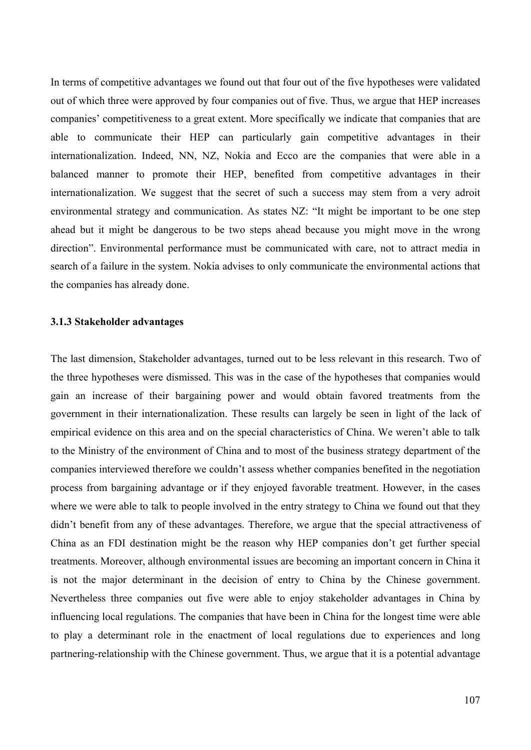In terms of competitive advantages we found out that four out of the five hypotheses were validated out of which three were approved by four companies out of five. Thus, we argue that HEP increases companies' competitiveness to a great extent. More specifically we indicate that companies that are able to communicate their HEP can particularly gain competitive advantages in their internationalization. Indeed, NN, NZ, Nokia and Ecco are the companies that were able in a balanced manner to promote their HEP, benefited from competitive advantages in their internationalization. We suggest that the secret of such a success may stem from a very adroit environmental strategy and communication. As states NZ: "It might be important to be one step ahead but it might be dangerous to be two steps ahead because you might move in the wrong direction". Environmental performance must be communicated with care, not to attract media in search of a failure in the system. Nokia advises to only communicate the environmental actions that the companies has already done.

#### **3.1.3 Stakeholder advantages**

The last dimension, Stakeholder advantages, turned out to be less relevant in this research. Two of the three hypotheses were dismissed. This was in the case of the hypotheses that companies would gain an increase of their bargaining power and would obtain favored treatments from the government in their internationalization. These results can largely be seen in light of the lack of empirical evidence on this area and on the special characteristics of China. We weren't able to talk to the Ministry of the environment of China and to most of the business strategy department of the companies interviewed therefore we couldn't assess whether companies benefited in the negotiation process from bargaining advantage or if they enjoyed favorable treatment. However, in the cases where we were able to talk to people involved in the entry strategy to China we found out that they didn't benefit from any of these advantages. Therefore, we argue that the special attractiveness of China as an FDI destination might be the reason why HEP companies don't get further special treatments. Moreover, although environmental issues are becoming an important concern in China it is not the major determinant in the decision of entry to China by the Chinese government. Nevertheless three companies out five were able to enjoy stakeholder advantages in China by influencing local regulations. The companies that have been in China for the longest time were able to play a determinant role in the enactment of local regulations due to experiences and long partnering-relationship with the Chinese government. Thus, we argue that it is a potential advantage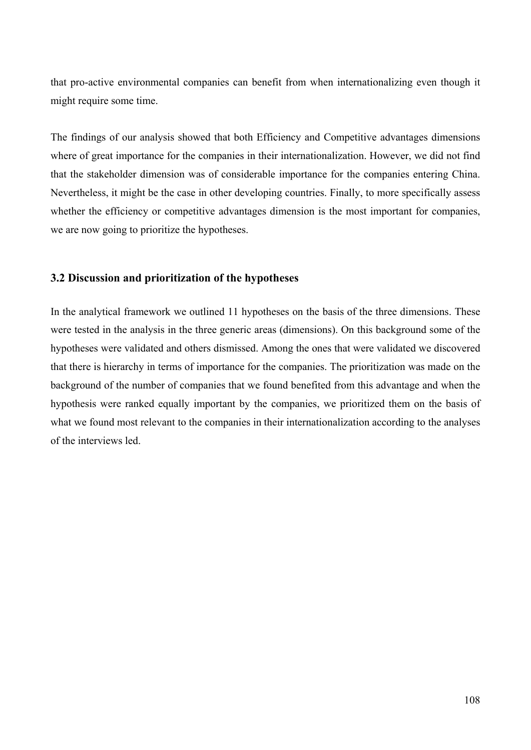that pro-active environmental companies can benefit from when internationalizing even though it might require some time.

The findings of our analysis showed that both Efficiency and Competitive advantages dimensions where of great importance for the companies in their internationalization. However, we did not find that the stakeholder dimension was of considerable importance for the companies entering China. Nevertheless, it might be the case in other developing countries. Finally, to more specifically assess whether the efficiency or competitive advantages dimension is the most important for companies, we are now going to prioritize the hypotheses.

### **3.2 Discussion and prioritization of the hypotheses**

In the analytical framework we outlined 11 hypotheses on the basis of the three dimensions. These were tested in the analysis in the three generic areas (dimensions). On this background some of the hypotheses were validated and others dismissed. Among the ones that were validated we discovered that there is hierarchy in terms of importance for the companies. The prioritization was made on the background of the number of companies that we found benefited from this advantage and when the hypothesis were ranked equally important by the companies, we prioritized them on the basis of what we found most relevant to the companies in their internationalization according to the analyses of the interviews led.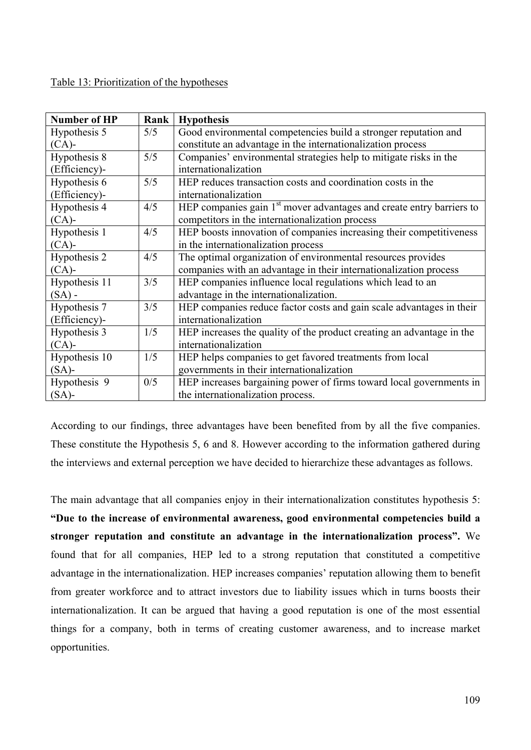# Table 13: Prioritization of the hypotheses

| <b>Number of HP</b>        | Rank | <b>Hypothesis</b>                                                      |  |
|----------------------------|------|------------------------------------------------------------------------|--|
| Hypothesis 5               | 5/5  | Good environmental competencies build a stronger reputation and        |  |
| $(CA)$ -                   |      | constitute an advantage in the internationalization process            |  |
| Hypothesis 8               | 5/5  | Companies' environmental strategies help to mitigate risks in the      |  |
| (Efficiency)-              |      | internationalization                                                   |  |
| Hypothesis 6               | 5/5  | HEP reduces transaction costs and coordination costs in the            |  |
| (Efficiency)-              |      | internationalization                                                   |  |
| Hypothesis 4               | 4/5  | HEP companies gain $1st$ mover advantages and create entry barriers to |  |
| $(CA)$ -                   |      | competitors in the internationalization process                        |  |
| Hypothesis $\overline{1}$  | 4/5  | HEP boosts innovation of companies increasing their competitiveness    |  |
| $(CA)$ -                   |      | in the internationalization process                                    |  |
| Hypothesis 2               | 4/5  | The optimal organization of environmental resources provides           |  |
| $(CA)$ -                   |      | companies with an advantage in their internationalization process      |  |
| Hypothesis $\overline{11}$ | 3/5  | HEP companies influence local regulations which lead to an             |  |
| $(SA)$ -                   |      | advantage in the internationalization.                                 |  |
| Hypothesis 7               | 3/5  | HEP companies reduce factor costs and gain scale advantages in their   |  |
| (Efficiency)-              |      | internationalization                                                   |  |
| Hypothesis 3               | 1/5  | HEP increases the quality of the product creating an advantage in the  |  |
| $(CA)$ -                   |      | internationalization                                                   |  |
| Hypothesis 10              | 1/5  | HEP helps companies to get favored treatments from local               |  |
| $(SA)$ -                   |      | governments in their internationalization                              |  |
| Hypothesis 9               | 0/5  | HEP increases bargaining power of firms toward local governments in    |  |
| $(SA)$ -                   |      | the internationalization process.                                      |  |

According to our findings, three advantages have been benefited from by all the five companies. These constitute the Hypothesis 5, 6 and 8. However according to the information gathered during the interviews and external perception we have decided to hierarchize these advantages as follows.

The main advantage that all companies enjoy in their internationalization constitutes hypothesis 5: **"Due to the increase of environmental awareness, good environmental competencies build a stronger reputation and constitute an advantage in the internationalization process".** We found that for all companies, HEP led to a strong reputation that constituted a competitive advantage in the internationalization. HEP increases companies' reputation allowing them to benefit from greater workforce and to attract investors due to liability issues which in turns boosts their internationalization. It can be argued that having a good reputation is one of the most essential things for a company, both in terms of creating customer awareness, and to increase market opportunities.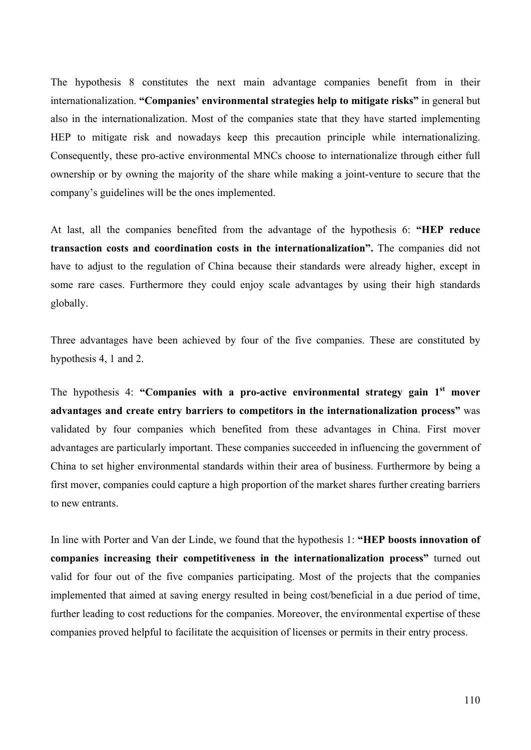The hypothesis 8 constitutes the next main advantage companies benefit from in their internationalization. **"Companies' environmental strategies help to mitigate risks"** in general but also in the internationalization. Most of the companies state that they have started implementing HEP to mitigate risk and nowadays keep this precaution principle while internationalizing. Consequently, these pro-active environmental MNCs choose to internationalize through either full ownership or by owning the majority of the share while making a joint-venture to secure that the company's guidelines will be the ones implemented.

At last, all the companies benefited from the advantage of the hypothesis 6: **"HEP reduce transaction costs and coordination costs in the internationalization".** The companies did not have to adjust to the regulation of China because their standards were already higher, except in some rare cases. Furthermore they could enjoy scale advantages by using their high standards globally.

Three advantages have been achieved by four of the five companies. These are constituted by hypothesis 4, 1 and 2.

The hypothesis 4: "Companies with a pro-active environmental strategy gain 1<sup>st</sup> mover **advantages and create entry barriers to competitors in the internationalization process"** was validated by four companies which benefited from these advantages in China. First mover advantages are particularly important. These companies succeeded in influencing the government of China to set higher environmental standards within their area of business. Furthermore by being a first mover, companies could capture a high proportion of the market shares further creating barriers to new entrants.

In line with Porter and Van der Linde, we found that the hypothesis 1: **"HEP boosts innovation of companies increasing their competitiveness in the internationalization process"** turned out valid for four out of the five companies participating. Most of the projects that the companies implemented that aimed at saving energy resulted in being cost/beneficial in a due period of time, further leading to cost reductions for the companies. Moreover, the environmental expertise of these companies proved helpful to facilitate the acquisition of licenses or permits in their entry process.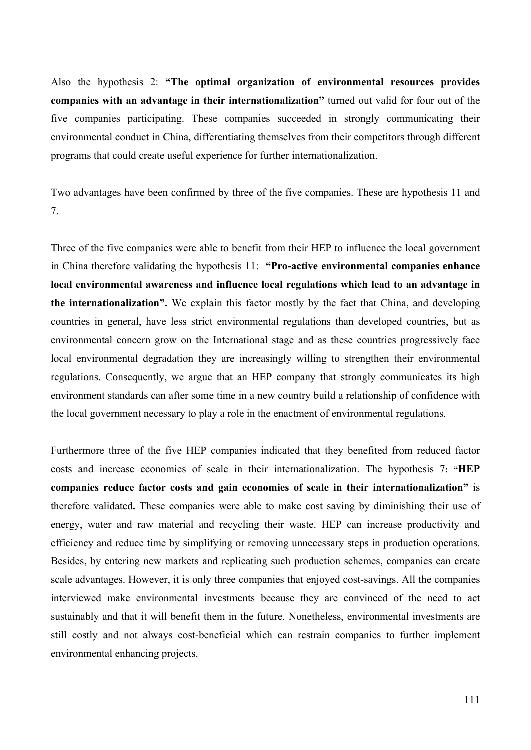Also the hypothesis 2: **"The optimal organization of environmental resources provides companies with an advantage in their internationalization"** turned out valid for four out of the five companies participating. These companies succeeded in strongly communicating their environmental conduct in China, differentiating themselves from their competitors through different programs that could create useful experience for further internationalization.

Two advantages have been confirmed by three of the five companies. These are hypothesis 11 and 7.

Three of the five companies were able to benefit from their HEP to influence the local government in China therefore validating the hypothesis 11: **"Pro-active environmental companies enhance local environmental awareness and influence local regulations which lead to an advantage in the internationalization".** We explain this factor mostly by the fact that China, and developing countries in general, have less strict environmental regulations than developed countries, but as environmental concern grow on the International stage and as these countries progressively face local environmental degradation they are increasingly willing to strengthen their environmental regulations. Consequently, we argue that an HEP company that strongly communicates its high environment standards can after some time in a new country build a relationship of confidence with the local government necessary to play a role in the enactment of environmental regulations.

Furthermore three of the five HEP companies indicated that they benefited from reduced factor costs and increase economies of scale in their internationalization. The hypothesis 7**: "HEP companies reduce factor costs and gain economies of scale in their internationalization"** is therefore validated**.** These companies were able to make cost saving by diminishing their use of energy, water and raw material and recycling their waste. HEP can increase productivity and efficiency and reduce time by simplifying or removing unnecessary steps in production operations. Besides, by entering new markets and replicating such production schemes, companies can create scale advantages. However, it is only three companies that enjoyed cost-savings. All the companies interviewed make environmental investments because they are convinced of the need to act sustainably and that it will benefit them in the future. Nonetheless, environmental investments are still costly and not always cost-beneficial which can restrain companies to further implement environmental enhancing projects.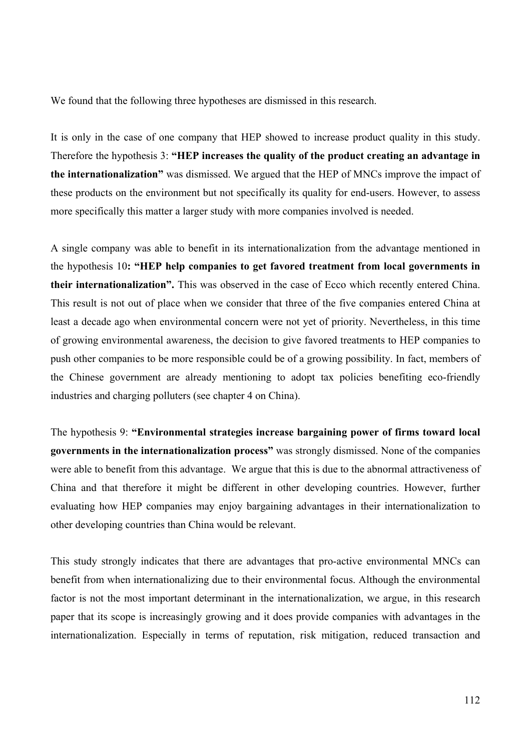We found that the following three hypotheses are dismissed in this research.

It is only in the case of one company that HEP showed to increase product quality in this study. Therefore the hypothesis 3: **"HEP increases the quality of the product creating an advantage in the internationalization"** was dismissed. We argued that the HEP of MNCs improve the impact of these products on the environment but not specifically its quality for end-users. However, to assess more specifically this matter a larger study with more companies involved is needed.

A single company was able to benefit in its internationalization from the advantage mentioned in the hypothesis 10**: "HEP help companies to get favored treatment from local governments in their internationalization".** This was observed in the case of Ecco which recently entered China. This result is not out of place when we consider that three of the five companies entered China at least a decade ago when environmental concern were not yet of priority. Nevertheless, in this time of growing environmental awareness, the decision to give favored treatments to HEP companies to push other companies to be more responsible could be of a growing possibility. In fact, members of the Chinese government are already mentioning to adopt tax policies benefiting eco-friendly industries and charging polluters (see chapter 4 on China).

The hypothesis 9: **"Environmental strategies increase bargaining power of firms toward local governments in the internationalization process"** was strongly dismissed. None of the companies were able to benefit from this advantage. We argue that this is due to the abnormal attractiveness of China and that therefore it might be different in other developing countries. However, further evaluating how HEP companies may enjoy bargaining advantages in their internationalization to other developing countries than China would be relevant.

This study strongly indicates that there are advantages that pro-active environmental MNCs can benefit from when internationalizing due to their environmental focus. Although the environmental factor is not the most important determinant in the internationalization, we argue, in this research paper that its scope is increasingly growing and it does provide companies with advantages in the internationalization. Especially in terms of reputation, risk mitigation, reduced transaction and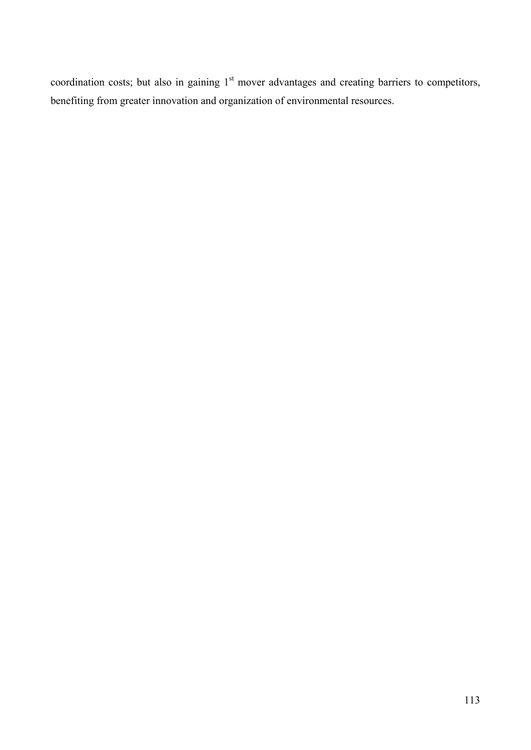coordination costs; but also in gaining 1<sup>st</sup> mover advantages and creating barriers to competitors, benefiting from greater innovation and organization of environmental resources.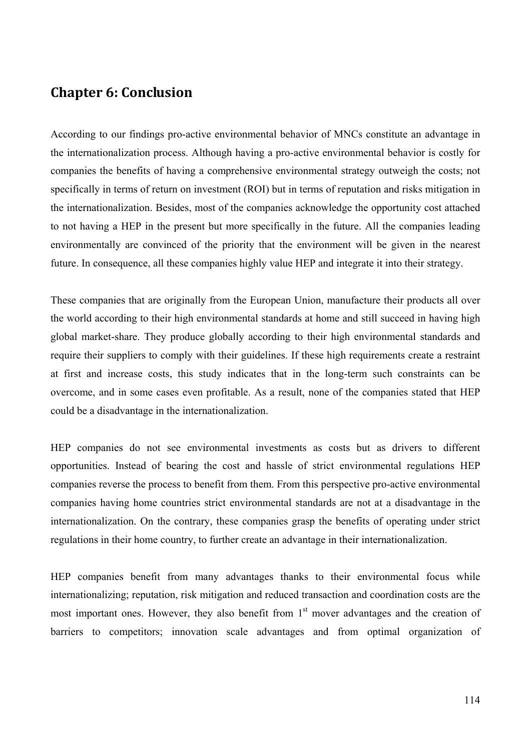# **Chapter 6: Conclusion**

According to our findings pro-active environmental behavior of MNCs constitute an advantage in the internationalization process. Although having a pro-active environmental behavior is costly for companies the benefits of having a comprehensive environmental strategy outweigh the costs; not specifically in terms of return on investment (ROI) but in terms of reputation and risks mitigation in the internationalization. Besides, most of the companies acknowledge the opportunity cost attached to not having a HEP in the present but more specifically in the future. All the companies leading environmentally are convinced of the priority that the environment will be given in the nearest future. In consequence, all these companies highly value HEP and integrate it into their strategy.

These companies that are originally from the European Union, manufacture their products all over the world according to their high environmental standards at home and still succeed in having high global market-share. They produce globally according to their high environmental standards and require their suppliers to comply with their guidelines. If these high requirements create a restraint at first and increase costs, this study indicates that in the long-term such constraints can be overcome, and in some cases even profitable. As a result, none of the companies stated that HEP could be a disadvantage in the internationalization.

HEP companies do not see environmental investments as costs but as drivers to different opportunities. Instead of bearing the cost and hassle of strict environmental regulations HEP companies reverse the process to benefit from them. From this perspective pro-active environmental companies having home countries strict environmental standards are not at a disadvantage in the internationalization. On the contrary, these companies grasp the benefits of operating under strict regulations in their home country, to further create an advantage in their internationalization.

HEP companies benefit from many advantages thanks to their environmental focus while internationalizing; reputation, risk mitigation and reduced transaction and coordination costs are the most important ones. However, they also benefit from 1<sup>st</sup> mover advantages and the creation of barriers to competitors; innovation scale advantages and from optimal organization of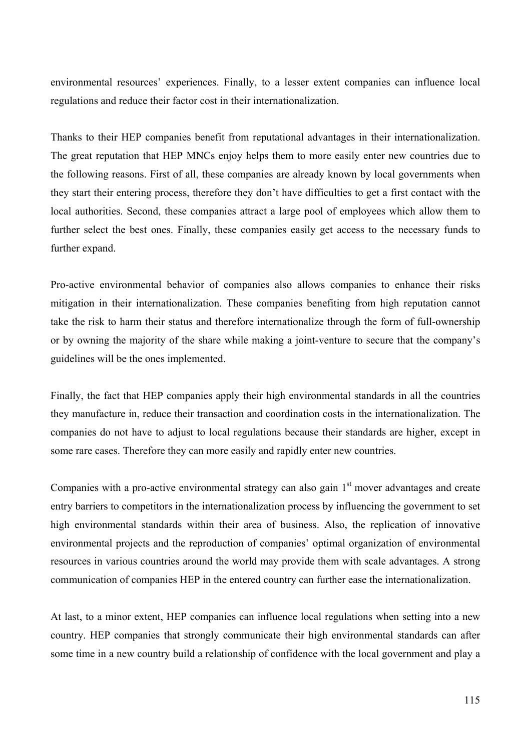environmental resources' experiences. Finally, to a lesser extent companies can influence local regulations and reduce their factor cost in their internationalization.

Thanks to their HEP companies benefit from reputational advantages in their internationalization. The great reputation that HEP MNCs enjoy helps them to more easily enter new countries due to the following reasons. First of all, these companies are already known by local governments when they start their entering process, therefore they don't have difficulties to get a first contact with the local authorities. Second, these companies attract a large pool of employees which allow them to further select the best ones. Finally, these companies easily get access to the necessary funds to further expand.

Pro-active environmental behavior of companies also allows companies to enhance their risks mitigation in their internationalization. These companies benefiting from high reputation cannot take the risk to harm their status and therefore internationalize through the form of full-ownership or by owning the majority of the share while making a joint-venture to secure that the company's guidelines will be the ones implemented.

Finally, the fact that HEP companies apply their high environmental standards in all the countries they manufacture in, reduce their transaction and coordination costs in the internationalization. The companies do not have to adjust to local regulations because their standards are higher, except in some rare cases. Therefore they can more easily and rapidly enter new countries.

Companies with a pro-active environmental strategy can also gain  $1<sup>st</sup>$  mover advantages and create entry barriers to competitors in the internationalization process by influencing the government to set high environmental standards within their area of business. Also, the replication of innovative environmental projects and the reproduction of companies' optimal organization of environmental resources in various countries around the world may provide them with scale advantages. A strong communication of companies HEP in the entered country can further ease the internationalization.

At last, to a minor extent, HEP companies can influence local regulations when setting into a new country. HEP companies that strongly communicate their high environmental standards can after some time in a new country build a relationship of confidence with the local government and play a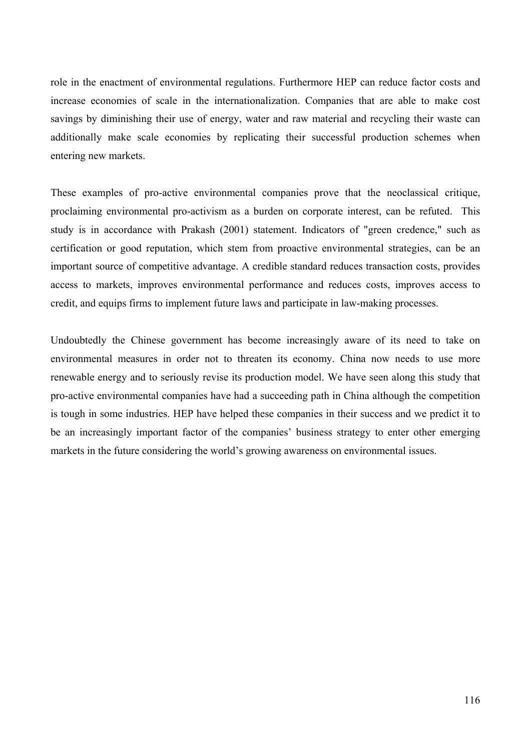role in the enactment of environmental regulations. Furthermore HEP can reduce factor costs and increase economies of scale in the internationalization. Companies that are able to make cost savings by diminishing their use of energy, water and raw material and recycling their waste can additionally make scale economies by replicating their successful production schemes when entering new markets.

These examples of pro-active environmental companies prove that the neoclassical critique, proclaiming environmental pro-activism as a burden on corporate interest, can be refuted. This study is in accordance with Prakash (2001) statement. Indicators of "green credence," such as certification or good reputation, which stem from proactive environmental strategies, can be an important source of competitive advantage. A credible standard reduces transaction costs, provides access to markets, improves environmental performance and reduces costs, improves access to credit, and equips firms to implement future laws and participate in law-making processes.

Undoubtedly the Chinese government has become increasingly aware of its need to take on environmental measures in order not to threaten its economy. China now needs to use more renewable energy and to seriously revise its production model. We have seen along this study that pro-active environmental companies have had a succeeding path in China although the competition is tough in some industries. HEP have helped these companies in their success and we predict it to be an increasingly important factor of the companies' business strategy to enter other emerging markets in the future considering the world's growing awareness on environmental issues.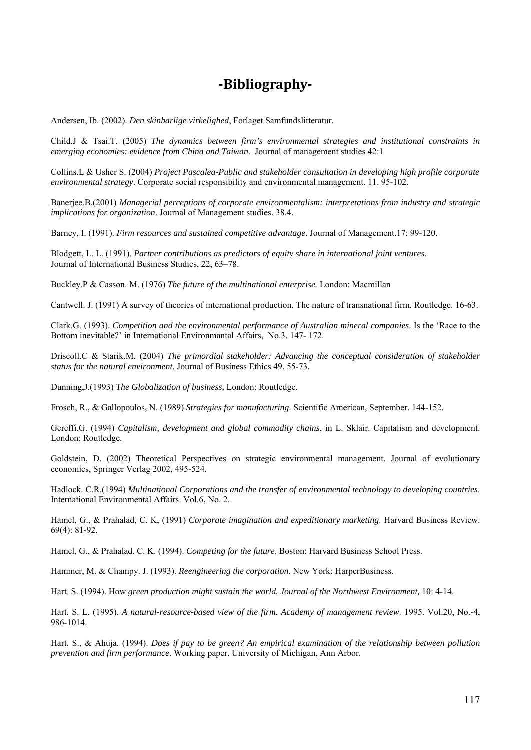# **Bibliography**

Andersen, Ib. (2002). *Den skinbarlige virkelighed*, Forlaget Samfundslitteratur.

Child.J & Tsai.T. (2005) *The dynamics between firm's environmental strategies and institutional constraints in emerging economies: evidence from China and Taiwan*. Journal of management studies 42:1

Collins.L & Usher S. (2004) *Project Pascalea-Public and stakeholder consultation in developing high profile corporate environmental strategy*. Corporate social responsibility and environmental management. 11. 95-102.

Banerjee.B.(2001) *Managerial perceptions of corporate environmentalism: interpretations from industry and strategic implications for organization*. Journal of Management studies. 38.4.

Barney, I. (1991). *Firm resources and sustained competitive advantage*. Journal of Management.17: 99-120.

Blodgett, L. L. (1991). *Partner contributions as predictors of equity share in international joint ventures.* Journal of International Business Studies, 22, 63–78.

Buckley.P & Casson. M. (1976) *The future of the multinational enterprise.* London: Macmillan

Cantwell. J. (1991) A survey of theories of international production. The nature of transnational firm. Routledge. 16-63.

Clark.G. (1993). *Competition and the environmental performance of Australian mineral companies*. Is the 'Race to the Bottom inevitable?' in International Environmantal Affairs, No.3. 147- 172.

Driscoll.C & Starik.M. (2004) *The primordial stakeholder: Advancing the conceptual consideration of stakeholder status for the natural environment*. Journal of Business Ethics 49. 55-73.

Dunning,J.(1993) *The Globalization of business,* London: Routledge.

Frosch, R., & Gallopoulos, N. (1989) *Strategies for manufacturing*. Scientific American, September. 144-152.

Gereffi.G. (1994) *Capitalism, development and global commodity chains*, in L. Sklair. Capitalism and development. London: Routledge.

Goldstein, D. (2002) Theoretical Perspectives on strategic environmental management. Journal of evolutionary economics, Springer Verlag 2002, 495-524.

Hadlock. C.R.(1994) *Multinational Corporations and the transfer of environmental technology to developing countries*. International Environmental Affairs. Vol.6, No. 2.

Hamel, G., & Prahalad, C. K, (1991) *Corporate imagination and expeditionary marketing*. Harvard Business Review. 69(4): 81-92,

Hamel, G., & Prahalad. C. K. (1994). *Competing for the future*. Boston: Harvard Business School Press.

Hammer, M. & Champy. J. (1993). *Reengineering the corporation*. New York: HarperBusiness.

Hart. S. (1994). How *green production might sustain the world. Journal of the Northwest Environment,* 10: 4-14.

Hart. S. L. (1995). *A natural-resource-based view of the firm. Academy of management review*. 1995. Vol.20, No.-4, 986-1014.

Hart. S., & Ahuja. (1994). *Does if pay to be green? An empirical examination of the relationship between pollution prevention and firm performance*. Working paper. University of Michigan, Ann Arbor.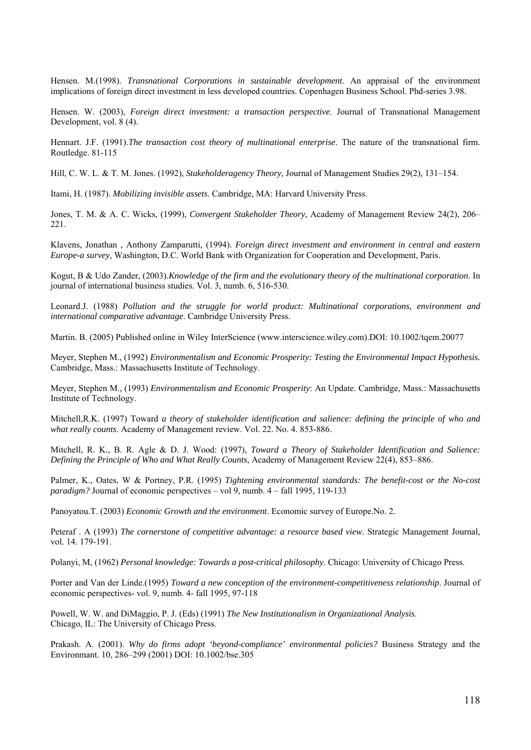Hensen. M.(1998). *Transnational Corporations in sustainable development*. An appraisal of the environment implications of foreign direct investment in less developed countries. Copenhagen Business School. Phd-series 3.98.

Hensen. W. (2003), *Foreign direct investment: a transaction perspective*. Journal of Transnational Management Development, vol. 8 (4).

Hennart. J.F. (1991).*The transaction cost theory of multinational enterprise*. The nature of the transnational firm. Routledge. 81-115

Hill, C. W. L. & T. M. Jones. (1992), *Stakeholderagency Theory*, Journal of Management Studies 29(2), 131–154.

Itami, H. (1987). *Mobilizing invisible assets*. Cambridge, MA: Harvard University Press.

Jones, T. M. & A. C. Wicks, (1999), *Convergent Stakeholder Theory*, Academy of Management Review 24(2), 206– 221.

Klavens, Jonathan , Anthony Zamparutti, (1994). *Foreign direct investment and environment in central and eastern Europe-a survey*, Washington, D.C. World Bank with Organization for Cooperation and Development, Paris.

Kogut, B & Udo Zander, (2003).*Knowledge of the firm and the evolutionary theory of the multinational corporation*. In journal of international business studies. Vol. 3, numb. 6, 516-530.

Leonard.J. (1988) *Pollution and the struggle for world product: Multinational corporations, environment and international comparative advantage*. Cambridge University Press.

Martin. B. (2005) Published online in Wiley InterScience (www.interscience.wiley.com).DOI: 10.1002/tqem.20077

Meyer, Stephen M., (1992) *Environmentalism and Economic Prosperity: Testing the Environmental Impact Hypothesis.* Cambridge, Mass.: Massachusetts Institute of Technology.

Meyer, Stephen M., (1993) *Environmentalism and Economic Prosperity*: An Update. Cambridge, Mass.: Massachusetts Institute of Technology.

Mitchell,R.K. (1997) Toward *a theory of stakeholder identification and salience: defining the principle of who and what really counts*. Academy of Management review. Vol. 22. No. 4. 853-886.

Mitchell, R. K., B. R. Agle & D. J. Wood: (1997), *Toward a Theory of Stakeholder Identification and Salience: Defining the Principle of Who and What Really Counts*, Academy of Management Review 22(4), 853–886.

Palmer, K., Oates, W & Portney, P.R. (1995) *Tightening environmental standards: The benefit-cost or the No-cost paradigm?* Journal of economic perspectives – vol 9, numb. 4 – fall 1995, 119-133

Panoyatou.T. (2003) *Economic Growth and the environment*. Economic survey of Europe.No. 2.

Peteraf . A (1993) *The cornerstone of competitive advantage: a resource based view*. Strategic Management Journal, vol. 14. 179-191.

Polanyi, M, (1962) *Personal knowledge: Towards a post-critical philosophy*. Chicago: University of Chicago Press.

Porter and Van der Linde.(1995) *Toward a new conception of the environment-competitiveness relationship*. Journal of economic perspectives- vol. 9, numb. 4- fall 1995, 97-118

Powell, W. W. and DiMaggio, P. J. (Eds) (1991) *The New Institutionalism in Organizational Analysis*. Chicago, IL: The University of Chicago Press.

Prakash. A. (2001). *Why do firms adopt 'beyond-compliance' environmental policies?* Business Strategy and the Environmant. 10, 286–299 (2001) DOI: 10.1002/bse.305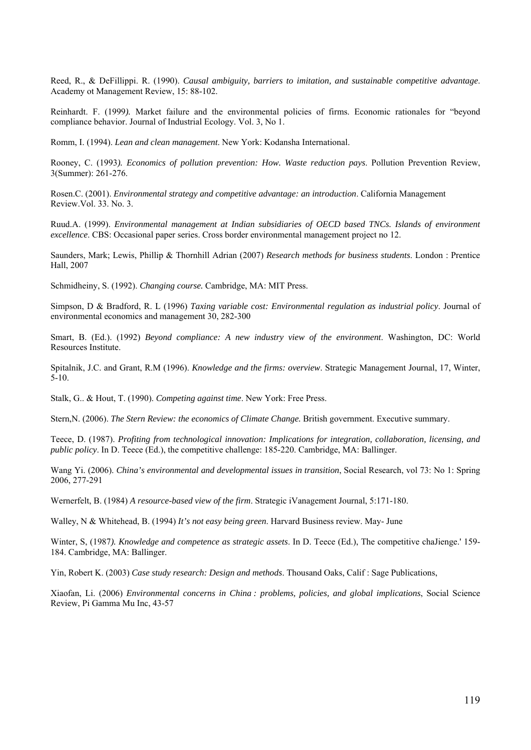Reed, R., & DeFillippi. R. (1990). *Causal ambiguity, barriers to imitation, and sustainable competitive advantage*. Academy ot Management Review, 15: 88-102.

Reinhardt. F. (1999*).* Market failure and the environmental policies of firms. Economic rationales for "beyond compliance behavior. Journal of Industrial Ecology. Vol. 3, No 1.

Romm, I. (1994). *Lean and clean management*. New York: Kodansha International.

Rooney, C. (1993*). Economics of pollution prevention: How. Waste reduction pays*. Pollution Prevention Review, 3(Summer): 261-276.

Rosen.C. (2001). *Environmental strategy and competitive advantage: an introduction*. California Management Review.Vol. 33. No. 3.

Ruud.A. (1999). *Environmental management at Indian subsidiaries of OECD based TNCs. Islands of environment excellence*. CBS: Occasional paper series. Cross border environmental management project no 12.

Saunders, Mark; Lewis, Phillip & Thornhill Adrian (2007) *Research methods for business students*. London : Prentice Hall, 2007

Schmidheiny, S. (1992). *Changing course.* Cambridge, MA: MIT Press.

Simpson, D & Bradford, R. L (1996) *Taxing variable cost: Environmental regulation as industrial policy*. Journal of environmental economics and management 30, 282-300

Smart, B. (Ed.). (1992) *Beyond compliance: A new industry view of the environment*. Washington, DC: World Resources Institute.

Spitalnik, J.C. and Grant, R.M (1996). *Knowledge and the firms: overview*. Strategic Management Journal, 17, Winter, 5-10.

Stalk, G.. & Hout, T. (1990). *Competing against time*. New York: Free Press.

Stern,N. (2006). *The Stern Review: the economics of Climate Change.* British government. Executive summary.

Teece, D. (1987). *Profiting from technological innovation: Implications for integration, collaboration, licensing, and public policy*. In D. Teece (Ed.), the competitive challenge: 185-220. Cambridge, MA: Ballinger.

Wang Yi. (2006). *China's environmental and developmental issues in transition*, Social Research, vol 73: No 1: Spring 2006, 277-291

Wernerfelt, B. (1984) *A resource-based view of the firm*. Strategic iVanagement Journal, 5:171-180.

Walley, N & Whitehead, B. (1994) *It's not easy being green*. Harvard Business review. May- June

Winter, S, (1987*). Knowledge and competence as strategic assets*. In D. Teece (Ed.), The competitive chaJienge.' 159- 184. Cambridge, MA: Ballinger.

Yin, Robert K. (2003) *Case study research: Design and methods*. Thousand Oaks, Calif : Sage Publications,

Xiaofan, Li. (2006) *Environmental concerns in China : problems, policies, and global implications*, Social Science Review, Pi Gamma Mu Inc, 43-57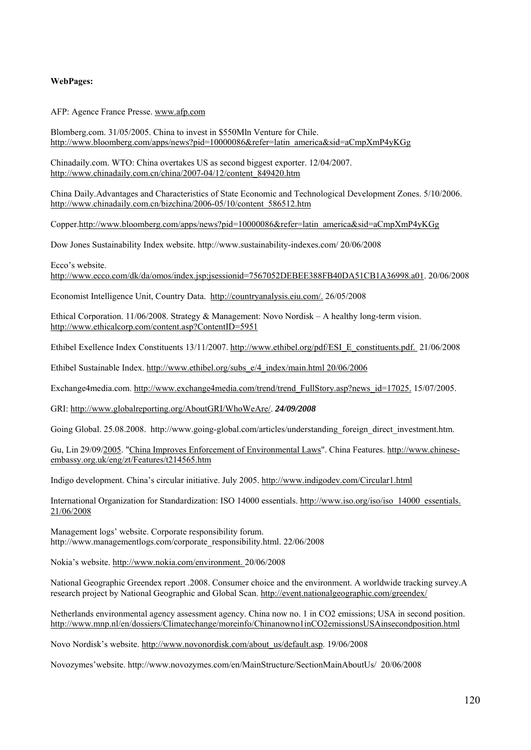#### **WebPages:**

AFP: Agence France Presse. www.afp.com

Blomberg.com. 31/05/2005. China to invest in \$550Mln Venture for Chile. http://www.bloomberg.com/apps/news?pid=10000086&refer=latin\_america&sid=aCmpXmP4yKGg

Chinadaily.com. WTO: China overtakes US as second biggest exporter. 12/04/2007. http://www.chinadaily.com.cn/china/2007-04/12/content\_849420.htm

China Daily.Advantages and Characteristics of State Economic and Technological Development Zones. 5/10/2006. http://www.chinadaily.com.cn/bizchina/2006-05/10/content\_586512.htm

Copper.http://www.bloomberg.com/apps/news?pid=10000086&refer=latin\_america&sid=aCmpXmP4yKGg

Dow Jones Sustainability Index website. http://www.sustainability-indexes.com/ 20/06/2008

Ecco's website.

http://www.ecco.com/dk/da/omos/index.jsp;jsessionid=7567052DEBEE388FB40DA51CB1A36998.a01. 20/06/2008

Economist Intelligence Unit, Country Data. http://countryanalysis.eiu.com/. 26/05/2008

Ethical Corporation. 11/06/2008. Strategy & Management: Novo Nordisk – A healthy long-term vision. http://www.ethicalcorp.com/content.asp?ContentID=5951

Ethibel Exellence Index Constituents 13/11/2007. http://www.ethibel.org/pdf/ESI\_E\_constituents.pdf. 21/06/2008

Ethibel Sustainable Index. http://www.ethibel.org/subs\_e/4\_index/main.html 20/06/2006

Exchange4media.com. http://www.exchange4media.com/trend/trend\_FullStory.asp?news\_id=17025. 15/07/2005.

GRI: http://www.globalreporting.org/AboutGRI/WhoWeAre/. *24/09/2008* 

Going Global. 25.08.2008. http://www.going-global.com/articles/understanding foreign direct investment.htm.

Gu, Lin 29/09/2005. "China Improves Enforcement of Environmental Laws". China Features. http://www.chineseembassy.org.uk/eng/zt/Features/t214565.htm

Indigo development. China's circular initiative. July 2005. http://www.indigodev.com/Circular1.html

International Organization for Standardization: ISO 14000 essentials. http://www.iso.org/iso/iso\_14000\_essentials. 21/06/2008

Management logs' website. Corporate responsibility forum. http://www.managementlogs.com/corporate\_responsibility.html. 22/06/2008

Nokia's website. http://www.nokia.com/environment. 20/06/2008

National Geographic Greendex report .2008. Consumer choice and the environment. A worldwide tracking survey.A research project by National Geographic and Global Scan. http://event.nationalgeographic.com/greendex/

Netherlands environmental agency assessment agency. China now no. 1 in CO2 emissions; USA in second position. http://www.mnp.nl/en/dossiers/Climatechange/moreinfo/Chinanowno1inCO2emissionsUSAinsecondposition.html

Novo Nordisk's website. http://www.novonordisk.com/about\_us/default.asp. 19/06/2008

Novozymes'website. http://www.novozymes.com/en/MainStructure/SectionMainAboutUs/ 20/06/2008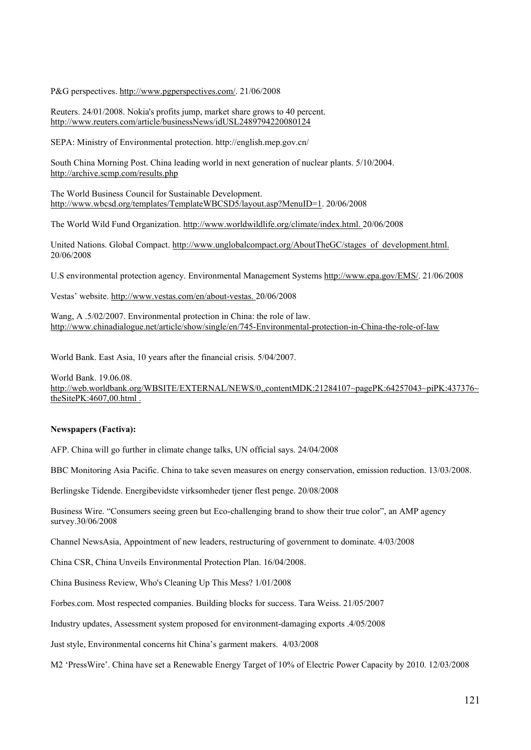P&G perspectives. http://www.pgperspectives.com/. 21/06/2008

Reuters. 24/01/2008. Nokia's profits jump, market share grows to 40 percent. http://www.reuters.com/article/businessNews/idUSL2489794220080124

SEPA: Ministry of Environmental protection. http://english.mep.gov.cn/

South China Morning Post. China leading world in next generation of nuclear plants. 5/10/2004. http://archive.scmp.com/results.php

The World Business Council for Sustainable Development. http://www.wbcsd.org/templates/TemplateWBCSD5/layout.asp?MenuID=1. 20/06/2008

The World Wild Fund Organization. http://www.worldwildlife.org/climate/index.html. 20/06/2008

United Nations. Global Compact. http://www.unglobalcompact.org/AboutTheGC/stages\_of\_development.html. 20/06/2008

U.S environmental protection agency. Environmental Management Systems http://www.epa.gov/EMS/. 21/06/2008

Vestas' website. http://www.vestas.com/en/about-vestas. 20/06/2008

Wang, A .5/02/2007. Environmental protection in China: the role of law. http://www.chinadialogue.net/article/show/single/en/745-Environmental-protection-in-China-the-role-of-law

World Bank. East Asia, 10 years after the financial crisis. 5/04/2007.

World Bank. 19.06.08. http://web.worldbank.org/WBSITE/EXTERNAL/NEWS/0.,contentMDK:21284107~pagePK:64257043~piPK:437376~ theSitePK:4607,00.html .

#### **Newspapers (Factiva):**

AFP. China will go further in climate change talks, UN official says. 24/04/2008

BBC Monitoring Asia Pacific. China to take seven measures on energy conservation, emission reduction. 13/03/2008.

Berlingske Tidende. Energibevidste virksomheder tjener flest penge. 20/08/2008

Business Wire. "Consumers seeing green but Eco-challenging brand to show their true color", an AMP agency survey.30/06/2008

Channel NewsAsia, Appointment of new leaders, restructuring of government to dominate. 4/03/2008

China CSR, China Unveils Environmental Protection Plan. 16/04/2008.

China Business Review, Who's Cleaning Up This Mess? 1/01/2008

Forbes.com. Most respected companies. Building blocks for success. Tara Weiss. 21/05/2007

Industry updates, Assessment system proposed for environment-damaging exports .4/05/2008

Just style, Environmental concerns hit China's garment makers. 4/03/2008

M2 'PressWire'. China have set a Renewable Energy Target of 10% of Electric Power Capacity by 2010. 12/03/2008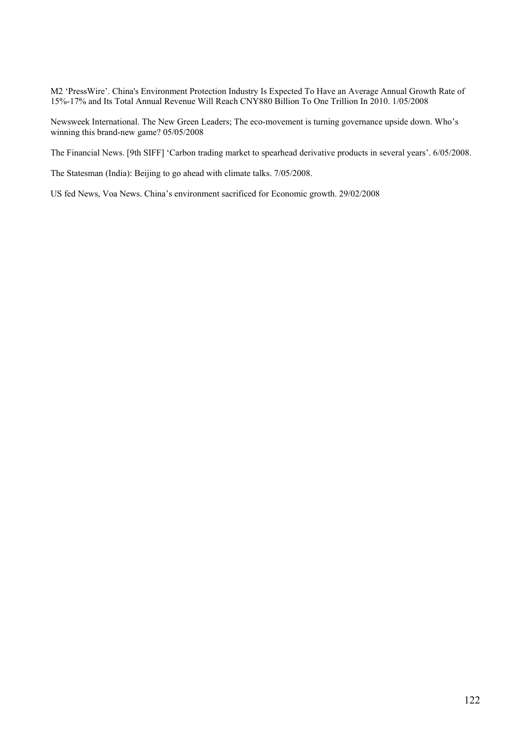M2 'PressWire'. China's Environment Protection Industry Is Expected To Have an Average Annual Growth Rate of 15%-17% and Its Total Annual Revenue Will Reach CNY880 Billion To One Trillion In 2010. 1/05/2008

Newsweek International. The New Green Leaders; The eco-movement is turning governance upside down. Who's winning this brand-new game? 05/05/2008

The Financial News. [9th SIFF] 'Carbon trading market to spearhead derivative products in several years'. 6/05/2008.

The Statesman (India): Beijing to go ahead with climate talks. 7/05/2008.

US fed News, Voa News. China's environment sacrificed for Economic growth. 29/02/2008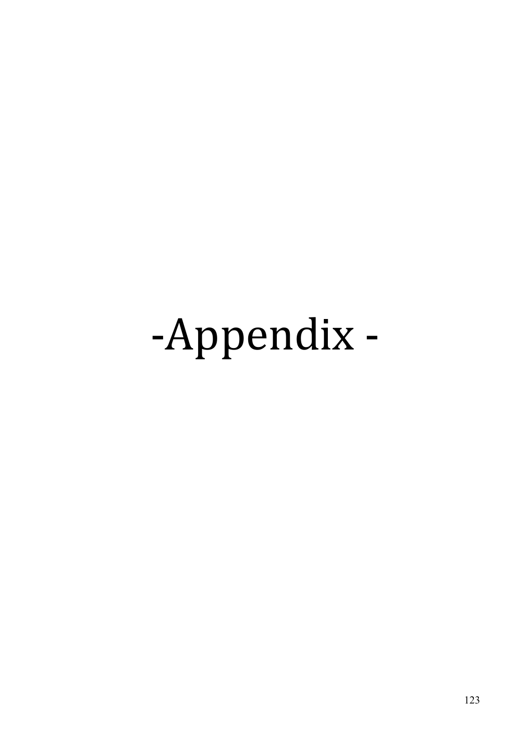# ‐Appendix ‐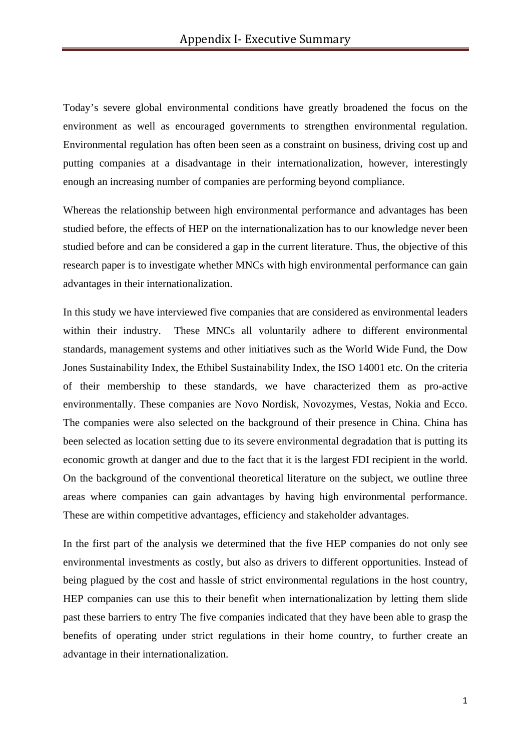Today's severe global environmental conditions have greatly broadened the focus on the environment as well as encouraged governments to strengthen environmental regulation. Environmental regulation has often been seen as a constraint on business, driving cost up and putting companies at a disadvantage in their internationalization, however, interestingly enough an increasing number of companies are performing beyond compliance.

Whereas the relationship between high environmental performance and advantages has been studied before, the effects of HEP on the internationalization has to our knowledge never been studied before and can be considered a gap in the current literature. Thus, the objective of this research paper is to investigate whether MNCs with high environmental performance can gain advantages in their internationalization.

In this study we have interviewed five companies that are considered as environmental leaders within their industry. These MNCs all voluntarily adhere to different environmental standards, management systems and other initiatives such as the World Wide Fund, the Dow Jones Sustainability Index, the Ethibel Sustainability Index, the ISO 14001 etc. On the criteria of their membership to these standards, we have characterized them as pro-active environmentally. These companies are Novo Nordisk, Novozymes, Vestas, Nokia and Ecco. The companies were also selected on the background of their presence in China. China has been selected as location setting due to its severe environmental degradation that is putting its economic growth at danger and due to the fact that it is the largest FDI recipient in the world. On the background of the conventional theoretical literature on the subject, we outline three areas where companies can gain advantages by having high environmental performance. These are within competitive advantages, efficiency and stakeholder advantages.

In the first part of the analysis we determined that the five HEP companies do not only see environmental investments as costly, but also as drivers to different opportunities. Instead of being plagued by the cost and hassle of strict environmental regulations in the host country, HEP companies can use this to their benefit when internationalization by letting them slide past these barriers to entry The five companies indicated that they have been able to grasp the benefits of operating under strict regulations in their home country, to further create an advantage in their internationalization.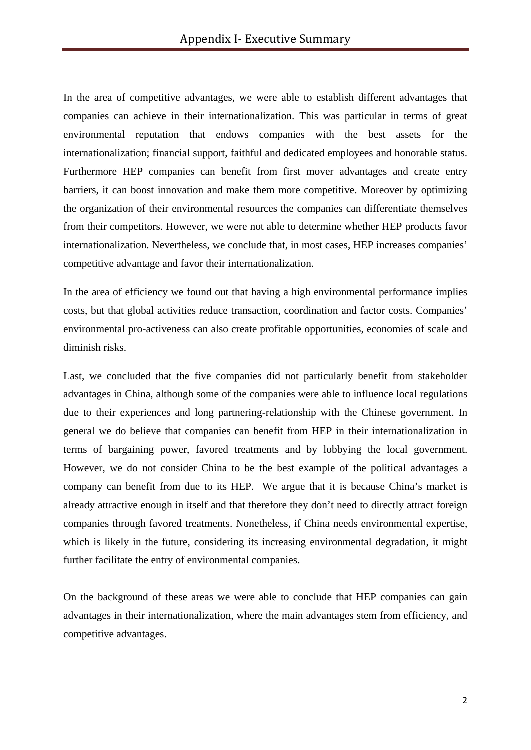In the area of competitive advantages, we were able to establish different advantages that companies can achieve in their internationalization. This was particular in terms of great environmental reputation that endows companies with the best assets for the internationalization; financial support, faithful and dedicated employees and honorable status. Furthermore HEP companies can benefit from first mover advantages and create entry barriers, it can boost innovation and make them more competitive. Moreover by optimizing the organization of their environmental resources the companies can differentiate themselves from their competitors. However, we were not able to determine whether HEP products favor internationalization. Nevertheless, we conclude that, in most cases, HEP increases companies' competitive advantage and favor their internationalization.

In the area of efficiency we found out that having a high environmental performance implies costs, but that global activities reduce transaction, coordination and factor costs. Companies' environmental pro-activeness can also create profitable opportunities, economies of scale and diminish risks.

Last, we concluded that the five companies did not particularly benefit from stakeholder advantages in China, although some of the companies were able to influence local regulations due to their experiences and long partnering-relationship with the Chinese government. In general we do believe that companies can benefit from HEP in their internationalization in terms of bargaining power, favored treatments and by lobbying the local government. However, we do not consider China to be the best example of the political advantages a company can benefit from due to its HEP. We argue that it is because China's market is already attractive enough in itself and that therefore they don't need to directly attract foreign companies through favored treatments. Nonetheless, if China needs environmental expertise, which is likely in the future, considering its increasing environmental degradation, it might further facilitate the entry of environmental companies.

On the background of these areas we were able to conclude that HEP companies can gain advantages in their internationalization, where the main advantages stem from efficiency, and competitive advantages.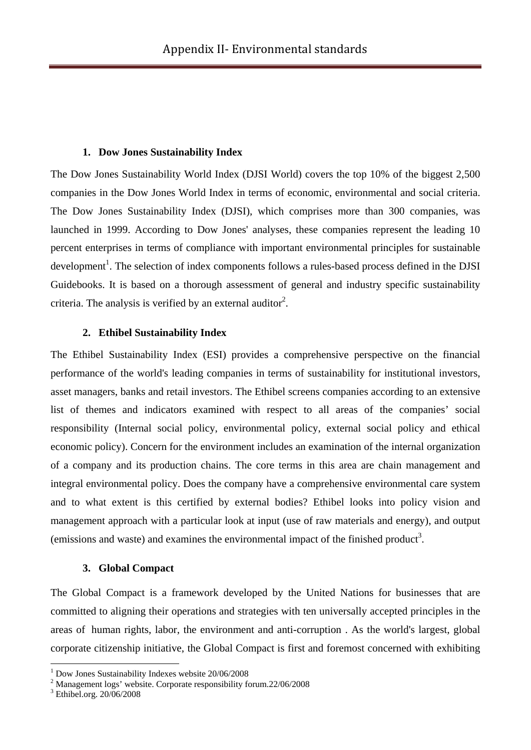#### **1. Dow Jones Sustainability Index**

The Dow Jones Sustainability World Index (DJSI World) covers the top 10% of the biggest 2,500 companies in the Dow Jones World Index in terms of economic, environmental and social criteria. The Dow Jones Sustainability Index (DJSI), which comprises more than 300 companies, was launched in 1999. According to Dow Jones' analyses, these companies represent the leading 10 percent enterprises in terms of compliance with important environmental principles for sustainable development<sup>1</sup>. The selection of index components follows a rules-based process defined in the DJSI Guidebooks. It is based on a thorough assessment of general and industry specific sustainability criteria. The analysis is verified by an external auditor<sup>2</sup>.

# **2. Ethibel Sustainability Index**

The Ethibel Sustainability Index (ESI) provides a comprehensive perspective on the financial performance of the world's leading companies in terms of sustainability for institutional investors, asset managers, banks and retail investors. The Ethibel screens companies according to an extensive list of themes and indicators examined with respect to all areas of the companies' social responsibility (Internal social policy, environmental policy, external social policy and ethical economic policy). Concern for the environment includes an examination of the internal organization of a company and its production chains. The core terms in this area are chain management and integral environmental policy. Does the company have a comprehensive environmental care system and to what extent is this certified by external bodies? Ethibel looks into policy vision and management approach with a particular look at input (use of raw materials and energy), and output (emissions and waste) and examines the environmental impact of the finished product<sup>3</sup>.

# **3. Global Compact**

The Global Compact is a framework developed by the United Nations for businesses that are committed to aligning their operations and strategies with ten universally accepted principles in the areas of human rights, labor, the environment and anti-corruption . As the world's largest, global corporate citizenship initiative, the Global Compact is first and foremost concerned with exhibiting

<sup>1</sup> Dow Jones Sustainability Indexes website 20/06/2008

<sup>&</sup>lt;sup>2</sup> Management logs' website. Corporate responsibility forum.22/06/2008

<sup>3</sup> Ethibel.org. 20/06/2008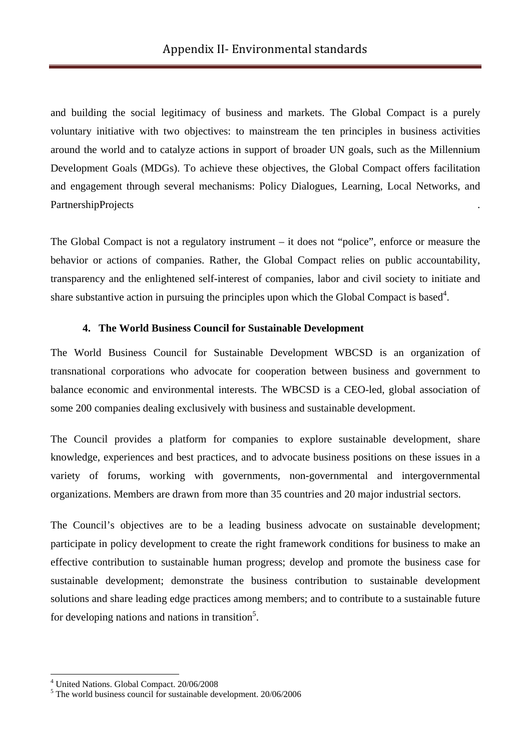and building the social legitimacy of business and markets. The Global Compact is a purely voluntary initiative with two objectives: to mainstream the ten principles in business activities around the world and to catalyze actions in support of broader UN goals, such as the Millennium Development Goals (MDGs). To achieve these objectives, the Global Compact offers facilitation and engagement through several mechanisms: Policy Dialogues, Learning, Local Networks, and PartnershipProjects .

The Global Compact is not a regulatory instrument – it does not "police", enforce or measure the behavior or actions of companies. Rather, the Global Compact relies on public accountability, transparency and the enlightened self-interest of companies, labor and civil society to initiate and share substantive action in pursuing the principles upon which the Global Compact is based<sup>4</sup>.

# **4. The World Business Council for Sustainable Development**

The World Business Council for Sustainable Development WBCSD is an organization of transnational corporations who advocate for cooperation between business and government to balance economic and environmental interests. The WBCSD is a CEO-led, global association of some 200 companies dealing exclusively with business and sustainable development.

The Council provides a platform for companies to explore sustainable development, share knowledge, experiences and best practices, and to advocate business positions on these issues in a variety of forums, working with governments, non-governmental and intergovernmental organizations. Members are drawn from more than 35 countries and 20 major industrial sectors.

The Council's objectives are to be a leading business advocate on sustainable development; participate in policy development to create the right framework conditions for business to make an effective contribution to sustainable human progress; develop and promote the business case for sustainable development; demonstrate the business contribution to sustainable development solutions and share leading edge practices among members; and to contribute to a sustainable future for developing nations and nations in transition<sup>5</sup>.

<sup>4</sup> United Nations. Global Compact. 20/06/2008

<sup>&</sup>lt;sup>5</sup> The world business council for sustainable development. 20/06/2006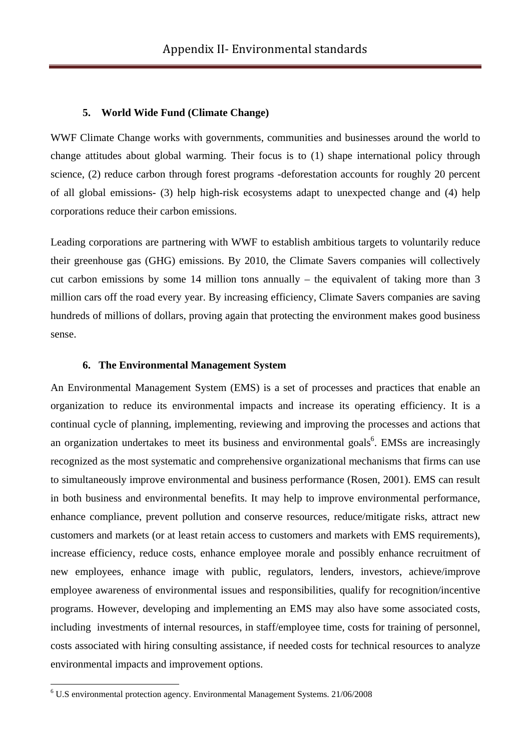#### **5. World Wide Fund (Climate Change)**

WWF Climate Change works with governments, communities and businesses around the world to change attitudes about global warming. Their focus is to (1) shape international policy through science, (2) reduce carbon through forest programs -deforestation accounts for roughly 20 percent of all global emissions- (3) help high-risk ecosystems adapt to unexpected change and (4) help corporations reduce their carbon emissions.

Leading corporations are partnering with WWF to establish ambitious targets to voluntarily reduce their greenhouse gas (GHG) emissions. By 2010, the Climate Savers companies will collectively cut carbon emissions by some 14 million tons annually – the equivalent of taking more than 3 million cars off the road every year. By increasing efficiency, Climate Savers companies are saving hundreds of millions of dollars, proving again that protecting the environment makes good business sense.

#### **6. The Environmental Management System**

An Environmental Management System (EMS) is a set of processes and practices that enable an organization to reduce its environmental impacts and increase its operating efficiency. It is a continual cycle of planning, implementing, reviewing and improving the processes and actions that an organization undertakes to meet its business and environmental goals<sup>6</sup>. EMSs are increasingly recognized as the most systematic and comprehensive organizational mechanisms that firms can use to simultaneously improve environmental and business performance (Rosen, 2001). EMS can result in both business and environmental benefits. It may help to improve environmental performance, enhance compliance, prevent pollution and conserve resources, reduce/mitigate risks, attract new customers and markets (or at least retain access to customers and markets with EMS requirements), increase efficiency, reduce costs, enhance employee morale and possibly enhance recruitment of new employees, enhance image with public, regulators, lenders, investors, achieve/improve employee awareness of environmental issues and responsibilities, qualify for recognition/incentive programs. However, developing and implementing an EMS may also have some associated costs, including investments of internal resources, in staff/employee time, costs for training of personnel, costs associated with hiring consulting assistance, if needed costs for technical resources to analyze environmental impacts and improvement options.

 6 U.S environmental protection agency. Environmental Management Systems. 21/06/2008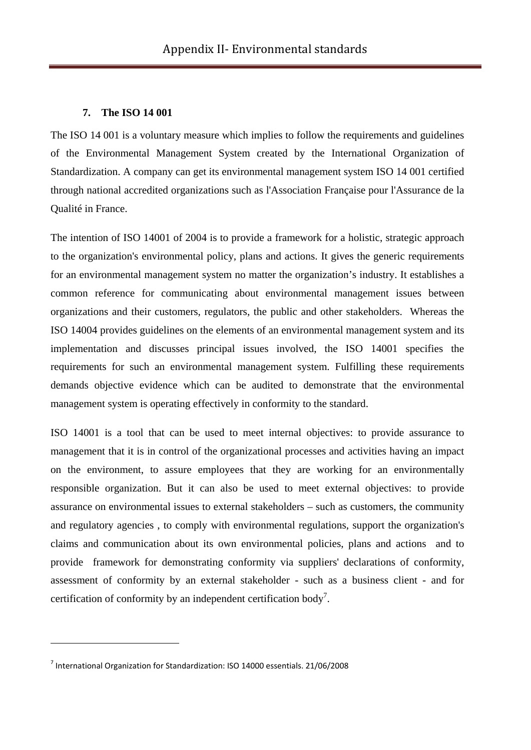# **7. The ISO 14 001**

The ISO 14 001 is a voluntary measure which implies to follow the requirements and guidelines of the Environmental Management System created by the International Organization of Standardization. A company can get its environmental management system ISO 14 001 certified through national accredited organizations such as l'Association Française pour l'Assurance de la Qualité in France.

The intention of ISO 14001 of 2004 is to provide a framework for a holistic, strategic approach to the organization's environmental policy, plans and actions. It gives the generic requirements for an environmental management system no matter the organization's industry. It establishes a common reference for communicating about environmental management issues between organizations and their customers, regulators, the public and other stakeholders. Whereas the ISO 14004 provides guidelines on the elements of an environmental management system and its implementation and discusses principal issues involved, the ISO 14001 specifies the requirements for such an environmental management system. Fulfilling these requirements demands objective evidence which can be audited to demonstrate that the environmental management system is operating effectively in conformity to the standard.

ISO 14001 is a tool that can be used to meet internal objectives: to provide assurance to management that it is in control of the organizational processes and activities having an impact on the environment, to assure employees that they are working for an environmentally responsible organization. But it can also be used to meet external objectives: to provide assurance on environmental issues to external stakeholders – such as customers, the community and regulatory agencies , to comply with environmental regulations, support the organization's claims and communication about its own environmental policies, plans and actions and to provide framework for demonstrating conformity via suppliers' declarations of conformity, assessment of conformity by an external stakeholder - such as a business client - and for certification of conformity by an independent certification body<sup>7</sup>.

<sup>7</sup> International Organization for Standardization: ISO 14000 essentials. 21/06/2008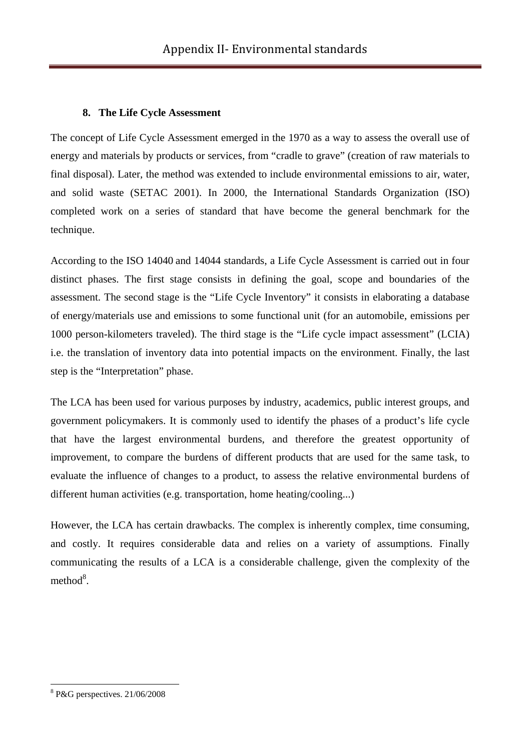# **8. The Life Cycle Assessment**

The concept of Life Cycle Assessment emerged in the 1970 as a way to assess the overall use of energy and materials by products or services, from "cradle to grave" (creation of raw materials to final disposal). Later, the method was extended to include environmental emissions to air, water, and solid waste (SETAC 2001). In 2000, the International Standards Organization (ISO) completed work on a series of standard that have become the general benchmark for the technique.

According to the ISO 14040 and 14044 standards, a Life Cycle Assessment is carried out in four distinct phases. The first stage consists in defining the goal, scope and boundaries of the assessment. The second stage is the "Life Cycle Inventory" it consists in elaborating a database of energy/materials use and emissions to some functional unit (for an automobile, emissions per 1000 person-kilometers traveled). The third stage is the "Life cycle impact assessment" (LCIA) i.e. the translation of inventory data into potential impacts on the environment. Finally, the last step is the "Interpretation" phase.

The LCA has been used for various purposes by industry, academics, public interest groups, and government policymakers. It is commonly used to identify the phases of a product's life cycle that have the largest environmental burdens, and therefore the greatest opportunity of improvement, to compare the burdens of different products that are used for the same task, to evaluate the influence of changes to a product, to assess the relative environmental burdens of different human activities (e.g. transportation, home heating/cooling...)

However, the LCA has certain drawbacks. The complex is inherently complex, time consuming, and costly. It requires considerable data and relies on a variety of assumptions. Finally communicating the results of a LCA is a considerable challenge, given the complexity of the  $method<sup>8</sup>$ .

<sup>8</sup> P&G perspectives. 21/06/2008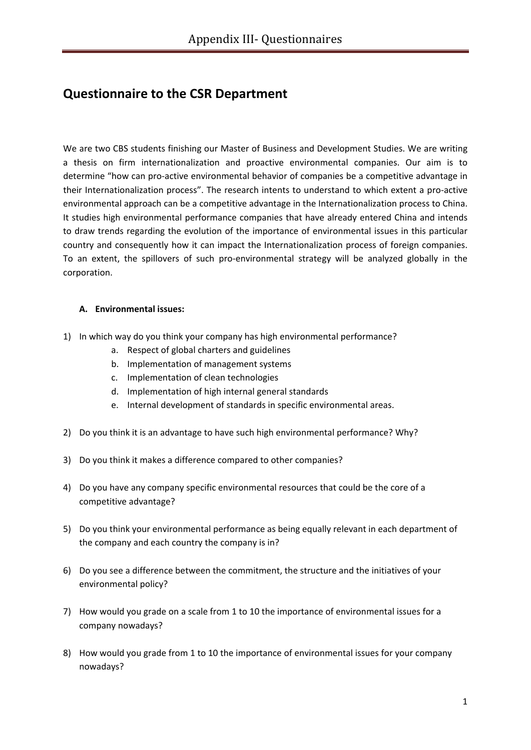# **Questionnaire to the CSR Department**

We are two CBS students finishing our Master of Business and Development Studies. We are writing a thesis on firm internationalization and proactive environmental companies. Our aim is to determine "how can pro‐active environmental behavior of companies be a competitive advantage in their Internationalization process". The research intents to understand to which extent a pro‐active environmental approach can be a competitive advantage in the Internationalization process to China. It studies high environmental performance companies that have already entered China and intends to draw trends regarding the evolution of the importance of environmental issues in this particular country and consequently how it can impact the Internationalization process of foreign companies. To an extent, the spillovers of such pro‐environmental strategy will be analyzed globally in the corporation.

#### **A. Environmental issues:**

- 1) In which way do you think your company has high environmental performance?
	- a. Respect of global charters and guidelines
	- b. Implementation of management systems
	- c. Implementation of clean technologies
	- d. Implementation of high internal general standards
	- e. Internal development of standards in specific environmental areas.
- 2) Do you think it is an advantage to have such high environmental performance? Why?
- 3) Do you think it makes a difference compared to other companies?
- 4) Do you have any company specific environmental resources that could be the core of a competitive advantage?
- 5) Do you think your environmental performance as being equally relevant in each department of the company and each country the company is in?
- 6) Do you see a difference between the commitment, the structure and the initiatives of your environmental policy?
- 7) How would you grade on a scale from 1 to 10 the importance of environmental issues for a company nowadays?
- 8) How would you grade from 1 to 10 the importance of environmental issues for your company nowadays?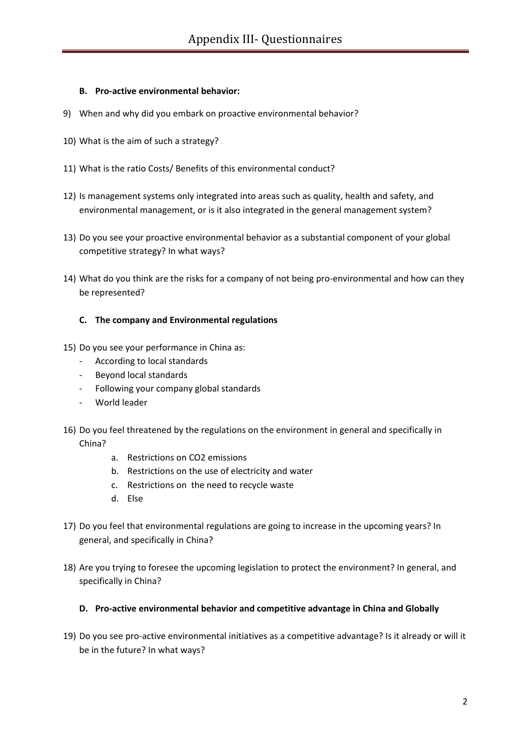#### **B. Pro‐active environmental behavior:**

- 9) When and why did you embark on proactive environmental behavior?
- 10) What is the aim of such a strategy?
- 11) What is the ratio Costs/ Benefits of this environmental conduct?
- 12) Is management systems only integrated into areas such as quality, health and safety, and environmental management, or is it also integrated in the general management system?
- 13) Do you see your proactive environmental behavior as a substantial component of your global competitive strategy? In what ways?
- 14) What do you think are the risks for a company of not being pro-environmental and how can they be represented?

#### **C. The company and Environmental regulations**

- 15) Do you see your performance in China as:
	- ‐ According to local standards
	- ‐ Beyond local standards
	- ‐ Following your company global standards
	- ‐ World leader
- 16) Do you feel threatened by the regulations on the environment in general and specifically in China?
	- a. Restrictions on CO2 emissions
	- b. Restrictions on the use of electricity and water
	- c. Restrictions on the need to recycle waste
	- d. Else
- 17) Do you feel that environmental regulations are going to increase in the upcoming years? In general, and specifically in China?
- 18) Are you trying to foresee the upcoming legislation to protect the environment? In general, and specifically in China?

#### **D. Pro‐active environmental behavior and competitive advantage in China and Globally**

19) Do you see pro‐active environmental initiatives as a competitive advantage? Is it already or will it be in the future? In what ways?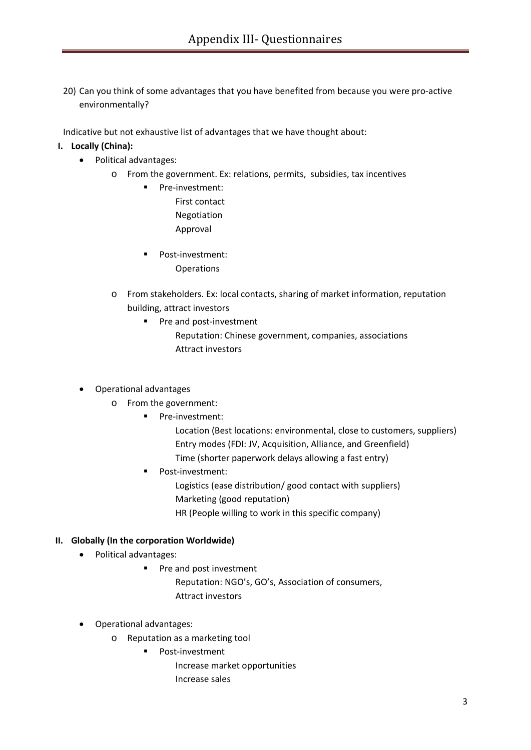20) Can you think of some advantages that you have benefited from because you were pro‐active environmentally?

Indicative but not exhaustive list of advantages that we have thought about:

## **I. Locally (China):**

- Political advantages:
	- o From the government. Ex: relations, permits, subsidies, tax incentives
		- Pre-investment: First contact Negotiation Approval
		- Post-investment: **Operations**
	- o From stakeholders. Ex: local contacts, sharing of market information, reputation building, attract investors
		- Pre and post-investment
			- Reputation: Chinese government, companies, associations Attract investors

#### • Operational advantages

- o From the government:
	- **Pre-investment:** 
		- Location (Best locations: environmental, close to customers, suppliers) Entry modes (FDI: JV, Acquisition, Alliance, and Greenfield)
		- Time (shorter paperwork delays allowing a fast entry)
	- Post-investment:
		- Logistics (ease distribution/ good contact with suppliers)
		- Marketing (good reputation)
		- HR (People willing to work in this specific company)

#### **II. Globally (In the corporation Worldwide)**

- Political advantages:
	- **Pre and post investment** 
		- Reputation: NGO's, GO's, Association of consumers, Attract investors
- Operational advantages:
	- o Reputation as a marketing tool
		- Post-investment
			- Increase market opportunities Increase sales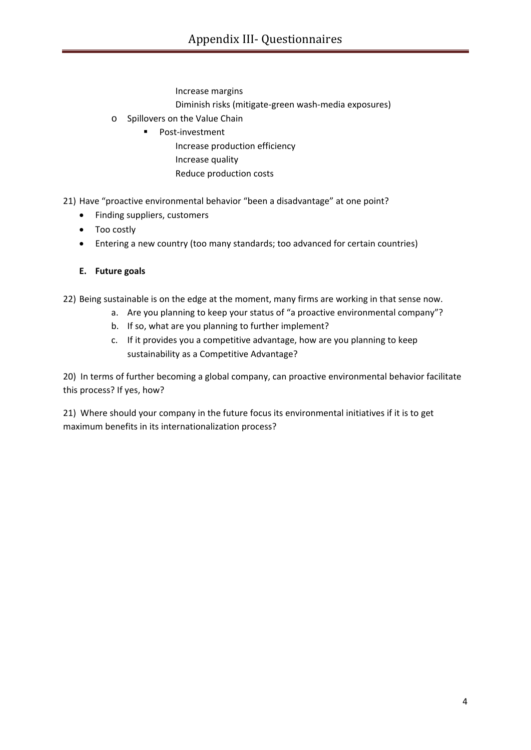Increase margins Diminish risks (mitigate‐green wash‐media exposures)

- o Spillovers on the Value Chain
	- Post-investment Increase production efficiency Increase quality Reduce production costs

21) Have "proactive environmental behavior "been a disadvantage" at one point?

- Finding suppliers, customers
- Too costly
- Entering a new country (too many standards; too advanced for certain countries)
- **E. Future goals**

22) Being sustainable is on the edge at the moment, many firms are working in that sense now.

- a. Are you planning to keep your status of "a proactive environmental company"?
- b. If so, what are you planning to further implement?
- c. If it provides you a competitive advantage, how are you planning to keep sustainability as a Competitive Advantage?

20) In terms of further becoming a global company, can proactive environmental behavior facilitate this process? If yes, how?

21) Where should your company in the future focus its environmental initiatives if it is to get maximum benefits in its internationalization process?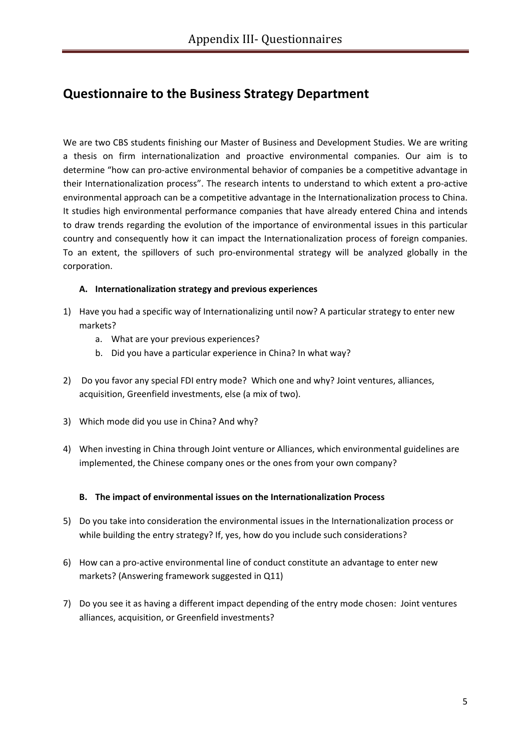# **Questionnaire to the Business Strategy Department**

We are two CBS students finishing our Master of Business and Development Studies. We are writing a thesis on firm internationalization and proactive environmental companies. Our aim is to determine "how can pro‐active environmental behavior of companies be a competitive advantage in their Internationalization process". The research intents to understand to which extent a pro‐active environmental approach can be a competitive advantage in the Internationalization process to China. It studies high environmental performance companies that have already entered China and intends to draw trends regarding the evolution of the importance of environmental issues in this particular country and consequently how it can impact the Internationalization process of foreign companies. To an extent, the spillovers of such pro‐environmental strategy will be analyzed globally in the corporation.

## **A. Internationalization strategy and previous experiences**

- 1) Have you had a specific way of Internationalizing until now? A particular strategy to enter new markets?
	- a. What are your previous experiences?
	- b. Did you have a particular experience in China? In what way?
- 2) Do you favor any special FDI entry mode? Which one and why? Joint ventures, alliances, acquisition, Greenfield investments, else (a mix of two).
- 3) Which mode did you use in China? And why?
- 4) When investing in China through Joint venture or Alliances, which environmental guidelines are implemented, the Chinese company ones or the ones from your own company?

#### **B. The impact of environmental issues on the Internationalization Process**

- 5) Do you take into consideration the environmental issues in the Internationalization process or while building the entry strategy? If, yes, how do you include such considerations?
- 6) How can a pro‐active environmental line of conduct constitute an advantage to enter new markets? (Answering framework suggested in Q11)
- 7) Do you see it as having a different impact depending of the entry mode chosen: Joint ventures alliances, acquisition, or Greenfield investments?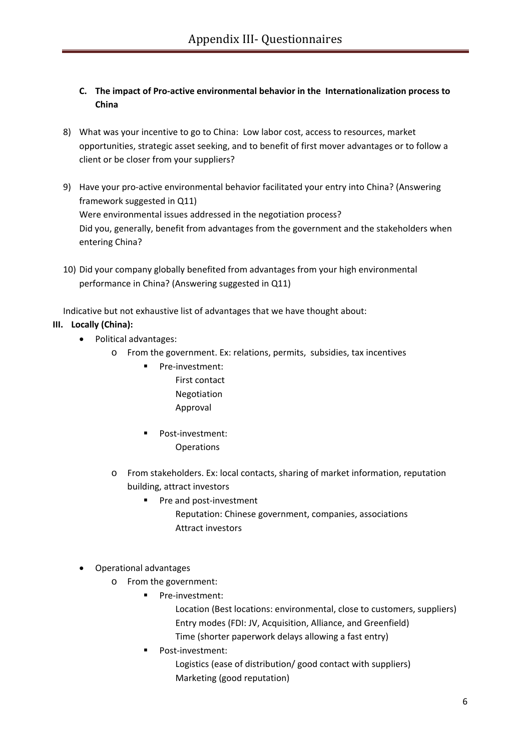- **C. The impact of Pro‐active environmental behavior in the Internationalization process to China**
- 8) What was your incentive to go to China: Low labor cost, access to resources, market opportunities, strategic asset seeking, and to benefit of first mover advantages or to follow a client or be closer from your suppliers?
- 9) Have your pro-active environmental behavior facilitated your entry into China? (Answering framework suggested in Q11) Were environmental issues addressed in the negotiation process? Did you, generally, benefit from advantages from the government and the stakeholders when entering China?
- 10) Did your company globally benefited from advantages from your high environmental performance in China? (Answering suggested in Q11)

Indicative but not exhaustive list of advantages that we have thought about:

# **III. Locally (China):**

- Political advantages:
	- o From the government. Ex: relations, permits, subsidies, tax incentives
		- Pre-investment: First contact Negotiation Approval
		- Post-investment: **Operations**
	- o From stakeholders. Ex: local contacts, sharing of market information, reputation building, attract investors
		- Pre and post-investment Reputation: Chinese government, companies, associations Attract investors
- Operational advantages
	- o From the government:
		- Pre-investment:
			- Location (Best locations: environmental, close to customers, suppliers) Entry modes (FDI: JV, Acquisition, Alliance, and Greenfield) Time (shorter paperwork delays allowing a fast entry)
		- Post‐investment: Logistics (ease of distribution/ good contact with suppliers) Marketing (good reputation)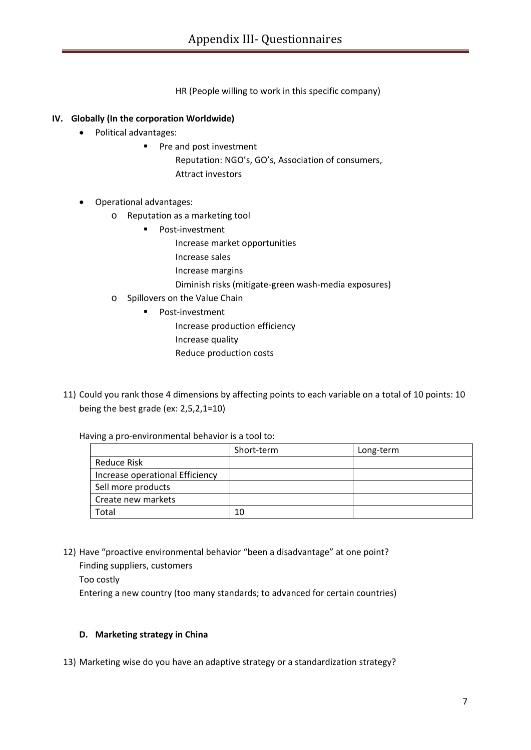HR (People willing to work in this specific company)

# **IV. Globally (In the corporation Worldwide)**

- Political advantages:
	- **Pre and post investment**

Reputation: NGO's, GO's, Association of consumers, Attract investors

- Operational advantages:
	- o Reputation as a marketing tool
		- Post-investment
			- Increase market opportunities
			- Increase sales
			- Increase margins
			- Diminish risks (mitigate‐green wash‐media exposures)
	- o Spillovers on the Value Chain
		- Post-investment Increase production efficiency Increase quality Reduce production costs
- 11) Could you rank those 4 dimensions by affecting points to each variable on a total of 10 points: 10 being the best grade (ex: 2,5,2,1=10)

Having a pro‐environmental behavior is a tool to:

|                                 | Short-term | Long-term |
|---------------------------------|------------|-----------|
| Reduce Risk                     |            |           |
| Increase operational Efficiency |            |           |
| Sell more products              |            |           |
| Create new markets              |            |           |
| Гоtal                           | 10         |           |

12) Have "proactive environmental behavior "been a disadvantage" at one point?

Finding suppliers, customers Too costly Entering a new country (too many standards; to advanced for certain countries)

#### **D. Marketing strategy in China**

13) Marketing wise do you have an adaptive strategy or a standardization strategy?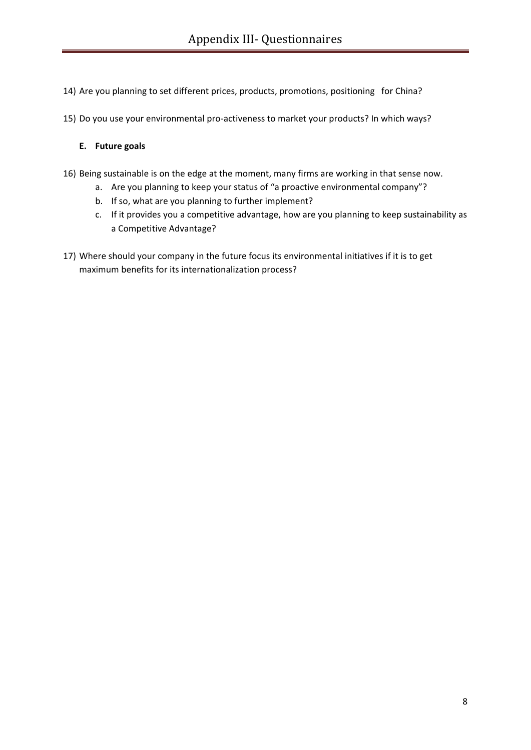- 14) Are you planning to set different prices, products, promotions, positioning for China?
- 15) Do you use your environmental pro-activeness to market your products? In which ways?

#### **E. Future goals**

- 16) Being sustainable is on the edge at the moment, many firms are working in that sense now.
	- a. Are you planning to keep your status of "a proactive environmental company"?
	- b. If so, what are you planning to further implement?
	- c. If it provides you a competitive advantage, how are you planning to keep sustainability as a Competitive Advantage?
- 17) Where should your company in the future focus its environmental initiatives if it is to get maximum benefits for its internationalization process?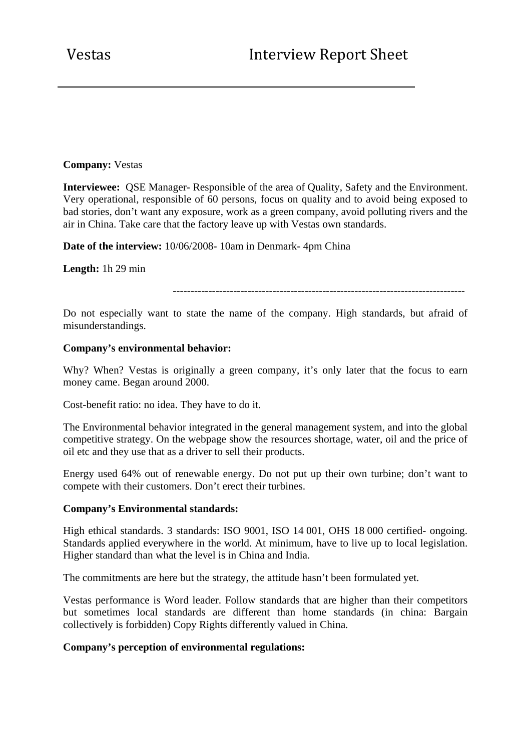## **Company:** Vestas

**Interviewee:** QSE Manager- Responsible of the area of Quality, Safety and the Environment. Very operational, responsible of 60 persons, focus on quality and to avoid being exposed to bad stories, don't want any exposure, work as a green company, avoid polluting rivers and the air in China. Take care that the factory leave up with Vestas own standards.

**Date of the interview:** 10/06/2008- 10am in Denmark- 4pm China

**Length:** 1h 29 min

----------------------------------------------------------------------------------

Do not especially want to state the name of the company. High standards, but afraid of misunderstandings.

## **Company's environmental behavior:**

Why? When? Vestas is originally a green company, it's only later that the focus to earn money came. Began around 2000.

Cost-benefit ratio: no idea. They have to do it.

The Environmental behavior integrated in the general management system, and into the global competitive strategy. On the webpage show the resources shortage, water, oil and the price of oil etc and they use that as a driver to sell their products.

Energy used 64% out of renewable energy. Do not put up their own turbine; don't want to compete with their customers. Don't erect their turbines.

#### **Company's Environmental standards:**

High ethical standards. 3 standards: ISO 9001, ISO 14 001, OHS 18 000 certified- ongoing. Standards applied everywhere in the world. At minimum, have to live up to local legislation. Higher standard than what the level is in China and India.

The commitments are here but the strategy, the attitude hasn't been formulated yet.

Vestas performance is Word leader. Follow standards that are higher than their competitors but sometimes local standards are different than home standards (in china: Bargain collectively is forbidden) Copy Rights differently valued in China.

# **Company's perception of environmental regulations:**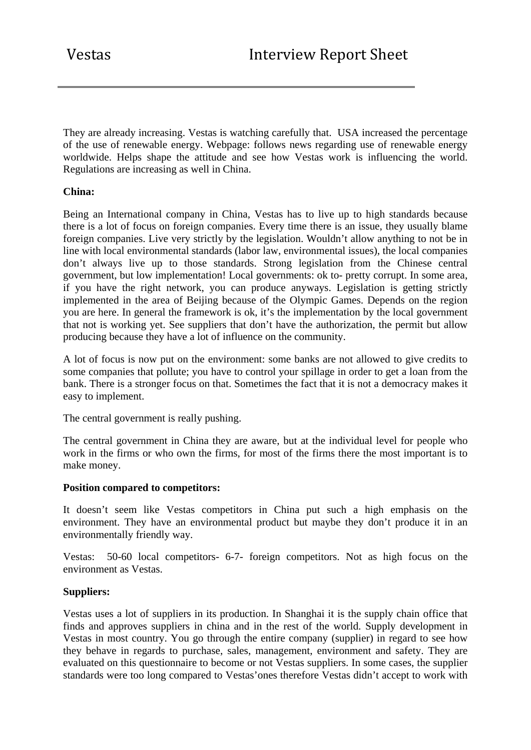They are already increasing. Vestas is watching carefully that. USA increased the percentage of the use of renewable energy. Webpage: follows news regarding use of renewable energy worldwide. Helps shape the attitude and see how Vestas work is influencing the world. Regulations are increasing as well in China.

# **China:**

Being an International company in China, Vestas has to live up to high standards because there is a lot of focus on foreign companies. Every time there is an issue, they usually blame foreign companies. Live very strictly by the legislation. Wouldn't allow anything to not be in line with local environmental standards (labor law, environmental issues), the local companies don't always live up to those standards. Strong legislation from the Chinese central government, but low implementation! Local governments: ok to- pretty corrupt. In some area, if you have the right network, you can produce anyways. Legislation is getting strictly implemented in the area of Beijing because of the Olympic Games. Depends on the region you are here. In general the framework is ok, it's the implementation by the local government that not is working yet. See suppliers that don't have the authorization, the permit but allow producing because they have a lot of influence on the community.

A lot of focus is now put on the environment: some banks are not allowed to give credits to some companies that pollute; you have to control your spillage in order to get a loan from the bank. There is a stronger focus on that. Sometimes the fact that it is not a democracy makes it easy to implement.

The central government is really pushing.

The central government in China they are aware, but at the individual level for people who work in the firms or who own the firms, for most of the firms there the most important is to make money.

# **Position compared to competitors:**

It doesn't seem like Vestas competitors in China put such a high emphasis on the environment. They have an environmental product but maybe they don't produce it in an environmentally friendly way.

Vestas: 50-60 local competitors- 6-7- foreign competitors. Not as high focus on the environment as Vestas.

#### **Suppliers:**

Vestas uses a lot of suppliers in its production. In Shanghai it is the supply chain office that finds and approves suppliers in china and in the rest of the world. Supply development in Vestas in most country. You go through the entire company (supplier) in regard to see how they behave in regards to purchase, sales, management, environment and safety. They are evaluated on this questionnaire to become or not Vestas suppliers. In some cases, the supplier standards were too long compared to Vestas'ones therefore Vestas didn't accept to work with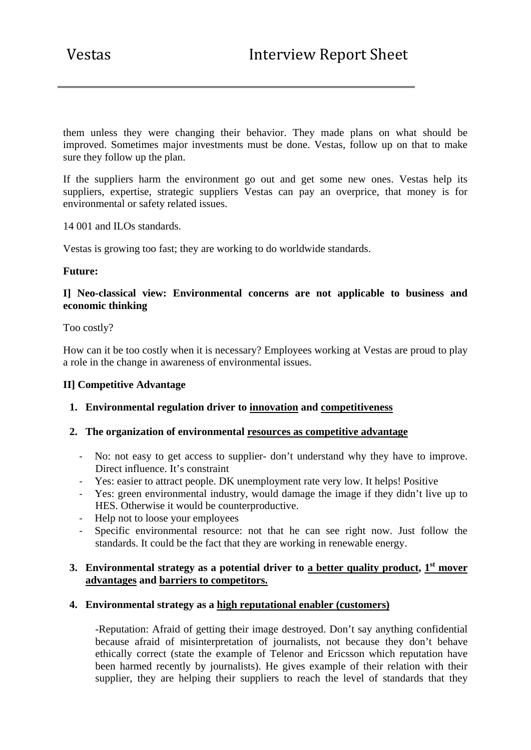them unless they were changing their behavior. They made plans on what should be improved. Sometimes major investments must be done. Vestas, follow up on that to make sure they follow up the plan.

If the suppliers harm the environment go out and get some new ones. Vestas help its suppliers, expertise, strategic suppliers Vestas can pay an overprice, that money is for environmental or safety related issues.

14 001 and ILOs standards.

Vestas is growing too fast; they are working to do worldwide standards.

## **Future:**

# **I] Neo-classical view: Environmental concerns are not applicable to business and economic thinking**

## Too costly?

How can it be too costly when it is necessary? Employees working at Vestas are proud to play a role in the change in awareness of environmental issues.

#### **II] Competitive Advantage**

# **1. Environmental regulation driver to innovation and competitiveness**

#### **2. The organization of environmental resources as competitive advantage**

- ‐ No: not easy to get access to supplier- don't understand why they have to improve. Direct influence. It's constraint
- ‐ Yes: easier to attract people. DK unemployment rate very low. It helps! Positive
- ‐ Yes: green environmental industry, would damage the image if they didn't live up to HES. Otherwise it would be counterproductive.
- ‐ Help not to loose your employees
- Specific environmental resource: not that he can see right now. Just follow the standards. It could be the fact that they are working in renewable energy.

# **3. Environmental strategy as a potential driver to <u>a better quality product</u>, 1<sup>st</sup> mover advantages and barriers to competitors.**

#### **4. Environmental strategy as a high reputational enabler (customers)**

-Reputation: Afraid of getting their image destroyed. Don't say anything confidential because afraid of misinterpretation of journalists, not because they don't behave ethically correct (state the example of Telenor and Ericsson which reputation have been harmed recently by journalists). He gives example of their relation with their supplier, they are helping their suppliers to reach the level of standards that they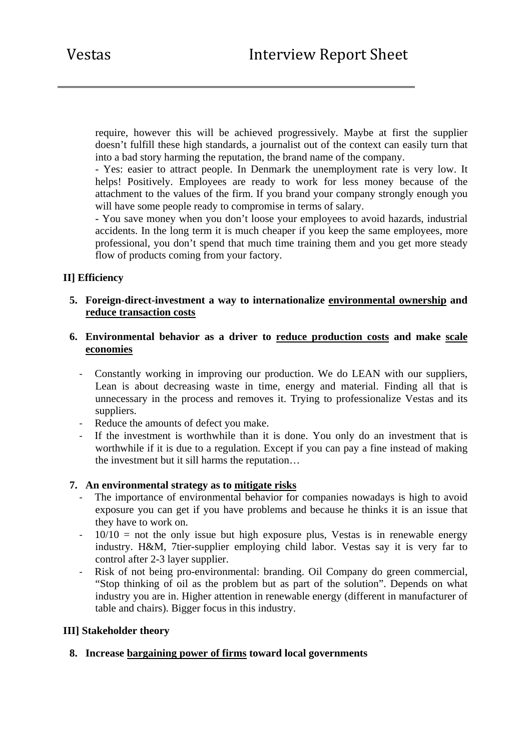require, however this will be achieved progressively. Maybe at first the supplier doesn't fulfill these high standards, a journalist out of the context can easily turn that into a bad story harming the reputation, the brand name of the company.

- Yes: easier to attract people. In Denmark the unemployment rate is very low. It helps! Positively. Employees are ready to work for less money because of the attachment to the values of the firm. If you brand your company strongly enough you will have some people ready to compromise in terms of salary.

- You save money when you don't loose your employees to avoid hazards, industrial accidents. In the long term it is much cheaper if you keep the same employees, more professional, you don't spend that much time training them and you get more steady flow of products coming from your factory.

# **II] Efficiency**

#### **5. Foreign-direct-investment a way to internationalize environmental ownership and reduce transaction costs**

## **6. Environmental behavior as a driver to reduce production costs and make scale economies**

- ‐ Constantly working in improving our production. We do LEAN with our suppliers, Lean is about decreasing waste in time, energy and material. Finding all that is unnecessary in the process and removes it. Trying to professionalize Vestas and its suppliers.
- ‐ Reduce the amounts of defect you make.
- ‐ If the investment is worthwhile than it is done. You only do an investment that is worthwhile if it is due to a regulation. Except if you can pay a fine instead of making the investment but it sill harms the reputation…

#### **7. An environmental strategy as to mitigate risks**

- The importance of environmental behavior for companies nowadays is high to avoid exposure you can get if you have problems and because he thinks it is an issue that they have to work on.
- $10/10$  = not the only issue but high exposure plus, Vestas is in renewable energy industry. H&M, 7tier-supplier employing child labor. Vestas say it is very far to control after 2-3 layer supplier.
- ‐ Risk of not being pro-environmental: branding. Oil Company do green commercial, "Stop thinking of oil as the problem but as part of the solution". Depends on what industry you are in. Higher attention in renewable energy (different in manufacturer of table and chairs). Bigger focus in this industry.

#### **III] Stakeholder theory**

# **8. Increase bargaining power of firms toward local governments**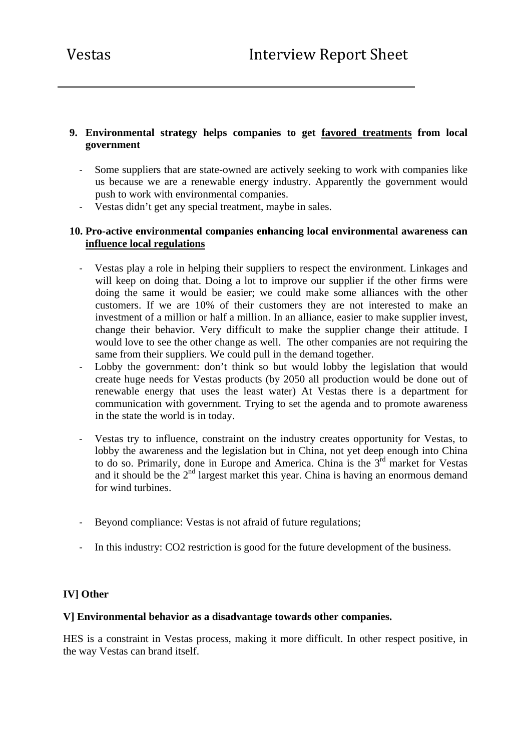# **9. Environmental strategy helps companies to get favored treatments from local government**

- Some suppliers that are state-owned are actively seeking to work with companies like us because we are a renewable energy industry. Apparently the government would push to work with environmental companies.
- ‐ Vestas didn't get any special treatment, maybe in sales.

# **10. Pro-active environmental companies enhancing local environmental awareness can influence local regulations**

- Vestas play a role in helping their suppliers to respect the environment. Linkages and will keep on doing that. Doing a lot to improve our supplier if the other firms were doing the same it would be easier; we could make some alliances with the other customers. If we are 10% of their customers they are not interested to make an investment of a million or half a million. In an alliance, easier to make supplier invest, change their behavior. Very difficult to make the supplier change their attitude. I would love to see the other change as well. The other companies are not requiring the same from their suppliers. We could pull in the demand together.
- Lobby the government: don't think so but would lobby the legislation that would create huge needs for Vestas products (by 2050 all production would be done out of renewable energy that uses the least water) At Vestas there is a department for communication with government. Trying to set the agenda and to promote awareness in the state the world is in today.
- Vestas try to influence, constraint on the industry creates opportunity for Vestas, to lobby the awareness and the legislation but in China, not yet deep enough into China to do so. Primarily, done in Europe and America. China is the 3rd market for Vestas and it should be the 2<sup>nd</sup> largest market this year. China is having an enormous demand for wind turbines.
- ‐ Beyond compliance: Vestas is not afraid of future regulations;
- ‐ In this industry: CO2 restriction is good for the future development of the business.

# **IV] Other**

#### **V] Environmental behavior as a disadvantage towards other companies.**

HES is a constraint in Vestas process, making it more difficult. In other respect positive, in the way Vestas can brand itself.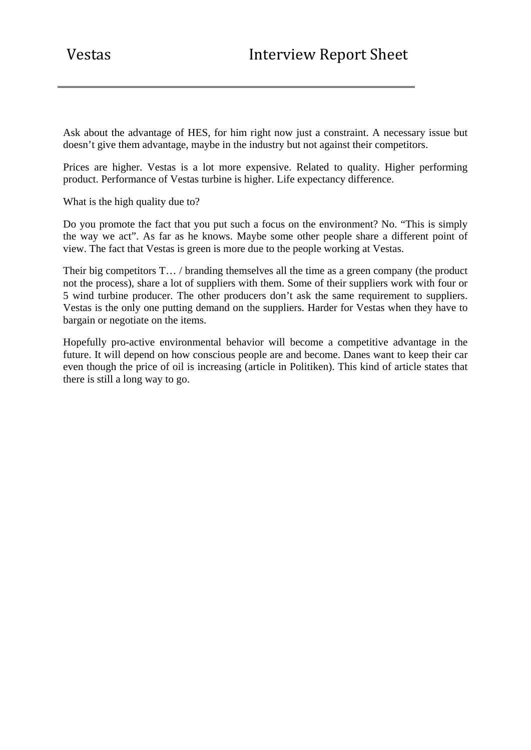Ask about the advantage of HES, for him right now just a constraint. A necessary issue but doesn't give them advantage, maybe in the industry but not against their competitors.

Prices are higher. Vestas is a lot more expensive. Related to quality. Higher performing product. Performance of Vestas turbine is higher. Life expectancy difference.

What is the high quality due to?

Do you promote the fact that you put such a focus on the environment? No. "This is simply the way we act". As far as he knows. Maybe some other people share a different point of view. The fact that Vestas is green is more due to the people working at Vestas.

Their big competitors T... / branding themselves all the time as a green company (the product not the process), share a lot of suppliers with them. Some of their suppliers work with four or 5 wind turbine producer. The other producers don't ask the same requirement to suppliers. Vestas is the only one putting demand on the suppliers. Harder for Vestas when they have to bargain or negotiate on the items.

Hopefully pro-active environmental behavior will become a competitive advantage in the future. It will depend on how conscious people are and become. Danes want to keep their car even though the price of oil is increasing (article in Politiken). This kind of article states that there is still a long way to go.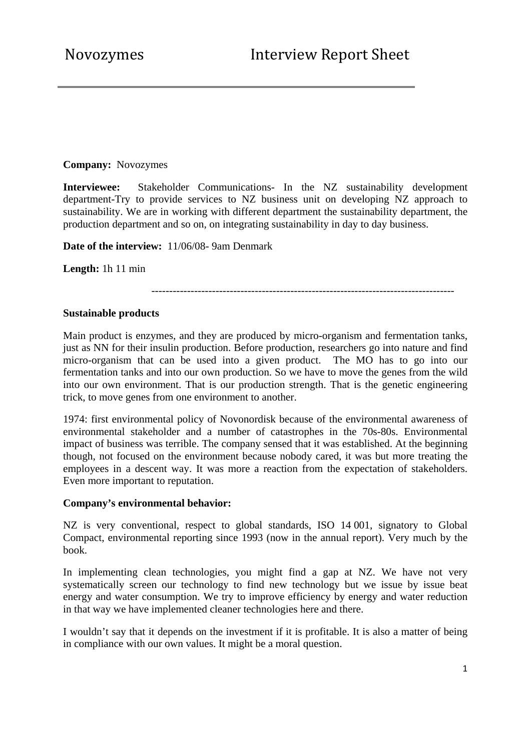**Company:** Novozymes

**Interviewee:** Stakeholder Communications- In the NZ sustainability development department-Try to provide services to NZ business unit on developing NZ approach to sustainability. We are in working with different department the sustainability department, the production department and so on, on integrating sustainability in day to day business.

**Date of the interview:** 11/06/08- 9am Denmark

**Length:** 1h 11 min

-------------------------------------------------------------------------------------

#### **Sustainable products**

Main product is enzymes, and they are produced by micro-organism and fermentation tanks, just as NN for their insulin production. Before production, researchers go into nature and find micro-organism that can be used into a given product. The MO has to go into our fermentation tanks and into our own production. So we have to move the genes from the wild into our own environment. That is our production strength. That is the genetic engineering trick, to move genes from one environment to another.

1974: first environmental policy of Novonordisk because of the environmental awareness of environmental stakeholder and a number of catastrophes in the 70s-80s. Environmental impact of business was terrible. The company sensed that it was established. At the beginning though, not focused on the environment because nobody cared, it was but more treating the employees in a descent way. It was more a reaction from the expectation of stakeholders. Even more important to reputation.

#### **Company's environmental behavior:**

NZ is very conventional, respect to global standards, ISO 14 001, signatory to Global Compact, environmental reporting since 1993 (now in the annual report). Very much by the book.

In implementing clean technologies, you might find a gap at NZ. We have not very systematically screen our technology to find new technology but we issue by issue beat energy and water consumption. We try to improve efficiency by energy and water reduction in that way we have implemented cleaner technologies here and there.

I wouldn't say that it depends on the investment if it is profitable. It is also a matter of being in compliance with our own values. It might be a moral question.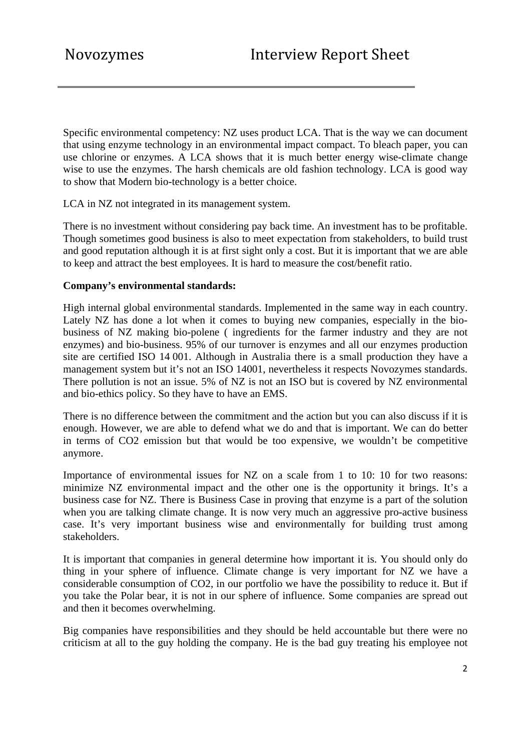Specific environmental competency: NZ uses product LCA. That is the way we can document that using enzyme technology in an environmental impact compact. To bleach paper, you can use chlorine or enzymes. A LCA shows that it is much better energy wise-climate change wise to use the enzymes. The harsh chemicals are old fashion technology. LCA is good way to show that Modern bio-technology is a better choice.

LCA in NZ not integrated in its management system.

There is no investment without considering pay back time. An investment has to be profitable. Though sometimes good business is also to meet expectation from stakeholders, to build trust and good reputation although it is at first sight only a cost. But it is important that we are able to keep and attract the best employees. It is hard to measure the cost/benefit ratio.

#### **Company's environmental standards:**

High internal global environmental standards. Implemented in the same way in each country. Lately NZ has done a lot when it comes to buying new companies, especially in the biobusiness of NZ making bio-polene ( ingredients for the farmer industry and they are not enzymes) and bio-business. 95% of our turnover is enzymes and all our enzymes production site are certified ISO 14 001. Although in Australia there is a small production they have a management system but it's not an ISO 14001, nevertheless it respects Novozymes standards. There pollution is not an issue. 5% of NZ is not an ISO but is covered by NZ environmental and bio-ethics policy. So they have to have an EMS.

There is no difference between the commitment and the action but you can also discuss if it is enough. However, we are able to defend what we do and that is important. We can do better in terms of CO2 emission but that would be too expensive, we wouldn't be competitive anymore.

Importance of environmental issues for NZ on a scale from 1 to 10: 10 for two reasons: minimize NZ environmental impact and the other one is the opportunity it brings. It's a business case for NZ. There is Business Case in proving that enzyme is a part of the solution when you are talking climate change. It is now very much an aggressive pro-active business case. It's very important business wise and environmentally for building trust among stakeholders.

It is important that companies in general determine how important it is. You should only do thing in your sphere of influence. Climate change is very important for NZ we have a considerable consumption of CO2, in our portfolio we have the possibility to reduce it. But if you take the Polar bear, it is not in our sphere of influence. Some companies are spread out and then it becomes overwhelming.

Big companies have responsibilities and they should be held accountable but there were no criticism at all to the guy holding the company. He is the bad guy treating his employee not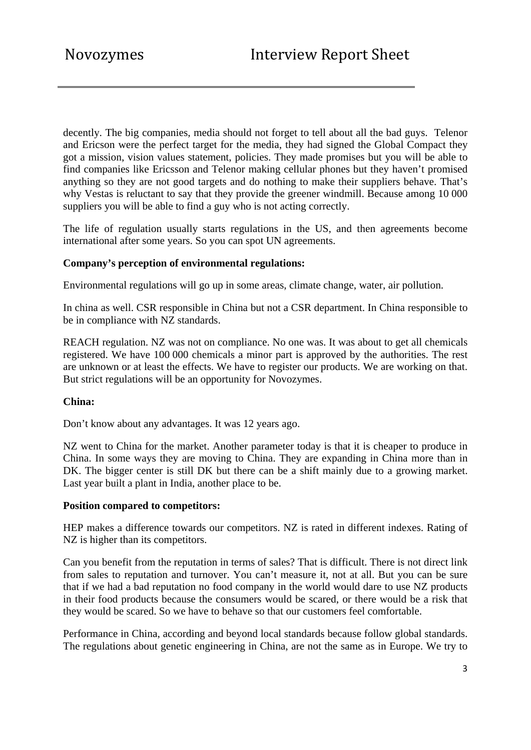decently. The big companies, media should not forget to tell about all the bad guys. Telenor and Ericson were the perfect target for the media, they had signed the Global Compact they got a mission, vision values statement, policies. They made promises but you will be able to find companies like Ericsson and Telenor making cellular phones but they haven't promised anything so they are not good targets and do nothing to make their suppliers behave. That's why Vestas is reluctant to say that they provide the greener windmill. Because among 10 000 suppliers you will be able to find a guy who is not acting correctly.

The life of regulation usually starts regulations in the US, and then agreements become international after some years. So you can spot UN agreements.

### **Company's perception of environmental regulations:**

Environmental regulations will go up in some areas, climate change, water, air pollution.

In china as well. CSR responsible in China but not a CSR department. In China responsible to be in compliance with NZ standards.

REACH regulation. NZ was not on compliance. No one was. It was about to get all chemicals registered. We have 100 000 chemicals a minor part is approved by the authorities. The rest are unknown or at least the effects. We have to register our products. We are working on that. But strict regulations will be an opportunity for Novozymes.

#### **China:**

Don't know about any advantages. It was 12 years ago.

NZ went to China for the market. Another parameter today is that it is cheaper to produce in China. In some ways they are moving to China. They are expanding in China more than in DK. The bigger center is still DK but there can be a shift mainly due to a growing market. Last year built a plant in India, another place to be.

#### **Position compared to competitors:**

HEP makes a difference towards our competitors. NZ is rated in different indexes. Rating of NZ is higher than its competitors.

Can you benefit from the reputation in terms of sales? That is difficult. There is not direct link from sales to reputation and turnover. You can't measure it, not at all. But you can be sure that if we had a bad reputation no food company in the world would dare to use NZ products in their food products because the consumers would be scared, or there would be a risk that they would be scared. So we have to behave so that our customers feel comfortable.

Performance in China, according and beyond local standards because follow global standards. The regulations about genetic engineering in China, are not the same as in Europe. We try to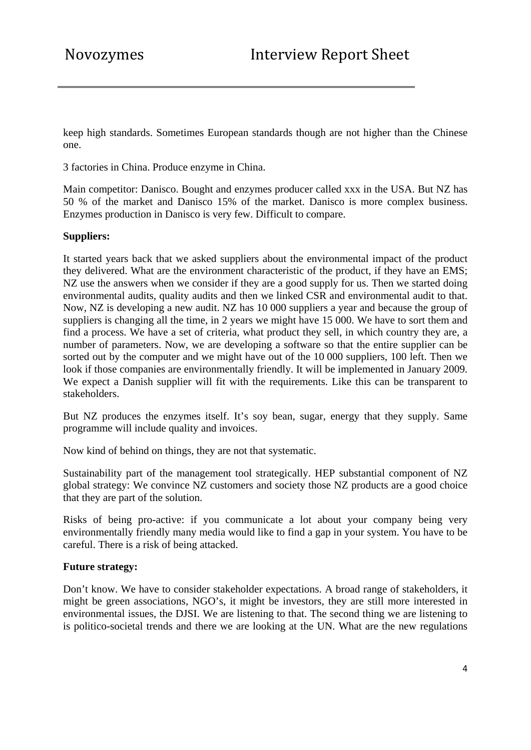keep high standards. Sometimes European standards though are not higher than the Chinese one.

3 factories in China. Produce enzyme in China.

Main competitor: Danisco. Bought and enzymes producer called xxx in the USA. But NZ has 50 % of the market and Danisco 15% of the market. Danisco is more complex business. Enzymes production in Danisco is very few. Difficult to compare.

### **Suppliers:**

It started years back that we asked suppliers about the environmental impact of the product they delivered. What are the environment characteristic of the product, if they have an EMS; NZ use the answers when we consider if they are a good supply for us. Then we started doing environmental audits, quality audits and then we linked CSR and environmental audit to that. Now, NZ is developing a new audit. NZ has 10 000 suppliers a year and because the group of suppliers is changing all the time, in 2 years we might have 15 000. We have to sort them and find a process. We have a set of criteria, what product they sell, in which country they are, a number of parameters. Now, we are developing a software so that the entire supplier can be sorted out by the computer and we might have out of the 10 000 suppliers, 100 left. Then we look if those companies are environmentally friendly. It will be implemented in January 2009. We expect a Danish supplier will fit with the requirements. Like this can be transparent to stakeholders.

But NZ produces the enzymes itself. It's soy bean, sugar, energy that they supply. Same programme will include quality and invoices.

Now kind of behind on things, they are not that systematic.

Sustainability part of the management tool strategically. HEP substantial component of NZ global strategy: We convince NZ customers and society those NZ products are a good choice that they are part of the solution.

Risks of being pro-active: if you communicate a lot about your company being very environmentally friendly many media would like to find a gap in your system. You have to be careful. There is a risk of being attacked.

#### **Future strategy:**

Don't know. We have to consider stakeholder expectations. A broad range of stakeholders, it might be green associations, NGO's, it might be investors, they are still more interested in environmental issues, the DJSI. We are listening to that. The second thing we are listening to is politico-societal trends and there we are looking at the UN. What are the new regulations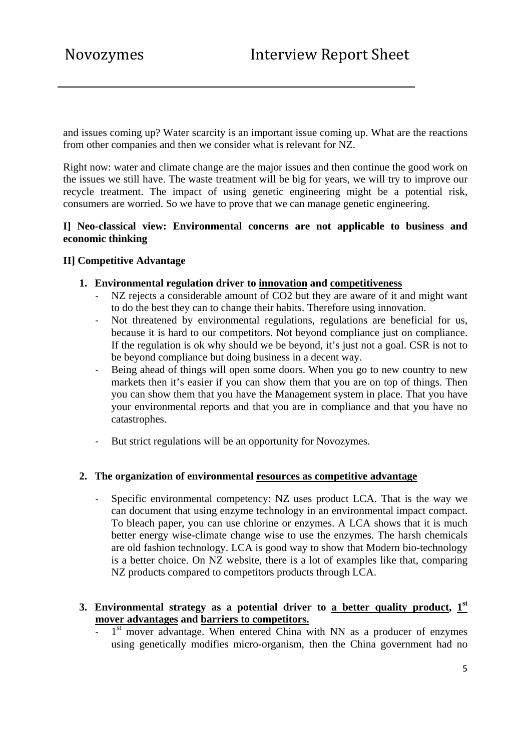and issues coming up? Water scarcity is an important issue coming up. What are the reactions from other companies and then we consider what is relevant for NZ.

Right now: water and climate change are the major issues and then continue the good work on the issues we still have. The waste treatment will be big for years, we will try to improve our recycle treatment. The impact of using genetic engineering might be a potential risk, consumers are worried. So we have to prove that we can manage genetic engineering.

### **I] Neo-classical view: Environmental concerns are not applicable to business and economic thinking**

### **II] Competitive Advantage**

#### **1. Environmental regulation driver to innovation and competitiveness**

- NZ rejects a considerable amount of CO2 but they are aware of it and might want to do the best they can to change their habits. Therefore using innovation.
- ‐ Not threatened by environmental regulations, regulations are beneficial for us, because it is hard to our competitors. Not beyond compliance just on compliance. If the regulation is ok why should we be beyond, it's just not a goal. CSR is not to be beyond compliance but doing business in a decent way.
- Being ahead of things will open some doors. When you go to new country to new markets then it's easier if you can show them that you are on top of things. Then you can show them that you have the Management system in place. That you have your environmental reports and that you are in compliance and that you have no catastrophes.
- ‐ But strict regulations will be an opportunity for Novozymes.

#### **2. The organization of environmental resources as competitive advantage**

Specific environmental competency: NZ uses product LCA. That is the way we can document that using enzyme technology in an environmental impact compact. To bleach paper, you can use chlorine or enzymes. A LCA shows that it is much better energy wise-climate change wise to use the enzymes. The harsh chemicals are old fashion technology. LCA is good way to show that Modern bio-technology is a better choice. On NZ website, there is a lot of examples like that, comparing NZ products compared to competitors products through LCA.

## **3. Environmental strategy as a potential driver to a better quality product, 1st mover advantages and barriers to competitors.**

1<sup>st</sup> mover advantage. When entered China with NN as a producer of enzymes using genetically modifies micro-organism, then the China government had no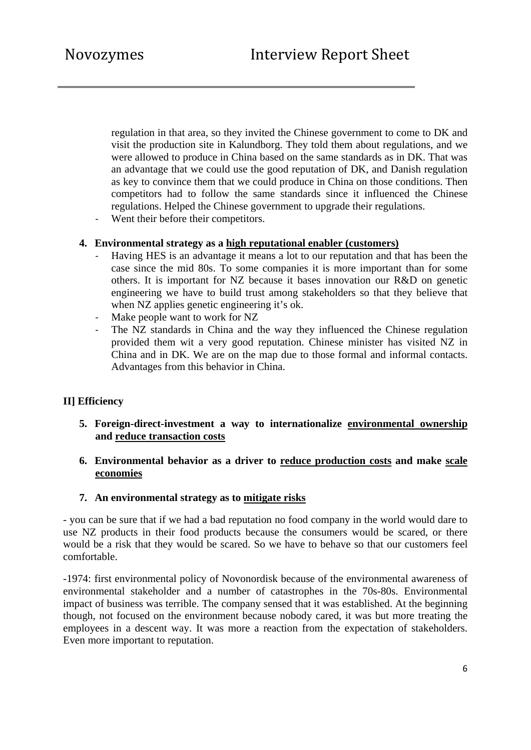regulation in that area, so they invited the Chinese government to come to DK and visit the production site in Kalundborg. They told them about regulations, and we were allowed to produce in China based on the same standards as in DK. That was an advantage that we could use the good reputation of DK, and Danish regulation as key to convince them that we could produce in China on those conditions. Then competitors had to follow the same standards since it influenced the Chinese regulations. Helped the Chinese government to upgrade their regulations.

Went their before their competitors.

### **4. Environmental strategy as a high reputational enabler (customers)**

- ‐ Having HES is an advantage it means a lot to our reputation and that has been the case since the mid 80s. To some companies it is more important than for some others. It is important for NZ because it bases innovation our R&D on genetic engineering we have to build trust among stakeholders so that they believe that when NZ applies genetic engineering it's ok.
- Make people want to work for NZ
- The NZ standards in China and the way they influenced the Chinese regulation provided them wit a very good reputation. Chinese minister has visited NZ in China and in DK. We are on the map due to those formal and informal contacts. Advantages from this behavior in China.

## **II] Efficiency**

- **5. Foreign-direct-investment a way to internationalize environmental ownership and reduce transaction costs**
- **6. Environmental behavior as a driver to reduce production costs and make scale economies**

#### **7. An environmental strategy as to mitigate risks**

- you can be sure that if we had a bad reputation no food company in the world would dare to use NZ products in their food products because the consumers would be scared, or there would be a risk that they would be scared. So we have to behave so that our customers feel comfortable.

-1974: first environmental policy of Novonordisk because of the environmental awareness of environmental stakeholder and a number of catastrophes in the 70s-80s. Environmental impact of business was terrible. The company sensed that it was established. At the beginning though, not focused on the environment because nobody cared, it was but more treating the employees in a descent way. It was more a reaction from the expectation of stakeholders. Even more important to reputation.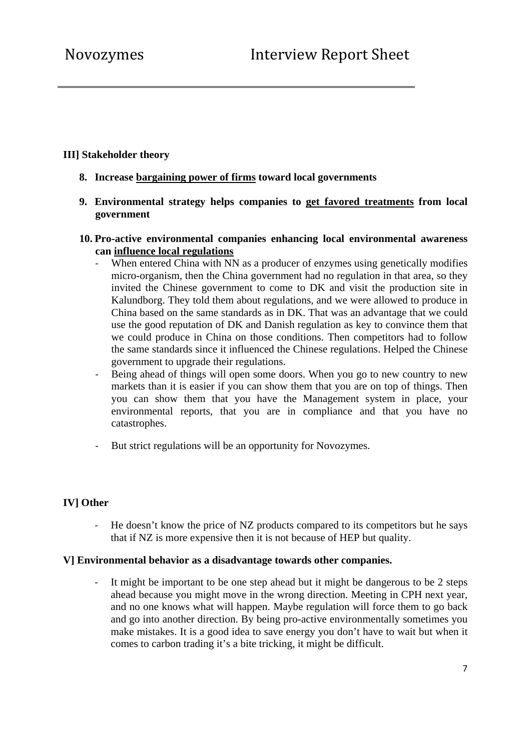## **III] Stakeholder theory**

- **8. Increase bargaining power of firms toward local governments**
- **9. Environmental strategy helps companies to get favored treatments from local government**
- **10. Pro-active environmental companies enhancing local environmental awareness can influence local regulations** 
	- When entered China with NN as a producer of enzymes using genetically modifies micro-organism, then the China government had no regulation in that area, so they invited the Chinese government to come to DK and visit the production site in Kalundborg. They told them about regulations, and we were allowed to produce in China based on the same standards as in DK. That was an advantage that we could use the good reputation of DK and Danish regulation as key to convince them that we could produce in China on those conditions. Then competitors had to follow the same standards since it influenced the Chinese regulations. Helped the Chinese government to upgrade their regulations.
	- ‐ Being ahead of things will open some doors. When you go to new country to new markets than it is easier if you can show them that you are on top of things. Then you can show them that you have the Management system in place, your environmental reports, that you are in compliance and that you have no catastrophes.
	- ‐ But strict regulations will be an opportunity for Novozymes.

## **IV] Other**

‐ He doesn't know the price of NZ products compared to its competitors but he says that if NZ is more expensive then it is not because of HEP but quality.

#### **V] Environmental behavior as a disadvantage towards other companies.**

‐ It might be important to be one step ahead but it might be dangerous to be 2 steps ahead because you might move in the wrong direction. Meeting in CPH next year, and no one knows what will happen. Maybe regulation will force them to go back and go into another direction. By being pro-active environmentally sometimes you make mistakes. It is a good idea to save energy you don't have to wait but when it comes to carbon trading it's a bite tricking, it might be difficult.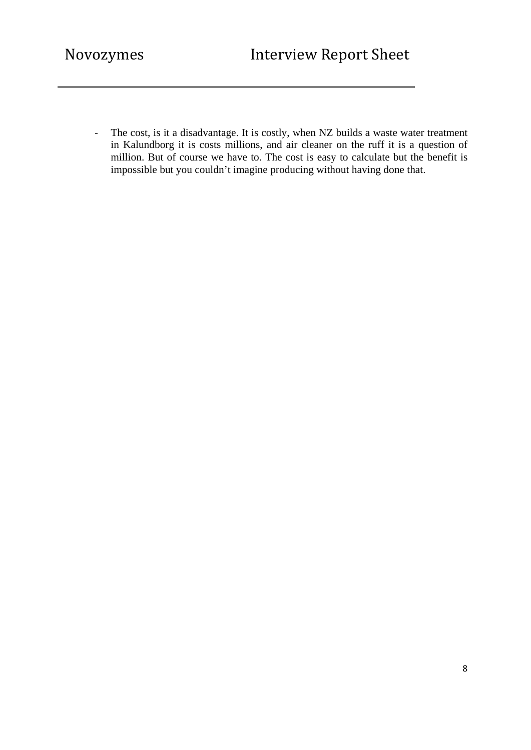‐ The cost, is it a disadvantage. It is costly, when NZ builds a waste water treatment in Kalundborg it is costs millions, and air cleaner on the ruff it is a question of million. But of course we have to. The cost is easy to calculate but the benefit is impossible but you couldn't imagine producing without having done that.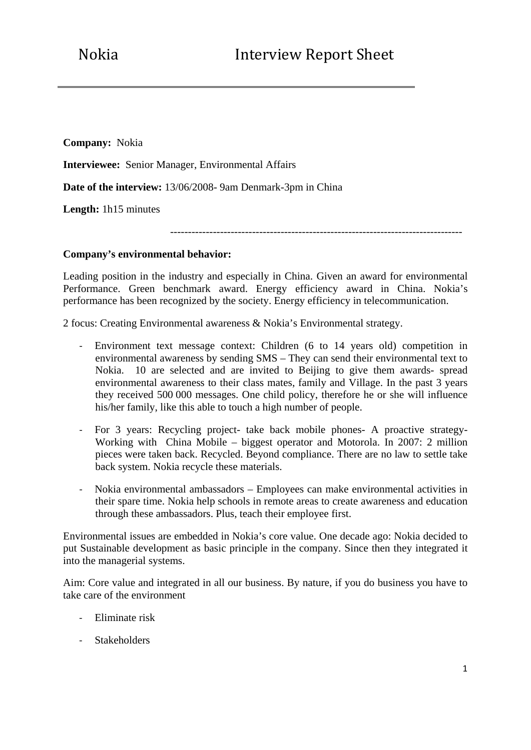**Company:** Nokia

**Interviewee:** Senior Manager, Environmental Affairs

**Date of the interview:** 13/06/2008- 9am Denmark-3pm in China

**Length:** 1h15 minutes

----------------------------------------------------------------------------------

#### **Company's environmental behavior:**

Leading position in the industry and especially in China. Given an award for environmental Performance. Green benchmark award. Energy efficiency award in China. Nokia's performance has been recognized by the society. Energy efficiency in telecommunication.

2 focus: Creating Environmental awareness & Nokia's Environmental strategy.

- ‐ Environment text message context: Children (6 to 14 years old) competition in environmental awareness by sending SMS – They can send their environmental text to Nokia. 10 are selected and are invited to Beijing to give them awards- spread environmental awareness to their class mates, family and Village. In the past 3 years they received 500 000 messages. One child policy, therefore he or she will influence his/her family, like this able to touch a high number of people.
- ‐ For 3 years: Recycling project- take back mobile phones- A proactive strategy-Working with China Mobile – biggest operator and Motorola. In 2007: 2 million pieces were taken back. Recycled. Beyond compliance. There are no law to settle take back system. Nokia recycle these materials.
- ‐ Nokia environmental ambassadors Employees can make environmental activities in their spare time. Nokia help schools in remote areas to create awareness and education through these ambassadors. Plus, teach their employee first.

Environmental issues are embedded in Nokia's core value. One decade ago: Nokia decided to put Sustainable development as basic principle in the company. Since then they integrated it into the managerial systems.

Aim: Core value and integrated in all our business. By nature, if you do business you have to take care of the environment

- ‐ Eliminate risk
- ‐ Stakeholders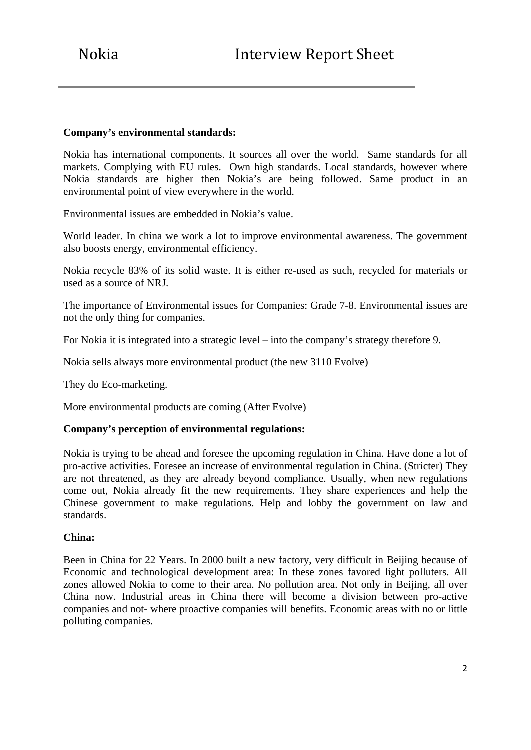### **Company's environmental standards:**

Nokia has international components. It sources all over the world.Same standards for all markets. Complying with EU rules. Own high standards. Local standards, however where Nokia standards are higher then Nokia's are being followed. Same product in an environmental point of view everywhere in the world.

Environmental issues are embedded in Nokia's value.

World leader. In china we work a lot to improve environmental awareness. The government also boosts energy, environmental efficiency.

Nokia recycle 83% of its solid waste. It is either re-used as such, recycled for materials or used as a source of NRJ.

The importance of Environmental issues for Companies: Grade 7-8. Environmental issues are not the only thing for companies.

For Nokia it is integrated into a strategic level – into the company's strategy therefore 9.

Nokia sells always more environmental product (the new 3110 Evolve)

They do Eco-marketing.

More environmental products are coming (After Evolve)

#### **Company's perception of environmental regulations:**

Nokia is trying to be ahead and foresee the upcoming regulation in China. Have done a lot of pro-active activities. Foresee an increase of environmental regulation in China. (Stricter) They are not threatened, as they are already beyond compliance. Usually, when new regulations come out, Nokia already fit the new requirements. They share experiences and help the Chinese government to make regulations. Help and lobby the government on law and standards.

#### **China:**

Been in China for 22 Years. In 2000 built a new factory, very difficult in Beijing because of Economic and technological development area: In these zones favored light polluters. All zones allowed Nokia to come to their area. No pollution area. Not only in Beijing, all over China now. Industrial areas in China there will become a division between pro-active companies and not- where proactive companies will benefits. Economic areas with no or little polluting companies.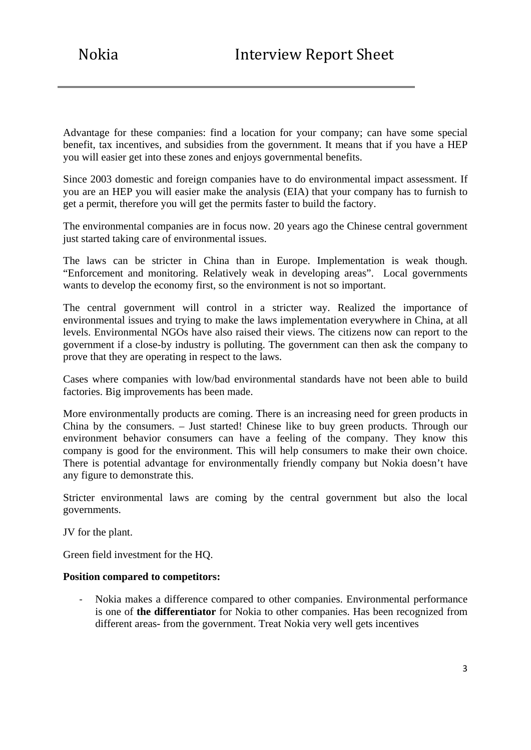Advantage for these companies: find a location for your company; can have some special benefit, tax incentives, and subsidies from the government. It means that if you have a HEP you will easier get into these zones and enjoys governmental benefits.

Since 2003 domestic and foreign companies have to do environmental impact assessment. If you are an HEP you will easier make the analysis (EIA) that your company has to furnish to get a permit, therefore you will get the permits faster to build the factory.

The environmental companies are in focus now. 20 years ago the Chinese central government just started taking care of environmental issues.

The laws can be stricter in China than in Europe. Implementation is weak though. "Enforcement and monitoring. Relatively weak in developing areas". Local governments wants to develop the economy first, so the environment is not so important.

The central government will control in a stricter way. Realized the importance of environmental issues and trying to make the laws implementation everywhere in China, at all levels. Environmental NGOs have also raised their views. The citizens now can report to the government if a close-by industry is polluting. The government can then ask the company to prove that they are operating in respect to the laws.

Cases where companies with low/bad environmental standards have not been able to build factories. Big improvements has been made.

More environmentally products are coming. There is an increasing need for green products in China by the consumers. – Just started! Chinese like to buy green products. Through our environment behavior consumers can have a feeling of the company. They know this company is good for the environment. This will help consumers to make their own choice. There is potential advantage for environmentally friendly company but Nokia doesn't have any figure to demonstrate this.

Stricter environmental laws are coming by the central government but also the local governments.

JV for the plant.

Green field investment for the HQ.

#### **Position compared to competitors:**

‐ Nokia makes a difference compared to other companies. Environmental performance is one of **the differentiator** for Nokia to other companies. Has been recognized from different areas- from the government. Treat Nokia very well gets incentives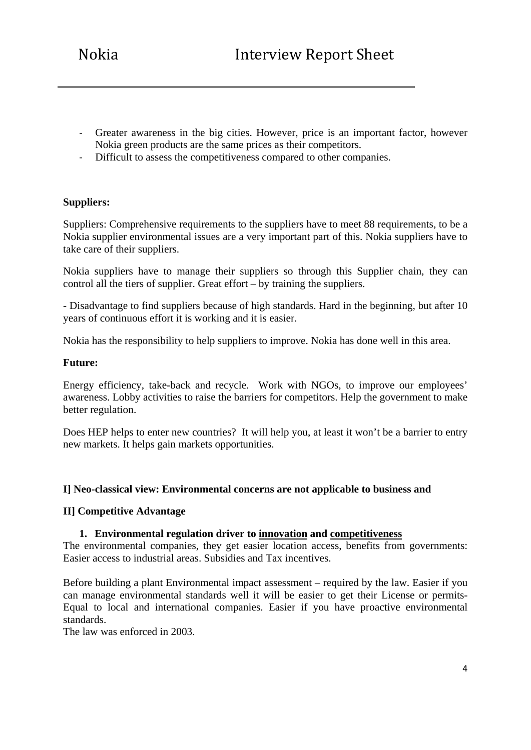- ‐ Greater awareness in the big cities. However, price is an important factor, however Nokia green products are the same prices as their competitors.
- ‐ Difficult to assess the competitiveness compared to other companies.

### **Suppliers:**

Suppliers: Comprehensive requirements to the suppliers have to meet 88 requirements, to be a Nokia supplier environmental issues are a very important part of this. Nokia suppliers have to take care of their suppliers.

Nokia suppliers have to manage their suppliers so through this Supplier chain, they can control all the tiers of supplier. Great effort – by training the suppliers.

- Disadvantage to find suppliers because of high standards. Hard in the beginning, but after 10 years of continuous effort it is working and it is easier.

Nokia has the responsibility to help suppliers to improve. Nokia has done well in this area.

#### **Future:**

Energy efficiency, take-back and recycle. Work with NGOs, to improve our employees' awareness. Lobby activities to raise the barriers for competitors. Help the government to make better regulation.

Does HEP helps to enter new countries? It will help you, at least it won't be a barrier to entry new markets. It helps gain markets opportunities.

#### **I] Neo-classical view: Environmental concerns are not applicable to business and**

## **II] Competitive Advantage**

#### **1. Environmental regulation driver to innovation and competitiveness**

The environmental companies, they get easier location access, benefits from governments: Easier access to industrial areas. Subsidies and Tax incentives.

Before building a plant Environmental impact assessment – required by the law. Easier if you can manage environmental standards well it will be easier to get their License or permits-Equal to local and international companies. Easier if you have proactive environmental standards.

The law was enforced in 2003.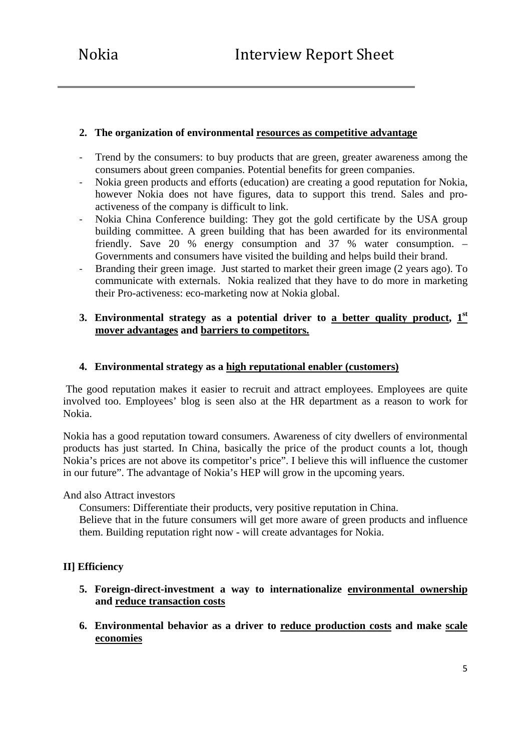## **2. The organization of environmental resources as competitive advantage**

- Trend by the consumers: to buy products that are green, greater awareness among the consumers about green companies. Potential benefits for green companies.
- ‐ Nokia green products and efforts (education) are creating a good reputation for Nokia, however Nokia does not have figures, data to support this trend. Sales and proactiveness of the company is difficult to link.
- ‐ Nokia China Conference building: They got the gold certificate by the USA group building committee. A green building that has been awarded for its environmental friendly. Save 20 % energy consumption and 37 % water consumption. – Governments and consumers have visited the building and helps build their brand.
- ‐ Branding their green image. Just started to market their green image (2 years ago). To communicate with externals. Nokia realized that they have to do more in marketing their Pro-activeness: eco-marketing now at Nokia global.

## **3. Environmental strategy as a potential driver to a better quality product, 1st mover advantages and barriers to competitors.**

## **4. Environmental strategy as a high reputational enabler (customers)**

 The good reputation makes it easier to recruit and attract employees. Employees are quite involved too. Employees' blog is seen also at the HR department as a reason to work for Nokia.

Nokia has a good reputation toward consumers. Awareness of city dwellers of environmental products has just started. In China, basically the price of the product counts a lot, though Nokia's prices are not above its competitor's price". I believe this will influence the customer in our future". The advantage of Nokia's HEP will grow in the upcoming years.

#### And also Attract investors

Consumers: Differentiate their products, very positive reputation in China.

Believe that in the future consumers will get more aware of green products and influence them. Building reputation right now - will create advantages for Nokia.

## **II] Efficiency**

- **5. Foreign-direct-investment a way to internationalize environmental ownership and reduce transaction costs**
- **6. Environmental behavior as a driver to reduce production costs and make scale economies**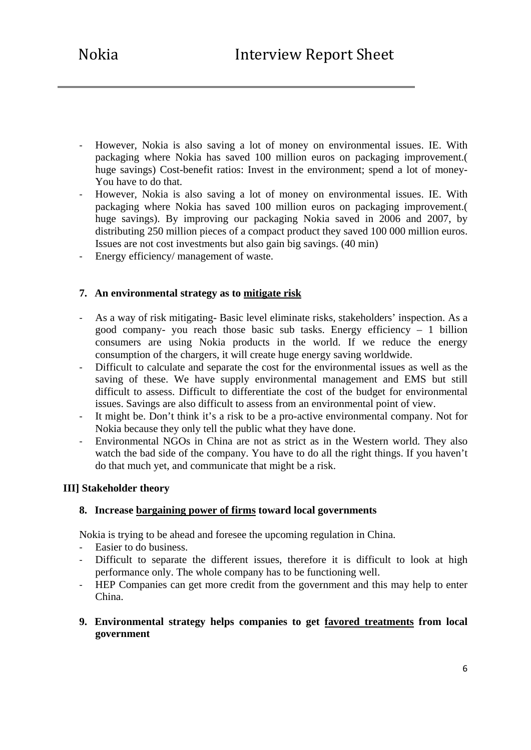- ‐ However, Nokia is also saving a lot of money on environmental issues. IE. With packaging where Nokia has saved 100 million euros on packaging improvement.( huge savings) Cost-benefit ratios: Invest in the environment; spend a lot of money-You have to do that.
- ‐ However, Nokia is also saving a lot of money on environmental issues. IE. With packaging where Nokia has saved 100 million euros on packaging improvement.( huge savings). By improving our packaging Nokia saved in 2006 and 2007, by distributing 250 million pieces of a compact product they saved 100 000 million euros. Issues are not cost investments but also gain big savings. (40 min)
- ‐ Energy efficiency/ management of waste.

### **7. An environmental strategy as to mitigate risk**

- ‐ As a way of risk mitigating- Basic level eliminate risks, stakeholders' inspection. As a good company- you reach those basic sub tasks. Energy efficiency – 1 billion consumers are using Nokia products in the world. If we reduce the energy consumption of the chargers, it will create huge energy saving worldwide.
- ‐ Difficult to calculate and separate the cost for the environmental issues as well as the saving of these. We have supply environmental management and EMS but still difficult to assess. Difficult to differentiate the cost of the budget for environmental issues. Savings are also difficult to assess from an environmental point of view.
- ‐ It might be. Don't think it's a risk to be a pro-active environmental company. Not for Nokia because they only tell the public what they have done.
- ‐ Environmental NGOs in China are not as strict as in the Western world. They also watch the bad side of the company. You have to do all the right things. If you haven't do that much yet, and communicate that might be a risk.

#### **III] Stakeholder theory**

#### **8. Increase bargaining power of firms toward local governments**

Nokia is trying to be ahead and foresee the upcoming regulation in China.

- ‐ Easier to do business.
- Difficult to separate the different issues, therefore it is difficult to look at high performance only. The whole company has to be functioning well.
- ‐ HEP Companies can get more credit from the government and this may help to enter China.
- **9. Environmental strategy helps companies to get favored treatments from local government**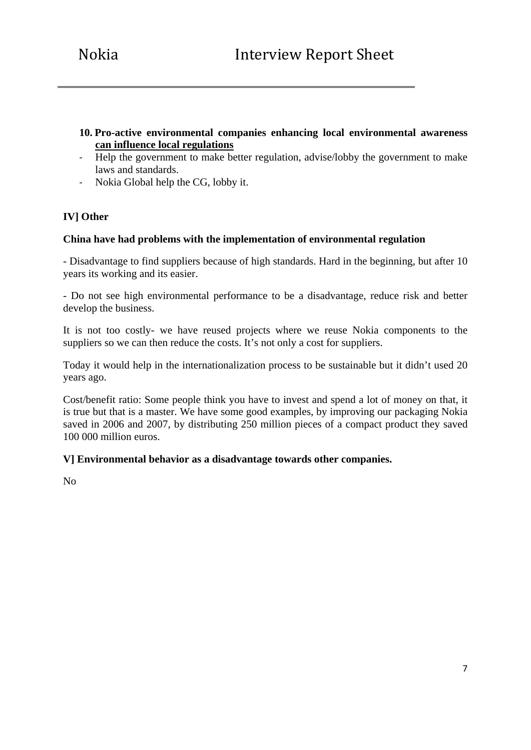## **10. Pro-active environmental companies enhancing local environmental awareness can influence local regulations**

- ‐ Help the government to make better regulation, advise/lobby the government to make laws and standards.
- ‐ Nokia Global help the CG, lobby it.

## **IV] Other**

### **China have had problems with the implementation of environmental regulation**

- Disadvantage to find suppliers because of high standards. Hard in the beginning, but after 10 years its working and its easier.

- Do not see high environmental performance to be a disadvantage, reduce risk and better develop the business.

It is not too costly- we have reused projects where we reuse Nokia components to the suppliers so we can then reduce the costs. It's not only a cost for suppliers.

Today it would help in the internationalization process to be sustainable but it didn't used 20 years ago.

Cost/benefit ratio: Some people think you have to invest and spend a lot of money on that, it is true but that is a master. We have some good examples, by improving our packaging Nokia saved in 2006 and 2007, by distributing 250 million pieces of a compact product they saved 100 000 million euros.

#### **V] Environmental behavior as a disadvantage towards other companies.**

No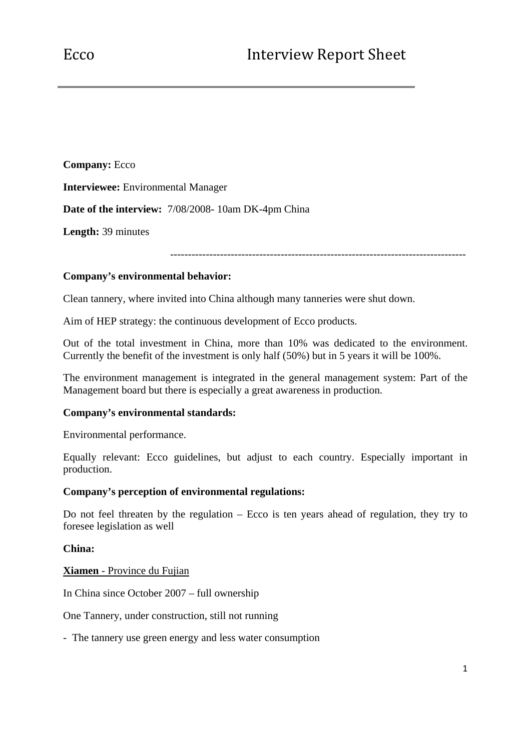**Company:** Ecco **Interviewee:** Environmental Manager **Date of the interview:** 7/08/2008- 10am DK-4pm China **Length:** 39 minutes

-----------------------------------------------------------------------------------

## **Company's environmental behavior:**

Clean tannery, where invited into China although many tanneries were shut down.

Aim of HEP strategy: the continuous development of Ecco products.

Out of the total investment in China, more than 10% was dedicated to the environment. Currently the benefit of the investment is only half (50%) but in 5 years it will be 100%.

The environment management is integrated in the general management system: Part of the Management board but there is especially a great awareness in production.

#### **Company's environmental standards:**

Environmental performance.

Equally relevant: Ecco guidelines, but adjust to each country. Especially important in production.

### **Company's perception of environmental regulations:**

Do not feel threaten by the regulation – Ecco is ten years ahead of regulation, they try to foresee legislation as well

#### **China:**

#### **Xiamen** - Province du Fujian

In China since October 2007 – full ownership

One Tannery, under construction, still not running

- The tannery use green energy and less water consumption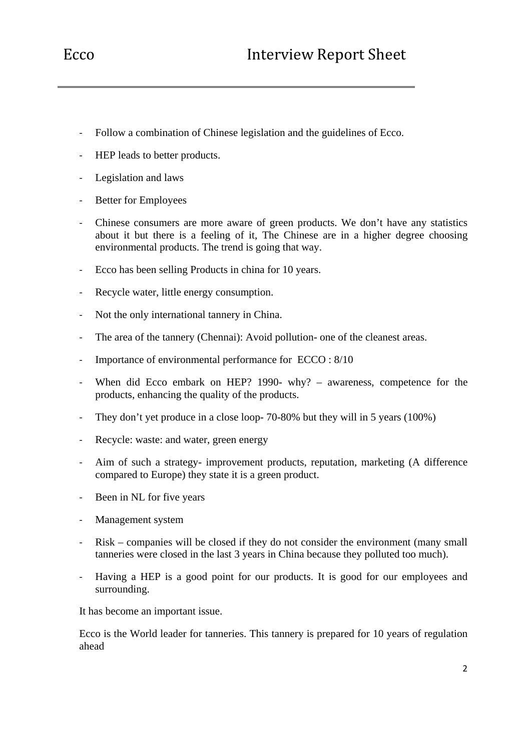- ‐ Follow a combination of Chinese legislation and the guidelines of Ecco.
- ‐ HEP leads to better products.
- ‐ Legislation and laws
- ‐ Better for Employees
- ‐ Chinese consumers are more aware of green products. We don't have any statistics about it but there is a feeling of it, The Chinese are in a higher degree choosing environmental products. The trend is going that way.
- ‐ Ecco has been selling Products in china for 10 years.
- ‐ Recycle water, little energy consumption.
- ‐ Not the only international tannery in China.
- The area of the tannery (Chennai): Avoid pollution- one of the cleanest areas.
- ‐ Importance of environmental performance for ECCO : 8/10
- When did Ecco embark on HEP? 1990- why? awareness, competence for the products, enhancing the quality of the products.
- ‐ They don't yet produce in a close loop- 70-80% but they will in 5 years (100%)
- ‐ Recycle: waste: and water, green energy
- ‐ Aim of such a strategy- improvement products, reputation, marketing (A difference compared to Europe) they state it is a green product.
- ‐ Been in NL for five years
- ‐ Management system
- ‐ Risk companies will be closed if they do not consider the environment (many small tanneries were closed in the last 3 years in China because they polluted too much).
- ‐ Having a HEP is a good point for our products. It is good for our employees and surrounding.

It has become an important issue.

Ecco is the World leader for tanneries. This tannery is prepared for 10 years of regulation ahead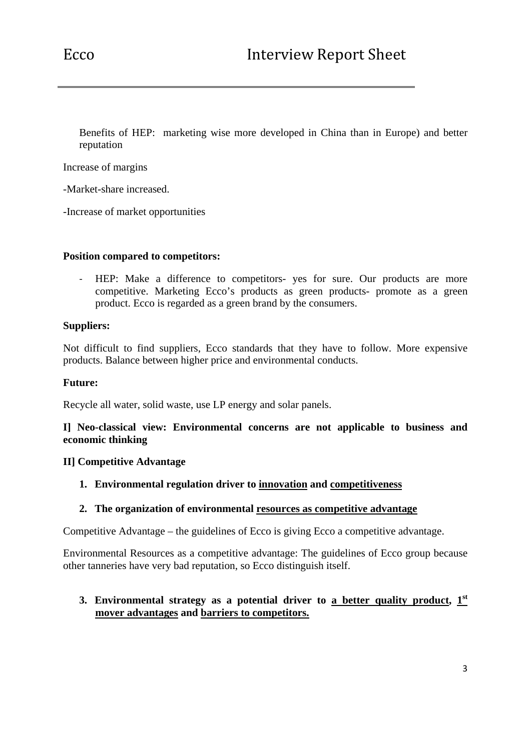Benefits of HEP: marketing wise more developed in China than in Europe) and better reputation

Increase of margins

-Market-share increased.

-Increase of market opportunities

#### **Position compared to competitors:**

HEP: Make a difference to competitors- yes for sure. Our products are more competitive. Marketing Ecco's products as green products- promote as a green product. Ecco is regarded as a green brand by the consumers.

### **Suppliers:**

Not difficult to find suppliers, Ecco standards that they have to follow. More expensive products. Balance between higher price and environmental conducts.

#### **Future:**

Recycle all water, solid waste, use LP energy and solar panels.

### **I] Neo-classical view: Environmental concerns are not applicable to business and economic thinking**

#### **II] Competitive Advantage**

**1. Environmental regulation driver to innovation and competitiveness**

#### **2. The organization of environmental resources as competitive advantage**

Competitive Advantage – the guidelines of Ecco is giving Ecco a competitive advantage.

Environmental Resources as a competitive advantage: The guidelines of Ecco group because other tanneries have very bad reputation, so Ecco distinguish itself.

## **3. Environmental strategy as a potential driver to a better quality product, 1st mover advantages and barriers to competitors.**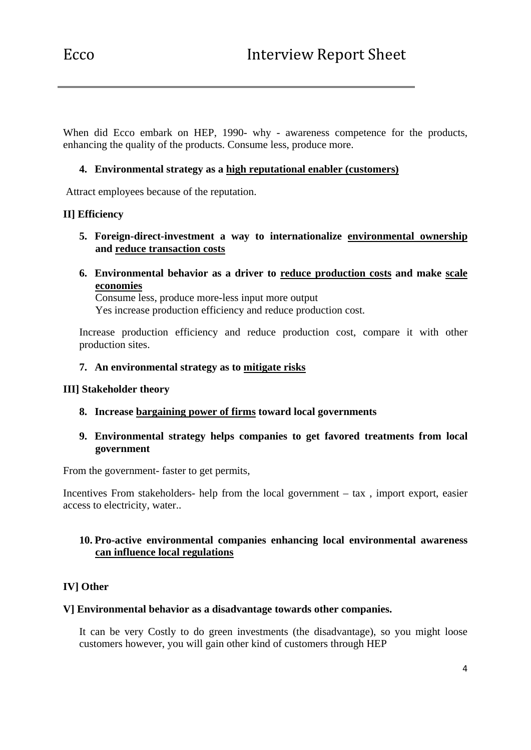When did Ecco embark on HEP, 1990- why - awareness competence for the products, enhancing the quality of the products. Consume less, produce more.

## **4. Environmental strategy as a high reputational enabler (customers)**

Attract employees because of the reputation.

## **II] Efficiency**

- **5. Foreign-direct-investment a way to internationalize environmental ownership and reduce transaction costs**
- **6. Environmental behavior as a driver to reduce production costs and make scale economies**

Consume less, produce more-less input more output Yes increase production efficiency and reduce production cost.

Increase production efficiency and reduce production cost, compare it with other production sites.

#### **7. An environmental strategy as to mitigate risks**

#### **III] Stakeholder theory**

**8. Increase bargaining power of firms toward local governments** 

### **9. Environmental strategy helps companies to get favored treatments from local government**

From the government- faster to get permits,

Incentives From stakeholders- help from the local government – tax , import export, easier access to electricity, water..

### **10. Pro-active environmental companies enhancing local environmental awareness can influence local regulations**

## **IV] Other**

#### **V] Environmental behavior as a disadvantage towards other companies.**

It can be very Costly to do green investments (the disadvantage), so you might loose customers however, you will gain other kind of customers through HEP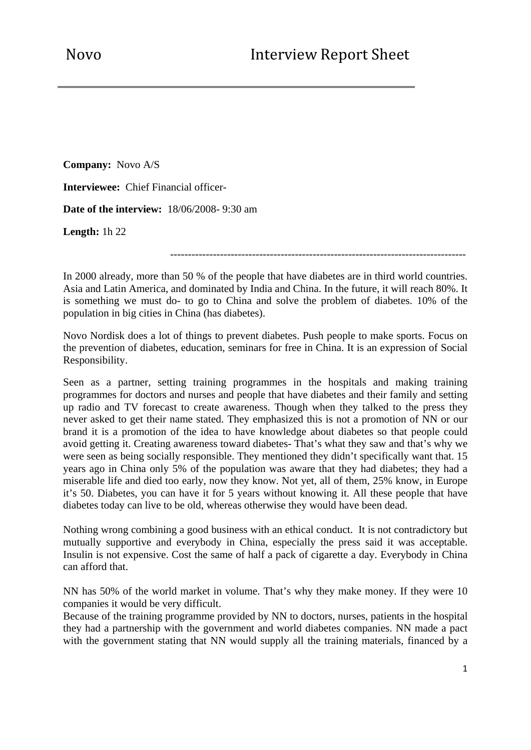**Company:** Novo A/S

**Interviewee:** Chief Financial officer-

**Date of the interview:** 18/06/2008- 9:30 am

**Length:** 1h 22

-----------------------------------------------------------------------------------

In 2000 already, more than 50 % of the people that have diabetes are in third world countries. Asia and Latin America, and dominated by India and China. In the future, it will reach 80%. It is something we must do- to go to China and solve the problem of diabetes. 10% of the population in big cities in China (has diabetes).

Novo Nordisk does a lot of things to prevent diabetes. Push people to make sports. Focus on the prevention of diabetes, education, seminars for free in China. It is an expression of Social Responsibility.

Seen as a partner, setting training programmes in the hospitals and making training programmes for doctors and nurses and people that have diabetes and their family and setting up radio and TV forecast to create awareness. Though when they talked to the press they never asked to get their name stated. They emphasized this is not a promotion of NN or our brand it is a promotion of the idea to have knowledge about diabetes so that people could avoid getting it. Creating awareness toward diabetes- That's what they saw and that's why we were seen as being socially responsible. They mentioned they didn't specifically want that. 15 years ago in China only 5% of the population was aware that they had diabetes; they had a miserable life and died too early, now they know. Not yet, all of them, 25% know, in Europe it's 50. Diabetes, you can have it for 5 years without knowing it. All these people that have diabetes today can live to be old, whereas otherwise they would have been dead.

Nothing wrong combining a good business with an ethical conduct. It is not contradictory but mutually supportive and everybody in China, especially the press said it was acceptable. Insulin is not expensive. Cost the same of half a pack of cigarette a day. Everybody in China can afford that.

NN has 50% of the world market in volume. That's why they make money. If they were 10 companies it would be very difficult.

Because of the training programme provided by NN to doctors, nurses, patients in the hospital they had a partnership with the government and world diabetes companies. NN made a pact with the government stating that NN would supply all the training materials, financed by a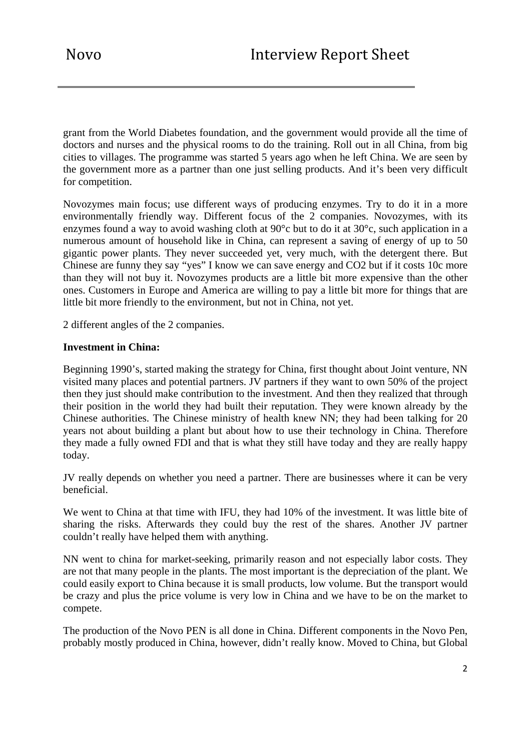grant from the World Diabetes foundation, and the government would provide all the time of doctors and nurses and the physical rooms to do the training. Roll out in all China, from big cities to villages. The programme was started 5 years ago when he left China. We are seen by the government more as a partner than one just selling products. And it's been very difficult for competition.

Novozymes main focus; use different ways of producing enzymes. Try to do it in a more environmentally friendly way. Different focus of the 2 companies. Novozymes, with its enzymes found a way to avoid washing cloth at 90°c but to do it at 30°c, such application in a numerous amount of household like in China, can represent a saving of energy of up to 50 gigantic power plants. They never succeeded yet, very much, with the detergent there. But Chinese are funny they say "yes" I know we can save energy and CO2 but if it costs 10c more than they will not buy it. Novozymes products are a little bit more expensive than the other ones. Customers in Europe and America are willing to pay a little bit more for things that are little bit more friendly to the environment, but not in China, not yet.

2 different angles of the 2 companies.

### **Investment in China:**

Beginning 1990's, started making the strategy for China, first thought about Joint venture, NN visited many places and potential partners. JV partners if they want to own 50% of the project then they just should make contribution to the investment. And then they realized that through their position in the world they had built their reputation. They were known already by the Chinese authorities. The Chinese ministry of health knew NN; they had been talking for 20 years not about building a plant but about how to use their technology in China. Therefore they made a fully owned FDI and that is what they still have today and they are really happy today.

JV really depends on whether you need a partner. There are businesses where it can be very beneficial.

We went to China at that time with IFU, they had 10% of the investment. It was little bite of sharing the risks. Afterwards they could buy the rest of the shares. Another JV partner couldn't really have helped them with anything.

NN went to china for market-seeking, primarily reason and not especially labor costs. They are not that many people in the plants. The most important is the depreciation of the plant. We could easily export to China because it is small products, low volume. But the transport would be crazy and plus the price volume is very low in China and we have to be on the market to compete.

The production of the Novo PEN is all done in China. Different components in the Novo Pen, probably mostly produced in China, however, didn't really know. Moved to China, but Global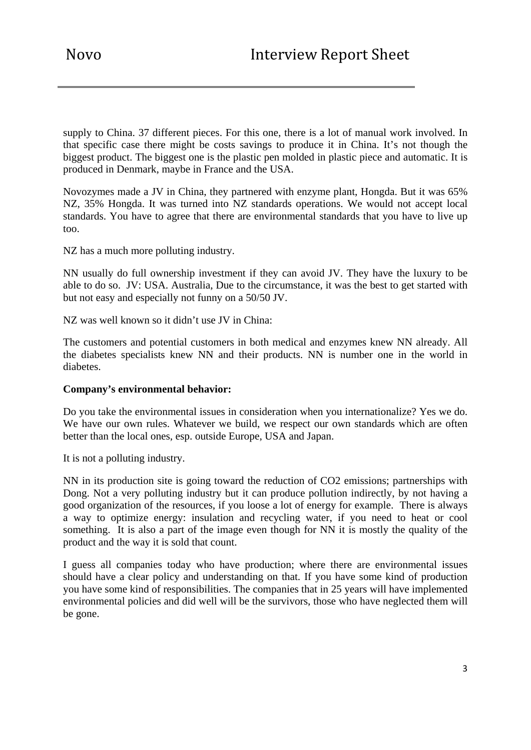supply to China. 37 different pieces. For this one, there is a lot of manual work involved. In that specific case there might be costs savings to produce it in China. It's not though the biggest product. The biggest one is the plastic pen molded in plastic piece and automatic. It is produced in Denmark, maybe in France and the USA.

Novozymes made a JV in China, they partnered with enzyme plant, Hongda. But it was 65% NZ, 35% Hongda. It was turned into NZ standards operations. We would not accept local standards. You have to agree that there are environmental standards that you have to live up too.

NZ has a much more polluting industry.

NN usually do full ownership investment if they can avoid JV. They have the luxury to be able to do so. JV: USA. Australia, Due to the circumstance, it was the best to get started with but not easy and especially not funny on a 50/50 JV.

NZ was well known so it didn't use JV in China:

The customers and potential customers in both medical and enzymes knew NN already. All the diabetes specialists knew NN and their products. NN is number one in the world in diabetes.

#### **Company's environmental behavior:**

Do you take the environmental issues in consideration when you internationalize? Yes we do. We have our own rules. Whatever we build, we respect our own standards which are often better than the local ones, esp. outside Europe, USA and Japan.

It is not a polluting industry.

NN in its production site is going toward the reduction of CO2 emissions; partnerships with Dong. Not a very polluting industry but it can produce pollution indirectly, by not having a good organization of the resources, if you loose a lot of energy for example. There is always a way to optimize energy: insulation and recycling water, if you need to heat or cool something. It is also a part of the image even though for NN it is mostly the quality of the product and the way it is sold that count.

I guess all companies today who have production; where there are environmental issues should have a clear policy and understanding on that. If you have some kind of production you have some kind of responsibilities. The companies that in 25 years will have implemented environmental policies and did well will be the survivors, those who have neglected them will be gone.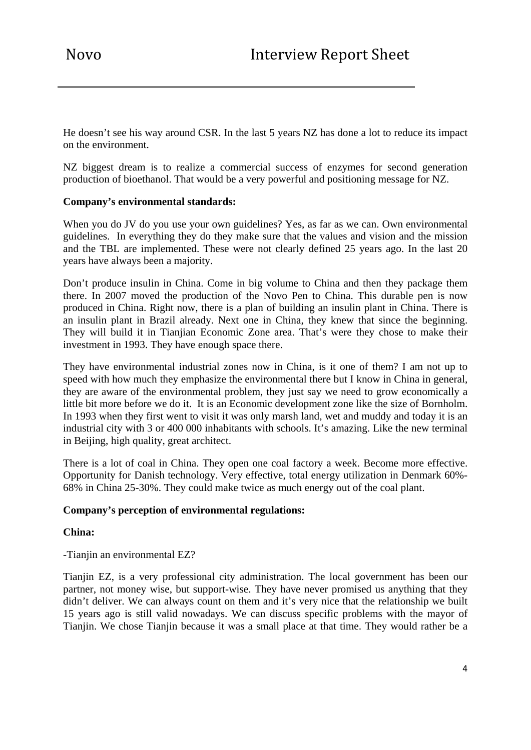He doesn't see his way around CSR. In the last 5 years NZ has done a lot to reduce its impact on the environment.

NZ biggest dream is to realize a commercial success of enzymes for second generation production of bioethanol. That would be a very powerful and positioning message for NZ.

### **Company's environmental standards:**

When you do JV do you use your own guidelines? Yes, as far as we can. Own environmental guidelines. In everything they do they make sure that the values and vision and the mission and the TBL are implemented. These were not clearly defined 25 years ago. In the last 20 years have always been a majority.

Don't produce insulin in China. Come in big volume to China and then they package them there. In 2007 moved the production of the Novo Pen to China. This durable pen is now produced in China. Right now, there is a plan of building an insulin plant in China. There is an insulin plant in Brazil already. Next one in China, they knew that since the beginning. They will build it in Tianjian Economic Zone area. That's were they chose to make their investment in 1993. They have enough space there.

They have environmental industrial zones now in China, is it one of them? I am not up to speed with how much they emphasize the environmental there but I know in China in general, they are aware of the environmental problem, they just say we need to grow economically a little bit more before we do it. It is an Economic development zone like the size of Bornholm. In 1993 when they first went to visit it was only marsh land, wet and muddy and today it is an industrial city with 3 or 400 000 inhabitants with schools. It's amazing. Like the new terminal in Beijing, high quality, great architect.

There is a lot of coal in China. They open one coal factory a week. Become more effective. Opportunity for Danish technology. Very effective, total energy utilization in Denmark 60%- 68% in China 25-30%. They could make twice as much energy out of the coal plant.

#### **Company's perception of environmental regulations:**

#### **China:**

-Tianjin an environmental EZ?

Tianjin EZ, is a very professional city administration. The local government has been our partner, not money wise, but support-wise. They have never promised us anything that they didn't deliver. We can always count on them and it's very nice that the relationship we built 15 years ago is still valid nowadays. We can discuss specific problems with the mayor of Tianjin. We chose Tianjin because it was a small place at that time. They would rather be a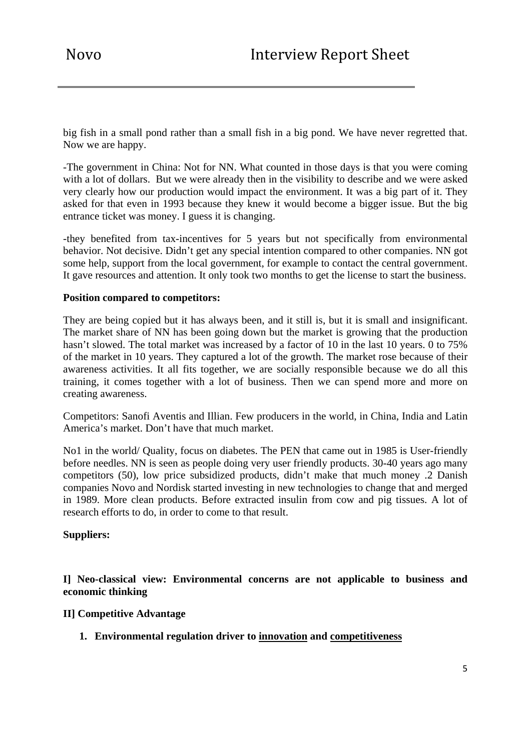big fish in a small pond rather than a small fish in a big pond. We have never regretted that. Now we are happy.

-The government in China: Not for NN. What counted in those days is that you were coming with a lot of dollars. But we were already then in the visibility to describe and we were asked very clearly how our production would impact the environment. It was a big part of it. They asked for that even in 1993 because they knew it would become a bigger issue. But the big entrance ticket was money. I guess it is changing.

-they benefited from tax-incentives for 5 years but not specifically from environmental behavior. Not decisive. Didn't get any special intention compared to other companies. NN got some help, support from the local government, for example to contact the central government. It gave resources and attention. It only took two months to get the license to start the business.

### **Position compared to competitors:**

They are being copied but it has always been, and it still is, but it is small and insignificant. The market share of NN has been going down but the market is growing that the production hasn't slowed. The total market was increased by a factor of 10 in the last 10 years. 0 to 75% of the market in 10 years. They captured a lot of the growth. The market rose because of their awareness activities. It all fits together, we are socially responsible because we do all this training, it comes together with a lot of business. Then we can spend more and more on creating awareness.

Competitors: Sanofi Aventis and Illian. Few producers in the world, in China, India and Latin America's market. Don't have that much market.

No1 in the world/ Quality, focus on diabetes. The PEN that came out in 1985 is User-friendly before needles. NN is seen as people doing very user friendly products. 30-40 years ago many competitors (50), low price subsidized products, didn't make that much money .2 Danish companies Novo and Nordisk started investing in new technologies to change that and merged in 1989. More clean products. Before extracted insulin from cow and pig tissues. A lot of research efforts to do, in order to come to that result.

#### **Suppliers:**

**I] Neo-classical view: Environmental concerns are not applicable to business and economic thinking** 

## **II] Competitive Advantage**

**1. Environmental regulation driver to innovation and competitiveness**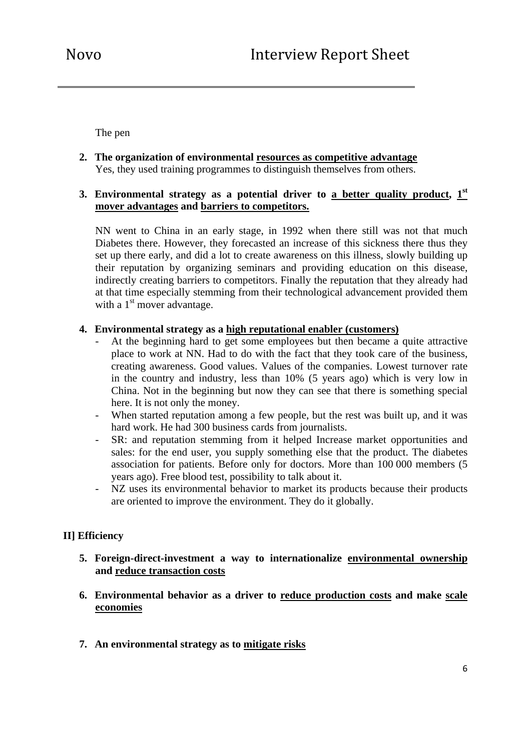The pen

**2. The organization of environmental resources as competitive advantage** Yes, they used training programmes to distinguish themselves from others.

## **3. Environmental strategy as a potential driver to a better quality product, 1st mover advantages and barriers to competitors.**

NN went to China in an early stage, in 1992 when there still was not that much Diabetes there. However, they forecasted an increase of this sickness there thus they set up there early, and did a lot to create awareness on this illness, slowly building up their reputation by organizing seminars and providing education on this disease, indirectly creating barriers to competitors. Finally the reputation that they already had at that time especially stemming from their technological advancement provided them with a  $1<sup>st</sup>$  mover advantage.

### **4. Environmental strategy as a high reputational enabler (customers)**

- At the beginning hard to get some employees but then became a quite attractive place to work at NN. Had to do with the fact that they took care of the business, creating awareness. Good values. Values of the companies. Lowest turnover rate in the country and industry, less than 10% (5 years ago) which is very low in China. Not in the beginning but now they can see that there is something special here. It is not only the money.
- When started reputation among a few people, but the rest was built up, and it was hard work. He had 300 business cards from journalists.
- SR: and reputation stemming from it helped Increase market opportunities and sales: for the end user, you supply something else that the product. The diabetes association for patients. Before only for doctors. More than 100 000 members (5 years ago). Free blood test, possibility to talk about it.
- NZ uses its environmental behavior to market its products because their products are oriented to improve the environment. They do it globally.

## **II] Efficiency**

- **5. Foreign-direct-investment a way to internationalize environmental ownership and reduce transaction costs**
- **6. Environmental behavior as a driver to reduce production costs and make scale economies**
- **7. An environmental strategy as to mitigate risks**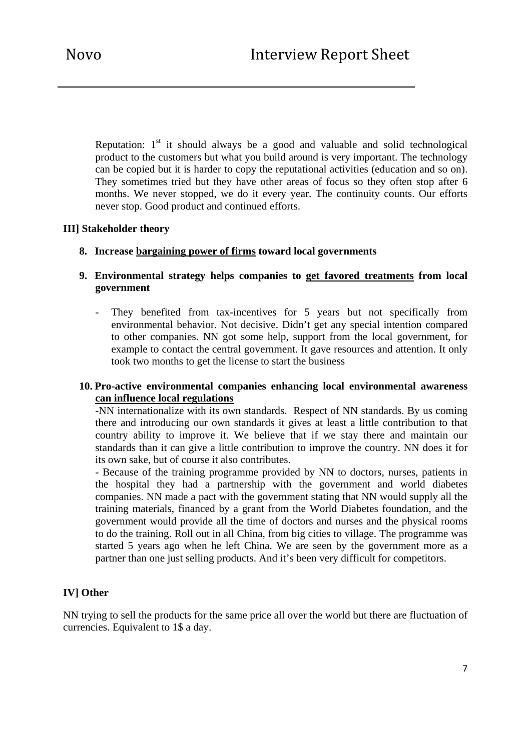Reputation:  $1<sup>st</sup>$  it should always be a good and valuable and solid technological product to the customers but what you build around is very important. The technology can be copied but it is harder to copy the reputational activities (education and so on). They sometimes tried but they have other areas of focus so they often stop after 6 months. We never stopped, we do it every year. The continuity counts. Our efforts never stop. Good product and continued efforts.

## **III] Stakeholder theory**

**8. Increase bargaining power of firms toward local governments** 

## **9. Environmental strategy helps companies to get favored treatments from local government**

- They benefited from tax-incentives for 5 years but not specifically from environmental behavior. Not decisive. Didn't get any special intention compared to other companies. NN got some help, support from the local government, for example to contact the central government. It gave resources and attention. It only took two months to get the license to start the business

## **10. Pro-active environmental companies enhancing local environmental awareness can influence local regulations**

-NN internationalize with its own standards. Respect of NN standards. By us coming there and introducing our own standards it gives at least a little contribution to that country ability to improve it. We believe that if we stay there and maintain our standards than it can give a little contribution to improve the country. NN does it for its own sake, but of course it also contributes.

- Because of the training programme provided by NN to doctors, nurses, patients in the hospital they had a partnership with the government and world diabetes companies. NN made a pact with the government stating that NN would supply all the training materials, financed by a grant from the World Diabetes foundation, and the government would provide all the time of doctors and nurses and the physical rooms to do the training. Roll out in all China, from big cities to village. The programme was started 5 years ago when he left China. We are seen by the government more as a partner than one just selling products. And it's been very difficult for competitors.

# **IV] Other**

NN trying to sell the products for the same price all over the world but there are fluctuation of currencies. Equivalent to 1\$ a day.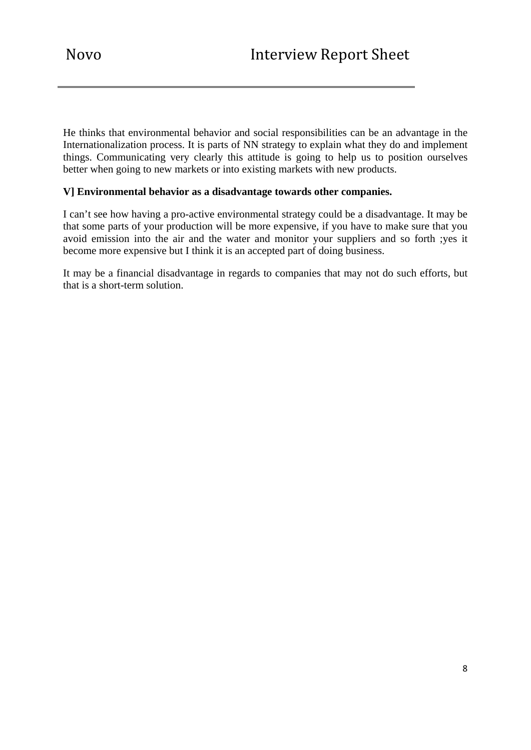He thinks that environmental behavior and social responsibilities can be an advantage in the Internationalization process. It is parts of NN strategy to explain what they do and implement things. Communicating very clearly this attitude is going to help us to position ourselves better when going to new markets or into existing markets with new products.

## **V] Environmental behavior as a disadvantage towards other companies.**

I can't see how having a pro-active environmental strategy could be a disadvantage. It may be that some parts of your production will be more expensive, if you have to make sure that you avoid emission into the air and the water and monitor your suppliers and so forth ;yes it become more expensive but I think it is an accepted part of doing business.

It may be a financial disadvantage in regards to companies that may not do such efforts, but that is a short-term solution.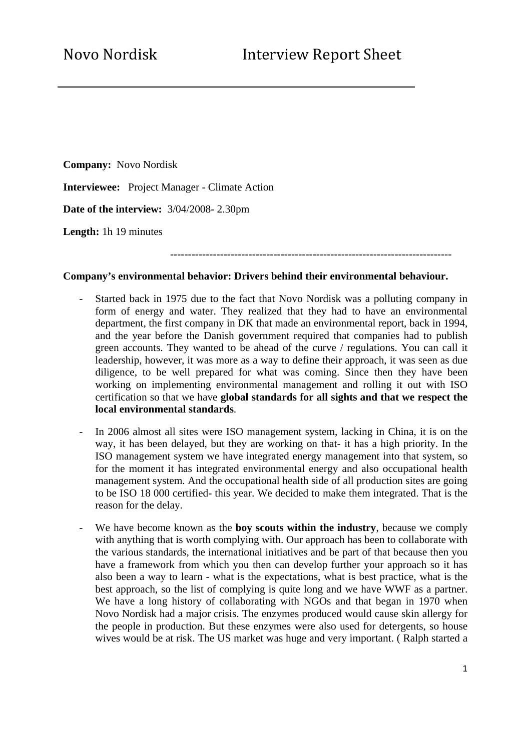**Company:** Novo Nordisk **Interviewee:** Project Manager - Climate Action **Date of the interview:** 3/04/2008- 2.30pm **Length:** 1h 19 minutes

-------------------------------------------------------------------------------

#### **Company's environmental behavior: Drivers behind their environmental behaviour.**

- Started back in 1975 due to the fact that Novo Nordisk was a polluting company in form of energy and water. They realized that they had to have an environmental department, the first company in DK that made an environmental report, back in 1994, and the year before the Danish government required that companies had to publish green accounts. They wanted to be ahead of the curve / regulations. You can call it leadership, however, it was more as a way to define their approach, it was seen as due diligence, to be well prepared for what was coming. Since then they have been working on implementing environmental management and rolling it out with ISO certification so that we have **global standards for all sights and that we respect the local environmental standards**.
- In 2006 almost all sites were ISO management system, lacking in China, it is on the way, it has been delayed, but they are working on that- it has a high priority. In the ISO management system we have integrated energy management into that system, so for the moment it has integrated environmental energy and also occupational health management system. And the occupational health side of all production sites are going to be ISO 18 000 certified- this year. We decided to make them integrated. That is the reason for the delay.
- We have become known as the **boy scouts within the industry**, because we comply with anything that is worth complying with. Our approach has been to collaborate with the various standards, the international initiatives and be part of that because then you have a framework from which you then can develop further your approach so it has also been a way to learn - what is the expectations, what is best practice, what is the best approach, so the list of complying is quite long and we have WWF as a partner. We have a long history of collaborating with NGOs and that began in 1970 when Novo Nordisk had a major crisis. The enzymes produced would cause skin allergy for the people in production. But these enzymes were also used for detergents, so house wives would be at risk. The US market was huge and very important. ( Ralph started a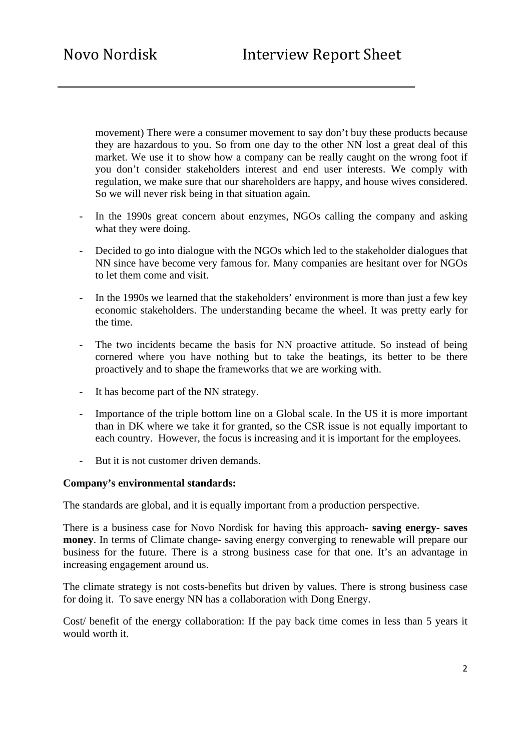movement) There were a consumer movement to say don't buy these products because they are hazardous to you. So from one day to the other NN lost a great deal of this market. We use it to show how a company can be really caught on the wrong foot if you don't consider stakeholders interest and end user interests. We comply with regulation, we make sure that our shareholders are happy, and house wives considered. So we will never risk being in that situation again.

- In the 1990s great concern about enzymes, NGOs calling the company and asking what they were doing.
- Decided to go into dialogue with the NGOs which led to the stakeholder dialogues that NN since have become very famous for. Many companies are hesitant over for NGOs to let them come and visit.
- In the 1990s we learned that the stakeholders' environment is more than just a few key economic stakeholders. The understanding became the wheel. It was pretty early for the time.
- The two incidents became the basis for NN proactive attitude. So instead of being cornered where you have nothing but to take the beatings, its better to be there proactively and to shape the frameworks that we are working with.
- It has become part of the NN strategy.
- Importance of the triple bottom line on a Global scale. In the US it is more important than in DK where we take it for granted, so the CSR issue is not equally important to each country. However, the focus is increasing and it is important for the employees.
- But it is not customer driven demands.

#### **Company's environmental standards:**

The standards are global, and it is equally important from a production perspective.

There is a business case for Novo Nordisk for having this approach- **saving energy- saves money**. In terms of Climate change- saving energy converging to renewable will prepare our business for the future. There is a strong business case for that one. It's an advantage in increasing engagement around us.

The climate strategy is not costs-benefits but driven by values. There is strong business case for doing it. To save energy NN has a collaboration with Dong Energy.

Cost/ benefit of the energy collaboration: If the pay back time comes in less than 5 years it would worth it.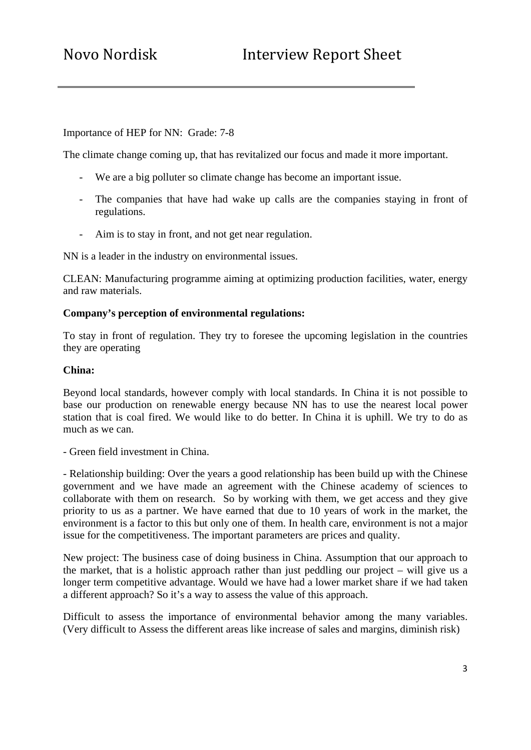## Importance of HEP for NN: Grade: 7-8

The climate change coming up, that has revitalized our focus and made it more important.

- We are a big polluter so climate change has become an important issue.
- The companies that have had wake up calls are the companies staying in front of regulations.
- Aim is to stay in front, and not get near regulation.

NN is a leader in the industry on environmental issues.

CLEAN: Manufacturing programme aiming at optimizing production facilities, water, energy and raw materials.

#### **Company's perception of environmental regulations:**

To stay in front of regulation. They try to foresee the upcoming legislation in the countries they are operating

### **China:**

Beyond local standards, however comply with local standards. In China it is not possible to base our production on renewable energy because NN has to use the nearest local power station that is coal fired. We would like to do better. In China it is uphill. We try to do as much as we can.

- Green field investment in China.

- Relationship building: Over the years a good relationship has been build up with the Chinese government and we have made an agreement with the Chinese academy of sciences to collaborate with them on research. So by working with them, we get access and they give priority to us as a partner. We have earned that due to 10 years of work in the market, the environment is a factor to this but only one of them. In health care, environment is not a major issue for the competitiveness. The important parameters are prices and quality.

New project: The business case of doing business in China. Assumption that our approach to the market, that is a holistic approach rather than just peddling our project – will give us a longer term competitive advantage. Would we have had a lower market share if we had taken a different approach? So it's a way to assess the value of this approach.

Difficult to assess the importance of environmental behavior among the many variables. (Very difficult to Assess the different areas like increase of sales and margins, diminish risk)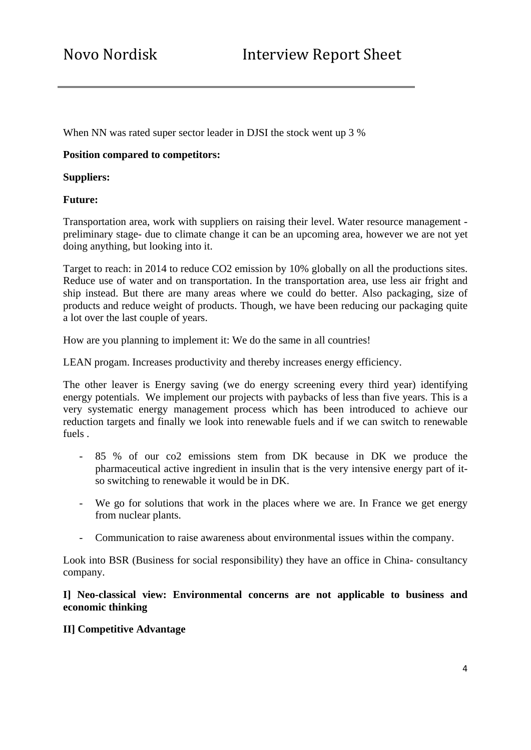When NN was rated super sector leader in DJSI the stock went up 3 %

## **Position compared to competitors:**

#### **Suppliers:**

### **Future:**

Transportation area, work with suppliers on raising their level. Water resource management preliminary stage- due to climate change it can be an upcoming area, however we are not yet doing anything, but looking into it.

Target to reach: in 2014 to reduce CO2 emission by 10% globally on all the productions sites. Reduce use of water and on transportation. In the transportation area, use less air fright and ship instead. But there are many areas where we could do better. Also packaging, size of products and reduce weight of products. Though, we have been reducing our packaging quite a lot over the last couple of years.

How are you planning to implement it: We do the same in all countries!

LEAN progam. Increases productivity and thereby increases energy efficiency.

The other leaver is Energy saving (we do energy screening every third year) identifying energy potentials. We implement our projects with paybacks of less than five years. This is a very systematic energy management process which has been introduced to achieve our reduction targets and finally we look into renewable fuels and if we can switch to renewable fuels .

- 85 % of our co2 emissions stem from DK because in DK we produce the pharmaceutical active ingredient in insulin that is the very intensive energy part of itso switching to renewable it would be in DK.
- We go for solutions that work in the places where we are. In France we get energy from nuclear plants.
- Communication to raise awareness about environmental issues within the company.

Look into BSR (Business for social responsibility) they have an office in China- consultancy company.

### **I] Neo-classical view: Environmental concerns are not applicable to business and economic thinking**

## **II] Competitive Advantage**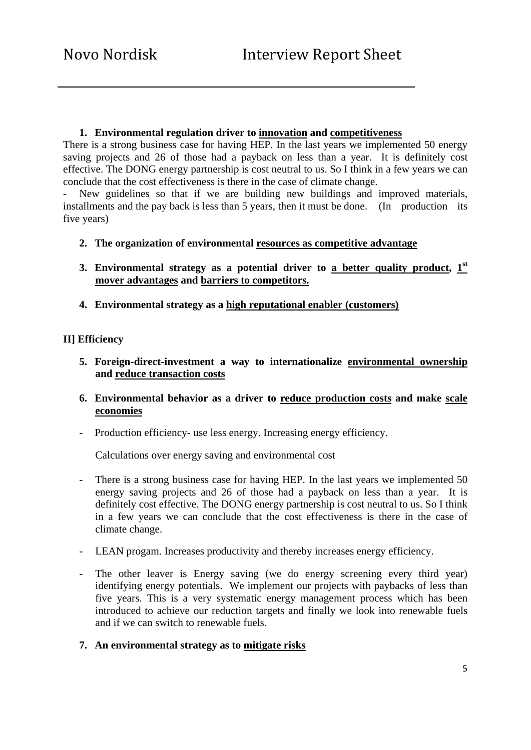### **1. Environmental regulation driver to innovation and competitiveness**

There is a strong business case for having HEP. In the last years we implemented 50 energy saving projects and 26 of those had a payback on less than a year. It is definitely cost effective. The DONG energy partnership is cost neutral to us. So I think in a few years we can conclude that the cost effectiveness is there in the case of climate change.

New guidelines so that if we are building new buildings and improved materials, installments and the pay back is less than 5 years, then it must be done. (In production its five years)

- **2. The organization of environmental resources as competitive advantage**
- **3. Environmental strategy as a potential driver to a better quality product, 1st mover advantages and barriers to competitors.**
- **4. Environmental strategy as a high reputational enabler (customers)**

## **II] Efficiency**

- **5. Foreign-direct-investment a way to internationalize environmental ownership and reduce transaction costs**
- **6. Environmental behavior as a driver to reduce production costs and make scale economies**
- Production efficiency- use less energy. Increasing energy efficiency.

Calculations over energy saving and environmental cost

- There is a strong business case for having HEP. In the last years we implemented 50 energy saving projects and 26 of those had a payback on less than a year. It is definitely cost effective. The DONG energy partnership is cost neutral to us. So I think in a few years we can conclude that the cost effectiveness is there in the case of climate change.
- LEAN progam. Increases productivity and thereby increases energy efficiency.
- The other leaver is Energy saving (we do energy screening every third year) identifying energy potentials. We implement our projects with paybacks of less than five years. This is a very systematic energy management process which has been introduced to achieve our reduction targets and finally we look into renewable fuels and if we can switch to renewable fuels.
- **7. An environmental strategy as to mitigate risks**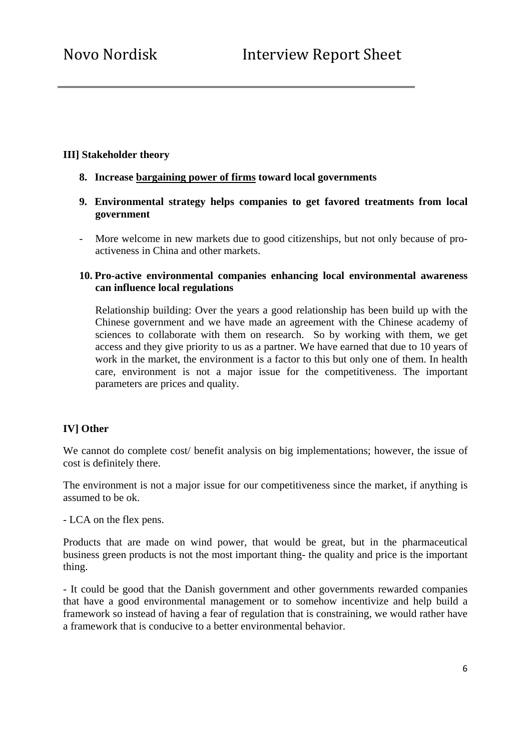### **III] Stakeholder theory**

- **8. Increase bargaining power of firms toward local governments**
- **9. Environmental strategy helps companies to get favored treatments from local government**
- More welcome in new markets due to good citizenships, but not only because of proactiveness in China and other markets.

## **10. Pro-active environmental companies enhancing local environmental awareness can influence local regulations**

Relationship building: Over the years a good relationship has been build up with the Chinese government and we have made an agreement with the Chinese academy of sciences to collaborate with them on research. So by working with them, we get access and they give priority to us as a partner. We have earned that due to 10 years of work in the market, the environment is a factor to this but only one of them. In health care, environment is not a major issue for the competitiveness. The important parameters are prices and quality.

## **IV] Other**

We cannot do complete cost/ benefit analysis on big implementations; however, the issue of cost is definitely there.

The environment is not a major issue for our competitiveness since the market, if anything is assumed to be ok.

- LCA on the flex pens.

Products that are made on wind power, that would be great, but in the pharmaceutical business green products is not the most important thing- the quality and price is the important thing.

- It could be good that the Danish government and other governments rewarded companies that have a good environmental management or to somehow incentivize and help build a framework so instead of having a fear of regulation that is constraining, we would rather have a framework that is conducive to a better environmental behavior.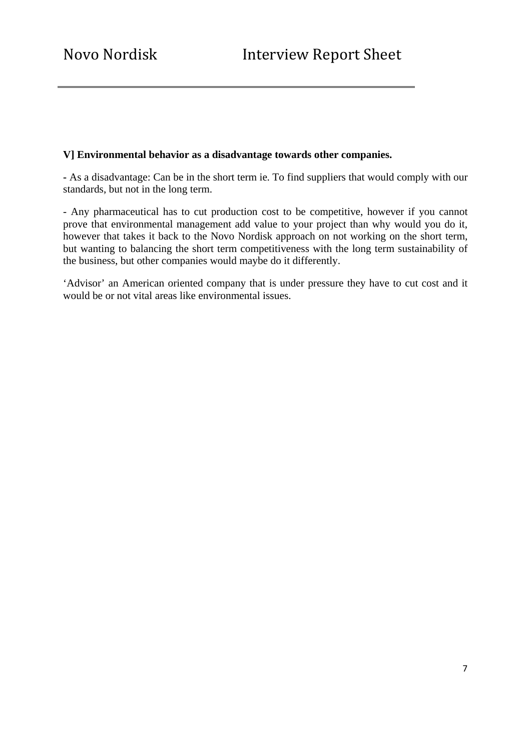### **V] Environmental behavior as a disadvantage towards other companies.**

**-** As a disadvantage: Can be in the short term ie. To find suppliers that would comply with our standards, but not in the long term.

- Any pharmaceutical has to cut production cost to be competitive, however if you cannot prove that environmental management add value to your project than why would you do it, however that takes it back to the Novo Nordisk approach on not working on the short term, but wanting to balancing the short term competitiveness with the long term sustainability of the business, but other companies would maybe do it differently.

'Advisor' an American oriented company that is under pressure they have to cut cost and it would be or not vital areas like environmental issues.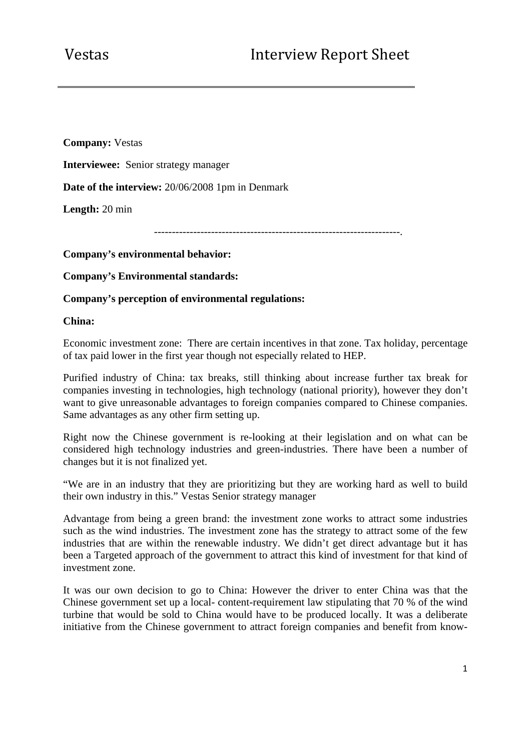**Company:** Vestas **Interviewee:** Senior strategy manager **Date of the interview:** 20/06/2008 1pm in Denmark **Length:** 20 min ---------------------------------------------------------------------.

**Company's environmental behavior:** 

**Company's Environmental standards:** 

**Company's perception of environmental regulations:** 

**China:** 

Economic investment zone: There are certain incentives in that zone. Tax holiday, percentage of tax paid lower in the first year though not especially related to HEP.

Purified industry of China: tax breaks, still thinking about increase further tax break for companies investing in technologies, high technology (national priority), however they don't want to give unreasonable advantages to foreign companies compared to Chinese companies. Same advantages as any other firm setting up.

Right now the Chinese government is re-looking at their legislation and on what can be considered high technology industries and green-industries. There have been a number of changes but it is not finalized yet.

"We are in an industry that they are prioritizing but they are working hard as well to build their own industry in this." Vestas Senior strategy manager

Advantage from being a green brand: the investment zone works to attract some industries such as the wind industries. The investment zone has the strategy to attract some of the few industries that are within the renewable industry. We didn't get direct advantage but it has been a Targeted approach of the government to attract this kind of investment for that kind of investment zone.

It was our own decision to go to China: However the driver to enter China was that the Chinese government set up a local- content-requirement law stipulating that 70 % of the wind turbine that would be sold to China would have to be produced locally. It was a deliberate initiative from the Chinese government to attract foreign companies and benefit from know-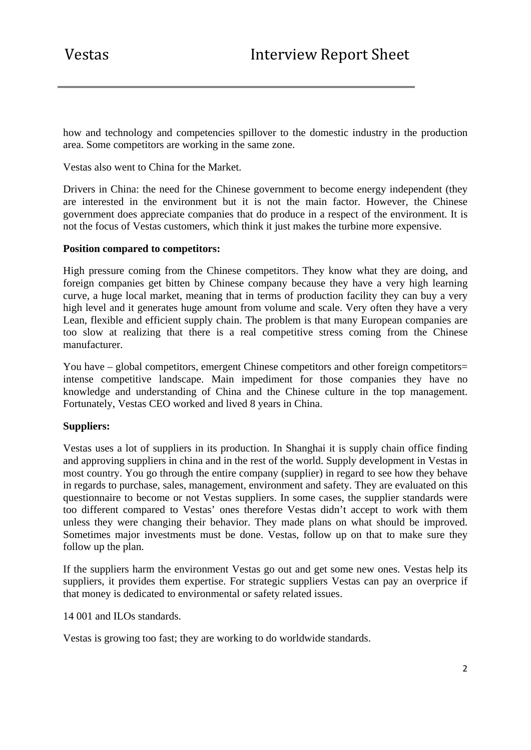how and technology and competencies spillover to the domestic industry in the production area. Some competitors are working in the same zone.

Vestas also went to China for the Market.

Drivers in China: the need for the Chinese government to become energy independent (they are interested in the environment but it is not the main factor. However, the Chinese government does appreciate companies that do produce in a respect of the environment. It is not the focus of Vestas customers, which think it just makes the turbine more expensive.

### **Position compared to competitors:**

High pressure coming from the Chinese competitors. They know what they are doing, and foreign companies get bitten by Chinese company because they have a very high learning curve, a huge local market, meaning that in terms of production facility they can buy a very high level and it generates huge amount from volume and scale. Very often they have a very Lean, flexible and efficient supply chain. The problem is that many European companies are too slow at realizing that there is a real competitive stress coming from the Chinese manufacturer.

You have – global competitors, emergent Chinese competitors and other foreign competitors= intense competitive landscape. Main impediment for those companies they have no knowledge and understanding of China and the Chinese culture in the top management. Fortunately, Vestas CEO worked and lived 8 years in China.

### **Suppliers:**

Vestas uses a lot of suppliers in its production. In Shanghai it is supply chain office finding and approving suppliers in china and in the rest of the world. Supply development in Vestas in most country. You go through the entire company (supplier) in regard to see how they behave in regards to purchase, sales, management, environment and safety. They are evaluated on this questionnaire to become or not Vestas suppliers. In some cases, the supplier standards were too different compared to Vestas' ones therefore Vestas didn't accept to work with them unless they were changing their behavior. They made plans on what should be improved. Sometimes major investments must be done. Vestas, follow up on that to make sure they follow up the plan.

If the suppliers harm the environment Vestas go out and get some new ones. Vestas help its suppliers, it provides them expertise. For strategic suppliers Vestas can pay an overprice if that money is dedicated to environmental or safety related issues.

14 001 and ILOs standards.

Vestas is growing too fast; they are working to do worldwide standards.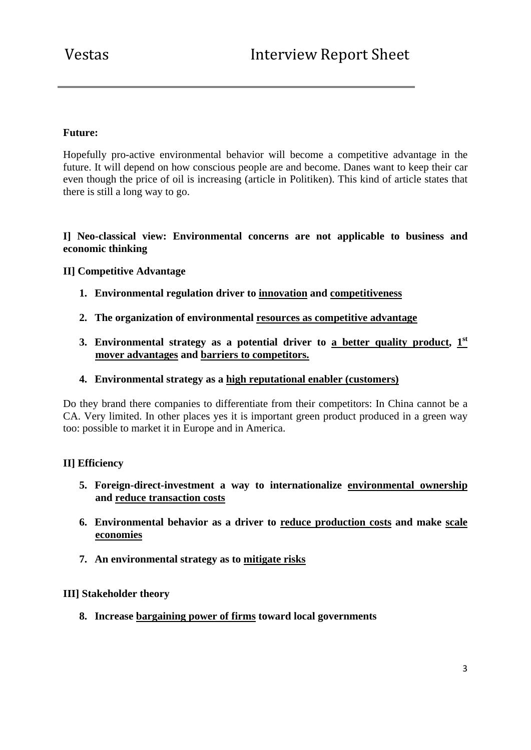# **Future:**

Hopefully pro-active environmental behavior will become a competitive advantage in the future. It will depend on how conscious people are and become. Danes want to keep their car even though the price of oil is increasing (article in Politiken). This kind of article states that there is still a long way to go.

# **I] Neo-classical view: Environmental concerns are not applicable to business and economic thinking**

# **II] Competitive Advantage**

- **1. Environmental regulation driver to innovation and competitiveness**
- **2. The organization of environmental resources as competitive advantage**
- **3. Environmental strategy as a potential driver to <u>a better quality product</u>,**  $1<sup>st</sup>$ **mover advantages and barriers to competitors.**
- **4. Environmental strategy as a high reputational enabler (customers)**

Do they brand there companies to differentiate from their competitors: In China cannot be a CA. Very limited. In other places yes it is important green product produced in a green way too: possible to market it in Europe and in America.

## **II] Efficiency**

- **5. Foreign-direct-investment a way to internationalize environmental ownership and reduce transaction costs**
- **6. Environmental behavior as a driver to reduce production costs and make scale economies**
- **7. An environmental strategy as to mitigate risks**

#### **III] Stakeholder theory**

**8. Increase bargaining power of firms toward local governments**